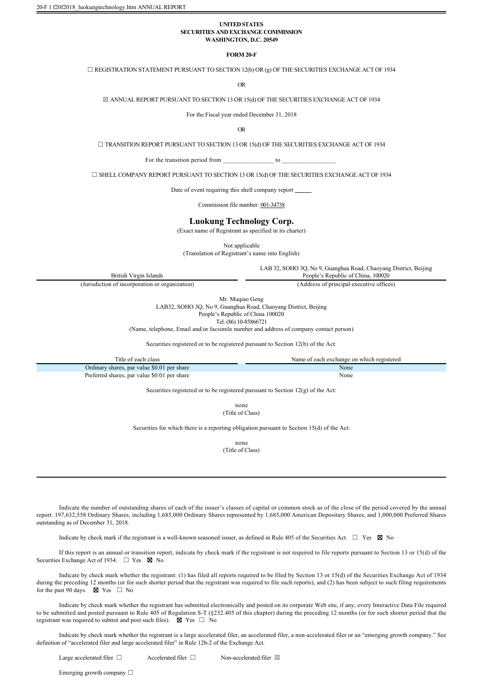20-F 1 f20f2018\_luokungtechnology.htm ANNUAL REPORT

## **UNITED STATES SECURITIES AND EXCHANGE COMMISSION WASHINGTON, D.C. 20549**

**FORM 20F**

 $\Box$  REGISTRATION STATEMENT PURSUANT TO SECTION 12(b) OR (g) OF THE SECURITIES EXCHANGE ACT OF 1934

OR

 $\boxtimes$  ANNUAL REPORT PURSUANT TO SECTION 13 OR 15(d) OF THE SECURITIES EXCHANGE ACT OF 1934

For the Fiscal year ended December 31, 2018

OR

☐ TRANSITION REPORT PURSUANT TO SECTION 13 OR 15(d) OF THE SECURITIES EXCHANGE ACT OF 1934

For the transition period from to  $\sim$ 

☐ SHELL COMPANY REPORT PURSUANT TO SECTION 13 OR 15(d) OF THE SECURITIES EXCHANGE ACT OF 1934

Date of event requiring this shell company report

Commission file number: 001-34738

### **Luokung Technology Corp.**

(Exact name of Registrant as specified in its charter)

Not applicable

(Translation of Registrant's name into English)

LAB 32, SOHO 3Q, No 9, Guanghua Road, Chaoyang District, Beijing People's Republic of China, 100020

British Virgin Islands

(Jurisdiction of incorporation or organization) (Address of principal executive offices)

Mr. Mugiao Geng LAB32, SOHO 3Q, No 9, Guanghua Road, Chaoyang District, Beijing

People's Republic of China 100020

Tel: (86) 10-85866721

(Name, telephone, Email and/or facsimile number and address of company contact person)

Securities registered or to be registered pursuant to Section 12(b) of the Act:

| Title of each class                                                              | Name of each exchange on which registered |  |  |  |
|----------------------------------------------------------------------------------|-------------------------------------------|--|--|--|
| Ordinary shares, par value \$0.01 per share                                      | None                                      |  |  |  |
| Preferred shares, par value \$0.01 per share                                     | None                                      |  |  |  |
| Conviting registered or to be registered purguest to Costian $12(a)$ of the Ast- |                                           |  |  |  |

Securities registered or to be registered pursuant to Section 12(g) of the Act:

none (Title of Class)

Securities for which there is a reporting obligation pursuant to Section 15(d) of the Act:

none (Title of Class)

Indicate the number of outstanding shares of each of the issuer's classes of capital or common stock as of the close of the period covered by the annual report. 197,632,558 Ordinary Shares, including 1,685,000 Ordinary Shares represented by 1,685,000 American Depositary Shares, and 1,000,000 Preferred Shares outstanding as of December 31, 2018.

Indicate by check mark if the registrant is a well-known seasoned issuer, as defined in Rule 405 of the Securities Act.  $\Box$  Yes  $\boxtimes$  No

If this report is an annual or transition report, indicate by check mark if the registrant is not required to file reports pursuant to Section 13 or 15(d) of the Securities Exchange Act of 1934.  $\Box$  Yes  $\boxtimes$  No

Indicate by check mark whether the registrant: (1) has filed all reports required to be filed by Section 13 or 15(d) of the Securities Exchange Act of 1934 during the preceding 12 months (or for such shorter period that the registrant was required to file such reports), and (2) has been subject to such filing requirements for the past 90 days.  $\boxtimes$  Yes  $\Box$  No

Indicate by check mark whether the registrant has submitted electronically and posted on its corporate Web site, if any, every Interactive Data File required to be submitted and posted pursuant to Rule 405 of Regulation S-T (§232.405 of this chapter) during the preceding 12 months (or for such shorter period that the registrant was required to submit and post such files).  $\boxtimes$  Yes  $\Box$  No

Indicate by check mark whether the registrant is a large accelerated filer, an accelerated filer, a non-accelerated filer or an "emerging growth company." See definition of "accelerated filer and large accelerated filer" in Rule 12b-2 of the Exchange Act.

Large accelerated filer  $□$  Accelerated filer  $□$  Non-accelerated filer  $□$ 

Emerging growth company  $□$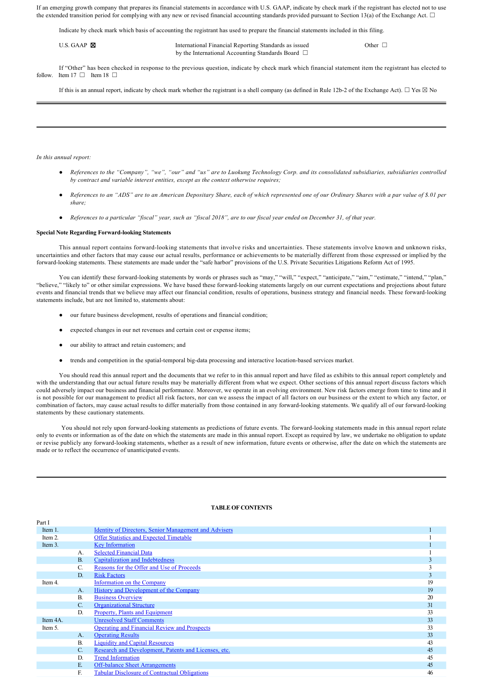If an emerging growth company that prepares its financial statements in accordance with U.S. GAAP, indicate by check mark if the registrant has elected not to use the extended transition period for complying with any new or revised financial accounting standards provided pursuant to Section 13(a) of the Exchange Act.  $\Box$ 

Indicate by check mark which basis of accounting the registrant has used to prepare the financial statements included in this filing.

| U.S. GAAP $\boxtimes$ | International Financial Reporting Standards as issued  | Other <sup>[</sup> |
|-----------------------|--------------------------------------------------------|--------------------|
|                       | by the International Accounting Standards Board $\Box$ |                    |

If "Other" has been checked in response to the previous question, indicate by check mark which financial statement item the registrant has elected to follow. Item  $17 \Box$  Item  $18 \Box$ 

If this is an annual report, indicate by check mark whether the registrant is a shell company (as defined in Rule 12b-2 of the Exchange Act). □ Yes ⊠ No

*In this annual report:* 

- *References to the "Company", "we", "our" and "us" are to Luokung Technology Corp. and its consolidated subsidiaries, subsidiaries controlled by contract and variable interest entities, except as the context otherwise requires;*
- *References to an "ADS" are to an American Depositary Share, each of which represented one of our Ordinary Shares with a par value of \$.01 per share;*
- *References to a particular "fiscal" year, such as "fiscal 2018", are to our fiscal year ended on December 31, of that year.*

#### **Special Note Regarding Forward-looking Statements**

This annual report contains forward-looking statements that involve risks and uncertainties. These statements involve known and unknown risks, uncertainties and other factors that may cause our actual results, performance or achievements to be materially different from those expressed or implied by the forward-looking statements. These statements are made under the "safe harbor" provisions of the U.S. Private Securities Litigations Reform Act of 1995.

You can identify these forward-looking statements by words or phrases such as "may," "will," "expect," "anticipate," "aim," "estimate," "intend," "plan," "believe," "likely to" or other similar expressions. We have based these forward-looking statements largely on our current expectations and projections about future events and financial trends that we believe may affect our financial condition, results of operations, business strategy and financial needs. These forward-looking statements include, but are not limited to, statements about:

- our future business development, results of operations and financial condition;
- expected changes in our net revenues and certain cost or expense items;
- our ability to attract and retain customers; and
- trends and competition in the spatial-temporal big-data processing and interactive location-based services market.

You should read this annual report and the documents that we refer to in this annual report and have filed as exhibits to this annual report completely and with the understanding that our actual future results may be materially different from what we expect. Other sections of this annual report discuss factors which could adversely impact our business and financial performance. Moreover, we operate in an evolving environment. New risk factors emerge from time to time and it is not possible for our management to predict all risk factors, nor can we assess the impact of all factors on our business or the extent to which any factor, or combination of factors, may cause actual results to differ materially from those contained in any forward-looking statements. We qualify all of our forward-looking statements by these cautionary statements.

You should not rely upon forward-looking statements as predictions of future events. The forward-looking statements made in this annual report relate only to events or information as of the date on which the statements are made in this annual report. Except as required by law, we undertake no obligation to update or revise publicly any forward-looking statements, whether as a result of new information, future events or otherwise, after the date on which the statements are made or to reflect the occurrence of unanticipated events.

# **TABLE OF CONTENTS**

| Part I  |                |                                                              |    |
|---------|----------------|--------------------------------------------------------------|----|
| Item 1. |                | <b>Identity of Directors, Senior Management and Advisers</b> |    |
| Item 2. |                | <b>Offer Statistics and Expected Timetable</b>               |    |
| Item 3. |                | <b>Key Information</b>                                       |    |
|         | A.             | <b>Selected Financial Data</b>                               |    |
|         | $\mathbf{B}$   | Capitalization and Indebtedness                              | 3  |
|         | C.             | Reasons for the Offer and Use of Proceeds                    | 3  |
|         | D.             | <b>Risk Factors</b>                                          | 3  |
| Item 4. |                | <b>Information on the Company</b>                            | 19 |
|         | A <sub>1</sub> | History and Development of the Company                       | 19 |
|         | $\mathbf{B}$   | <b>Business Overview</b>                                     | 20 |
|         | C.             | <b>Organizational Structure</b>                              | 31 |
|         | D.             | Property, Plants and Equipment                               | 33 |
| Item 4A |                | <b>Unresolved Staff Comments</b>                             | 33 |
| Item 5. |                | <b>Operating and Financial Review and Prospects</b>          | 33 |
|         | A.             | <b>Operating Results</b>                                     | 33 |
|         | <b>B.</b>      | <b>Liquidity and Capital Resources</b>                       | 43 |
|         | C.             | Research and Development, Patents and Licenses, etc.         | 45 |
|         | D.             | <b>Trend Information</b>                                     | 45 |
|         | E.             | <b>Off-balance Sheet Arrangements</b>                        | 45 |
|         | F.             | <b>Tabular Disclosure of Contractual Obligations</b>         | 46 |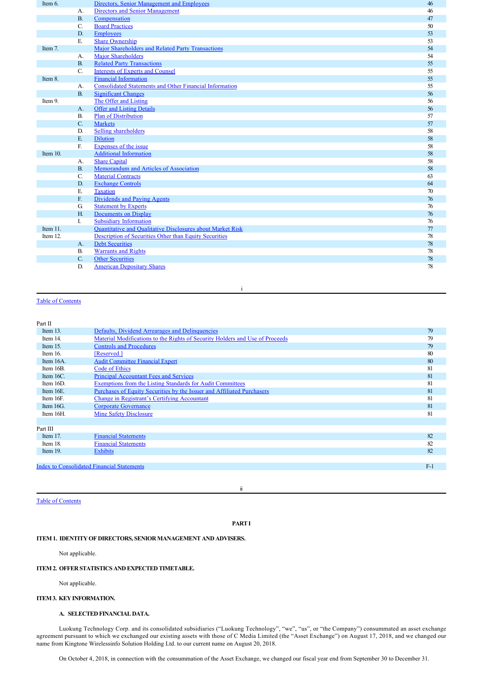| Item 6.  |                | Directors, Senior Management and Employees                        | 46     |
|----------|----------------|-------------------------------------------------------------------|--------|
|          | $A$ .          | <b>Directors and Senior Management</b>                            | 46     |
|          | B <sub>1</sub> | Compensation                                                      | 47     |
|          | C.             | <b>Board Practices</b>                                            | 50     |
|          | D.             | <b>Employees</b>                                                  | 53     |
|          | E.             | <b>Share Ownership</b>                                            | 53     |
| Item 7.  |                | Major Shareholders and Related Party Transactions                 | 54     |
|          | A.             | <b>Major Shareholders</b>                                         | 54     |
|          | <b>B.</b>      | <b>Related Party Transactions</b>                                 | 55     |
|          | $C_{\cdot}$    | <b>Interests of Experts and Counsel</b>                           | 55     |
| Item 8.  |                | <b>Financial Information</b>                                      | 55     |
|          | A.             | <b>Consolidated Statements and Other Financial Information</b>    | 55     |
|          | B.             | <b>Significant Changes</b>                                        | 56     |
| Item 9.  |                | The Offer and Listing                                             | 56     |
|          | $A_{\cdot}$    | <b>Offer and Listing Details</b>                                  | 56     |
|          | <b>B.</b>      | <b>Plan of Distribution</b>                                       | 57     |
|          | C.             | <b>Markets</b>                                                    | 57     |
|          | D.             | <b>Selling shareholders</b>                                       | 58     |
|          | E              | <b>Dilution</b>                                                   | 58     |
|          | F.             | Expenses of the issue                                             | 58     |
| Item 10. |                | <b>Additional Information</b>                                     | 58     |
|          | А.             | <b>Share Capital</b>                                              | 58     |
|          | <b>B.</b>      | Memorandum and Articles of Association                            | 58     |
|          | C.             | <b>Material Contracts</b>                                         | 63     |
|          | D.             | <b>Exchange Controls</b>                                          | 64     |
|          | Е.             | <b>Taxation</b>                                                   | $70\,$ |
|          | $F_{n}$        | Dividends and Paying Agents                                       | 76     |
|          | G.             | <b>Statement by Experts</b>                                       | 76     |
|          | $H_{\cdot}$    | <b>Documents on Display</b>                                       | 76     |
|          | L              | <b>Subsidiary Information</b>                                     | 76     |
| Item 11. |                | <b>Ouantitative and Qualitative Disclosures about Market Risk</b> | 77     |
| Item 12. |                | Description of Securities Other than Equity Securities            | 78     |
|          | A.             | <b>Debt Securities</b>                                            | 78     |
|          | <b>B.</b>      | <b>Warrants and Rights</b>                                        | 78     |
|          | C.             | <b>Other Securities</b>                                           | 78     |
|          | D.             | <b>American Depositary Shares</b>                                 | 78     |

#### i

# Table of Contents

# Part II

| .            |                                                                              |       |
|--------------|------------------------------------------------------------------------------|-------|
| Item $13$ .  | Defaults, Dividend Arrearages and Delinquencies                              | 79    |
| Item 14.     | Material Modifications to the Rights of Security Holders and Use of Proceeds | 79    |
| Item 15.     | <b>Controls and Procedures</b>                                               | 79    |
| Item $16$ .  | [Reserved.]                                                                  | 80    |
| Item 16A.    | <b>Audit Committee Financial Expert</b>                                      | 80    |
| Item 16B.    | Code of Ethics                                                               | 81    |
| Item $16C$ . | <b>Principal Accountant Fees and Services</b>                                | 81    |
| Item 16D.    | Exemptions from the Listing Standards for Audit Committees                   | 81    |
| Item $16E$   | Purchases of Equity Securities by the Issuer and Affiliated Purchasers       | 81    |
| Item 16F.    | Change in Registrant's Certifying Accountant                                 | 81    |
| Item $16G$ . | <b>Corporate Governance</b>                                                  | 81    |
| Item 16H.    | Mine Safety Disclosure                                                       | 81    |
|              |                                                                              |       |
| Part III     |                                                                              |       |
| Item $17.$   | <b>Financial Statements</b>                                                  | 82    |
| Item 18.     | <b>Financial Statements</b>                                                  | 82    |
| Item $19$ .  | <b>Exhibits</b>                                                              | 82    |
|              |                                                                              |       |
|              | <b>Index to Consolidated Financial Statements</b>                            | $F-1$ |
|              |                                                                              |       |

Table of Contents

ii

# **PART I**

# **ITEM 1. IDENTITY OF DIRECTORS, SENIOR MANAGEMENT AND ADVISERS.**

Not applicable.

# **ITEM 2. OFFER STATISTICS AND EXPECTED TIMETABLE.**

Not applicable.

# **ITEM 3. KEY INFORMATION.**

# **A. SELECTED FINANCIAL DATA.**

Luokung Technology Corp. and its consolidated subsidiaries ("Luokung Technology", "we", "us", or "the Company") consummated an asset exchange agreement pursuant to which we exchanged our existing assets with those of C Media Limited (the "Asset Exchange") on August 17, 2018, and we changed our name from Kingtone Wirelessinfo Solution Holding Ltd. to our current name on August 20, 2018.

On October 4, 2018, in connection with the consummation of the Asset Exchange, we changed our fiscal year end from September 30 to December 31.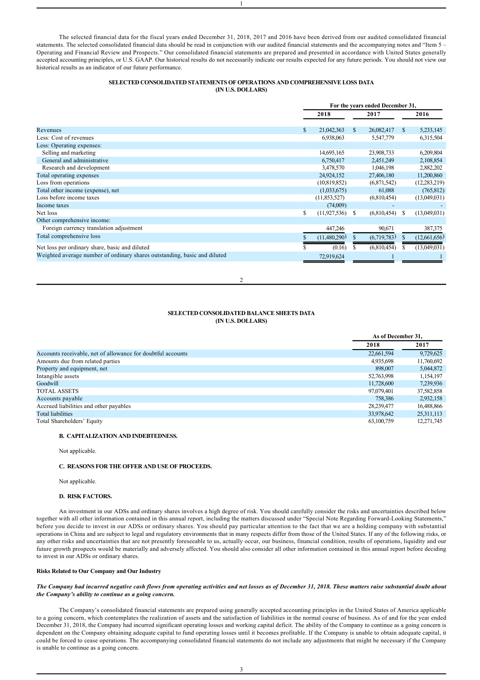The selected financial data for the fiscal years ended December 31, 2018, 2017 and 2016 have been derived from our audited consolidated financial statements. The selected consolidated financial data should be read in conjunction with our audited financial statements and the accompanying notes and "Item 5 – Operating and Financial Review and Prospects." Our consolidated financial statements are prepared and presented in accordance with United States generally accepted accounting principles, or U.S. GAAP. Our historical results do not necessarily indicate our results expected for any future periods. You should not view our historical results as an indicator of our future performance.

1

# **SELECTED CONSOLIDATED STATEMENTS OF OPERATIONS AND COMPREHENSIVE LOSS DATA (IN U.S. DOLLARS)**

|                                                                           | For the years ended December 31, |    |             |               |                |
|---------------------------------------------------------------------------|----------------------------------|----|-------------|---------------|----------------|
|                                                                           | 2018                             |    | 2017        |               | 2016           |
| Revenues                                                                  | \$<br>21,042,363                 | \$ | 26,082,417  | <sup>\$</sup> | 5,233,145      |
| Less: Cost of revenues                                                    | 6,938,063                        |    | 5,547,779   |               | 6,315,504      |
| Less: Operating expenses:                                                 |                                  |    |             |               |                |
| Selling and marketing                                                     | 14,695,165                       |    | 23,908,733  |               | 6,209,804      |
| General and administrative                                                | 6,750,417                        |    | 2,451,249   |               | 2,108,854      |
| Research and development                                                  | 3,478,570                        |    | 1,046,198   |               | 2,882,202      |
| Total operating expenses                                                  | 24,924,152                       |    | 27,406,180  |               | 11,200,860     |
| Loss from operations                                                      | (10, 819, 852)                   |    | (6,871,542) |               | (12, 283, 219) |
| Total other income (expense), net                                         | (1,033,675)                      |    | 61,088      |               | (765, 812)     |
| Loss before income taxes                                                  | (11,853,527)                     |    | (6,810,454) |               | (13,049,031)   |
| Income taxes                                                              | (74,009)                         |    |             |               |                |
| Net loss                                                                  | \$<br>(11, 927, 536)             | S  | (6,810,454) | S             | (13,049,031)   |
| Other comprehensive income:                                               |                                  |    |             |               |                |
| Foreign currency translation adjustment                                   | 447,246                          |    | 90,671      |               | 387,375        |
| Total comprehensive loss                                                  | (11,480,290)                     | \$ | (6,719,783) |               | (12,661,656)   |
| Net loss per ordinary share, basic and diluted                            | (0.16)                           | S  | (6,810,454) |               | (13,049,031)   |
| Weighted average number of ordinary shares outstanding, basic and diluted | 72,919,624                       |    |             |               |                |

2

# **SELECTED CONSOLIDATED BALANCE SHEETS DATA (IN U.S. DOLLARS)**

**As of December 31,**

|                                                             | AS 01 DECEMBER 31. |              |
|-------------------------------------------------------------|--------------------|--------------|
|                                                             | 2018               | 2017         |
| Accounts receivable, net of allowance for doubtful accounts | 22,661,594         | 9,729,625    |
| Amounts due from related parties                            | 4,935,698          | 11,760,692   |
| Property and equipment, net                                 | 898,007            | 5,044,872    |
| Intangible assets                                           | 52,763,998         | 1,154,197    |
| Goodwill                                                    | 11,728,600         | 7,239,936    |
| <b>TOTAL ASSETS</b>                                         | 97,079,401         | 37,582,858   |
| Accounts payable                                            | 758.386            | 2,932,158    |
| Accrued liabilities and other payables                      | 28,239,477         | 16,488,866   |
| Total liabilities                                           | 33,978,642         | 25, 311, 113 |
| Total Shareholders' Equity                                  | 63,100,759         | 12,271,745   |

# **B. CAPITALIZATION AND INDEBTEDNESS.**

Not applicable.

# **C. REASONS FOR THE OFFER AND USE OF PROCEEDS.**

Not applicable.

# **D. RISK FACTORS.**

An investment in our ADSs and ordinary shares involves a high degree of risk. You should carefully consider the risks and uncertainties described below together with all other information contained in this annual report, including the matters discussed under "Special Note Regarding Forward-Looking Statements," before you decide to invest in our ADSs or ordinary shares. You should pay particular attention to the fact that we are a holding company with substantial operations in China and are subject to legal and regulatory environments that in many respects differ from those of the United States. If any of the following risks, or any other risks and uncertainties that are not presently foreseeable to us, actually occur, our business, financial condition, results of operations, liquidity and our future growth prospects would be materially and adversely affected. You should also consider all other information contained in this annual report before deciding to invest in our ADSs or ordinary shares.

# **Risks Related to Our Company and Our Industry**

# *The Company had incurred negative cash flows from operating activities and net losses as of December 31, 2018. These matters raise substantial doubt about the Company's ability to continue as a going concern.*

The Company's consolidated financial statements are prepared using generally accepted accounting principles in the United States of America applicable to a going concern, which contemplates the realization of assets and the satisfaction of liabilities in the normal course of business. As of and for the year ended December 31, 2018, the Company had incurred significant operating losses and working capital deficit. The ability of the Company to continue as a going concern is dependent on the Company obtaining adequate capital to fund operating losses until it becomes profitable. If the Company is unable to obtain adequate capital, it could be forced to cease operations. The accompanying consolidated financial statements do not include any adjustments that might be necessary if the Company is unable to continue as a going concern.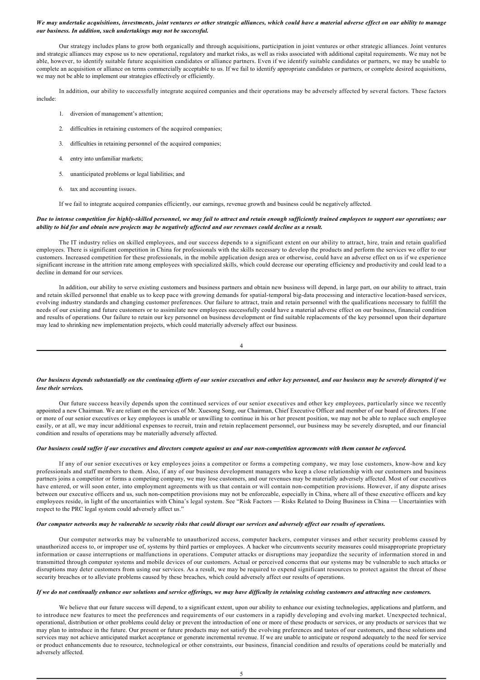# *We may undertake acquisitions, investments, joint ventures or other strategic alliances, which could have a material adverse effect on our ability to manage our business. In addition, such undertakings may not be successful.*

Our strategy includes plans to grow both organically and through acquisitions, participation in joint ventures or other strategic alliances. Joint ventures and strategic alliances may expose us to new operational, regulatory and market risks, as well as risks associated with additional capital requirements. We may not be able, however, to identify suitable future acquisition candidates or alliance partners. Even if we identify suitable candidates or partners, we may be unable to complete an acquisition or alliance on terms commercially acceptable to us. If we fail to identify appropriate candidates or partners, or complete desired acquisitions, we may not be able to implement our strategies effectively or efficiently.

In addition, our ability to successfully integrate acquired companies and their operations may be adversely affected by several factors. These factors include:

- 1. diversion of management's attention;
- 2. difficulties in retaining customers of the acquired companies;
- 3. difficulties in retaining personnel of the acquired companies;
- 4. entry into unfamiliar markets;
- 5. unanticipated problems or legal liabilities; and
- 6. tax and accounting issues.

If we fail to integrate acquired companies efficiently, our earnings, revenue growth and business could be negatively affected.

### *Due to intense competition for highlyskilled personnel, we may fail to attract and retain enough sufficiently trained employees to support our operations; our ability to bid for and obtain new projects may be negatively affected and our revenues could decline as a result.*

The IT industry relies on skilled employees, and our success depends to a significant extent on our ability to attract, hire, train and retain qualified employees. There is significant competition in China for professionals with the skills necessary to develop the products and perform the services we offer to our customers. Increased competition for these professionals, in the mobile application design area or otherwise, could have an adverse effect on us if we experience significant increase in the attrition rate among employees with specialized skills, which could decrease our operating efficiency and productivity and could lead to a decline in demand for our services.

In addition, our ability to serve existing customers and business partners and obtain new business will depend, in large part, on our ability to attract, train and retain skilled personnel that enable us to keep pace with growing demands for spatial-temporal big-data processing and interactive location-based services, evolving industry standards and changing customer preferences. Our failure to attract, train and retain personnel with the qualifications necessary to fulfill the needs of our existing and future customers or to assimilate new employees successfully could have a material adverse effect on our business, financial condition and results of operations. Our failure to retain our key personnel on business development or find suitable replacements of the key personnel upon their departure may lead to shrinking new implementation projects, which could materially adversely affect our business.

4

### *Our business depends substantially on the continuing efforts of our senior executives and other key personnel, and our business may be severely disrupted if we lose their services.*

Our future success heavily depends upon the continued services of our senior executives and other key employees, particularly since we recently appointed a new Chairman. We are reliant on the services of Mr. Xuesong Song, our Chairman, Chief Executive Officer and member of our board of directors. If one or more of our senior executives or key employees is unable or unwilling to continue in his or her present position, we may not be able to replace such employee easily, or at all, we may incur additional expenses to recruit, train and retain replacement personnel, our business may be severely disrupted, and our financial condition and results of operations may be materially adversely affected.

# *Our business could suffer if our executives and directors compete against us and our noncompetition agreements with them cannot be enforced.*

If any of our senior executives or key employees joins a competitor or forms a competing company, we may lose customers, knowhow and key professionals and staff members to them. Also, if any of our business development managers who keep a close relationship with our customers and business partners joins a competitor or forms a competing company, we may lose customers, and our revenues may be materially adversely affected. Most of our executives have entered, or will soon enter, into employment agreements with us that contain or will contain noncompetition provisions. However, if any dispute arises between our executive officers and us, such non-competition provisions may not be enforceable, especially in China, where all of these executive officers and key employees reside, in light of the uncertainties with China's legal system. See "Risk Factors — Risks Related to Doing Business in China — Uncertainties with respect to the PRC legal system could adversely affect us."

## *Our computer networks may be vulnerable to security risks that could disrupt our services and adversely affect our results of operations.*

Our computer networks may be vulnerable to unauthorized access, computer hackers, computer viruses and other security problems caused by unauthorized access to, or improper use of, systems by third parties or employees. A hacker who circumvents security measures could misappropriate proprietary information or cause interruptions or malfunctions in operations. Computer attacks or disruptions may jeopardize the security of information stored in and transmitted through computer systems and mobile devices of our customers. Actual or perceived concerns that our systems may be vulnerable to such attacks or disruptions may deter customers from using our services. As a result, we may be required to expend significant resources to protect against the threat of these security breaches or to alleviate problems caused by these breaches, which could adversely affect our results of operations.

### *If we do not continually enhance our solutions and service offerings, we may have difficulty in retaining existing customers and attracting new customers.*

We believe that our future success will depend, to a significant extent, upon our ability to enhance our existing technologies, applications and platform, and to introduce new features to meet the preferences and requirements of our customers in a rapidly developing and evolving market. Unexpected technical, operational, distribution or other problems could delay or prevent the introduction of one or more of these products or services, or any products or services that we may plan to introduce in the future. Our present or future products may not satisfy the evolving preferences and tastes of our customers, and these solutions and services may not achieve anticipated market acceptance or generate incremental revenue. If we are unable to anticipate or respond adequately to the need for service or product enhancements due to resource, technological or other constraints, our business, financial condition and results of operations could be materially and adversely affected.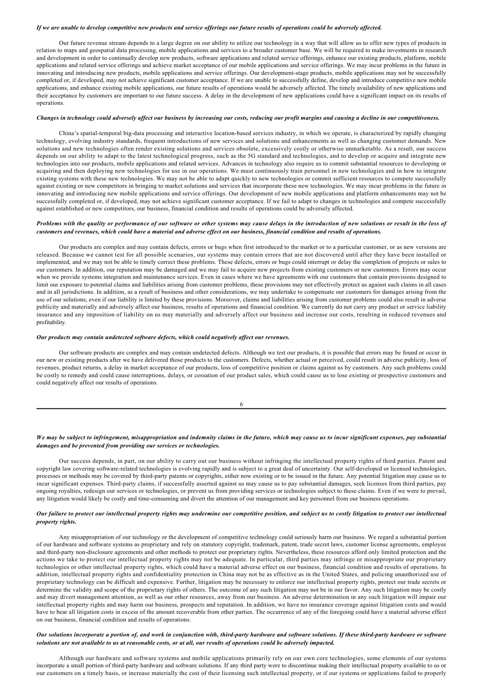### *If we are unable to develop competitive new products and service offerings our future results of operations could be adversely affected.*

Our future revenue stream depends to a large degree on our ability to utilize our technology in a way that will allow us to offer new types of products in relation to maps and geospatial data processing, mobile applications and services to a broader customer base. We will be required to make investments in research and development in order to continually develop new products, software applications and related service offerings, enhance our existing products, platform, mobile applications and related service offerings and achieve market acceptance of our mobile applications and service offerings. We may incur problems in the future in innovating and introducing new products, mobile applications and service offerings. Our developmentstage products, mobile applications may not be successfully completed or, if developed, may not achieve significant customer acceptance. If we are unable to successfully define, develop and introduce competitive new mobile applications, and enhance existing mobile applications, our future results of operations would be adversely affected. The timely availability of new applications and their acceptance by customers are important to our future success. A delay in the development of new applications could have a significant impact on its results of operations.

# *Changes in technology could adversely affect our business by increasing our costs, reducing our profit margins and causing a decline in our competitiveness.*

China's spatial-temporal big-data processing and interactive location-based services industry, in which we operate, is characterized by rapidly changing technology, evolving industry standards, frequent introductions of new services and solutions and enhancements as well as changing customer demands. New solutions and new technologies often render existing solutions and services obsolete, excessively costly or otherwise unmarketable. As a result, our success depends on our ability to adapt to the latest technological progress, such as the 5G standard and technologies, and to develop or acquire and integrate new technologies into our products, mobile applications and related services. Advances in technology also require us to commit substantial resources to developing or acquiring and then deploying new technologies for use in our operations. We must continuously train personnel in new technologies and in how to integrate existing systems with these new technologies. We may not be able to adapt quickly to new technologies or commit sufficient resources to compete successfully against existing or new competitors in bringing to market solutions and services that incorporate these new technologies. We may incur problems in the future in innovating and introducing new mobile applications and service offerings. Our development of new mobile applications and platform enhancements may not be successfully completed or, if developed, may not achieve significant customer acceptance. If we fail to adapt to changes in technologies and compete successfully against established or new competitors, our business, financial condition and results of operations could be adversely affected.

# *Problems with the quality or performance of our software or other systems may cause delays in the introduction of new solutions or result in the loss of customers and revenues, which could have a material and adverse effect on our business, financial condition and results of operations.*

Our products are complex and may contain defects, errors or bugs when first introduced to the market or to a particular customer, or as new versions are released. Because we cannot test for all possible scenarios, our systems may contain errors that are not discovered until after they have been installed or implemented, and we may not be able to timely correct these problems. These defects, errors or bugs could interrupt or delay the completion of projects or sales to our customers. In addition, our reputation may be damaged and we may fail to acquire new projects from existing customers or new customers. Errors may occur when we provide systems integration and maintenance services. Even in cases where we have agreements with our customers that contain provisions designed to limit our exposure to potential claims and liabilities arising from customer problems, these provisions may not effectively protect us against such claims in all cases and in all jurisdictions. In addition, as a result of business and other considerations, we may undertake to compensate our customers for damages arising from the use of our solutions, even if our liability is limited by these provisions. Moreover, claims and liabilities arising from customer problems could also result in adverse publicity and materially and adversely affect our business, results of operations and financial condition. We currently do not carry any product or service liability insurance and any imposition of liability on us may materially and adversely affect our business and increase our costs, resulting in reduced revenues and profitability.

### *Our products may contain undetected software defects, which could negatively affect our revenues.*

Our software products are complex and may contain undetected defects. Although we test our products, it is possible that errors may be found or occur in our new or existing products after we have delivered those products to the customers. Defects, whether actual or perceived, could result in adverse publicity, loss of revenues, product returns, a delay in market acceptance of our products, loss of competitive position or claims against us by customers. Any such problems could be costly to remedy and could cause interruptions, delays, or cessation of our product sales, which could cause us to lose existing or prospective customers and could negatively affect our results of operations.

6

# *We may be subject to infringement, misappropriation and indemnity claims in the future, which may cause us to incur significant expenses, pay substantial damages and be prevented from providing our services or technologies.*

Our success depends, in part, on our ability to carry out our business without infringing the intellectual property rights of third parties. Patent and copyright law covering software-related technologies is evolving rapidly and is subject to a great deal of uncertainty. Our self-developed or licensed technologies, processes or methods may be covered by third-party patents or copyrights, either now existing or to be issued in the future. Any potential litigation may cause us to incur significant expenses. Third-party claims, if successfully asserted against us may cause us to pay substantial damages, seek licenses from third parties, pay ongoing royalties, redesign our services or technologies, or prevent us from providing services or technologies subject to these claims. Even if we were to prevail, any litigation would likely be costly and time-consuming and divert the attention of our management and key personnel from our business operations.

# *Our failure to protect our intellectual property rights may undermine our competitive position, and subject us to costly litigation to protect our intellectual property rights.*

Any misappropriation of our technology or the development of competitive technology could seriously harm our business. We regard a substantial portion of our hardware and software systems as proprietary and rely on statutory copyright, trademark, patent, trade secret laws, customer license agreements, employee and third-party non-disclosure agreements and other methods to protect our proprietary rights. Nevertheless, these resources afford only limited protection and the actions we take to protect our intellectual property rights may not be adequate. In particular, third parties may infringe or misappropriate our proprietary technologies or other intellectual property rights, which could have a material adverse effect on our business, financial condition and results of operations. In addition, intellectual property rights and confidentiality protection in China may not be as effective as in the United States, and policing unauthorized use of proprietary technology can be difficult and expensive. Further, litigation may be necessary to enforce our intellectual property rights, protect our trade secrets or determine the validity and scope of the proprietary rights of others. The outcome of any such litigation may not be in our favor. Any such litigation may be costly and may divert management attention, as well as our other resources, away from our business. An adverse determination in any such litigation will impair our intellectual property rights and may harm our business, prospects and reputation. In addition, we have no insurance coverage against litigation costs and would have to bear all litigation costs in excess of the amount recoverable from other parties. The occurrence of any of the foregoing could have a material adverse effect on our business, financial condition and results of operations.

# Our solutions incorporate a portion of, and work in conjunction with, third-party hardware and software solutions. If these third-party hardware or software *solutions are not available to us at reasonable costs, or at all, our results of operations could be adversely impacted.*

Although our hardware and software systems and mobile applications primarily rely on our own core technologies, some elements of our systems incorporate a small portion of third-party hardware and software solutions. If any third party were to discontinue making their intellectual property available to us or our customers on a timely basis, or increase materially the cost of their licensing such intellectual property, or if our systems or applications failed to properly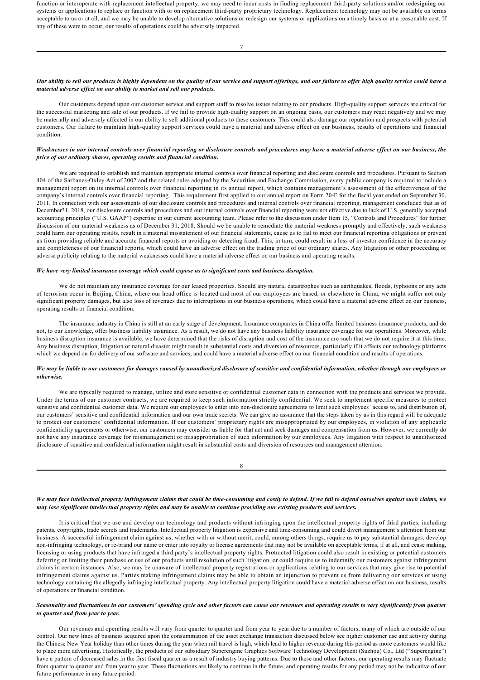function or interoperate with replacement intellectual property, we may need to incur costs in finding replacement third-party solutions and/or redesigning our systems or applications to replace or function with or on replacement third-party proprietary technology. Replacement technology may not be available on terms acceptable to us or at all, and we may be unable to develop alternative solutions or redesign our systems or applications on a timely basis or at a reasonable cost. If any of these were to occur, our results of operations could be adversely impacted.

### *Our ability to sell our products is highly dependent on the quality of our service and support offerings, and our failure to offer high quality service could have a material adverse effect on our ability to market and sell our products.*

Our customers depend upon our customer service and support staff to resolve issues relating to our products. High-quality support services are critical for the successful marketing and sale of our products. If we fail to provide high-quality support on an ongoing basis, our customers may react negatively and we may be materially and adversely affected in our ability to sell additional products to these customers. This could also damage our reputation and prospects with potential customers. Our failure to maintain high-quality support services could have a material and adverse effect on our business, results of operations and financial condition.

# *Weaknesses in our internal controls over financial reporting or disclosure controls and procedures may have a material adverse effect on our business, the price of our ordinary shares, operating results and financial condition.*

We are required to establish and maintain appropriate internal controls over financial reporting and disclosure controls and procedures. Pursuant to Section 404 of the Sarbanes-Oxley Act of 2002 and the related rules adopted by the Securities and Exchange Commission, every public company is required to include a management report on its internal controls over financial reporting in its annual report, which contains management's assessment of the effectiveness of the company's internal controls over financial reporting. This requirement first applied to our annual report on Form 20-F for the fiscal year ended on September 30, 2011. In connection with our assessments of our disclosure controls and procedures and internal controls over financial reporting, management concluded that as of December31, 2018, our disclosure controls and procedures and our internal controls over financial reporting were not effective due to lack of U.S. generally accepted accounting principles ("U.S. GAAP") expertise in our current accounting team. Please refer to the discussion under Item 15, "Controls and Procedures" for further discussion of our material weakness as of December 31, 2018. Should we be unable to remediate the material weakness promptly and effectively, such weakness could harm our operating results, result in a material misstatement of our financial statements, cause us to fail to meet our financial reporting obligations or prevent us from providing reliable and accurate financial reports or avoiding or detecting fraud. This, in turn, could result in a loss of investor confidence in the accuracy and completeness of our financial reports, which could have an adverse effect on the trading price of our ordinary shares. Any litigation or other proceeding or adverse publicity relating to the material weaknesses could have a material adverse effect on our business and operating results.

### *We have very limited insurance coverage which could expose us to significant costs and business disruption.*

We do not maintain any insurance coverage for our leased properties. Should any natural catastrophes such as earthquakes, floods, typhoons or any acts of terrorism occur in Beijing, China, where our head office is located and most of our employees are based, or elsewhere in China, we might suffer not only significant property damages, but also loss of revenues due to interruptions in our business operations, which could have a material adverse effect on our business, operating results or financial condition.

The insurance industry in China is still at an early stage of development. Insurance companies in China offer limited business insurance products, and do not, to our knowledge, offer business liability insurance. As a result, we do not have any business liability insurance coverage for our operations. Moreover, while business disruption insurance is available, we have determined that the risks of disruption and cost of the insurance are such that we do not require it at this time. Any business disruption, litigation or natural disaster might result in substantial costs and diversion of resources, particularly if it affects our technology platforms which we depend on for delivery of our software and services, and could have a material adverse effect on our financial condition and results of operations.

## *We may be liable to our customers for damages caused by unauthorized disclosure of sensitive and confidential information, whether through our employees or otherwise.*

We are typically required to manage, utilize and store sensitive or confidential customer data in connection with the products and services we provide. Under the terms of our customer contracts, we are required to keep such information strictly confidential. We seek to implement specific measures to protect sensitive and confidential customer data. We require our employees to enter into non-disclosure agreements to limit such employees' access to, and distribution of, our customers' sensitive and confidential information and our own trade secrets. We can give no assurance that the steps taken by us in this regard will be adequate to protect our customers' confidential information. If our customers' proprietary rights are misappropriated by our employees, in violation of any applicable confidentiality agreements or otherwise, our customers may consider us liable for that act and seek damages and compensation from us. However, we currently do not have any insurance coverage for mismanagement or misappropriation of such information by our employees. Any litigation with respect to unauthorized disclosure of sensitive and confidential information might result in substantial costs and diversion of resources and management attention.

| ٦<br>w<br>۰, |  |
|--------------|--|

# *We may face intellectual property infringement claims that could be timeconsuming and costly to defend. If we fail to defend ourselves against such claims, we may lose significant intellectual property rights and may be unable to continue providing our existing products and services.*

It is critical that we use and develop our technology and products without infringing upon the intellectual property rights of third parties, including patents, copyrights, trade secrets and trademarks. Intellectual property litigation is expensive and timeconsuming and could divert management's attention from our business. A successful infringement claim against us, whether with or without merit, could, among others things, require us to pay substantial damages, develop non-infringing technology, or re-brand our name or enter into royalty or license agreements that may not be available on acceptable terms, if at all, and cease making, licensing or using products that have infringed a third party's intellectual property rights. Protracted litigation could also result in existing or potential customers deferring or limiting their purchase or use of our products until resolution of such litigation, or could require us to indemnify our customers against infringement claims in certain instances. Also, we may be unaware of intellectual property registrations or applications relating to our services that may give rise to potential infringement claims against us. Parties making infringement claims may be able to obtain an injunction to prevent us from delivering our services or using technology containing the allegedly infringing intellectual property. Any intellectual property litigation could have a material adverse effect on our business, results of operations or financial condition.

# *Seasonality and fluctuations in our customers' spending cycle and other factors can cause our revenues and operating results to vary significantly from quarter to quarter and from year to year.*

Our revenues and operating results will vary from quarter to quarter and from year to year due to a number of factors, many of which are outside of our control. Our new lines of business acquired upon the consummation of the asset exchange transaction discussed below see higher customer use and activity during the Chinese New Year holiday than other times during the year when rail travel is high, which lead to higher revenue during this period as more customers would like to place more advertising. Historically, the products of our subsidiary Superengine Graphics Software Technology Development (Suzhou) Co., Ltd ("Superengine") have a pattern of decreased sales in the first fiscal quarter as a result of industry buying patterns. Due to these and other factors, our operating results may fluctuate from quarter to quarter and from year to year. These fluctuations are likely to continue in the future, and operating results for any period may not be indicative of our future performance in any future period.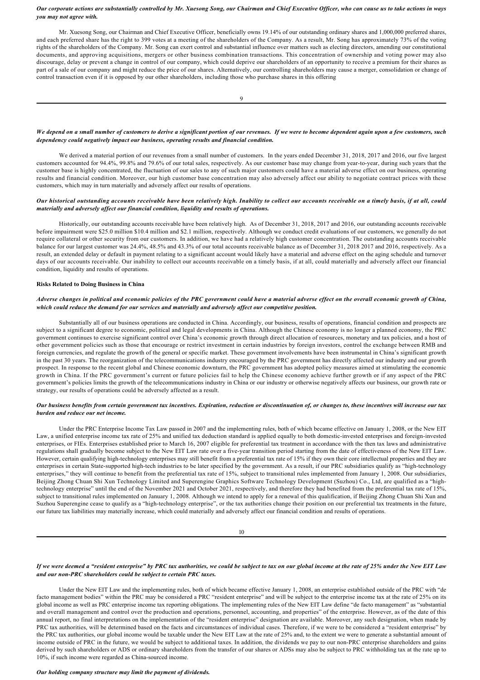## *Our corporate actions are substantially controlled by Mr. Xuesong Song, our Chairman and Chief Executive Officer, who can cause us to take actions in ways you may not agree with.*

Mr. Xuesong Song, our Chairman and Chief Executive Officer, beneficially owns 19.14% of our outstanding ordinary shares and 1,000,000 preferred shares, and each preferred share has the right to 399 votes at a meeting of the shareholders of the Company. As a result, Mr. Song has approximately 73% of the voting rights of the shareholders of the Company. Mr. Song can exert control and substantial influence over matters such as electing directors, amending our constitutional documents, and approving acquisitions, mergers or other business combination transactions. This concentration of ownership and voting power may also discourage, delay or prevent a change in control of our company, which could deprive our shareholders of an opportunity to receive a premium for their shares as part of a sale of our company and might reduce the price of our shares. Alternatively, our controlling shareholders may cause a merger, consolidation or change of control transaction even if it is opposed by our other shareholders, including those who purchase shares in this offering

# *We depend on a small number of customers to derive a significant portion of our revenues. If we were to become dependent again upon a few customers, such dependency could negatively impact our business, operating results and financial condition.*

We derived a material portion of our revenues from a small number of customers. In the years ended December 31, 2018, 2017 and 2016, our five largest customers accounted for 94.4%, 99.8% and 79.6% of our total sales, respectively. As our customer base may change from yeartoyear, during such years that the customer base is highly concentrated, the fluctuation of our sales to any of such major customers could have a material adverse effect on our business, operating results and financial condition. Moreover, our high customer base concentration may also adversely affect our ability to negotiate contract prices with these customers, which may in turn materially and adversely affect our results of operations.

# *Our historical outstanding accounts receivable have been relatively high. Inability to collect our accounts receivable on a timely basis, if at all, could materially and adversely affect our financial condition, liquidity and results of operations.*

Historically, our outstanding accounts receivable have been relatively high. As of December 31, 2018, 2017 and 2016, our outstanding accounts receivable before impairment were \$25.0 million \$10.4 million and \$2.1 million, respectively. Although we conduct credit evaluations of our customers, we generally do not require collateral or other security from our customers. In addition, we have had a relatively high customer concentration. The outstanding accounts receivable balance for our largest customer was 24.4%, 48.5% and 43.3% of our total accounts receivable balance as of December 31, 2018 2017 and 2016, respectively. As a result, an extended delay or default in payment relating to a significant account would likely have a material and adverse effect on the aging schedule and turnover days of our accounts receivable. Our inability to collect our accounts receivable on a timely basis, if at all, could materially and adversely affect our financial condition, liquidity and results of operations.

# **Risks Related to Doing Business in China**

# *Adverse changes in political and economic policies of the PRC government could have a material adverse effect on the overall economic growth of China, which could reduce the demand for our services and materially and adversely affect our competitive position.*

Substantially all of our business operations are conducted in China. Accordingly, our business, results of operations, financial condition and prospects are subject to a significant degree to economic, political and legal developments in China. Although the Chinese economy is no longer a planned economy, the PRC government continues to exercise significant control over China's economic growth through direct allocation of resources, monetary and tax policies, and a host of other government policies such as those that encourage or restrict investment in certain industries by foreign investors, control the exchange between RMB and foreign currencies, and regulate the growth of the general or specific market. These government involvements have been instrumental in China's significant growth in the past 30 years. The reorganization of the telecommunications industry encouraged by the PRC government has directly affected our industry and our growth prospect. In response to the recent global and Chinese economic downturn, the PRC government has adopted policy measures aimed at stimulating the economic growth in China. If the PRC government's current or future policies fail to help the Chinese economy achieve further growth or if any aspect of the PRC government's policies limits the growth of the telecommunications industry in China or our industry or otherwise negatively affects our business, our growth rate or strategy, our results of operations could be adversely affected as a result.

# *Our business benefits from certain government tax incentives. Expiration, reduction or discontinuation of, or changes to, these incentives will increase our tax burden and reduce our net income.*

Under the PRC Enterprise Income Tax Law passed in 2007 and the implementing rules, both of which became effective on January 1, 2008, or the New EIT Law, a unified enterprise income tax rate of 25% and unified tax deduction standard is applied equally to both domestic-invested enterprises and foreign-invested enterprises, or FIEs. Enterprises established prior to March 16, 2007 eligible for preferential tax treatment in accordance with the then tax laws and administrative regulations shall gradually become subject to the New EIT Law rate over a five-year transition period starting from the date of effectiveness of the New EIT Law. However, certain qualifying high-technology enterprises may still benefit from a preferential tax rate of 15% if they own their core intellectual properties and they are enterprises in certain State-supported high-tech industries to be later specified by the government. As a result, if our PRC subsidiaries qualify as "high-technology enterprises," they will continue to benefit from the preferential tax rate of 15%, subject to transitional rules implemented from January 1, 2008. Our subsidiaries, Beijing Zhong Chuan Shi Xun Technology Limited and Superengine Graphics Software Technology Development (Suzhou) Co., Ltd, are qualified as a "hightechnology enterprise" until the end of the November 2021 and October 2021, respectively, and therefore they had benefited from the preferential tax rate of 15%, subject to transitional rules implemented on January 1, 2008. Although we intend to apply for a renewal of this qualification, if Beijing Zhong Chuan Shi Xun and Suzhou Superengine cease to qualify as a "high-technology enterprise", or the tax authorities change their position on our preferential tax treatments in the future, our future tax liabilities may materially increase, which could materially and adversely affect our financial condition and results of operations.

10

# *If we were deemed a "resident enterprise" by PRC tax authorities, we could be subject to tax on our global income at the rate of 25% under the New EIT Law and our nonPRC shareholders could be subject to certain PRC taxes.*

Under the New EIT Law and the implementing rules, both of which became effective January 1, 2008, an enterprise established outside of the PRC with "de facto management bodies" within the PRC may be considered a PRC "resident enterprise" and will be subject to the enterprise income tax at the rate of 25% on its global income as well as PRC enterprise income tax reporting obligations. The implementing rules of the New EIT Law define "de facto management" as "substantial and overall management and control over the production and operations, personnel, accounting, and properties" of the enterprise. However, as of the date of this annual report, no final interpretations on the implementation of the "resident enterprise" designation are available. Moreover, any such designation, when made by PRC tax authorities, will be determined based on the facts and circumstances of individual cases. Therefore, if we were to be considered a "resident enterprise" by the PRC tax authorities, our global income would be taxable under the New EIT Law at the rate of 25% and, to the extent we were to generate a substantial amount of income outside of PRC in the future, we would be subject to additional taxes. In addition, the dividends we pay to our non-PRC enterprise shareholders and gains derived by such shareholders or ADS or ordinary shareholders from the transfer of our shares or ADSs may also be subject to PRC withholding tax at the rate up to 10%, if such income were regarded as China-sourced income.

## *Our holding company structure may limit the payment of dividends.*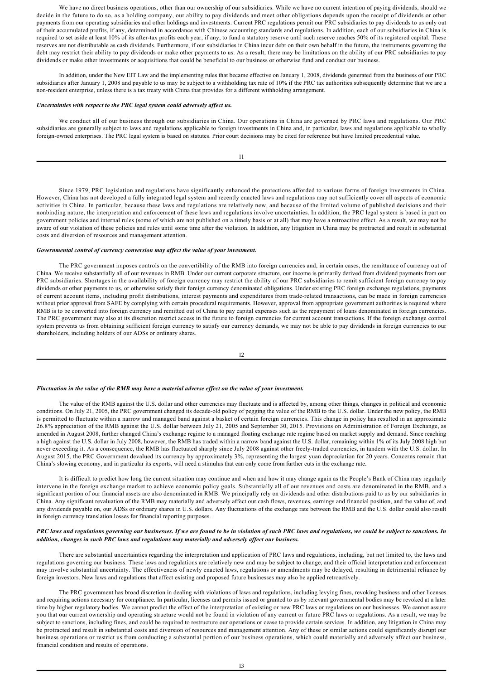We have no direct business operations, other than our ownership of our subsidiaries. While we have no current intention of paying dividends, should we decide in the future to do so, as a holding company, our ability to pay dividends and meet other obligations depends upon the receipt of dividends or other payments from our operating subsidiaries and other holdings and investments. Current PRC regulations permit our PRC subsidiaries to pay dividends to us only out of their accumulated profits, if any, determined in accordance with Chinese accounting standards and regulations. In addition, each of our subsidiaries in China is required to set aside at least 10% of its after-tax profits each year, if any, to fund a statutory reserve until such reserve reaches 50% of its registered capital. These reserves are not distributable as cash dividends. Furthermore, if our subsidiaries in China incur debt on their own behalf in the future, the instruments governing the debt may restrict their ability to pay dividends or make other payments to us. As a result, there may be limitations on the ability of our PRC subsidiaries to pay dividends or make other investments or acquisitions that could be beneficial to our business or otherwise fund and conduct our business.

In addition, under the New EIT Law and the implementing rules that became effective on January 1, 2008, dividends generated from the business of our PRC subsidiaries after January 1, 2008 and payable to us may be subject to a withholding tax rate of 10% if the PRC tax authorities subsequently determine that we are a nonresident enterprise, unless there is a tax treaty with China that provides for a different withholding arrangement.

### *Uncertainties with respect to the PRC legal system could adversely affect us.*

We conduct all of our business through our subsidiaries in China. Our operations in China are governed by PRC laws and regulations. Our PRC subsidiaries are generally subject to laws and regulations applicable to foreign investments in China and, in particular, laws and regulations applicable to wholly foreign-owned enterprises. The PRC legal system is based on statutes. Prior court decisions may be cited for reference but have limited precedential value.

Since 1979, PRC legislation and regulations have significantly enhanced the protections afforded to various forms of foreign investments in China. However, China has not developed a fully integrated legal system and recently enacted laws and regulations may not sufficiently cover all aspects of economic activities in China. In particular, because these laws and regulations are relatively new, and because of the limited volume of published decisions and their nonbinding nature, the interpretation and enforcement of these laws and regulations involve uncertainties. In addition, the PRC legal system is based in part on government policies and internal rules (some of which are not published on a timely basis or at all) that may have a retroactive effect. As a result, we may not be aware of our violation of these policies and rules until some time after the violation. In addition, any litigation in China may be protracted and result in substantial costs and diversion of resources and management attention.

### *Governmental control of currency conversion may affect the value of your investment.*

The PRC government imposes controls on the convertibility of the RMB into foreign currencies and, in certain cases, the remittance of currency out of China. We receive substantially all of our revenues in RMB. Under our current corporate structure, our income is primarily derived from dividend payments from our PRC subsidiaries. Shortages in the availability of foreign currency may restrict the ability of our PRC subsidiaries to remit sufficient foreign currency to pay dividends or other payments to us, or otherwise satisfy their foreign currency denominated obligations. Under existing PRC foreign exchange regulations, payments of current account items, including profit distributions, interest payments and expenditures from traderelated transactions, can be made in foreign currencies without prior approval from SAFE by complying with certain procedural requirements. However, approval from appropriate government authorities is required where RMB is to be converted into foreign currency and remitted out of China to pay capital expenses such as the repayment of loans denominated in foreign currencies. The PRC government may also at its discretion restrict access in the future to foreign currencies for current account transactions. If the foreign exchange control system prevents us from obtaining sufficient foreign currency to satisfy our currency demands, we may not be able to pay dividends in foreign currencies to our shareholders, including holders of our ADSs or ordinary shares.

| I |
|---|
| ł |

#### *Fluctuation in the value of the RMB may have a material adverse effect on the value of your investment.*

The value of the RMB against the U.S. dollar and other currencies may fluctuate and is affected by, among other things, changes in political and economic conditions. On July 21, 2005, the PRC government changed its decade-old policy of pegging the value of the RMB to the U.S. dollar. Under the new policy, the RMB is permitted to fluctuate within a narrow and managed band against a basket of certain foreign currencies. This change in policy has resulted in an approximate 26.8% appreciation of the RMB against the U.S. dollar between July 21, 2005 and September 30, 2015. Provisions on Administration of Foreign Exchange, as amended in August 2008, further changed China's exchange regime to a managed floating exchange rate regime based on market supply and demand. Since reaching a high against the U.S. dollar in July 2008, however, the RMB has traded within a narrow band against the U.S. dollar, remaining within 1% of its July 2008 high but never exceeding it. As a consequence, the RMB has fluctuated sharply since July 2008 against other freely-traded currencies, in tandem with the U.S. dollar. In August 2015, the PRC Government devalued its currency by approximately 3%, representing the largest yuan depreciation for 20 years. Concerns remain that China's slowing economy, and in particular its exports, will need a stimulus that can only come from further cuts in the exchange rate.

It is difficult to predict how long the current situation may continue and when and how it may change again as the People's Bank of China may regularly intervene in the foreign exchange market to achieve economic policy goals. Substantially all of our revenues and costs are denominated in the RMB, and a significant portion of our financial assets are also denominated in RMB. We principally rely on dividends and other distributions paid to us by our subsidiaries in China. Any significant revaluation of the RMB may materially and adversely affect our cash flows, revenues, earnings and financial position, and the value of, and any dividends payable on, our ADSs or ordinary shares in U.S. dollars. Any fluctuations of the exchange rate between the RMB and the U.S. dollar could also result in foreign currency translation losses for financial reporting purposes.

## *PRC laws and regulations governing our businesses. If we are found to be in violation of such PRC laws and regulations, we could be subject to sanctions. In addition, changes in such PRC laws and regulations may materially and adversely affect our business.*

There are substantial uncertainties regarding the interpretation and application of PRC laws and regulations, including, but not limited to, the laws and regulations governing our business. These laws and regulations are relatively new and may be subject to change, and their official interpretation and enforcement may involve substantial uncertainty. The effectiveness of newly enacted laws, regulations or amendments may be delayed, resulting in detrimental reliance by foreign investors. New laws and regulations that affect existing and proposed future businesses may also be applied retroactively.

The PRC government has broad discretion in dealing with violations of laws and regulations, including levying fines, revoking business and other licenses and requiring actions necessary for compliance. In particular, licenses and permits issued or granted to us by relevant governmental bodies may be revoked at a later time by higher regulatory bodies. We cannot predict the effect of the interpretation of existing or new PRC laws or regulations on our businesses. We cannot assure you that our current ownership and operating structure would not be found in violation of any current or future PRC laws or regulations. As a result, we may be subject to sanctions, including fines, and could be required to restructure our operations or cease to provide certain services. In addition, any litigation in China may be protracted and result in substantial costs and diversion of resources and management attention. Any of these or similar actions could significantly disrupt our business operations or restrict us from conducting a substantial portion of our business operations, which could materially and adversely affect our business, financial condition and results of operations.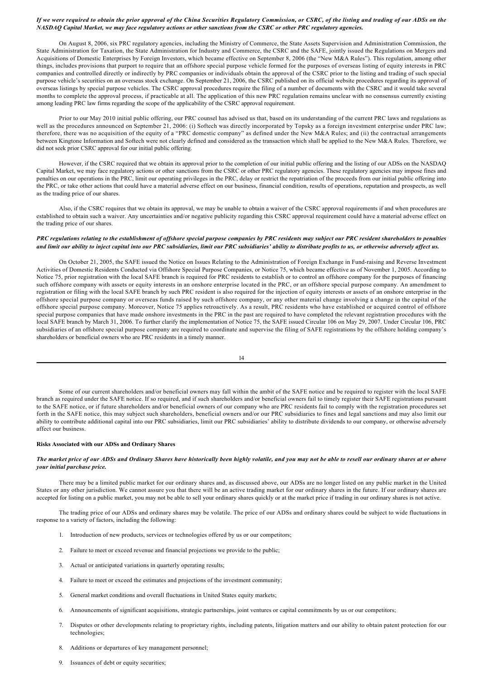## *If we were required to obtain the prior approval of the China Securities Regulatory Commission, or CSRC, of the listing and trading of our ADSs on the NASDAQ Capital Market, we may face regulatory actions or other sanctions from the CSRC or other PRC regulatory agencies.*

On August 8, 2006, six PRC regulatory agencies, including the Ministry of Commerce, the State Assets Supervision and Administration Commission, the State Administration for Taxation, the State Administration for Industry and Commerce, the CSRC and the SAFE, jointly issued the Regulations on Mergers and Acquisitions of Domestic Enterprises by Foreign Investors, which became effective on September 8, 2006 (the "New M&A Rules"). This regulation, among other things, includes provisions that purport to require that an offshore special purpose vehicle formed for the purposes of overseas listing of equity interests in PRC companies and controlled directly or indirectly by PRC companies or individuals obtain the approval of the CSRC prior to the listing and trading of such special purpose vehicle's securities on an overseas stock exchange. On September 21, 2006, the CSRC published on its official website procedures regarding its approval of overseas listings by special purpose vehicles. The CSRC approval procedures require the filing of a number of documents with the CSRC and it would take several months to complete the approval process, if practicable at all. The application of this new PRC regulation remains unclear with no consensus currently existing among leading PRC law firms regarding the scope of the applicability of the CSRC approval requirement.

Prior to our May 2010 initial public offering, our PRC counsel has advised us that, based on its understanding of the current PRC laws and regulations as well as the procedures announced on September 21, 2006: (i) Softech was directly incorporated by Topsky as a foreign investment enterprise under PRC law; therefore, there was no acquisition of the equity of a "PRC domestic company" as defined under the New M&A Rules; and (ii) the contractual arrangements between Kingtone Information and Softech were not clearly defined and considered as the transaction which shall be applied to the New M&A Rules. Therefore, we did not seek prior CSRC approval for our initial public offering.

However, if the CSRC required that we obtain its approval prior to the completion of our initial public offering and the listing of our ADSs on the NASDAQ Capital Market, we may face regulatory actions or other sanctions from the CSRC or other PRC regulatory agencies. These regulatory agencies may impose fines and penalties on our operations in the PRC, limit our operating privileges in the PRC, delay or restrict the repatriation of the proceeds from our initial public offering into the PRC, or take other actions that could have a material adverse effect on our business, financial condition, results of operations, reputation and prospects, as well as the trading price of our shares.

Also, if the CSRC requires that we obtain its approval, we may be unable to obtain a waiver of the CSRC approval requirements if and when procedures are established to obtain such a waiver. Any uncertainties and/or negative publicity regarding this CSRC approval requirement could have a material adverse effect on the trading price of our shares.

# *PRC regulations relating to the establishment of offshore special purpose companies by PRC residents may subject our PRC resident shareholders to penalties and limit our ability to inject capital into our PRC subsidiaries, limit our PRC subsidiaries' ability to distribute profits to us, or otherwise adversely affect us.*

On October 21, 2005, the SAFE issued the Notice on Issues Relating to the Administration of Foreign Exchange in Fundraising and Reverse Investment Activities of Domestic Residents Conducted via Offshore Special Purpose Companies, or Notice 75, which became effective as of November 1, 2005. According to Notice 75, prior registration with the local SAFE branch is required for PRC residents to establish or to control an offshore company for the purposes of financing such offshore company with assets or equity interests in an onshore enterprise located in the PRC, or an offshore special purpose company. An amendment to registration or filing with the local SAFE branch by such PRC resident is also required for the injection of equity interests or assets of an onshore enterprise in the offshore special purpose company or overseas funds raised by such offshore company, or any other material change involving a change in the capital of the offshore special purpose company. Moreover, Notice 75 applies retroactively. As a result, PRC residents who have established or acquired control of offshore special purpose companies that have made onshore investments in the PRC in the past are required to have completed the relevant registration procedures with the local SAFE branch by March 31, 2006. To further clarify the implementation of Notice 75, the SAFE issued Circular 106 on May 29, 2007. Under Circular 106, PRC subsidiaries of an offshore special purpose company are required to coordinate and supervise the filing of SAFE registrations by the offshore holding company's shareholders or beneficial owners who are PRC residents in a timely manner.

| ï<br>٠<br>٠ |  |
|-------------|--|
|             |  |

Some of our current shareholders and/or beneficial owners may fall within the ambit of the SAFE notice and be required to register with the local SAFE branch as required under the SAFE notice. If so required, and if such shareholders and/or beneficial owners fail to timely register their SAFE registrations pursuant to the SAFE notice, or if future shareholders and/or beneficial owners of our company who are PRC residents fail to comply with the registration procedures set forth in the SAFE notice, this may subject such shareholders, beneficial owners and/or our PRC subsidiaries to fines and legal sanctions and may also limit our ability to contribute additional capital into our PRC subsidiaries, limit our PRC subsidiaries' ability to distribute dividends to our company, or otherwise adversely affect our business.

# **Risks Associated with our ADSs and Ordinary Shares**

# *The market price of our ADSs and Ordinary Shares have historically been highly volatile, and you may not be able to resell our ordinary shares at or above your initial purchase price.*

There may be a limited public market for our ordinary shares and, as discussed above, our ADSs are no longer listed on any public market in the United States or any other jurisdiction. We cannot assure you that there will be an active trading market for our ordinary shares in the future. If our ordinary shares are accepted for listing on a public market, you may not be able to sell your ordinary shares quickly or at the market price if trading in our ordinary shares is not active.

The trading price of our ADSs and ordinary shares may be volatile. The price of our ADSs and ordinary shares could be subject to wide fluctuations in response to a variety of factors, including the following:

- 1. Introduction of new products, services or technologies offered by us or our competitors;
- 2. Failure to meet or exceed revenue and financial projections we provide to the public;
- 3. Actual or anticipated variations in quarterly operating results;
- 4. Failure to meet or exceed the estimates and projections of the investment community;
- 5. General market conditions and overall fluctuations in United States equity markets;
- 6. Announcements of significant acquisitions, strategic partnerships, joint ventures or capital commitments by us or our competitors;
- 7. Disputes or other developments relating to proprietary rights, including patents, litigation matters and our ability to obtain patent protection for our technologies;
- 8. Additions or departures of key management personnel;
- 9. Issuances of debt or equity securities;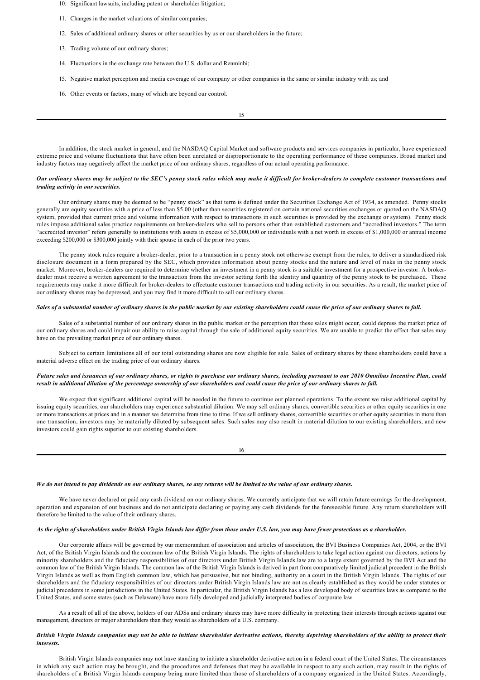- 10. Significant lawsuits, including patent or shareholder litigation;
- 11. Changes in the market valuations of similar companies;
- 12. Sales of additional ordinary shares or other securities by us or our shareholders in the future;
- 13. Trading volume of our ordinary shares;
- 14. Fluctuations in the exchange rate between the U.S. dollar and Renminbi;
- 15. Negative market perception and media coverage of our company or other companies in the same or similar industry with us; and
- 16. Other events or factors, many of which are beyond our control.

15

In addition, the stock market in general, and the NASDAQ Capital Market and software products and services companies in particular, have experienced extreme price and volume fluctuations that have often been unrelated or disproportionate to the operating performance of these companies. Broad market and industry factors may negatively affect the market price of our ordinary shares, regardless of our actual operating performance.

# *Our ordinary shares may be subject to the SEC's penny stock rules which may make it difficult for brokerdealers to complete customer transactions and trading activity in our securities.*

Our ordinary shares may be deemed to be "penny stock" as that term is defined under the Securities Exchange Act of 1934, as amended. Penny stocks generally are equity securities with a price of less than \$5.00 (other than securities registered on certain national securities exchanges or quoted on the NASDAQ system, provided that current price and volume information with respect to transactions in such securities is provided by the exchange or system). Penny stock rules impose additional sales practice requirements on broker-dealers who sell to persons other than established customers and "accredited investors." The term "accredited investor" refers generally to institutions with assets in excess of \$5,000,000 or individuals with a net worth in excess of \$1,000,000 or annual income exceeding \$200,000 or \$300,000 jointly with their spouse in each of the prior two years.

The penny stock rules require a broker-dealer, prior to a transaction in a penny stock not otherwise exempt from the rules, to deliver a standardized risk disclosure document in a form prepared by the SEC, which provides information about penny stocks and the nature and level of risks in the penny stock market. Moreover, broker-dealers are required to determine whether an investment in a penny stock is a suitable investment for a prospective investor. A brokerdealer must receive a written agreement to the transaction from the investor setting forth the identity and quantity of the penny stock to be purchased. These requirements may make it more difficult for broker-dealers to effectuate customer transactions and trading activity in our securities. As a result, the market price of our ordinary shares may be depressed, and you may find it more difficult to sell our ordinary shares.

### *Sales of a substantial number of ordinary shares in the public market by our existing shareholders could cause the price of our ordinary shares to fall.*

Sales of a substantial number of our ordinary shares in the public market or the perception that these sales might occur, could depress the market price of our ordinary shares and could impair our ability to raise capital through the sale of additional equity securities. We are unable to predict the effect that sales may have on the prevailing market price of our ordinary shares.

Subject to certain limitations all of our total outstanding shares are now eligible for sale. Sales of ordinary shares by these shareholders could have a material adverse effect on the trading price of our ordinary shares.

# *Future sales and issuances of our ordinary shares, or rights to purchase our ordinary shares, including pursuant to our 2010 Omnibus Incentive Plan, could result in additional dilution of the percentage ownership of our shareholders and could cause the price of our ordinary shares to fall.*

We expect that significant additional capital will be needed in the future to continue our planned operations. To the extent we raise additional capital by issuing equity securities, our shareholders may experience substantial dilution. We may sell ordinary shares, convertible securities or other equity securities in one or more transactions at prices and in a manner we determine from time to time. If we sell ordinary shares, convertible securities or other equity securities in more than one transaction, investors may be materially diluted by subsequent sales. Such sales may also result in material dilution to our existing shareholders, and new investors could gain rights superior to our existing shareholders.

16

# *We do not intend to pay dividends on our ordinary shares, so any returns will be limited to the value of our ordinary shares.*

We have never declared or paid any cash dividend on our ordinary shares. We currently anticipate that we will retain future earnings for the development, operation and expansion of our business and do not anticipate declaring or paying any cash dividends for the foreseeable future. Any return shareholders will therefore be limited to the value of their ordinary shares.

# *As the rights of shareholders under British Virgin Islands law differ from those under U.S. law, you may have fewer protections as a shareholder.*

Our corporate affairs will be governed by our memorandum of association and articles of association, the BVI Business Companies Act, 2004, or the BVI Act, of the British Virgin Islands and the common law of the British Virgin Islands. The rights of shareholders to take legal action against our directors, actions by minority shareholders and the fiduciary responsibilities of our directors under British Virgin Islands law are to a large extent governed by the BVI Act and the common law of the British Virgin Islands. The common law of the British Virgin Islands is derived in part from comparatively limited judicial precedent in the British Virgin Islands as well as from English common law, which has persuasive, but not binding, authority on a court in the British Virgin Islands. The rights of our shareholders and the fiduciary responsibilities of our directors under British Virgin Islands law are not as clearly established as they would be under statutes or judicial precedents in some jurisdictions in the United States. In particular, the British Virgin Islands has a less developed body of securities laws as compared to the United States, and some states (such as Delaware) have more fully developed and judicially interpreted bodies of corporate law.

As a result of all of the above, holders of our ADSs and ordinary shares may have more difficulty in protecting their interests through actions against our management, directors or major shareholders than they would as shareholders of a U.S. company.

# *British Virgin Islands companies may not be able to initiate shareholder derivative actions, thereby depriving shareholders of the ability to protect their interests.*

British Virgin Islands companies may not have standing to initiate a shareholder derivative action in a federal court of the United States. The circumstances in which any such action may be brought, and the procedures and defenses that may be available in respect to any such action, may result in the rights of shareholders of a British Virgin Islands company being more limited than those of shareholders of a company organized in the United States. Accordingly,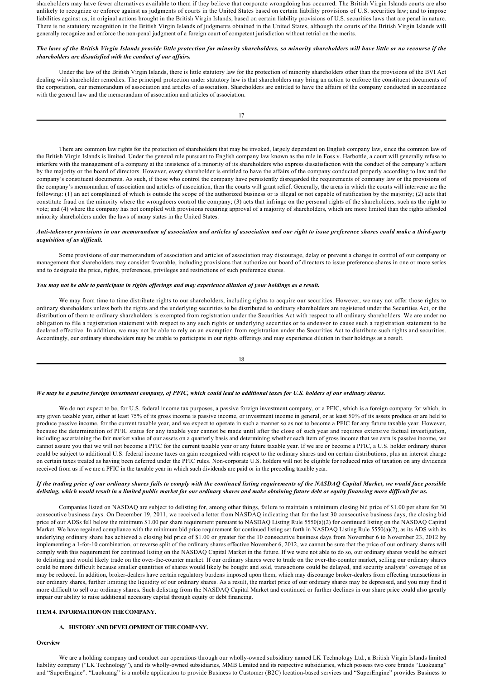shareholders may have fewer alternatives available to them if they believe that corporate wrongdoing has occurred. The British Virgin Islands courts are also unlikely to recognize or enforce against us judgments of courts in the United States based on certain liability provisions of U.S. securities law; and to impose liabilities against us, in original actions brought in the British Virgin Islands, based on certain liability provisions of U.S. securities laws that are penal in nature. There is no statutory recognition in the British Virgin Islands of judgments obtained in the United States, although the courts of the British Virgin Islands will generally recognize and enforce the non-penal judgment of a foreign court of competent jurisdiction without retrial on the merits.

# *The laws of the British Virgin Islands provide little protection for minority shareholders, so minority shareholders will have little or no recourse if the shareholders are dissatisfied with the conduct of our affairs.*

Under the law of the British Virgin Islands, there is little statutory law for the protection of minority shareholders other than the provisions of the BVI Act dealing with shareholder remedies. The principal protection under statutory law is that shareholders may bring an action to enforce the constituent documents of the corporation, our memorandum of association and articles of association. Shareholders are entitled to have the affairs of the company conducted in accordance with the general law and the memorandum of association and articles of association.

There are common law rights for the protection of shareholders that may be invoked, largely dependent on English company law, since the common law of the British Virgin Islands is limited. Under the general rule pursuant to English company law known as the rule in Foss v. Harbottle, a court will generally refuse to interfere with the management of a company at the insistence of a minority of its shareholders who express dissatisfaction with the conduct of the company's affairs by the majority or the board of directors. However, every shareholder is entitled to have the affairs of the company conducted properly according to law and the company's constituent documents. As such, if those who control the company have persistently disregarded the requirements of company law or the provisions of the company's memorandum of association and articles of association, then the courts will grant relief. Generally, the areas in which the courts will intervene are the following: (1) an act complained of which is outside the scope of the authorized business or is illegal or not capable of ratification by the majority; (2) acts that constitute fraud on the minority where the wrongdoers control the company; (3) acts that infringe on the personal rights of the shareholders, such as the right to vote; and (4) where the company has not complied with provisions requiring approval of a majority of shareholders, which are more limited than the rights afforded minority shareholders under the laws of many states in the United States.

## *Antitakeover provisions in our memorandum of association and articles of association and our right to issue preference shares could make a thirdparty acquisition of us difficult.*

Some provisions of our memorandum of association and articles of association may discourage, delay or prevent a change in control of our company or management that shareholders may consider favorable, including provisions that authorize our board of directors to issue preference shares in one or more series and to designate the price, rights, preferences, privileges and restrictions of such preference shares.

### *You may not be able to participate in rights offerings and may experience dilution of your holdings as a result.*

We may from time to time distribute rights to our shareholders, including rights to acquire our securities. However, we may not offer those rights to ordinary shareholders unless both the rights and the underlying securities to be distributed to ordinary shareholders are registered under the Securities Act, or the distribution of them to ordinary shareholders is exempted from registration under the Securities Act with respect to all ordinary shareholders. We are under no obligation to file a registration statement with respect to any such rights or underlying securities or to endeavor to cause such a registration statement to be declared effective. In addition, we may not be able to rely on an exemption from registration under the Securities Act to distribute such rights and securities. Accordingly, our ordinary shareholders may be unable to participate in our rights offerings and may experience dilution in their holdings as a result.

$$
18 \\
$$

# *We may be a passive foreign investment company, of PFIC, which could lead to additional taxes for U.S. holders of our ordinary shares.*

We do not expect to be, for U.S. federal income tax purposes, a passive foreign investment company, or a PFIC, which is a foreign company for which, in any given taxable year, either at least 75% of its gross income is passive income, or investment income in general, or at least 50% of its assets produce or are held to produce passive income, for the current taxable year, and we expect to operate in such a manner so as not to become a PFIC for any future taxable year. However, because the determination of PFIC status for any taxable year cannot be made until after the close of such year and requires extensive factual investigation, including ascertaining the fair market value of our assets on a quarterly basis and determining whether each item of gross income that we earn is passive income, we cannot assure you that we will not become a PFIC for the current taxable year or any future taxable year. If we are or become a PFIC, a U.S. holder ordinary shares could be subject to additional U.S. federal income taxes on gain recognized with respect to the ordinary shares and on certain distributions, plus an interest charge on certain taxes treated as having been deferred under the PFIC rules. Noncorporate U.S. holders will not be eligible for reduced rates of taxation on any dividends received from us if we are a PFIC in the taxable year in which such dividends are paid or in the preceding taxable year.

# *If the trading price of our ordinary shares fails to comply with the continued listing requirements of the NASDAQ Capital Market, we would face possible delisting, which would result in a limited public market for our ordinary shares and make obtaining future debt or equity financing more difficult for us.*

Companies listed on NASDAQ are subject to delisting for, among other things, failure to maintain a minimum closing bid price of \$1.00 per share for 30 consecutive business days. On December 19, 2011, we received a letter from NASDAQ indicating that for the last 30 consecutive business days, the closing bid price of our ADSs fell below the minimum \$1.00 per share requirement pursuant to NASDAQ Listing Rule 5550(a)(2) for continued listing on the NASDAQ Capital Market. We have regained compliance with the minimum bid price requirement for continued listing set forth in NASDAQ Listing Rule 5550(a)(2), as its ADS with its underlying ordinary share has achieved a closing bid price of \$1.00 or greater for the 10 consecutive business days from November 6 to November 23, 2012 by implementing a 1-for-10 combination, or reverse split of the ordinary shares effective November 6, 2012, we cannot be sure that the price of our ordinary shares will comply with this requirement for continued listing on the NASDAQ Capital Market in the future. If we were not able to do so, our ordinary shares would be subject to delisting and would likely trade on the over-the-counter market. If our ordinary shares were to trade on the over-the-counter market, selling our ordinary shares could be more difficult because smaller quantities of shares would likely be bought and sold, transactions could be delayed, and security analysts' coverage of us may be reduced. In addition, broker-dealers have certain regulatory burdens imposed upon them, which may discourage broker-dealers from effecting transactions in our ordinary shares, further limiting the liquidity of our ordinary shares. As a result, the market price of our ordinary shares may be depressed, and you may find it more difficult to sell our ordinary shares. Such delisting from the NASDAQ Capital Market and continued or further declines in our share price could also greatly impair our ability to raise additional necessary capital through equity or debt financing.

# **ITEM 4. INFORMATION ON THE COMPANY.**

### **A***.* **HISTORY AND DEVELOPMENT OF THE COMPANY.**

### **Overview**

We are a holding company and conduct our operations through our wholly-owned subsidiary named LK Technology Ltd., a British Virgin Islands limited liability company ("LK Technology"), and its wholly-owned subsidiaries, MMB Limited and its respective subsidiaries, which possess two core brands "Luokuang" and "SuperEngine". "Luokuang" is a mobile application to provide Business to Customer (B2C) location-based services and "SuperEngine" provides Business to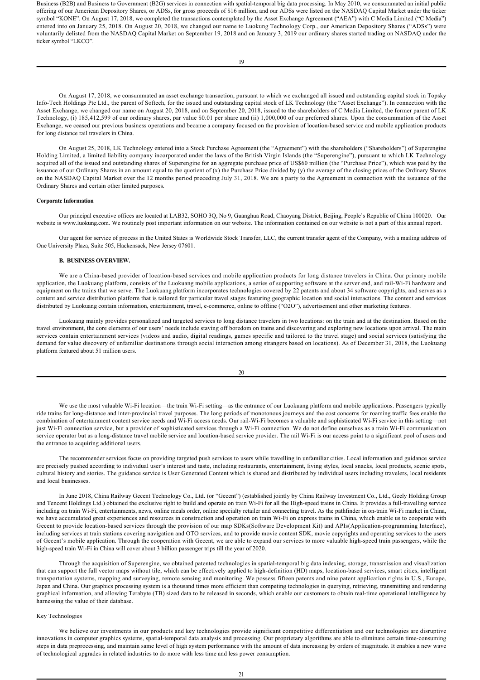Business (B2B) and Business to Government (B2G) services in connection with spatial-temporal big data processing. In May 2010, we consummated an initial public offering of our American Depository Shares, or ADSs, for gross proceeds of \$16 million, and our ADSs were listed on the NASDAQ Capital Market under the ticker symbol "KONE". On August 17, 2018, we completed the transactions contemplated by the Asset Exchange Agreement ("AEA") with C Media Limited ("C Media") entered into on January 25, 2018. On August 20, 2018, we changed our name to Luokung Technology Corp., our American Depository Shares ("ADSs") were voluntarily delisted from the NASDAQ Capital Market on September 19, 2018 and on January 3, 2019 our ordinary shares started trading on NASDAQ under the ticker symbol "LKCO".

On August 17, 2018, we consummated an asset exchange transaction, pursuant to which we exchanged all issued and outstanding capital stock in Topsky Info-Tech Holdings Pte Ltd., the parent of Softech, for the issued and outstanding capital stock of LK Technology (the "Asset Exchange"). In connection with the Asset Exchange, we changed our name on August 20, 2018, and on September 20, 2018, issued to the shareholders of C Media Limited, the former parent of LK Technology, (i) 185,412,599 of our ordinary shares, par value \$0.01 per share and (ii) 1,000,000 of our preferred shares. Upon the consummation of the Asset Exchange, we ceased our previous business operations and became a company focused on the provision of location-based service and mobile application products for long distance rail travelers in China.

On August 25, 2018, LK Technology entered into a Stock Purchase Agreement (the "Agreement") with the shareholders ("Shareholders") of Superengine Holding Limited, a limited liability company incorporated under the laws of the British Virgin Islands (the "Superengine"), pursuant to which LK Technology acquired all of the issued and outstanding shares of Superengine for an aggregate purchase price of US\$60 million (the "Purchase Price"), which was paid by the issuance of our Ordinary Shares in an amount equal to the quotient of (x) the Purchase Price divided by (y) the average of the closing prices of the Ordinary Shares on the NASDAQ Capital Market over the 12 months period preceding July 31, 2018. We are a party to the Agreement in connection with the issuance of the Ordinary Shares and certain other limited purposes.

#### **Corporate Information**

Our principal executive offices are located at LAB32, SOHO 3Q, No 9, Guanghua Road, Chaoyang District, Beijing, People's Republic of China 100020. Our website is www.luokung.com. We routinely post important information on our website. The information contained on our website is not a part of this annual report.

Our agent for service of process in the United States is Worldwide Stock Transfer, LLC, the current transfer agent of the Company, with a mailing address of One University Plaza, Suite 505, Hackensack, New Jersey 07601.

# **B. BUSINESS OVERVIEW.**

We are a China-based provider of location-based services and mobile application products for long distance travelers in China. Our primary mobile application, the Luokuang platform, consists of the Luokuang mobile applications, a series of supporting software at the server end, and rail-Wi-Fi hardware and equipment on the trains that we serve. The Luokuang platform incorporates technologies covered by 22 patents and about 34 software copyrights, and serves as a content and service distribution platform that is tailored for particular travel stages featuring geographic location and social interactions. The content and services distributed by Luokuang contain information, entertainment, travel, e-commerce, online to offline ("O2O"), advertisement and other marketing features.

Luokuang mainly provides personalized and targeted services to long distance travelers in two locations: on the train and at the destination. Based on the travel environment, the core elements of our users' needs include staving off boredom on trains and discovering and exploring new locations upon arrival. The main services contain entertainment services (videos and audio, digital readings, games specific and tailored to the travel stage) and social services (satisfying the demand for value discovery of unfamiliar destinations through social interaction among strangers based on locations). As of December 31, 2018, the Luokuang platform featured about 51 million users.

We use the most valuable Wi-Fi location—the train Wi-Fi setting—as the entrance of our Luokuang platform and mobile applications. Passengers typically ride trains for long-distance and inter-provincial travel purposes. The long periods of monotonous journeys and the cost concerns for roaming traffic fees enable the combination of entertainment content service needs and Wi-Fi access needs. Our rail-Wi-Fi becomes a valuable and sophisticated Wi-Fi service in this setting—not just Wi-Fi connection service, but a provider of sophisticated services through a Wi-Fi connection. We do not define ourselves as a train Wi-Fi communication service operator but as a long-distance travel mobile service and location-based service provider. The rail Wi-Fi is our access point to a significant pool of users and the entrance to acquiring additional users.

The recommender services focus on providing targeted push services to users while travelling in unfamiliar cities. Local information and guidance service are precisely pushed according to individual user's interest and taste, including restaurants, entertainment, living styles, local snacks, local products, scenic spots, cultural history and stories. The guidance service is User Generated Content which is shared and distributed by individual users including travelers, local residents and local businesses.

In June 2018, China Railway Gecent Technology Co., Ltd. (or "Gecent") (established jointly by China Railway Investment Co., Ltd., Geely Holding Group and Tencent Holdings Ltd.) obtained the exclusive right to build and operate on train Wi-Fi for all the High-speed trains in China. It provides a full-travelling service including on train Wi-Fi, entertainments, news, online meals order, online specialty retailer and connecting travel. As the pathfinder in on-train Wi-Fi market in China, we have accumulated great experiences and resources in construction and operation on train Wi-Fi on express trains in China, which enable us to cooperate with Gecent to provide location-based services through the provision of our map SDKs(Software Development Kit) and APIs(Application-programming Interface), including services at train stations covering navigation and OTO services, and to provide movie content SDK, movie copyrights and operating services to the users of Gecent's mobile application. Through the cooperation with Gecent, we are able to expand our services to more valuable high-speed train passengers, while the high-speed train Wi-Fi in China will cover about 3 billion passenger trips till the year of 2020.

Through the acquisition of Superengine, we obtained patented technologies in spatial-temporal big data indexing, storage, transmission and visualization that can support the full vector maps without tile, which can be effectively applied to high-definition (HD) maps, location-based services, smart cities, intelligent transportation systems, mapping and surveying, remote sensing and monitoring. We possess fifteen patents and nine patent application rights in U.S., Europe, Japan and China. Our graphics processing system is a thousand times more efficient than competing technologies in querying, retrieving, transmitting and rendering graphical information, and allowing Terabyte (TB) sized data to be released in seconds, which enable our customers to obtain real-time operational intelligence by harnessing the value of their database.

## Key Technologies

We believe our investments in our products and key technologies provide significant competitive differentiation and our technologies are disruptive innovations in computer graphics systems, spatial-temporal data analysis and processing. Our proprietary algorithms are able to eliminate certain time-consuming steps in data preprocessing, and maintain same level of high system performance with the amount of data increasing by orders of magnitude. It enables a new wave of technological upgrades in related industries to do more with less time and less power consumption.

 $20$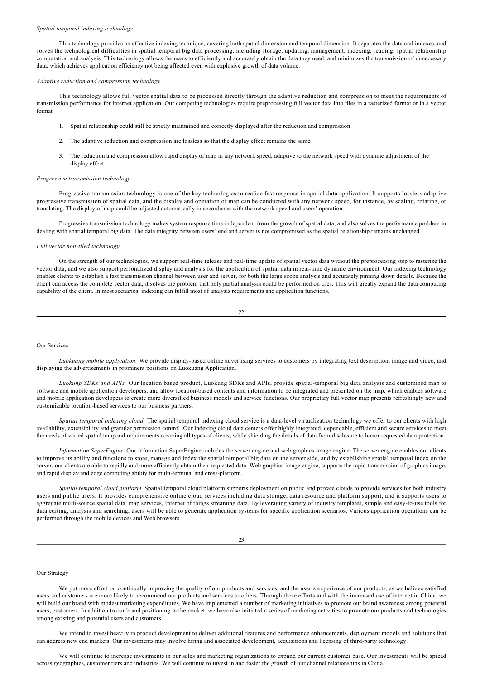#### *Spatial temporal indexing technology.*

This technology provides an effective indexing technique, covering both spatial dimension and temporal dimension. It separates the data and indexes, and solves the technological difficulties in spatial temporal big data processing, including storage, updating, management, indexing, reading, spatial relationship computation and analysis. This technology allows the users to efficiently and accurately obtain the data they need, and minimizes the transmission of unnecessary data, which achieves application efficiency not being affected even with explosive growth of data volume.

#### *Adaptive reduction and compression technology*

This technology allows full vector spatial data to be processed directly through the adaptive reduction and compression to meet the requirements of transmission performance for internet application. Our competing technologies require preprocessing full vector data into tiles in a rasterized format or in a vector format.

- 1. Spatial relationship could still be strictly maintained and correctly displayed after the reduction and compression
- 2. The adaptive reduction and compression are lossless so that the display effect remains the same
- The reduction and compression allow rapid display of map in any network speed, adaptive to the network speed with dynamic adjustment of the display effect.

#### *Progressive transmission technology*

Progressive transmission technology is one of the key technologies to realize fast response in spatial data application. It supports lossless adaptive progressive transmission of spatial data, and the display and operation of map can be conducted with any network speed, for instance, by scaling, rotating, or translating. The display of map could be adjusted automatically in accordance with the network speed and users' operation.

Progressive transmission technology makes system response time independent from the growth of spatial data, and also solves the performance problem in dealing with spatial temporal big data. The data integrity between users' end and server is not compromised as the spatial relationship remains unchanged.

### *Full vector non-tiled technology*

On the strength of our technologies, we support real-time release and real-time update of spatial vector data without the preprocessing step to rasterize the vector data, and we also support personalized display and analysis for the application of spatial data in real-time dynamic environment. Our indexing technology enables clients to establish a fast transmission channel between user and server, for both the large scope analysis and accurately pinning down details. Because the client can access the complete vector data, it solves the problem that only partial analysis could be performed on tiles. This will greatly expand the data computing capability of the client. In most scenarios, indexing can fulfill most of analysis requirements and application functions.

22

#### Our Services

*Luokuang mobile application*. We provide display-based online advertising services to customers by integrating text description, image and video, and displaying the advertisements in prominent positions on Luokuang Application.

Luokung SDKs and APIs. Our location based product, Luokung SDKs and APIs, provide spatial-temporal big data analysis and customized map to software and mobile application developers, and allow location-based contents and information to be integrated and presented on the map, which enables software and mobile application developers to create more diversified business models and service functions. Our proprietary full vector map presents refreshingly new and customizable location-based services to our business partners.

Spatial temporal indexing cloud. The spatial temporal indexing cloud service is a data-level virtualization technology we offer to our clients with high availability, extensibility and granular permission control. Our indexing cloud data centers offer highly integrated, dependable, efficient and secure services to meet the needs of varied spatial temporal requirements covering all types of clients, while shielding the details of data from disclosure to honor requested data protection.

*Information SuperEngine.* Our information SuperEngine includes the server engine and web graphics image engine. The server engine enables our clients to improve its ability and functions to store, manage and index the spatial temporal big data on the server side, and by establishing spatial temporal index on the server, our clients are able to rapidly and more efficiently obtain their requested data. Web graphics image engine, supports the rapid transmission of graphics image, and rapid display and edge computing ability for multi-terminal and cross-platform.

*Spatial temporal cloud platform.* Spatial temporal cloud platform supports deployment on public and private clouds to provide services for both industry users and public users. It provides comprehensive online cloud services including data storage, data resource and platform support, and it supports users to aggregate multi-source spatial data, map services, Internet of things streaming data. By leveraging variety of industry templates, simple and easy-to-use tools for data editing, analysis and searching, users will be able to generate application systems for specific application scenarios. Various application operations can be performed through the mobile devices and Web browsers.

### $23$

### Our Strategy

We put more effort on continually improving the quality of our products and services, and the user's experience of our products, as we believe satisfied users and customers are more likely to recommend our products and services to others. Through these efforts and with the increased use of internet in China, we will build our brand with modest marketing expenditures. We have implemented a number of marketing initiatives to promote our brand awareness among potential users, customers. In addition to our brand positioning in the market, we have also initiated a series of marketing activities to promote our products and technologies among existing and potential users and customers.

We intend to invest heavily in product development to deliver additional features and performance enhancements, deployment models and solutions that can address new end markets. Our investments may involve hiring and associated development, acquisitions and licensing of third-party technology.

We will continue to increase investments in our sales and marketing organizations to expand our current customer base. Our investments will be spread across geographies, customer tiers and industries. We will continue to invest in and foster the growth of our channel relationships in China.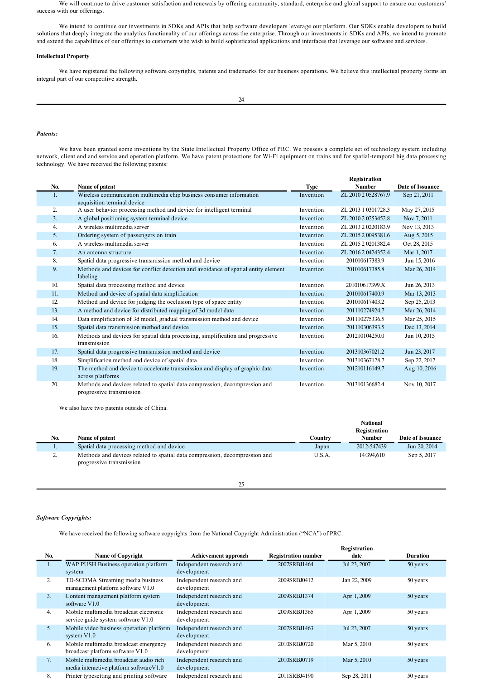We will continue to drive customer satisfaction and renewals by offering community, standard, enterprise and global support to ensure our customers' success with our offerings.

We intend to continue our investments in SDKs and APIs that help software developers leverage our platform. Our SDKs enable developers to build solutions that deeply integrate the analytics functionality of our offerings across the enterprise. Through our investments in SDKs and APIs, we intend to promote and extend the capabilities of our offerings to customers who wish to build sophisticated applications and interfaces that leverage our software and services.

# **Intellectual Property**

We have registered the following software copyrights, patents and trademarks for our business operations. We believe this intellectual property forms an integral part of our competitive strength.

# *Patents:*

We have been granted some inventions by the State Intellectual Property Office of PRC. We possess a complete set of technology system including network, client end and service and operation platform. We have patent protections for Wi-Fi equipment on trains and for spatial-temporal big data processing technology. We have received the following patents:

|     |                                                                                    |           | Registration        |                  |
|-----|------------------------------------------------------------------------------------|-----------|---------------------|------------------|
| No. | Name of patent                                                                     | Type      | <b>Number</b>       | Date of Issuance |
| Ι.  | Wireless communication multimedia chip business consumer information               | Invention | ZL 2010 2 0528767.9 | Sep 21, 2011     |
|     | acquisition terminal device                                                        |           |                     |                  |
| 2.  | A user behavior processing method and device for intelligent terminal              | Invention | ZL 2013 1 0301728.3 | May 27, 2015     |
| 3.  | A global positioning system terminal device                                        | Invention | ZL 2010 2 0253452.8 | Nov 7, 2011      |
| 4.  | A wireless multimedia server                                                       | Invention | ZL 2013 2 0220183.9 | Nov 13, 2013     |
| 5.  | Ordering system of passengers on train                                             | Invention | ZL 2015 2 0095381.6 | Aug 5, 2015      |
| 6.  | A wireless multimedia server                                                       | Invention | ZL 2015 2 0201382.4 | Oct 28, 2015     |
| 7.  | An antenna structure                                                               | Invention | ZL 2016 2 0424352.4 | Mar 1, 2017      |
| 8.  | Spatial data progressive transmission method and device                            | Invention | 201010617383.9      | Jun 15, 2016     |
| 9.  | Methods and devices for conflict detection and avoidance of spatial entity element | Invention | 201010617385.8      | Mar 26, 2014     |
|     | labeling                                                                           |           |                     |                  |
| 10. | Spatial data processing method and device                                          | Invention | 201010617399.X      | Jun 26, 2013     |
| 11. | Method and device of spatial data simplification                                   | Invention | 201010617400.9      | Mar 13, 2013     |
| 12. | Method and device for judging the occlusion type of space entity                   | Invention | 201010617403.2      | Sep 25, 2013     |
| 13. | A method and device for distributed mapping of 3d model data                       | Invention | 201110274924.7      | Mar 26, 2014     |
| 14. | Data simplification of 3d model, gradual transmission method and device            | Invention | 201110275336.5      | Mar 25, 2015     |
| 15. | Spatial data transmission method and device                                        | Invention | 201110306393.5      | Dec 13, 2014     |
| 16. | Methods and devices for spatial data processing, simplification and progressive    | Invention | 201210104250.0      | Jun 10, 2015     |
|     | transmission                                                                       |           |                     |                  |
| 17. | Spatial data progressive transmission method and device                            | Invention | 201310367021.2      | Jun 23, 2017     |
| 18. | Simplification method and device of spatial data                                   | Invention | 201310367128.7      | Sep 22, 2017     |
| 19. | The method and device to accelerate transmission and display of graphic data       | Invention | 201210116149.7      | Aug 10, 2016     |
|     | across platforms                                                                   |           |                     |                  |
| 20. | Methods and devices related to spatial data compression, decompression and         | Invention | 201310136682.4      | Nov 10, 2017     |
|     | progressive transmission                                                           |           |                     |                  |

We also have two patents outside of China.

|     |                                                                                                        |         | <b>National</b> |                  |
|-----|--------------------------------------------------------------------------------------------------------|---------|-----------------|------------------|
|     |                                                                                                        |         | Registration    |                  |
| No. | Name of patent                                                                                         | Countrv | <b>Number</b>   | Date of Issuance |
| . . | Spatial data processing method and device                                                              | Japan   | 2012-547439     | Jun 20, 2014     |
| ٠.  | Methods and devices related to spatial data compression, decompression and<br>progressive transmission | U.S.A.  | 14/394.610      | Sep 5, 2017      |

25

# *Software Copyrights:*

We have received the following software copyrights from the National Copyright Administration ("NCA") of PRC:

|                |                                                                                    |                                         |                            | Registration |                 |
|----------------|------------------------------------------------------------------------------------|-----------------------------------------|----------------------------|--------------|-----------------|
| No.            | <b>Name of Copyright</b>                                                           | <b>Achievement approach</b>             | <b>Registration number</b> | date         | <b>Duration</b> |
| Ι.             | WAP PUSH Business operation platform<br>system                                     | Independent research and<br>development | 2007SRBJ1464               | Jul 23, 2007 | 50 years        |
| 2.             | TD-SCDMA Streaming media business<br>management platform software V1.0             | Independent research and<br>development | 2009SRBJ0412               | Jan 22, 2009 | 50 years        |
| 3.             | Content management platform system<br>software V1.0                                | Independent research and<br>development | 2009SRBJ1374               | Apr 1, 2009  | 50 years        |
| 4.             | Mobile multimedia broadcast electronic<br>service guide system software V1.0       | Independent research and<br>development | 2009SRBJ1365               | Apr 1, 2009  | 50 years        |
| 5 <sub>1</sub> | Mobile video business operation platform<br>system $V1.0$                          | Independent research and<br>development | 2007SRBJ1463               | Jul 23, 2007 | 50 years        |
| 6.             | Mobile multimedia broadcast emergency<br>broadcast platform software V1.0          | Independent research and<br>development | 2010SRBJ0720               | Mar 5, 2010  | 50 years        |
| 7.             | Mobile multimedia broadcast audio rich<br>media interactive platform software V1.0 | Independent research and<br>development | 2010SRBJ0719               | Mar 5, 2010  | 50 years        |
| 8.             | Printer typesetting and printing software                                          | Independent research and                | 2011SRBJ4190               | Sep 28, 2011 | 50 years        |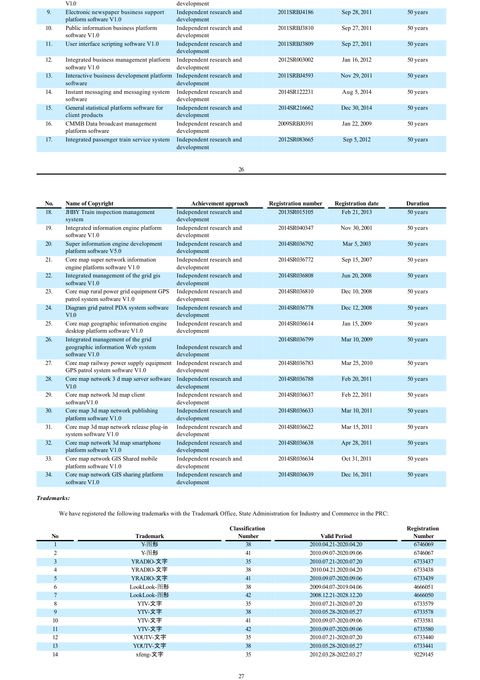|     | V1.0                                                            | development                             |              |              |          |
|-----|-----------------------------------------------------------------|-----------------------------------------|--------------|--------------|----------|
| 9.  | Electronic newspaper business support<br>platform software V1.0 | Independent research and<br>development | 2011SRBJ4186 | Sep 28, 2011 | 50 years |
| 10. | Public information business platform<br>software V1.0           | Independent research and<br>development | 2011SRBJ3810 | Sep 27, 2011 | 50 years |
| 11. | User interface scripting software V1.0                          | Independent research and<br>development | 2011SRBJ3809 | Sep 27, 2011 | 50 years |
| 12. | Integrated business management platform<br>software V1.0        | Independent research and<br>development | 2012SR003002 | Jan 16, 2012 | 50 years |
| 13. | Interactive business development platform<br>software           | Independent research and<br>development | 2011SRBJ4593 | Nov 29, 2011 | 50 years |
| 14. | Instant messaging and messaging system<br>software              | Independent research and<br>development | 2014SR122231 | Aug 5, 2014  | 50 years |
| 15. | General statistical platform software for<br>client products    | Independent research and<br>development | 2014SR216662 | Dec 30, 2014 | 50 years |
| 16. | CMMB Data broadcast management<br>platform software             | Independent research and<br>development | 2009SRBJ0391 | Jan 22, 2009 | 50 years |
| 17. | Integrated passenger train service system                       | Independent research and<br>development | 2012SR083665 | Sep 5, 2012  | 50 years |
|     |                                                                 |                                         |              |              |          |

26

| No. | <b>Name of Copyright</b>                                                                | Achievement approach                    | <b>Registration number</b> | <b>Registration date</b> | <b>Duration</b> |
|-----|-----------------------------------------------------------------------------------------|-----------------------------------------|----------------------------|--------------------------|-----------------|
| 18. | <b>JHBY</b> Train inspection management<br>system                                       | Independent research and<br>development | 2013SR015105               | Feb 21, 2013             | 50 years        |
| 19. | Integrated information engine platform<br>software V1.0                                 | Independent research and<br>development | 2014SR040347               | Nov 30, 2001             | 50 years        |
| 20. | Super information engine development<br>platform software V5.0                          | Independent research and<br>development | 2014SR036792               | Mar 5, 2003              | 50 years        |
| 21. | Core map super network information<br>engine platform software V1.0                     | Independent research and<br>development | 2014SR036772               | Sep 15, 2007             | 50 years        |
| 22. | Integrated management of the grid gis<br>software V1.0                                  | Independent research and<br>development | 2014SR036808               | Jun 20, 2008             | 50 years        |
| 23. | Core map rural power grid equipment GPS<br>patrol system software V1.0                  | Independent research and<br>development | 2014SR036810               | Dec 10, 2008             | 50 years        |
| 24. | Diagram grid patrol PDA system software<br>V1.0                                         | Independent research and<br>development | 2014SR036778               | Dec 12, 2008             | 50 years        |
| 25. | Core map geographic information engine<br>desktop platform software V1.0                | Independent research and<br>development | 2014SR036614               | Jan 15, 2009             | 50 years        |
| 26. | Integrated management of the grid<br>geographic information Web system<br>software V1.0 | Independent research and<br>development | 2014SR036799               | Mar 10, 2009             | 50 years        |
| 27. | Core map railway power supply equipment<br>GPS patrol system software V1.0              | Independent research and<br>development | 2014SR036783               | Mar 25, 2010             | 50 years        |
| 28. | Core map network 3 d map server software<br>V1.0                                        | Independent research and<br>development | 2014SR036788               | Feb 20, 2011             | 50 years        |
| 29. | Core map network 3d map client<br>softwareV1.0                                          | Independent research and<br>development | 2014SR036637               | Feb 22, 2011             | 50 years        |
| 30. | Core map 3d map network publishing<br>platform software V1.0                            | Independent research and<br>development | 2014SR036633               | Mar 10, 2011             | 50 years        |
| 31. | Core map 3d map network release plug-in<br>system software V1.0                         | Independent research and<br>development | 2014SR036622               | Mar 15, 2011             | 50 years        |
| 32. | Core map network 3d map smartphone<br>platform software V1.0                            | Independent research and<br>development | 2014SR036638               | Apr 28, 2011             | 50 years        |
| 33. | Core map network GIS Shared mobile<br>platform software V1.0                            | Independent research and<br>development | 2014SR036634               | Oct 31, 2011             | 50 years        |
| 34. | Core map network GIS sharing platform<br>software V1.0                                  | Independent research and<br>development | 2014SR036639               | Dec 16, 2011             | 50 years        |

*Trademarks:*

We have registered the following trademarks with the Trademark Office, State Administration for Industry and Commerce in the PRC:

|                |             | <b>Classification</b> |                       | Registration  |
|----------------|-------------|-----------------------|-----------------------|---------------|
| N <sub>0</sub> | Trademark   | <b>Number</b>         | Valid Period          | <b>Number</b> |
|                | Y-图形        | 38                    | 2010.04.21-2020.04.20 | 6746069       |
|                | Y-图形        | 41                    | 2010.09.07-2020.09.06 | 6746067       |
| 3              | YRADIO-文字   | 35                    | 2010.07.21-2020.07.20 | 6733437       |
| $\overline{4}$ | YRADIO-文字   | 38                    | 2010.04.21.2020.04.20 | 6733438       |
| 5              | YRADIO-文字   | 41                    | 2010.09.07-2020.09.06 | 6733439       |
| 6              | LookLook-图形 | 38                    | 2009.04.07-2019.04.06 | 4666051       |
|                | LookLook-图形 | 42                    | 2008.12.21-2028.12.20 | 4666050       |
| 8              | YTV-文字      | 35                    | 2010.07.21-2020.07.20 | 6733579       |
| 9              | YTV-文字      | 38                    | 2010.05.28-2020.05.27 | 6733578       |
| 10             | YTV-文字      | 41                    | 2010.09.07-2020.09.06 | 6733581       |
| 11             | YTV-文字      | 42                    | 2010.09.07-2020.09.06 | 6733580       |
| 12             | YOUTV-文字    | 35                    | 2010.07.21-2020.07.20 | 6733440       |
| 13             | YOUTV-文字    | 38                    | 2010.05.28-2020.05.27 | 6733441       |
| 14             | xfeng-文字    | 35                    | 2012.03.28-2022.03.27 | 9229145       |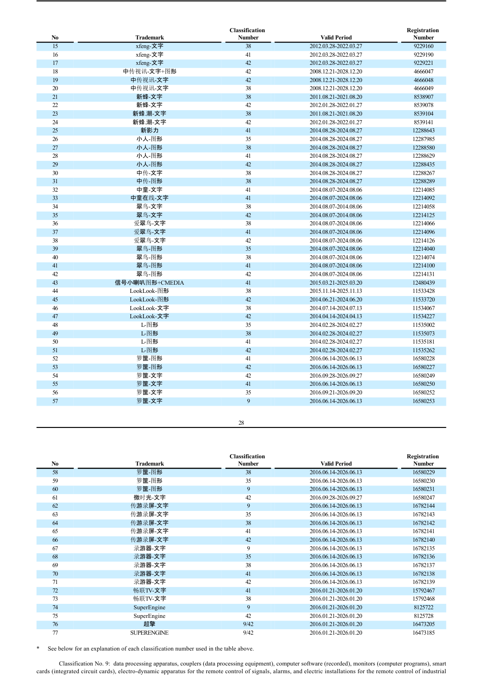|    |                | <b>Classification</b> |                       | Registration  |
|----|----------------|-----------------------|-----------------------|---------------|
| No | Trademark      | <b>Number</b>         | <b>Valid Period</b>   | <b>Number</b> |
| 15 | xfeng-文字       | 38                    | 2012.03.28-2022.03.27 | 9229160       |
| 16 | xfeng-文字       | 41                    | 2012.03.28-2022.03.27 | 9229190       |
| 17 | xfeng-文字       | 42                    | 2012.03.28-2022.03.27 | 9229221       |
| 18 | 中传视讯-文字+图形     | 42                    | 2008.12.21-2028.12.20 | 4666047       |
| 19 | 中传视讯-文字        | 42                    | 2008.12.21-2028.12.20 | 4666048       |
| 20 | 中传视讯-文字        | 38                    | 2008.12.21-2028.12.20 | 4666049       |
| 21 | 新蜂-文字          | 38                    | 2011.08.21-2021.08.20 | 8538907       |
| 22 | 新蜂-文字          | 42                    | 2012.01.28-2022.01.27 | 8539078       |
| 23 | 新蜂.潮-文字        | 38                    | 2011.08.21-2021.08.20 | 8539104       |
| 24 | 新蜂.潮-文字        | 42                    | 2012.01.28-2022.01.27 | 8539141       |
| 25 | 新影力            | 41                    | 2014.08.28-2024.08.27 | 12288643      |
| 26 | 小人-图形          | 35                    | 2014.08.28-2024.08.27 | 12287985      |
| 27 | 小人-图形          | 38                    | 2014.08.28-2024.08.27 | 12288580      |
| 28 | 小人-图形          | 41                    | 2014.08.28-2024.08.27 | 12288629      |
| 29 | 小人-图形          | 42                    | 2014.08.28-2024.08.27 | 12288435      |
| 30 | 中传-文字          | 38                    | 2014.08.28-2024.08.27 | 12288267      |
| 31 | 中传-图形          | 38                    | 2014.08.28-2024.08.27 | 12288289      |
| 32 | 中童-文字          | 41                    | 2014.08.07-2024.08.06 | 12214085      |
| 33 | 中童在线-文字        | 41                    | 2014.08.07-2024.08.06 | 12214092      |
| 34 | 翠鸟-文字          | 38                    | 2014.08.07-2014.08.06 | 12214058      |
| 35 | 翠鸟-文字          | 42                    | 2014.08.07-2014.08.06 | 12214125      |
| 36 | 爱翠鸟-文字         | 38                    | 2014.08.07-2024.08.06 | 12214066      |
| 37 | 爱翠鸟-文字         | 41                    | 2014.08.07-2024.08.06 | 12214096      |
| 38 | 爱翠鸟-文字         | 42                    | 2014.08.07-2024.08.06 | 12214126      |
| 39 | 翠鸟-图形          | 35                    | 2014.08.07-2024.08.06 | 12214040      |
| 40 | 翠鸟-图形          | 38                    | 2014.08.07-2024.08.06 | 12214074      |
| 41 | 翠鸟-图形          | 41                    | 2014.08.07-2024.08.06 | 12214100      |
| 42 | 翠鸟-图形          | 42                    | 2014.08.07-2024.08.06 | 12214131      |
| 43 | 信号小喇叭图形+CMEDIA | 41                    | 2015.03.21-2025.03.20 | 12480439      |
| 44 | LookLook-图形    | 38                    | 2015.11.14-2025.11.13 | 11533428      |
| 45 | LookLook-图形    | 42                    | 2014.06.21-2024.06.20 | 11533720      |
| 46 | LookLook-文字    | 38                    | 2014.07.14-2024.07.13 | 11534067      |
| 47 | LookLook-文字    | 42                    | 2014.04.14-2024.04.13 | 11534227      |
| 48 | L图形            | 35                    | 2014.02.28-2024.02.27 | 11535002      |
| 49 | L图形            | 38                    | 2014.02.28-2024.02.27 | 11535073      |
| 50 | L-图形           | 41                    | 2014.02.28-2024.02.27 | 11535181      |
| 51 | L图形            | 42                    | 2014.02.28-2024.02.27 | 11535262      |
| 52 | 箩筐-图形          | 41                    | 2016.06.14-2026.06.13 | 16580228      |
| 53 | 箩筐-图形          | 42                    | 2016.06.14-2026.06.13 | 16580227      |
| 54 | 箩筐-文字          | 42                    | 2016.09.28-2026.09.27 | 16580249      |
| 55 | 箩筐-文字          | 41                    | 2016.06.14-2026.06.13 | 16580250      |
| 56 | 箩筐-文字          | 35                    | 2016.09.21-2026.09.20 | 16580252      |
| 57 | 箩筐-文字          | 9                     | 2016.06.14-2026.06.13 | 16580253      |

|                |                    | <b>Classification</b> |                       | Registration  |
|----------------|--------------------|-----------------------|-----------------------|---------------|
| N <sub>0</sub> | <b>Trademark</b>   | <b>Number</b>         | <b>Valid Period</b>   | <b>Number</b> |
| 58             | 箩筐-图形              | 38                    | 2016.06.14-2026.06.13 | 16580229      |
| 59             | 箩筐-图形              | 35                    | 2016.06.14-2026.06.13 | 16580230      |
| 60             | 箩筐-图形              | 9                     | 2016.06.14-2026.06.13 | 16580231      |
| 61             | 微时光-文字             | 42                    | 2016.09.28-2026.09.27 | 16580247      |
| 62             | 传游录屏-文字            | 9                     | 2016.06.14-2026.06.13 | 16782144      |
| 63             | 传游录屏-文字            | 35                    | 2016.06.14-2026.06.13 | 16782143      |
| 64             | 传游录屏-文字            | 38                    | 2016.06.14-2026.06.13 | 16782142      |
| 65             | 传游录屏-文字            | 41                    | 2016.06.14-2026.06.13 | 16782141      |
| 66             | 传游录屏-文字            | 42                    | 2016.06.14-2026.06.13 | 16782140      |
| 67             | 录游器-文字             | 9                     | 2016.06.14-2026.06.13 | 16782135      |
| 68             | 录游器-文字             | 35                    | 2016.06.14-2026.06.13 | 16782136      |
| 69             | 录游器-文字             | 38                    | 2016.06.14-2026.06.13 | 16782137      |
| 70             | 录游器-文字             | 41                    | 2016.06.14-2026.06.13 | 16782138      |
| 71             | 录游器-文字             | 42                    | 2016.06.14-2026.06.13 | 16782139      |
| 72             | 畅联TV-文字            | 41                    | 2016.01.21-2026.01.20 | 15792467      |
| 73             | 畅联TV-文字            | 38                    | 2016.01.21-2026.01.20 | 15792468      |
| 74             | SuperEngine        | 9                     | 2016.01.21-2026.01.20 | 8125722       |
| 75             | SuperEngine        | 42                    | 2016.01.21-2026.01.20 | 8125728       |
| 76             | 超擎                 | 9/42                  | 2016.01.21-2026.01.20 | 16473205      |
| 77             | <b>SUPERENGINE</b> | 9/42                  | 2016.01.21-2026.01.20 | 16473185      |

\* See below for an explanation of each classification number used in the table above.

Classification No. 9: data processing apparatus, couplers (data processing equipment), computer software (recorded), monitors (computer programs), smart cards (integrated circuit cards), electro-dynamic apparatus for the remote control of signals, alarms, and electric installations for the remote control of industrial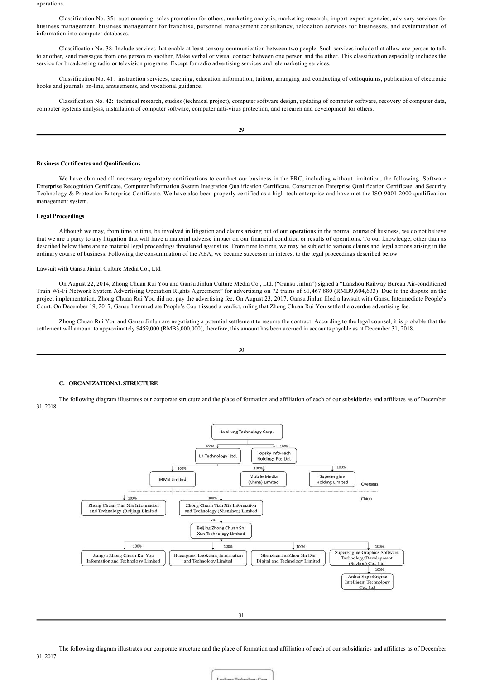operations.

Classification No. 35: auctioneering, sales promotion for others, marketing analysis, marketing research, importexport agencies, advisory services for business management, business management for franchise, personnel management consultancy, relocation services for businesses, and systemization of information into computer databases.

Classification No. 38: Include services that enable at least sensory communication between two people. Such services include that allow one person to talk to another, send messages from one person to another, Make verbal or visual contact between one person and the other. This classification especially includes the service for broadcasting radio or television programs. Except for radio advertising services and telemarketing services.

Classification No. 41: instruction services, teaching, education information, tuition, arranging and conducting of colloquiums, publication of electronic books and journals on-line, amusements, and vocational guidance.

Classification No. 42: technical research, studies (technical project), computer software design, updating of computer software, recovery of computer data, computer systems analysis, installation of computer software, computer anti-virus protection, and research and development for others.

29

# **Business Certificates and Qualifications**

We have obtained all necessary regulatory certifications to conduct our business in the PRC, including without limitation, the following: Software Enterprise Recognition Certificate, Computer Information System Integration Qualification Certificate, Construction Enterprise Qualification Certificate, and Security Technology & Protection Enterprise Certificate. We have also been properly certified as a hightech enterprise and have met the ISO 9001:2000 qualification management system.

# **Legal Proceedings**

Although we may, from time to time, be involved in litigation and claims arising out of our operations in the normal course of business, we do not believe that we are a party to any litigation that will have a material adverse impact on our financial condition or results of operations. To our knowledge, other than as described below there are no material legal proceedings threatened against us. From time to time, we may be subject to various claims and legal actions arising in the ordinary course of business. Following the consummation of the AEA, we became successor in interest to the legal proceedings described below.

### Lawsuit with Gansu Jinlun Culture Media Co., Ltd.

On August 22, 2014, Zhong Chuan Rui You and Gansu Jinlun Culture Media Co., Ltd. ("Gansu Jinlun") signed a "Lanzhou Railway Bureau Airconditioned Train WiFi Network System Advertising Operation Rights Agreement" for advertising on 72 trains of \$1,467,880 (RMB9,604,633). Due to the dispute on the project implementation, Zhong Chuan Rui You did not pay the advertising fee. On August 23, 2017, Gansu Jinlun filed a lawsuit with Gansu Intermediate People's Court. On December 19, 2017, Gansu Intermediate People's Court issued a verdict, ruling that Zhong Chuan Rui You settle the overdue advertising fee.

Zhong Chuan Rui You and Gansu Jinlun are negotiating a potential settlement to resume the contract. According to the legal counsel, it is probable that the settlement will amount to approximately \$459,000 (RMB3,000,000), therefore, this amount has been accrued in accounts payable as at December 31, 2018.

| m.                  | ٦            |  |
|---------------------|--------------|--|
| ۰,<br>۰.<br>v<br>۰. | I<br>i<br>۰. |  |

# **C. ORGANIZATIONAL STRUCTURE**

The following diagram illustrates our corporate structure and the place of formation and affiliation of each of our subsidiaries and affiliates as of December 31, 2018.



31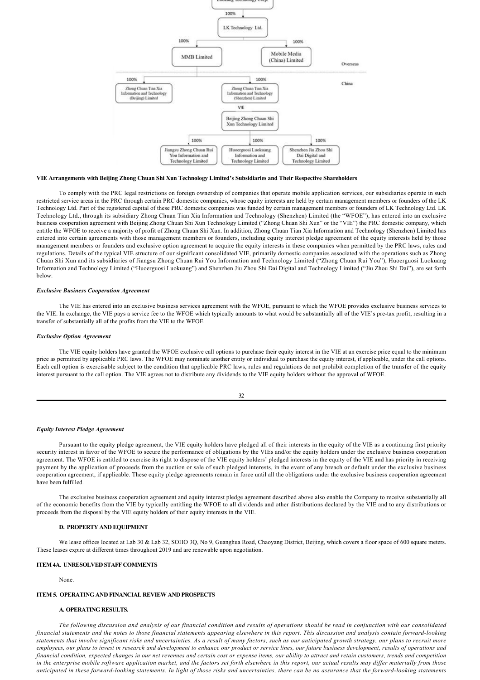

#### **VIE Arrangements with Beijing Zhong Chuan Shi Xun Technology Limited's Subsidiaries and Their Respective Shareholders**

To comply with the PRC legal restrictions on foreign ownership of companies that operate mobile application services, our subsidiaries operate in such restricted service areas in the PRC through certain PRC domestic companies, whose equity interests are held by certain management members or founders of the LK Technology Ltd. Part of the registered capital of these PRC domestic companies was funded by certain management members or founders of LK Technology Ltd. LK Technology Ltd., through its subsidiary Zhong Chuan Tian Xia Information and Technology (Shenzhen) Limited (the "WFOE"), has entered into an exclusive business cooperation agreement with Beijing Zhong Chuan Shi Xun Technology Limited ("Zhong Chuan Shi Xun" or the "VIE") the PRC domestic company, which entitle the WFOE to receive a majority of profit of Zhong Chuan Shi Xun. In addition, Zhong Chuan Tian Xia Information and Technology (Shenzhen) Limited has entered into certain agreements with those management members or founders, including equity interest pledge agreement of the equity interests held by those management members or founders and exclusive option agreement to acquire the equity interests in these companies when permitted by the PRC laws, rules and regulations. Details of the typical VIE structure of our significant consolidated VIE, primarily domestic companies associated with the operations such as Zhong Chuan Shi Xun and its subsidiaries of Jiangsu Zhong Chuan Rui You Information and Technology Limited ("Zhong Chuan Rui You"), Huoerguosi Luokuang Information and Technology Limited ("Huoerguosi Luokuang") and Shenzhen Jiu Zhou Shi Dai Digital and Technology Limited ("Jiu Zhou Shi Dai"), are set forth below:

#### *Exclusive Business Cooperation Agreement*

The VIE has entered into an exclusive business services agreement with the WFOE, pursuant to which the WFOE provides exclusive business services to the VIE. In exchange, the VIE pays a service fee to the WFOE which typically amounts to what would be substantially all of the VIE's pre-tax profit, resulting in a transfer of substantially all of the profits from the VIE to the WFOE.

#### *Exclusive Option Agreement*

The VIE equity holders have granted the WFOE exclusive call options to purchase their equity interest in the VIE at an exercise price equal to the minimum price as permitted by applicable PRC laws. The WFOE may nominate another entity or individual to purchase the equity interest, if applicable, under the call options. Each call option is exercisable subject to the condition that applicable PRC laws, rules and regulations do not prohibit completion of the transfer of the equity interest pursuant to the call option. The VIE agrees not to distribute any dividends to the VIE equity holders without the approval of WFOE.

# *Equity Interest Pledge Agreement*

Pursuant to the equity pledge agreement, the VIE equity holders have pledged all of their interests in the equity of the VIE as a continuing first priority security interest in favor of the WFOE to secure the performance of obligations by the VIEs and/or the equity holders under the exclusive business cooperation agreement. The WFOE is entitled to exercise its right to dispose of the VIE equity holders' pledged interests in the equity of the VIE and has priority in receiving payment by the application of proceeds from the auction or sale of such pledged interests, in the event of any breach or default under the exclusive business cooperation agreement, if applicable. These equity pledge agreements remain in force until all the obligations under the exclusive business cooperation agreement have been fulfilled.

The exclusive business cooperation agreement and equity interest pledge agreement described above also enable the Company to receive substantially all of the economic benefits from the VIE by typically entitling the WFOE to all dividends and other distributions declared by the VIE and to any distributions or proceeds from the disposal by the VIE equity holders of their equity interests in the VIE.

#### **D. PROPERTY AND EQUIPMENT**

We lease offices located at Lab 30 & Lab 32, SOHO 3Q, No 9, Guanghua Road, Chaoyang District, Beijing, which covers a floor space of 600 square meters. These leases expire at different times throughout 2019 and are renewable upon negotiation.

#### **ITEM 4A. UNRESOLVED STAFF COMMENTS**

None.

# **ITEM 5. OPERATING AND FINANCIAL REVIEW AND PROSPECTS**

## **A***.* **OPERATING RESULTS.**

*The following discussion and analysis of our financial condition and results of operations should be read in conjunction with our consolidated* financial statements and the notes to those financial statements appearing elsewhere in this report. This discussion and analysis contain forward-looking *statements that involve significant risks and uncertainties. As a result of many factors, such as our anticipated growth strategy, our plans to recruit more employees, our plans to invest in research and development to enhance our product or service lines, our future business development, results of operations and financial condition, expected changes in our net revenues and certain cost or expense items, our ability to attract and retain customers, trends and competition in the enterprise mobile software application market, and the factors set forth elsewhere in this report, our actual results may differ materially from those* anticipated in these forward-looking statements. In light of those risks and uncertainties, there can be no assurance that the forward-looking statements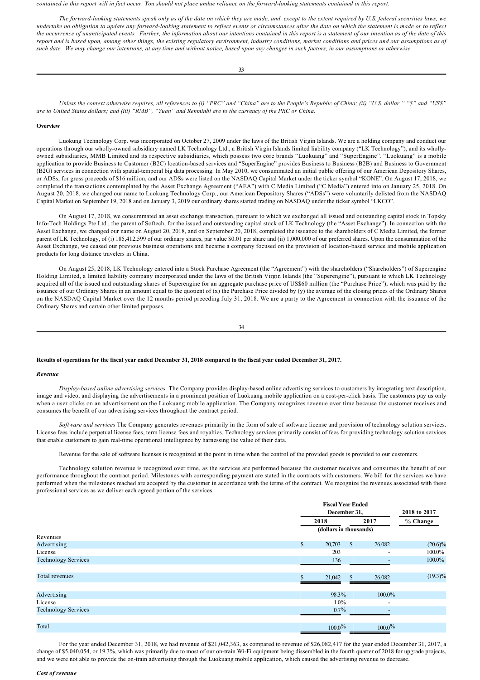contained in this report will in fact occur. You should not place undue reliance on the forward-looking statements contained in this report.

*The forwardlooking statements speak only as of the date on which they are made, and, except to the extent required by U.S. federal securities laws, we undertake no obligation to update any forwardlooking statement to reflect events or circumstances after the date on which the statement is made or to reflect the occurrence of unanticipated events. Further, the information about our intentions contained in this report is a statement of our intention as of the date of this report and is based upon, among other things, the existing regulatory environment, industry conditions, market conditions and prices and our assumptions as of such date. We may change our intentions, at any time and without notice, based upon any changes in such factors, in our assumptions or otherwise.*

*Unless the context otherwise requires, all references to (i) "PRC" and "China" are to the People's Republic of China; (ii) "U.S. dollar," "\$" and "US\$" are to United States dollars; and (iii) "RMB", "Yuan" and Renminbi are to the currency of the PRC or China.*

### **Overview**

Luokung Technology Corp. was incorporated on October 27, 2009 under the laws of the British Virgin Islands. We are a holding company and conduct our operations through our wholly-owned subsidiary named LK Technology Ltd., a British Virgin Islands limited liability company ("LK Technology"), and its whollyowned subsidiaries, MMB Limited and its respective subsidiaries, which possess two core brands "Luokuang" and "SuperEngine". "Luokuang" is a mobile application to provide Business to Customer (B2C) location-based services and "SuperEngine" provides Business to Business (B2B) and Business to Government (B2G) services in connection with spatial-temporal big data processing. In May 2010, we consummated an initial public offering of our American Depository Shares, or ADSs, for gross proceeds of \$16 million, and our ADSs were listed on the NASDAQ Capital Market under the ticker symbol "KONE". On August 17, 2018, we completed the transactions contemplated by the Asset Exchange Agreement ("AEA") with C Media Limited ("C Media") entered into on January 25, 2018. On August 20, 2018, we changed our name to Luokung Technology Corp., our American Depository Shares ("ADSs") were voluntarily delisted from the NASDAQ Capital Market on September 19, 2018 and on January 3, 2019 our ordinary shares started trading on NASDAQ under the ticker symbol "LKCO".

On August 17, 2018, we consummated an asset exchange transaction, pursuant to which we exchanged all issued and outstanding capital stock in Topsky Info-Tech Holdings Pte Ltd., the parent of Softech, for the issued and outstanding capital stock of LK Technology (the "Asset Exchange"). In connection with the Asset Exchange, we changed our name on August 20, 2018, and on September 20, 2018, completed the issuance to the shareholders of C Media Limited, the former parent of LK Technology, of (i) 185,412,599 of our ordinary shares, par value \$0.01 per share and (ii) 1,000,000 of our preferred shares. Upon the consummation of the Asset Exchange, we ceased our previous business operations and became a company focused on the provision of location-based service and mobile application products for long distance travelers in China.

On August 25, 2018, LK Technology entered into a Stock Purchase Agreement (the "Agreement") with the shareholders ("Shareholders") of Superengine Holding Limited, a limited liability company incorporated under the laws of the British Virgin Islands (the "Superengine"), pursuant to which LK Technology acquired all of the issued and outstanding shares of Superengine for an aggregate purchase price of US\$60 million (the "Purchase Price"), which was paid by the issuance of our Ordinary Shares in an amount equal to the quotient of (x) the Purchase Price divided by (y) the average of the closing prices of the Ordinary Shares on the NASDAQ Capital Market over the 12 months period preceding July 31, 2018. We are a party to the Agreement in connection with the issuance of the Ordinary Shares and certain other limited purposes.

34

### **Results of operations for the fiscal year ended December 31, 2018 compared to the fiscal year ended December 31, 2017.**

### *Revenue*

*Displaybased online advertising services.* The Company provides displaybased online advertising services to customers by integrating text description, image and video, and displaying the advertisements in a prominent position of Luokuang mobile application on a cost-per-click basis. The customers pay us only when a user clicks on an advertisement on the Luokuang mobile application. The Company recognizes revenue over time because the customer receives and consumes the benefit of our advertising services throughout the contract period.

*Software and services* The Company generates revenues primarily in the form of sale of software license and provision of technology solution services. License fees include perpetual license fees, term license fees and royalties. Technology services primarily consist of fees for providing technology solution services that enable customers to gain real-time operational intelligence by harnessing the value of their data.

Revenue for the sale of software licenses is recognized at the point in time when the control of the provided goods is provided to our customers.

Technology solution revenue is recognized over time, as the services are performed because the customer receives and consumes the benefit of our performance throughout the contract period. Milestones with corresponding payment are stated in the contracts with customers. We bill for the services we have performed when the milestones reached are accepted by the customer in accordance with the terms of the contract. We recognize the revenues associated with these professional services as we deliver each agreed portion of the services.

|                            |              | <b>Fiscal Year Ended</b><br>December 31, |               |                          | 2018 to 2017 |
|----------------------------|--------------|------------------------------------------|---------------|--------------------------|--------------|
|                            |              | 2018                                     |               | 2017                     | % Change     |
|                            |              | (dollars in thousands)                   |               |                          |              |
| Revenues                   |              |                                          |               |                          |              |
| Advertising                | $\mathbb{S}$ | 20,703                                   | <sup>\$</sup> | 26,082                   | $(20.6)\%$   |
| License                    |              | 203                                      |               |                          | 100.0%       |
| <b>Technology Services</b> |              | 136                                      |               |                          | 100.0%       |
| Total revenues             |              | 21,042                                   | <sup>\$</sup> | 26,082                   | $(19.3)\%$   |
| Advertising                |              | 98.3%                                    |               | 100.0%                   |              |
| License                    |              | $1.0\%$                                  |               | $\overline{\phantom{a}}$ |              |
| <b>Technology Services</b> |              | $0.7\%$                                  |               |                          |              |
| Total                      |              | $100.0\%$                                |               | $100.0\%$                |              |

For the year ended December 31, 2018, we had revenue of \$21,042,363, as compared to revenue of \$26,082,417 for the year ended December 31, 2017, a change of \$5,040,054, or 19.3%, which was primarily due to most of our on-train Wi-Fi equipment being dissembled in the fourth quarter of 2018 for upgrade projects, and we were not able to provide the on-train advertising through the Luokuang mobile application, which caused the advertising revenue to decrease.

#### *Cost of revenue*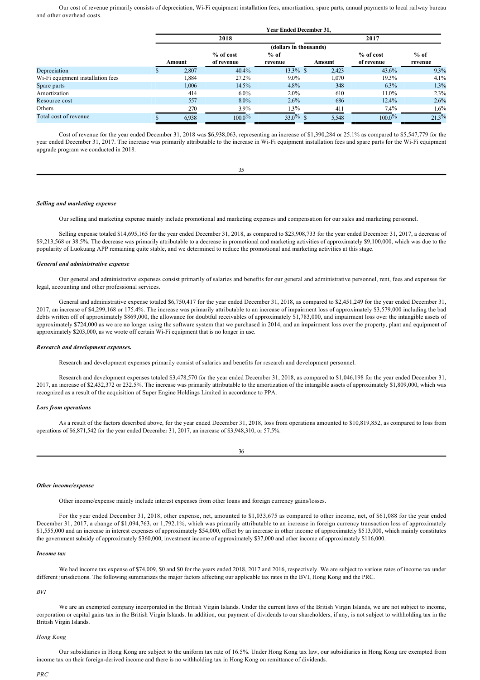Our cost of revenue primarily consists of depreciation, Wi-Fi equipment installation fees, amortization, spare parts, annual payments to local railway bureau and other overhead costs.

**Year Ended December 31,**

|                                   | rear Ended December 31, |             |             |        |            |          |  |
|-----------------------------------|-------------------------|-------------|-------------|--------|------------|----------|--|
|                                   |                         | 2018        |             |        | 2017       |          |  |
|                                   | (dollars in thousands)  |             |             |        |            |          |  |
|                                   |                         | $%$ of cost | $%$ of      |        | % of cost  | $%$ of   |  |
|                                   | Amount                  | of revenue  | revenue     | Amount | of revenue | revenue  |  |
| Depreciation                      | 2,807                   | 40.4%       | $13.3\%$ \$ | 2,423  | 43.6%      | $9.3\%$  |  |
| Wi-Fi equipment installation fees | .884                    | 27.2%       | $9.0\%$     | 1,070  | 19.3%      | $4.1\%$  |  |
| Spare parts                       | 1,006                   | 14.5%       | 4.8%        | 348    | $6.3\%$    | 1.3%     |  |
| Amortization                      | 414                     | $6.0\%$     | $2.0\%$     | 610    | 11.0%      | 2.3%     |  |
| Resource cost                     | 557                     | $8.0\%$     | 2.6%        | 686    | 12.4%      | 2.6%     |  |
| Others                            | 270                     | $3.9\%$     | $1.3\%$     | 411    | $7.4\%$    | $1.6\%$  |  |
| Total cost of revenue             | 6,938                   | $100.0\%$   | $33.0\%$ \$ | 5,548  | $100.0\%$  | $21.3\%$ |  |

Cost of revenue for the year ended December 31, 2018 was \$6,938,063, representing an increase of \$1,390,284 or 25.1% as compared to \$5,547,779 for the year ended December 31, 2017. The increase was primarily attributable to the increase in Wi-Fi equipment installation fees and spare parts for the Wi-Fi equipment upgrade program we conducted in 2018.

### *Selling and marketing expense*

Our selling and marketing expense mainly include promotional and marketing expenses and compensation for our sales and marketing personnel.

Selling expense totaled \$14,695,165 for the year ended December 31, 2018, as compared to \$23,908,733 for the year ended December 31, 2017, a decrease of \$9,213,568 or 38.5%. The decrease was primarily attributable to a decrease in promotional and marketing activities of approximately \$9,100,000, which was due to the popularity of Luokuang APP remaining quite stable, and we determined to reduce the promotional and marketing activities at this stage.

### *General and administrative expense*

Our general and administrative expenses consist primarily of salaries and benefits for our general and administrative personnel, rent, fees and expenses for legal, accounting and other professional services.

General and administrative expense totaled \$6,750,417 for the year ended December 31, 2018, as compared to \$2,451,249 for the year ended December 31, 2017, an increase of \$4,299,168 or 175.4%. The increase was primarily attributable to an increase of impairment loss of approximately \$3,579,000 including the bad debts written off of approximately \$869,000, the allowance for doubtful receivables of approximately \$1,783,000, and impairment loss over the intangible assets of approximately \$724,000 as we are no longer using the software system that we purchased in 2014, and an impairment loss over the property, plant and equipment of approximately \$203,000, as we wrote off certain Wi-Fi equipment that is no longer in use.

#### *Research and development expenses.*

Research and development expenses primarily consist of salaries and benefits for research and development personnel.

Research and development expenses totaled \$3,478,570 for the year ended December 31, 2018, as compared to \$1,046,198 for the year ended December 31, 2017, an increase of \$2,432,372 or 232.5%. The increase was primarily attributable to the amortization of the intangible assets of approximately \$1,809,000, which was recognized as a result of the acquisition of Super Engine Holdings Limited in accordance to PPA.

#### *Loss from operations*

As a result of the factors described above, for the year ended December 31, 2018, loss from operations amounted to \$10,819,852, as compared to loss from operations of \$6,871,542 for the year ended December 31, 2017, an increase of \$3,948,310, or 57.5%.

| m.            | ٧            |  |
|---------------|--------------|--|
| ۰,<br>۰.<br>_ | I<br>I<br>۰, |  |

#### *Other income/expense*

Other income/expense mainly include interest expenses from other loans and foreign currency gains/losses.

For the year ended December 31, 2018, other expense, net, amounted to \$1,033,675 as compared to other income, net, of \$61,088 for the year ended December 31, 2017, a change of \$1,094,763, or 1,792.1%, which was primarily attributable to an increase in foreign currency transaction loss of approximately \$1,555,000 and an increase in interest expenses of approximately \$54,000, offset by an increase in other income of approximately \$513,000, which mainly constitutes the government subsidy of approximately \$360,000, investment income of approximately \$37,000 and other income of approximately \$116,000.

# *Income tax*

We had income tax expense of \$74,009, \$0 and \$0 for the years ended 2018, 2017 and 2016, respectively. We are subject to various rates of income tax under different jurisdictions. The following summarizes the major factors affecting our applicable tax rates in the BVI, Hong Kong and the PRC.

## *BVI*

We are an exempted company incorporated in the British Virgin Islands. Under the current laws of the British Virgin Islands, we are not subject to income, corporation or capital gains tax in the British Virgin Islands. In addition, our payment of dividends to our shareholders, if any, is not subject to withholding tax in the British Virgin Islands.

# *Hong Kong*

Our subsidiaries in Hong Kong are subject to the uniform tax rate of 16.5%. Under Hong Kong tax law, our subsidiaries in Hong Kong are exempted from income tax on their foreign-derived income and there is no withholding tax in Hong Kong on remittance of dividends.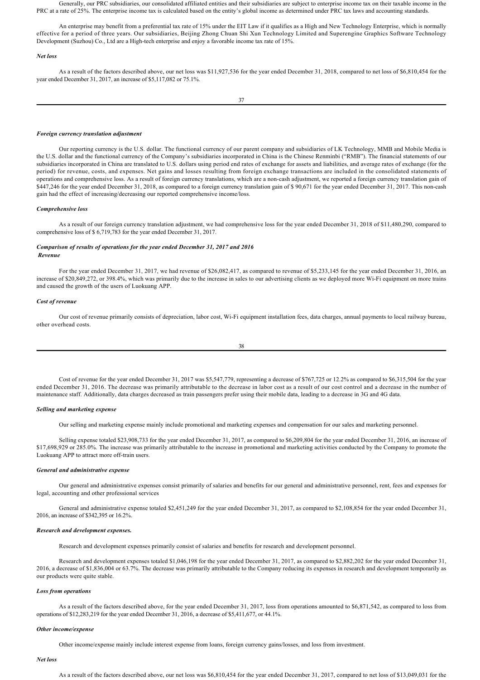Generally, our PRC subsidiaries, our consolidated affiliated entities and their subsidiaries are subject to enterprise income tax on their taxable income in the PRC at a rate of 25%. The enterprise income tax is calculated based on the entity's global income as determined under PRC tax laws and accounting standards.

An enterprise may benefit from a preferential tax rate of 15% under the EIT Law if it qualifies as a High and New Technology Enterprise, which is normally effective for a period of three years. Our subsidiaries, Beijing Zhong Chuan Shi Xun Technology Limited and Superengine Graphics Software Technology Development (Suzhou) Co., Ltd are a High-tech enterprise and enjoy a favorable income tax rate of 15%.

### *Net loss*

As a result of the factors described above, our net loss was \$11,927,536 for the year ended December 31, 2018, compared to net loss of \$6,810,454 for the year ended December 31, 2017, an increase of \$5,117,082 or 75.1%.

### *Foreign currency translation adjustment*

Our reporting currency is the U.S. dollar. The functional currency of our parent company and subsidiaries of LK Technology, MMB and Mobile Media is the U.S. dollar and the functional currency of the Company's subsidiaries incorporated in China is the Chinese Renminbi ("RMB"). The financial statements of our subsidiaries incorporated in China are translated to U.S. dollars using period end rates of exchange for assets and liabilities, and average rates of exchange (for the period) for revenue, costs, and expenses. Net gains and losses resulting from foreign exchange transactions are included in the consolidated statements of operations and comprehensive loss. As a result of foreign currency translations, which are a noncash adjustment, we reported a foreign currency translation gain of \$447,246 for the year ended December 31, 2018, as compared to a foreign currency translation gain of \$ 90,671 for the year ended December 31, 2017. This non-cash gain had the effect of increasing/decreasing our reported comprehensive income/loss.

### *Comprehensive loss*

As a result of our foreign currency translation adjustment, we had comprehensive loss for the year ended December 31, 2018 of \$11,480,290, compared to comprehensive loss of \$ 6,719,783 for the year ended December 31, 2017.

# *Comparison of results of operations for the year ended December 31, 2017 and 2016 Revenue*

For the year ended December 31, 2017, we had revenue of \$26,082,417, as compared to revenue of \$5,233,145 for the year ended December 31, 2016, an increase of \$20,849,272, or 398.4%, which was primarily due to the increase in sales to our advertising clients as we deployed more Wi-Fi equipment on more trains and caused the growth of the users of Luokuang APP.

### *Cost of revenue*

Our cost of revenue primarily consists of depreciation, labor cost, Wi-Fi equipment installation fees, data charges, annual payments to local railway bureau, other overhead costs.

$$
38 \\
$$

Cost of revenue for the year ended December 31, 2017 was \$5,547,779, representing a decrease of \$767,725 or 12.2% as compared to \$6,315,504 for the year ended December 31, 2016. The decrease was primarily attributable to the decrease in labor cost as a result of our cost control and a decrease in the number of maintenance staff. Additionally, data charges decreased as train passengers prefer using their mobile data, leading to a decrease in 3G and 4G data.

## *Selling and marketing expense*

Our selling and marketing expense mainly include promotional and marketing expenses and compensation for our sales and marketing personnel.

Selling expense totaled \$23,908,733 for the year ended December 31, 2017, as compared to \$6,209,804 for the year ended December 31, 2016, an increase of \$17,698,929 or 285.0%. The increase was primarily attributable to the increase in promotional and marketing activities conducted by the Company to promote the Luokuang APP to attract more off-train users.

### *General and administrative expense*

Our general and administrative expenses consist primarily of salaries and benefits for our general and administrative personnel, rent, fees and expenses for legal, accounting and other professional services

General and administrative expense totaled \$2,451,249 for the year ended December 31, 2017, as compared to \$2,108,854 for the year ended December 31, 2016, an increase of \$342,395 or 16.2%.

### *Research and development expenses.*

Research and development expenses primarily consist of salaries and benefits for research and development personnel.

Research and development expenses totaled \$1,046,198 for the year ended December 31, 2017, as compared to \$2,882,202 for the year ended December 31, 2016, a decrease of \$1,836,004 or 63.7%. The decrease was primarily attributable to the Company reducing its expenses in research and development temporarily as our products were quite stable.

## *Loss from operations*

As a result of the factors described above, for the year ended December 31, 2017, loss from operations amounted to \$6,871,542, as compared to loss from operations of \$12,283,219 for the year ended December 31, 2016, a decrease of \$5,411,677, or 44.1%.

#### *Other income/expense*

Other income/expense mainly include interest expense from loans, foreign currency gains/losses, and loss from investment.

# *Net loss*

As a result of the factors described above, our net loss was \$6,810,454 for the year ended December 31, 2017, compared to net loss of \$13,049,031 for the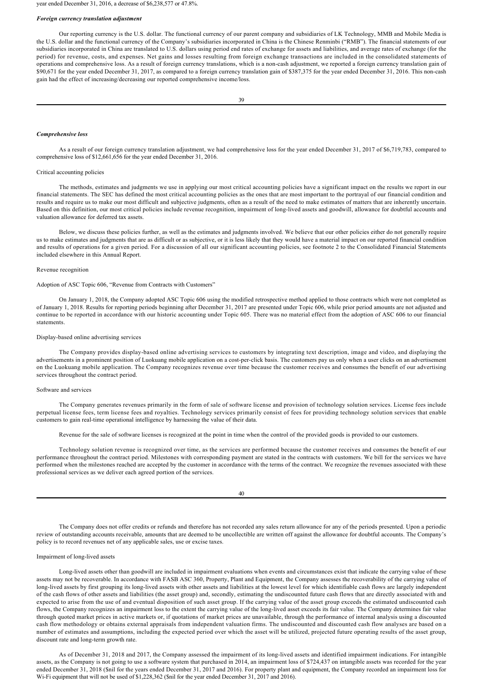year ended December 31, 2016, a decrease of \$6,238,577 or 47.8%.

#### *Foreign currency translation adjustment*

Our reporting currency is the U.S. dollar. The functional currency of our parent company and subsidiaries of LK Technology, MMB and Mobile Media is the U.S. dollar and the functional currency of the Company's subsidiaries incorporated in China is the Chinese Renminbi ("RMB"). The financial statements of our subsidiaries incorporated in China are translated to U.S. dollars using period end rates of exchange for assets and liabilities, and average rates of exchange (for the period) for revenue, costs, and expenses. Net gains and losses resulting from foreign exchange transactions are included in the consolidated statements of operations and comprehensive loss. As a result of foreign currency translations, which is a noncash adjustment, we reported a foreign currency translation gain of \$90,671 for the year ended December 31, 2017, as compared to a foreign currency translation gain of \$387,375 for the year ended December 31, 2016. This non-cash gain had the effect of increasing/decreasing our reported comprehensive income/loss.

#### *Comprehensive loss*

As a result of our foreign currency translation adjustment, we had comprehensive loss for the year ended December 31, 2017 of \$6,719,783, compared to comprehensive loss of \$12,661,656 for the year ended December 31, 2016.

### Critical accounting policies

The methods, estimates and judgments we use in applying our most critical accounting policies have a significant impact on the results we report in our financial statements. The SEC has defined the most critical accounting policies as the ones that are most important to the portrayal of our financial condition and results and require us to make our most difficult and subjective judgments, often as a result of the need to make estimates of matters that are inherently uncertain. Based on this definition, our most critical policies include revenue recognition, impairment of long-lived assets and goodwill, allowance for doubtful accounts and valuation allowance for deferred tax assets.

Below, we discuss these policies further, as well as the estimates and judgments involved. We believe that our other policies either do not generally require us to make estimates and judgments that are as difficult or as subjective, or it is less likely that they would have a material impact on our reported financial condition and results of operations for a given period. For a discussion of all our significant accounting policies, see footnote 2 to the Consolidated Financial Statements included elsewhere in this Annual Report.

## Revenue recognition

#### Adoption of ASC Topic 606, "Revenue from Contracts with Customers"

On January 1, 2018, the Company adopted ASC Topic 606 using the modified retrospective method applied to those contracts which were not completed as of January 1, 2018. Results for reporting periods beginning after December 31, 2017 are presented under Topic 606, while prior period amounts are not adjusted and continue to be reported in accordance with our historic accounting under Topic 605. There was no material effect from the adoption of ASC 606 to our financial statements.

### Display-based online advertising services

The Company provides display-based online advertising services to customers by integrating text description, image and video, and displaying the advertisements in a prominent position of Luokuang mobile application on a cost-per-click basis. The customers pay us only when a user clicks on an advertisement on the Luokuang mobile application. The Company recognizes revenue over time because the customer receives and consumes the benefit of our advertising services throughout the contract period.

#### Software and services

The Company generates revenues primarily in the form of sale of software license and provision of technology solution services. License fees include perpetual license fees, term license fees and royalties. Technology services primarily consist of fees for providing technology solution services that enable customers to gain real-time operational intelligence by harnessing the value of their data.

Revenue for the sale of software licenses is recognized at the point in time when the control of the provided goods is provided to our customers.

Technology solution revenue is recognized over time, as the services are performed because the customer receives and consumes the benefit of our performance throughout the contract period. Milestones with corresponding payment are stated in the contracts with customers. We bill for the services we have performed when the milestones reached are accepted by the customer in accordance with the terms of the contract. We recognize the revenues associated with these professional services as we deliver each agreed portion of the services.

#### 40

The Company does not offer credits or refunds and therefore has not recorded any sales return allowance for any of the periods presented. Upon a periodic review of outstanding accounts receivable, amounts that are deemed to be uncollectible are written off against the allowance for doubtful accounts. The Company's policy is to record revenues net of any applicable sales, use or excise taxes.

### Impairment of long-lived assets

Long-lived assets other than goodwill are included in impairment evaluations when events and circumstances exist that indicate the carrying value of these assets may not be recoverable. In accordance with FASB ASC 360, Property, Plant and Equipment, the Company assesses the recoverability of the carrying value of long-lived assets by first grouping its long-lived assets with other assets and liabilities at the lowest level for which identifiable cash flows are largely independent of the cash flows of other assets and liabilities (the asset group) and, secondly, estimating the undiscounted future cash flows that are directly associated with and expected to arise from the use of and eventual disposition of such asset group. If the carrying value of the asset group exceeds the estimated undiscounted cash flows, the Company recognizes an impairment loss to the extent the carrying value of the long-lived asset exceeds its fair value. The Company determines fair value through quoted market prices in active markets or, if quotations of market prices are unavailable, through the performance of internal analysis using a discounted cash flow methodology or obtains external appraisals from independent valuation firms. The undiscounted and discounted cash flow analyses are based on a number of estimates and assumptions, including the expected period over which the asset will be utilized, projected future operating results of the asset group, discount rate and long-term growth rate.

As of December 31, 2018 and 2017, the Company assessed the impairment of its long-lived assets and identified impairment indications. For intangible assets, as the Company is not going to use a software system that purchased in 2014, an impairment loss of \$724,437 on intangible assets was recorded for the year ended December 31, 2018 (\$nil for the years ended December 31, 2017 and 2016). For property plant and equipment, the Company recorded an impairment loss for Wi-Fi equipment that will not be used of \$1,228,362 (\$nil for the year ended December 31, 2017 and 2016).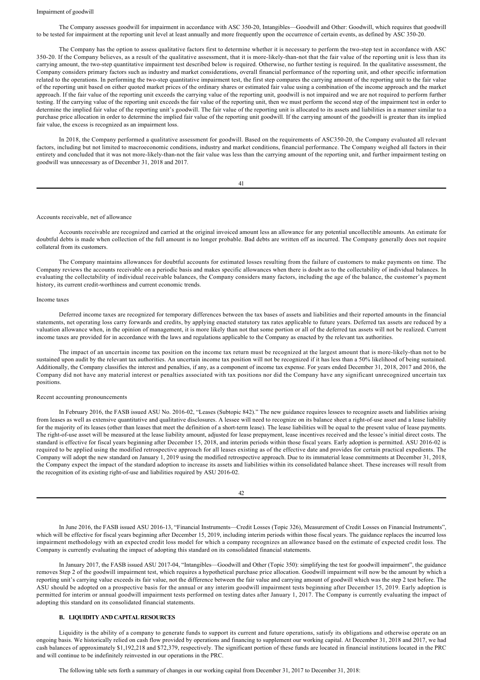# Impairment of goodwill

The Company assesses goodwill for impairment in accordance with ASC 35020, Intangibles—Goodwill and Other: Goodwill, which requires that goodwill to be tested for impairment at the reporting unit level at least annually and more frequently upon the occurrence of certain events, as defined by ASC 35020.

WiFi equipment that will not be used of \$1,228,362 (\$nil for the year ended December 31, 2017 and 2016).

The Company has the option to assess qualitative factors first to determine whether it is necessary to perform the two-step test in accordance with ASC 350-20. If the Company believes, as a result of the qualitative assessment, that it is more-likely-than-not that the fair value of the reporting unit is less than its carrying amount, the twostep quantitative impairment test described below is required. Otherwise, no further testing is required. In the qualitative assessment, the Company considers primary factors such as industry and market considerations, overall financial performance of the reporting unit, and other specific information related to the operations. In performing the two-step quantitative impairment test, the first step compares the carrying amount of the reporting unit to the fair value of the reporting unit based on either quoted market prices of the ordinary shares or estimated fair value using a combination of the income approach and the market approach. If the fair value of the reporting unit exceeds the carrying value of the reporting unit, goodwill is not impaired and we are not required to perform further testing. If the carrying value of the reporting unit exceeds the fair value of the reporting unit, then we must perform the second step of the impairment test in order to determine the implied fair value of the reporting unit's goodwill. The fair value of the reporting unit is allocated to its assets and liabilities in a manner similar to a purchase price allocation in order to determine the implied fair value of the reporting unit goodwill. If the carrying amount of the goodwill is greater than its implied fair value, the excess is recognized as an impairment loss.

In 2018, the Company performed a qualitative assessment for goodwill. Based on the requirements of ASC35020, the Company evaluated all relevant factors, including but not limited to macroeconomic conditions, industry and market conditions, financial performance. The Company weighed all factors in their entirety and concluded that it was not more-likely-than-not the fair value was less than the carrying amount of the reporting unit, and further impairment testing on goodwill was unnecessary as of December 31, 2018 and 2017.

41

### Accounts receivable, net of allowance

Accounts receivable are recognized and carried at the original invoiced amount less an allowance for any potential uncollectible amounts. An estimate for doubtful debts is made when collection of the full amount is no longer probable. Bad debts are written off as incurred. The Company generally does not require collateral from its customers.

The Company maintains allowances for doubtful accounts for estimated losses resulting from the failure of customers to make payments on time. The Company reviews the accounts receivable on a periodic basis and makes specific allowances when there is doubt as to the collectability of individual balances. In evaluating the collectability of individual receivable balances, the Company considers many factors, including the age of the balance, the customer's payment history, its current credit-worthiness and current economic trends.

### Income taxes

Deferred income taxes are recognized for temporary differences between the tax bases of assets and liabilities and their reported amounts in the financial statements, net operating loss carry forwards and credits, by applying enacted statutory tax rates applicable to future years. Deferred tax assets are reduced by a valuation allowance when, in the opinion of management, it is more likely than not that some portion or all of the deferred tax assets will not be realized. Current income taxes are provided for in accordance with the laws and regulations applicable to the Company as enacted by the relevant tax authorities.

The impact of an uncertain income tax position on the income tax return must be recognized at the largest amount that is more-likely-than not to be sustained upon audit by the relevant tax authorities. An uncertain income tax position will not be recognized if it has less than a 50% likelihood of being sustained. Additionally, the Company classifies the interest and penalties, if any, as a component of income tax expense. For years ended December 31, 2018, 2017 and 2016, the Company did not have any material interest or penalties associated with tax positions nor did the Company have any significant unrecognized uncertain tax positions.

#### Recent accounting pronouncements

In February 2016, the FASB issued ASU No. 2016-02, "Leases (Subtopic 842)." The new guidance requires lessees to recognize assets and liabilities arising from leases as well as extensive quantitative and qualitative disclosures. A lessee will need to recognize on its balance sheet a right-of-use asset and a lease liability for the majority of its leases (other than leases that meet the definition of a short-term lease). The lease liabilities will be equal to the present value of lease payments. The right-of-use asset will be measured at the lease liability amount, adjusted for lease prepayment, lease incentives received and the lessee's initial direct costs. The standard is effective for fiscal years beginning after December 15, 2018, and interim periods within those fiscal years. Early adoption is permitted. ASU 2016-02 is required to be applied using the modified retrospective approach for all leases existing as of the effective date and provides for certain practical expedients. The Company will adopt the new standard on January 1, 2019 using the modified retrospective approach. Due to its immaterial lease commitments at December 31, 2018, the Company expect the impact of the standard adoption to increase its assets and liabilities within its consolidated balance sheet. These increases will result from the recognition of its existing right-of-use and liabilities required by ASU 2016-02.

| ł |  |
|---|--|
|   |  |

In June 2016, the FASB issued ASU 201613, "Financial Instruments—Credit Losses (Topic 326), Measurement of Credit Losses on Financial Instruments", which will be effective for fiscal years beginning after December 15, 2019, including interim periods within those fiscal years. The guidance replaces the incurred loss impairment methodology with an expected credit loss model for which a company recognizes an allowance based on the estimate of expected credit loss. The Company is currently evaluating the impact of adopting this standard on its consolidated financial statements.

In January 2017, the FASB issued ASU 201704, "Intangibles—Goodwill and Other (Topic 350): simplifying the test for goodwill impairment", the guidance removes Step 2 of the goodwill impairment test, which requires a hypothetical purchase price allocation. Goodwill impairment will now be the amount by which a reporting unit's carrying value exceeds its fair value, not the difference between the fair value and carrying amount of goodwill which was the step 2 test before. The ASU should be adopted on a prospective basis for the annual or any interim goodwill impairment tests beginning after December 15, 2019. Early adoption is permitted for interim or annual goodwill impairment tests performed on testing dates after January 1, 2017. The Company is currently evaluating the impact of adopting this standard on its consolidated financial statements.

# **B. LIQUIDITY AND CAPITAL RESOURCES**

Liquidity is the ability of a company to generate funds to support its current and future operations, satisfy its obligations and otherwise operate on an ongoing basis. We historically relied on cash flow provided by operations and financing to supplement our working capital. At December 31, 2018 and 2017, we had cash balances of approximately \$1,192,218 and \$72,379, respectively. The significant portion of these funds are located in financial institutions located in the PRC and will continue to be indefinitely reinvested in our operations in the PRC.

The following table sets forth a summary of changes in our working capital from December 31, 2017 to December 31, 2018: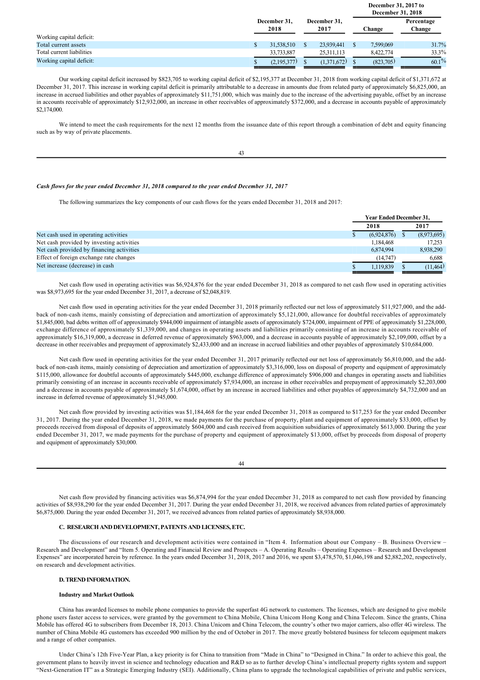|                           |                      |  |                      |  | December 31, 2017 to<br><b>December 31, 2018</b> |                      |  |  |
|---------------------------|----------------------|--|----------------------|--|--------------------------------------------------|----------------------|--|--|
|                           | December 31,<br>2018 |  | December 31,<br>2017 |  | Change                                           | Percentage<br>Change |  |  |
| Working capital deficit:  |                      |  |                      |  |                                                  |                      |  |  |
| Total current assets      | 31,538,510           |  | 23,939,441           |  | 7,599,069                                        | 31.7%                |  |  |
| Total current liabilities | 33,733,887           |  | 25,311,113           |  | 8.422.774                                        | 33.3%                |  |  |
| Working capital deficit:  | (2,195,377)          |  | (1,371,672)          |  | (823,705)                                        | $60.1\%$             |  |  |

Our working capital deficit increased by \$823,705 to working capital deficit of \$2,195,377 at December 31, 2018 from working capital deficit of \$1,371,672 at December 31, 2017. This increase in working capital deficit is primarily attributable to a decrease in amounts due from related party of approximately \$6,825,000, an increase in accrued liabilities and other payables of approximately \$11,751,000, which was mainly due to the increase of the advertising payable, offset by an increase in accounts receivable of approximately \$12,932,000, an increase in other receivables of approximately \$372,000, and a decrease in accounts payable of approximately \$2,174,000.

We intend to meet the cash requirements for the next 12 months from the issuance date of this report through a combination of debt and equity financing such as by way of private placements.

43

# *Cash flows for the year ended December 31, 2018 compared to the year ended December 31, 2017*

The following summarizes the key components of our cash flows for the years ended December 31, 2018 and 2017:

|                                           | <b>Year Ended December 31.</b> |  |             |  |
|-------------------------------------------|--------------------------------|--|-------------|--|
|                                           | 2018                           |  | 2017        |  |
| Net cash used in operating activities     | (6.924, 876)                   |  | (8,973,695) |  |
| Net cash provided by investing activities | 1.184.468                      |  | 17.253      |  |
| Net cash provided by financing activities | 6,874,994                      |  | 8,938,290   |  |
| Effect of foreign exchange rate changes   | (14,747)                       |  | 6,688       |  |
| Net increase (decrease) in cash           | 1.119.839                      |  | (11,464)    |  |

Net cash flow used in operating activities was \$6,924,876 for the year ended December 31, 2018 as compared to net cash flow used in operating activities was \$8,973,695 for the year ended December 31, 2017, a decrease of \$2,048,819.

Net cash flow used in operating activities for the year ended December 31, 2018 primarily reflected our net loss of approximately \$11,927,000, and the addback of non-cash items, mainly consisting of depreciation and amortization of approximately \$5,121,000, allowance for doubtful receivables of approximately \$1,845,000, bad debts written off of approximately \$944,000 impairment of intangible assets of approximately \$724,000, impairment of PPE of approximately \$1,228,000, exchange difference of approximately \$1,339,000, and changes in operating assets and liabilities primarily consisting of an increase in accounts receivable of approximately \$16,319,000, a decrease in deferred revenue of approximately \$963,000, and a decrease in accounts payable of approximately \$2,109,000, offset by a decrease in other receivables and prepayment of approximately \$2,433,000 and an increase in accrued liabilities and other payables of approximately \$10,684,000.

Net cash flow used in operating activities for the year ended December 31, 2017 primarily reflected our net loss of approximately \$6,810,000, and the addback of non-cash items, mainly consisting of depreciation and amortization of approximately \$3,316,000, loss on disposal of property and equipment of approximately \$115,000, allowance for doubtful accounts of approximately \$445,000, exchange difference of approximately \$906,000 and changes in operating assets and liabilities primarily consisting of an increase in accounts receivable of approximately \$7,934,000, an increase in other receivables and prepayment of approximately \$2,203,000 and a decrease in accounts payable of approximately \$1,674,000, offset by an increase in accrued liabilities and other payables of approximately \$4,732,000 and an increase in deferred revenue of approximately \$1,945,000.

Net cash flow provided by investing activities was \$1,184,468 for the year ended December 31, 2018 as compared to \$17,253 for the year ended December 31, 2017. During the year ended December 31, 2018, we made payments for the purchase of property, plant and equipment of approximately \$33,000, offset by proceeds received from disposal of deposits of approximately \$604,000 and cash received from acquisition subsidiaries of approximately \$613,000. During the year ended December 31, 2017, we made payments for the purchase of property and equipment of approximately \$13,000, offset by proceeds from disposal of property and equipment of approximately \$30,000.

 $\overline{44}$ 

Net cash flow provided by financing activities was \$6,874,994 for the year ended December 31, 2018 as compared to net cash flow provided by financing activities of \$8,938,290 for the year ended December 31, 2017. During the year ended December 31, 2018, we received advances from related parties of approximately \$6,875,000. During the year ended December 31, 2017, we received advances from related parties of approximately \$8,938,000.

# **C. RESEARCH AND DEVELOPMENT, PATENTS AND LICENSES, ETC.**

The discussions of our research and development activities were contained in "Item 4. Information about our Company – B. Business Overview – Research and Development" and "Item 5. Operating and Financial Review and Prospects – A. Operating Results – Operating Expenses – Research and Development Expenses" are incorporated herein by reference. In the years ended December 31, 2018, 2017 and 2016, we spent \$3,478,570, \$1,046,198 and \$2,882,202, respectively, on research and development activities.

### **D. TREND INFORMATION.**

### **Industry and Market Outlook**

China has awarded licenses to mobile phone companies to provide the superfast 4G network to customers. The licenses, which are designed to give mobile phone users faster access to services, were granted by the government to China Mobile, China Unicom Hong Kong and China Telecom. Since the grants, China Mobile has offered 4G to subscribers from December 18, 2013. China Unicom and China Telecom, the country's other two major carriers, also offer 4G wireless. The number of China Mobile 4G customers has exceeded 900 million by the end of October in 2017. The move greatly bolstered business for telecom equipment makers and a range of other companies.

Under China's 12th Five-Year Plan, a key priority is for China to transition from "Made in China" to "Designed in China." In order to achieve this goal, the government plans to heavily invest in science and technology education and R&D so as to further develop China's intellectual property rights system and support "Next-Generation IT" as a Strategic Emerging Industry (SEI). Additionally, China plans to upgrade the technological capabilities of private and public services,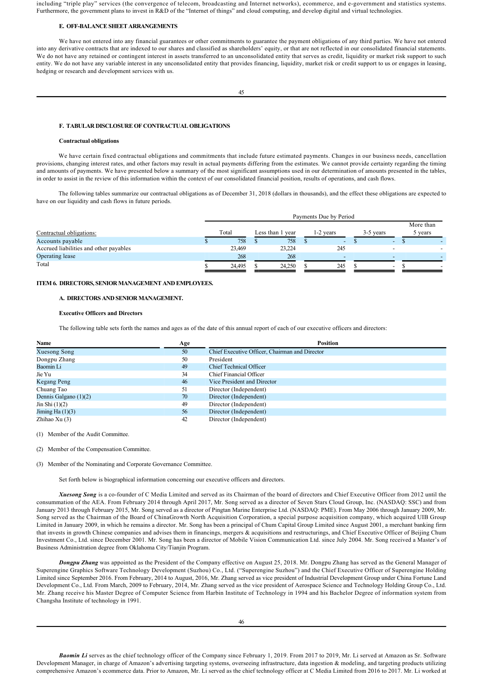including "triple play" services (the convergence of telecom, broadcasting and Internet networks), ecommerce, and e-government and statistics systems. Furthermore, the government plans to invest in R&D of the "Internet of things" and cloud computing, and develop digital and virtual technologies.

#### **E. OFF-RALANCE SHEET ARRANGEMENTS**

We have not entered into any financial guarantees or other commitments to guarantee the payment obligations of any third parties. We have not entered into any derivative contracts that are indexed to our shares and classified as shareholders' equity, or that are not reflected in our consolidated financial statements. We do not have any retained or contingent interest in assets transferred to an unconsolidated entity that serves as credit, liquidity or market risk support to such entity. We do not have any variable interest in any unconsolidated entity that provides financing, liquidity, market risk or credit support to us or engages in leasing, hedging or research and development services with us.

#### **F. TABULAR DISCLOSURE OF CONTRACTUAL OBLIGATIONS**

## **Contractual obligations**

We have certain fixed contractual obligations and commitments that include future estimated payments. Changes in our business needs, cancellation provisions, changing interest rates, and other factors may result in actual payments differing from the estimates. We cannot provide certainty regarding the timing and amounts of payments. We have presented below a summary of the most significant assumptions used in our determination of amounts presented in the tables, in order to assist in the review of this information within the context of our consolidated financial position, results of operations, and cash flows.

The following tables summarize our contractual obligations as of December 31, 2018 (dollars in thousands), and the effect these obligations are expected to have on our liquidity and cash flows in future periods.

|                                        | Payments Due by Period |        |  |                  |  |                          |  |                          |  |                      |
|----------------------------------------|------------------------|--------|--|------------------|--|--------------------------|--|--------------------------|--|----------------------|
| Contractual obligations:               |                        | Total  |  | Less than 1 year |  | 1-2 years                |  | 3-5 years                |  | More than<br>5 years |
| Accounts payable                       |                        | 758    |  | 758              |  | $\overline{\phantom{0}}$ |  | $\overline{\phantom{0}}$ |  |                      |
| Accrued liabilities and other payables |                        | 23,469 |  | 23,224           |  | 245                      |  |                          |  |                      |
| Operating lease                        |                        | 268    |  | 268              |  |                          |  |                          |  |                      |
| Total                                  |                        | 24,495 |  | 24.250           |  | 245                      |  | $\overline{\phantom{0}}$ |  |                      |

# **ITEM 6. DIRECTORS, SENIOR MANAGEMENT AND EMPLOYEES.**

# **A. DIRECTORS AND SENIOR MANAGEMENT.**

# **Executive Officers and Directors**

The following table sets forth the names and ages as of the date of this annual report of each of our executive officers and directors:

| Name                    | Age | <b>Position</b>                                |
|-------------------------|-----|------------------------------------------------|
| Xuesong Song            | 50  | Chief Executive Officer, Chairman and Director |
| Dongpu Zhang            | 50  | President                                      |
| Baomin Li               | 49  | <b>Chief Technical Officer</b>                 |
| Jie Yu                  | 34  | Chief Financial Officer                        |
| Kegang Peng             | 46  | Vice President and Director                    |
| Chuang Tao              | 51  | Director (Independent)                         |
| Dennis Galgano $(1)(2)$ | 70  | Director (Independent)                         |
| Jin Shi $(1)(2)$        | 49  | Director (Independent)                         |
| Jiming Ha $(1)(3)$      | 56  | Director (Independent)                         |
| Zhihao Xu $(3)$         | 42  | Director (Independent)                         |

(1) Member of the Audit Committee.

(2) Member of the Compensation Committee.

(3) Member of the Nominating and Corporate Governance Committee.

Set forth below is biographical information concerning our executive officers and directors.

*Xuesong Song* is a co-founder of C Media Limited and served as its Chairman of the board of directors and Chief Executive Officer from 2012 until the consummation of the AEA. From February 2014 through April 2017, Mr. Song served as a director of Seven Stars Cloud Group, Inc. (NASDAQ: SSC) and from January 2013 through February 2015, Mr. Song served as a director of Pingtan Marine Enterprise Ltd. (NASDAQ: PME). From May 2006 through January 2009, Mr. Song served as the Chairman of the Board of ChinaGrowth North Acquisition Corporation, a special purpose acquisition company, which acquired UIB Group Limited in January 2009, in which he remains a director. Mr. Song has been a principal of Chum Capital Group Limited since August 2001, a merchant banking firm that invests in growth Chinese companies and advises them in financings, mergers & acquisitions and restructurings, and Chief Executive Officer of Beijing Chum Investment Co., Ltd. since December 2001. Mr. Song has been a director of Mobile Vision Communication Ltd. since July 2004. Mr. Song received a Master's of Business Administration degree from Oklahoma City/Tianjin Program.

**Dongpu Zhang** was appointed as the President of the Company effective on August 25, 2018. Mr. Dongpu Zhang has served as the General Manager of Superengine Graphics Software Technology Development (Suzhou) Co., Ltd. ("Superengine Suzhou") and the Chief Executive Officer of Superengine Holding Limited since September 2016. From February, 2014 to August, 2016, Mr. Zhang served as vice president of Industrial Development Group under China Fortune Land Development Co., Ltd. From March, 2009 to February, 2014, Mr. Zhang served as the vice president of Aerospace Science and Technology Holding Group Co., Ltd. Mr. Zhang receive his Master Degree of Computer Science from Harbin Institute of Technology in 1994 and his Bachelor Degree of information system from Changsha Institute of technology in 1991.

*Baomin Li* serves as the chief technology officer of the Company since February 1, 2019. From 2017 to 2019, Mr. Li served at Amazon as Sr. Software Development Manager, in charge of Amazon's advertising targeting systems, overseeing infrastructure, data ingestion & modeling, and targeting products utilizing comprehensive Amazon's ecommerce data. Prior to Amazon, Mr. Li served as the chief technology officer at C Media Limited from 2016 to 2017. Mr. Li worked at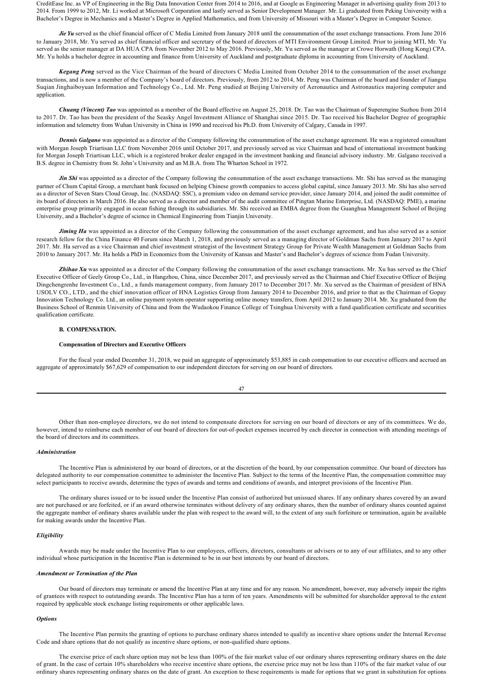CreditEase Inc. as VP of Engineering in the Big Data Innovation Center from 2014 to 2016, and at Google as Engineering Manager in advertising quality from 2013 to 2014. From 1999 to 2012, Mr. Li worked at Microsoft Corporation and lastly served as Senior Development Manager. Mr. Li graduated from Peking University with a Bachelor's Degree in Mechanics and a Master's Degree in Applied Mathematics, and from University of Missouri with a Master's Degree in Computer Science.

Jie Yu served as the chief financial officer of C Media Limited from January 2018 until the consummation of the asset exchange transactions. From June 2016 to January 2018, Mr. Yu served as chief financial officer and secretary of the board of directors of MTI Environment Group Limited. Prior to joining MTI, Mr. Yu served as the senior manager at DA HUA CPA from November 2012 to May 2016. Previously, Mr. Yu served as the manager at Crowe Horwath (Hong Kong) CPA. Mr. Yu holds a bachelor degree in accounting and finance from University of Auckland and postgraduate diploma in accounting from University of Auckland.

*Kegang Peng* served as the Vice Chairman of the board of directors C Media Limited from October 2014 to the consummation of the asset exchange transactions, and is now a member of the Company's board of directors. Previously, from 2012 to 2014, Mr. Peng was Chairman of the board and founder of Jiangsu Suqian Jinghaiboyuan Information and Technology Co., Ltd. Mr. Peng studied at Beijing University of Aeronautics and Astronautics majoring computer and application.

*Chuang (Vincent) Tao* was appointed as a member of the Board effective on August 25, 2018. Dr. Tao was the Chairman of Superengine Suzhou from 2014 to 2017. Dr. Tao has been the president of the Seasky Angel Investment Alliance of Shanghai since 2015. Dr. Tao received his Bachelor Degree of geographic information and telemetry from Wuhan University in China in 1990 and received his Ph.D. from University of Calgary, Canada in 1997.

*Dennis Galgano* was appointed as a director of the Company following the consummation of the asset exchange agreement. He was a registered consultant with Morgan Joseph Triartisan LLC from November 2016 until October 2017, and previously served as vice Chairman and head of international investment banking for Morgan Joseph Triartisan LLC, which is a registered broker dealer engaged in the investment banking and financial advisory industry. Mr. Galgano received a B.S. degree in Chemistry from St. John's University and an M.B.A. from The Wharton School in 1972.

Jin Shi was appointed as a director of the Company following the consummation of the asset exchange transactions. Mr. Shi has served as the managing partner of Chum Capital Group, a merchant bank focused on helping Chinese growth companies to access global capital, since January 2013. Mr. Shi has also served as a director of Seven Stars Cloud Group, Inc. (NASDAQ: SSC), a premium video on demand service provider, since January 2014, and joined the audit committee of its board of directors in March 2016. He also served as a director and member of the audit committee of Pingtan Marine Enterprise, Ltd. (NASDAQ: PME), a marine enterprise group primarily engaged in ocean fishing through its subsidiaries. Mr. Shi received an EMBA degree from the Guanghua Management School of Beijing University, and a Bachelor's degree of science in Chemical Engineering from Tianjin University.

*Jiming Ha* was appointed as a director of the Company following the consummation of the asset exchange agreement, and has also served as a senior research fellow for the China Finance 40 Forum since March 1, 2018, and previously served as a managing director of Goldman Sachs from January 2017 to April 2017. Mr. Ha served as a vice Chairman and chief investment strategist of the Investment Strategy Group for Private Wealth Management at Goldman Sachs from 2010 to January 2017. Mr. Ha holds a PhD in Economics from the University of Kansas and Master's and Bachelor's degrees of science from Fudan University.

Zhihao Xu was appointed as a director of the Company following the consummation of the asset exchange transactions. Mr. Xu has served as the Chief Executive Officer of Geely Group Co., Ltd., in Hangzhou, China, since December 2017, and previously served as the Chairman and Chief Executive Officer of Beijing Dingchengrenhe Investment Co., Ltd., a funds management company, from January 2017 to December 2017. Mr. Xu served as the Chairman of president of HNA USOLV CO., LTD., and the chief innovation officer of HNA Logistics Group from January 2014 to December 2016, and prior to that as the Chairman of Gopay Innovation Technology Co. Ltd., an online payment system operator supporting online money transfers, from April 2012 to January 2014. Mr. Xu graduated from the Business School of Renmin University of China and from the Wudaokou Finance College of Tsinghua University with a fund qualification certificate and securities qualification certificate.

## **B. COMPENSATION.**

### **Compensation of Directors and Executive Officers**

For the fiscal year ended December 31, 2018, we paid an aggregate of approximately \$53,885 in cash compensation to our executive officers and accrued an aggregate of approximately \$67,629 of compensation to our independent directors for serving on our board of directors.

47

Other than nonemployee directors, we do not intend to compensate directors for serving on our board of directors or any of its committees. We do, however, intend to reimburse each member of our board of directors for out-of-pocket expenses incurred by each director in connection with attending meetings of the board of directors and its committees.

#### *Administration*

The Incentive Plan is administered by our board of directors, or at the discretion of the board, by our compensation committee. Our board of directors has delegated authority to our compensation committee to administer the Incentive Plan. Subject to the terms of the Incentive Plan, the compensation committee may select participants to receive awards, determine the types of awards and terms and conditions of awards, and interpret provisions of the Incentive Plan.

The ordinary shares issued or to be issued under the Incentive Plan consist of authorized but unissued shares. If any ordinary shares covered by an award are not purchased or are forfeited, or if an award otherwise terminates without delivery of any ordinary shares, then the number of ordinary shares counted against the aggregate number of ordinary shares available under the plan with respect to the award will, to the extent of any such forfeiture or termination, again be available for making awards under the Incentive Plan.

### *Eligibility*

Awards may be made under the Incentive Plan to our employees, officers, directors, consultants or advisers or to any of our affiliates, and to any other individual whose participation in the Incentive Plan is determined to be in our best interests by our board of directors.

#### *Amendment or Termination of the Plan*

Our board of directors may terminate or amend the Incentive Plan at any time and for any reason. No amendment, however, may adversely impair the rights of grantees with respect to outstanding awards. The Incentive Plan has a term of ten years. Amendments will be submitted for shareholder approval to the extent required by applicable stock exchange listing requirements or other applicable laws.

#### *Options*

The Incentive Plan permits the granting of options to purchase ordinary shares intended to qualify as incentive share options under the Internal Revenue Code and share options that do not qualify as incentive share options, or non-qualified share options.

The exercise price of each share option may not be less than 100% of the fair market value of our ordinary shares representing ordinary shares on the date of grant. In the case of certain 10% shareholders who receive incentive share options, the exercise price may not be less than 110% of the fair market value of our ordinary shares representing ordinary shares on the date of grant. An exception to these requirements is made for options that we grant in substitution for options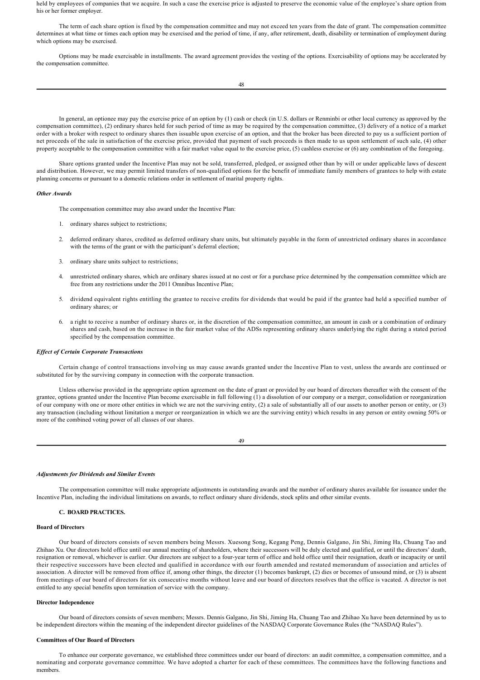held by employees of companies that we acquire. In such a case the exercise price is adjusted to preserve the economic value of the employee's share option from his or her former employer.

The term of each share option is fixed by the compensation committee and may not exceed ten years from the date of grant. The compensation committee determines at what time or times each option may be exercised and the period of time, if any, after retirement, death, disability or termination of employment during which options may be exercised.

Options may be made exercisable in installments. The award agreement provides the vesting of the options. Exercisability of options may be accelerated by the compensation committee.

In general, an optionee may pay the exercise price of an option by (1) cash or check (in U.S. dollars or Renminbi or other local currency as approved by the compensation committee), (2) ordinary shares held for such period of time as may be required by the compensation committee, (3) delivery of a notice of a market order with a broker with respect to ordinary shares then issuable upon exercise of an option, and that the broker has been directed to pay us a sufficient portion of net proceeds of the sale in satisfaction of the exercise price, provided that payment of such proceeds is then made to us upon settlement of such sale, (4) other property acceptable to the compensation committee with a fair market value equal to the exercise price, (5) cashless exercise or (6) any combination of the foregoing.

Share options granted under the Incentive Plan may not be sold, transferred, pledged, or assigned other than by will or under applicable laws of descent and distribution. However, we may permit limited transfers of nonqualified options for the benefit of immediate family members of grantees to help with estate planning concerns or pursuant to a domestic relations order in settlement of marital property rights.

### *Other Awards*

The compensation committee may also award under the Incentive Plan:

- 1. ordinary shares subject to restrictions;
- 2. deferred ordinary shares, credited as deferred ordinary share units, but ultimately payable in the form of unrestricted ordinary shares in accordance with the terms of the grant or with the participant's deferral election;
- 3. ordinary share units subject to restrictions;
- 4. unrestricted ordinary shares, which are ordinary shares issued at no cost or for a purchase price determined by the compensation committee which are free from any restrictions under the 2011 Omnibus Incentive Plan;
- 5. dividend equivalent rights entitling the grantee to receive credits for dividends that would be paid if the grantee had held a specified number of ordinary shares; or
- 6. a right to receive a number of ordinary shares or, in the discretion of the compensation committee, an amount in cash or a combination of ordinary shares and cash, based on the increase in the fair market value of the ADSs representing ordinary shares underlying the right during a stated period specified by the compensation committee.

## *Effect of Certain Corporate Transactions*

Certain change of control transactions involving us may cause awards granted under the Incentive Plan to vest, unless the awards are continued or substituted for by the surviving company in connection with the corporate transaction.

Unless otherwise provided in the appropriate option agreement on the date of grant or provided by our board of directors thereafter with the consent of the grantee, options granted under the Incentive Plan become exercisable in full following (1) a dissolution of our company or a merger, consolidation or reorganization of our company with one or more other entities in which we are not the surviving entity, (2) a sale of substantially all of our assets to another person or entity, or (3) any transaction (including without limitation a merger or reorganization in which we are the surviving entity) which results in any person or entity owning 50% or more of the combined voting power of all classes of our shares.

49

### *Adjustments for Dividends and Similar Events*

The compensation committee will make appropriate adjustments in outstanding awards and the number of ordinary shares available for issuance under the Incentive Plan, including the individual limitations on awards, to reflect ordinary share dividends, stock splits and other similar events.

# **C. BOARD PRACTICES.**

## **Board of Directors**

Our board of directors consists of seven members being Messrs. Xuesong Song, Kegang Peng, Dennis Galgano, Jin Shi, Jiming Ha, Chuang Tao and Zhihao Xu. Our directors hold office until our annual meeting of shareholders, where their successors will be duly elected and qualified, or until the directors' death, resignation or removal, whichever is earlier. Our directors are subject to a fouryear term of office and hold office until their resignation, death or incapacity or until their respective successors have been elected and qualified in accordance with our fourth amended and restated memorandum of association and articles of association. A director will be removed from office if, among other things, the director (1) becomes bankrupt, (2) dies or becomes of unsound mind, or (3) is absent from meetings of our board of directors for six consecutive months without leave and our board of directors resolves that the office is vacated. A director is not entitled to any special benefits upon termination of service with the company.

#### **Director Independence**

Our board of directors consists of seven members; Messrs. Dennis Galgano, Jin Shi, Jiming Ha, Chuang Tao and Zhihao Xu have been determined by us to be independent directors within the meaning of the independent director guidelines of the NASDAQ Corporate Governance Rules (the "NASDAQ Rules").

# **Committees of Our Board of Directors**

To enhance our corporate governance, we established three committees under our board of directors: an audit committee, a compensation committee, and a nominating and corporate governance committee. We have adopted a charter for each of these committees. The committees have the following functions and members.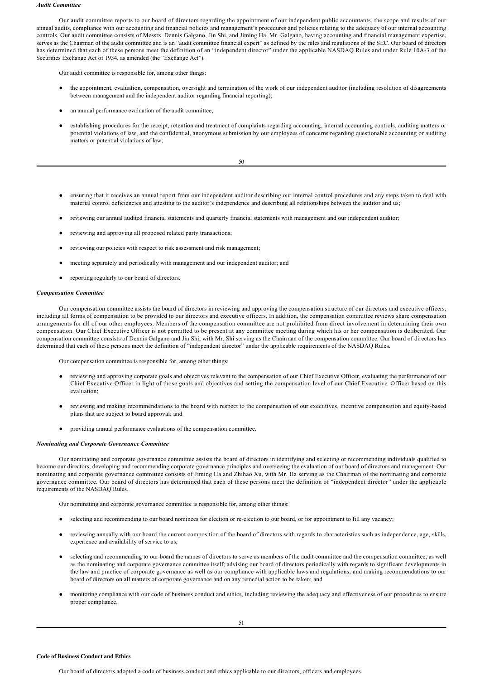#### *Audit Committee*

Our audit committee reports to our board of directors regarding the appointment of our independent public accountants, the scope and results of our annual audits, compliance with our accounting and financial policies and management's procedures and policies relating to the adequacy of our internal accounting controls. Our audit committee consists of Messrs. Dennis Galgano, Jin Shi, and Jiming Ha. Mr. Galgano, having accounting and financial management expertise, serves as the Chairman of the audit committee and is an "audit committee financial expert" as defined by the rules and regulations of the SEC. Our board of directors has determined that each of these persons meet the definition of an "independent director" under the applicable NASDAQ Rules and under Rule 10A-3 of the Securities Exchange Act of 1934, as amended (the "Exchange Act").

Our audit committee is responsible for, among other things:

- the appointment, evaluation, compensation, oversight and termination of the work of our independent auditor (including resolution of disagreements between management and the independent auditor regarding financial reporting);
- an annual performance evaluation of the audit committee;
- establishing procedures for the receipt, retention and treatment of complaints regarding accounting, internal accounting controls, auditing matters or potential violations of law, and the confidential, anonymous submission by our employees of concerns regarding questionable accounting or auditing matters or potential violations of law;

- ensuring that it receives an annual report from our independent auditor describing our internal control procedures and any steps taken to deal with material control deficiencies and attesting to the auditor's independence and describing all relationships between the auditor and us;
- reviewing our annual audited financial statements and quarterly financial statements with management and our independent auditor;
- reviewing and approving all proposed related party transactions;
- reviewing our policies with respect to risk assessment and risk management;
- meeting separately and periodically with management and our independent auditor; and
- reporting regularly to our board of directors.

### *Compensation Committee*

Our compensation committee assists the board of directors in reviewing and approving the compensation structure of our directors and executive officers, including all forms of compensation to be provided to our directors and executive officers. In addition, the compensation committee reviews share compensation arrangements for all of our other employees. Members of the compensation committee are not prohibited from direct involvement in determining their own compensation. Our Chief Executive Officer is not permitted to be present at any committee meeting during which his or her compensation is deliberated. Our compensation committee consists of Dennis Galgano and Jin Shi, with Mr. Shi serving as the Chairman of the compensation committee. Our board of directors has determined that each of these persons meet the definition of "independent director" under the applicable requirements of the NASDAQ Rules.

Our compensation committee is responsible for, among other things:

- reviewing and approving corporate goals and objectives relevant to the compensation of our Chief Executive Officer, evaluating the performance of our Chief Executive Officer in light of those goals and objectives and setting the compensation level of our Chief Executive Officer based on this evaluation;
- reviewing and making recommendations to the board with respect to the compensation of our executives, incentive compensation and equity-based plans that are subject to board approval; and
- providing annual performance evaluations of the compensation committee.

#### *Nominating and Corporate Governance Committee*

Our nominating and corporate governance committee assists the board of directors in identifying and selecting or recommending individuals qualified to become our directors, developing and recommending corporate governance principles and overseeing the evaluation of our board of directors and management. Our nominating and corporate governance committee consists of Jiming Ha and Zhihao Xu, with Mr. Ha serving as the Chairman of the nominating and corporate governance committee. Our board of directors has determined that each of these persons meet the definition of "independent director" under the applicable requirements of the NASDAQ Rules.

Our nominating and corporate governance committee is responsible for, among other things:

- selecting and recommending to our board nominees for election or re-election to our board, or for appointment to fill any vacancy;
- reviewing annually with our board the current composition of the board of directors with regards to characteristics such as independence, age, skills, experience and availability of service to us;
- selecting and recommending to our board the names of directors to serve as members of the audit committee and the compensation committee, as well as the nominating and corporate governance committee itself; advising our board of directors periodically with regards to significant developments in the law and practice of corporate governance as well as our compliance with applicable laws and regulations, and making recommendations to our board of directors on all matters of corporate governance and on any remedial action to be taken; and
- monitoring compliance with our code of business conduct and ethics, including reviewing the adequacy and effectiveness of our procedures to ensure proper compliance.

#### **Code of Business Conduct and Ethics**

Our board of directors adopted a code of business conduct and ethics applicable to our directors, officers and employees.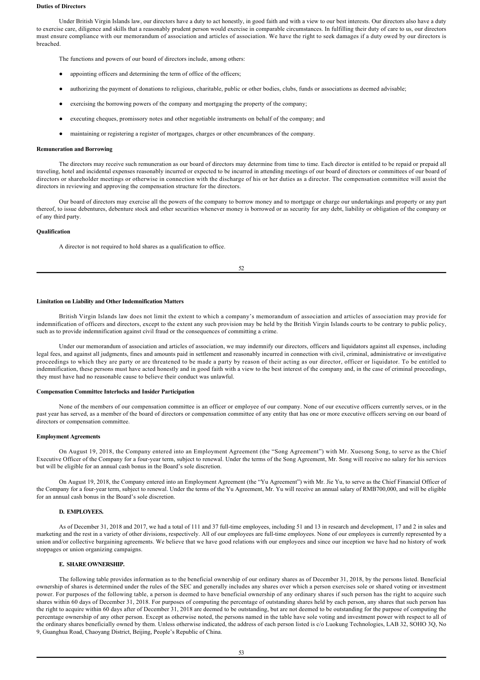### **Duties of Directors**

Under British Virgin Islands law, our directors have a duty to act honestly, in good faith and with a view to our best interests. Our directors also have a duty to exercise care, diligence and skills that a reasonably prudent person would exercise in comparable circumstances. In fulfilling their duty of care to us, our directors must ensure compliance with our memorandum of association and articles of association. We have the right to seek damages if a duty owed by our directors is breached.

The functions and powers of our board of directors include, among others:

- appointing officers and determining the term of office of the officers:
- authorizing the payment of donations to religious, charitable, public or other bodies, clubs, funds or associations as deemed advisable;
- exercising the borrowing powers of the company and mortgaging the property of the company;
- executing cheques, promissory notes and other negotiable instruments on behalf of the company; and
- maintaining or registering a register of mortgages, charges or other encumbrances of the company.

#### **Remuneration and Borrowing**

The directors may receive such remuneration as our board of directors may determine from time to time. Each director is entitled to be repaid or prepaid all traveling, hotel and incidental expenses reasonably incurred or expected to be incurred in attending meetings of our board of directors or committees of our board of directors or shareholder meetings or otherwise in connection with the discharge of his or her duties as a director. The compensation committee will assist the directors in reviewing and approving the compensation structure for the directors.

Our board of directors may exercise all the powers of the company to borrow money and to mortgage or charge our undertakings and property or any part thereof, to issue debentures, debenture stock and other securities whenever money is borrowed or as security for any debt, liability or obligation of the company or of any third party.

#### **Qualification**

A director is not required to hold shares as a qualification to office.

52

### **Limitation on Liability and Other Indemnification Matters**

British Virgin Islands law does not limit the extent to which a company's memorandum of association and articles of association may provide for indemnification of officers and directors, except to the extent any such provision may be held by the British Virgin Islands courts to be contrary to public policy, such as to provide indemnification against civil fraud or the consequences of committing a crime.

Under our memorandum of association and articles of association, we may indemnify our directors, officers and liquidators against all expenses, including legal fees, and against all judgments, fines and amounts paid in settlement and reasonably incurred in connection with civil, criminal, administrative or investigative proceedings to which they are party or are threatened to be made a party by reason of their acting as our director, officer or liquidator. To be entitled to indemnification, these persons must have acted honestly and in good faith with a view to the best interest of the company and, in the case of criminal proceedings, they must have had no reasonable cause to believe their conduct was unlawful.

# **Compensation Committee Interlocks and Insider Participation**

None of the members of our compensation committee is an officer or employee of our company. None of our executive officers currently serves, or in the past year has served, as a member of the board of directors or compensation committee of any entity that has one or more executive officers serving on our board of directors or compensation committee.

#### **Employment Agreements**

On August 19, 2018, the Company entered into an Employment Agreement (the "Song Agreement") with Mr. Xuesong Song, to serve as the Chief Executive Officer of the Company for a fouryear term, subject to renewal. Under the terms of the Song Agreement, Mr. Song will receive no salary for his services but will be eligible for an annual cash bonus in the Board's sole discretion.

On August 19, 2018, the Company entered into an Employment Agreement (the "Yu Agreement") with Mr. Jie Yu, to serve as the Chief Financial Officer of the Company for a four-year term, subject to renewal. Under the terms of the Yu Agreement, Mr. Yu will receive an annual salary of RMB700,000, and will be eligible for an annual cash bonus in the Board's sole discretion.

# **D. EMPLOYEES.**

As of December 31, 2018 and 2017, we had a total of 111 and 37 full-time employees, including 51 and 13 in research and development, 17 and 2 in sales and marketing and the rest in a variety of other divisions, respectively. All of our employees are full-time employees. None of our employees is currently represented by a union and/or collective bargaining agreements. We believe that we have good relations with our employees and since our inception we have had no history of work stoppages or union organizing campaigns.

### **E. SHARE OWNERSHIP.**

The following table provides information as to the beneficial ownership of our ordinary shares as of December 31, 2018, by the persons listed. Beneficial ownership of shares is determined under the rules of the SEC and generally includes any shares over which a person exercises sole or shared voting or investment power. For purposes of the following table, a person is deemed to have beneficial ownership of any ordinary shares if such person has the right to acquire such shares within 60 days of December 31, 2018. For purposes of computing the percentage of outstanding shares held by each person, any shares that such person has the right to acquire within 60 days after of December 31, 2018 are deemed to be outstanding, but are not deemed to be outstanding for the purpose of computing the percentage ownership of any other person. Except as otherwise noted, the persons named in the table have sole voting and investment power with respect to all of the ordinary shares beneficially owned by them. Unless otherwise indicated, the address of each person listed is c/o Luokung Technologies, LAB 32, SOHO 3Q, No 9, Guanghua Road, Chaoyang District, Beijing, People's Republic of China.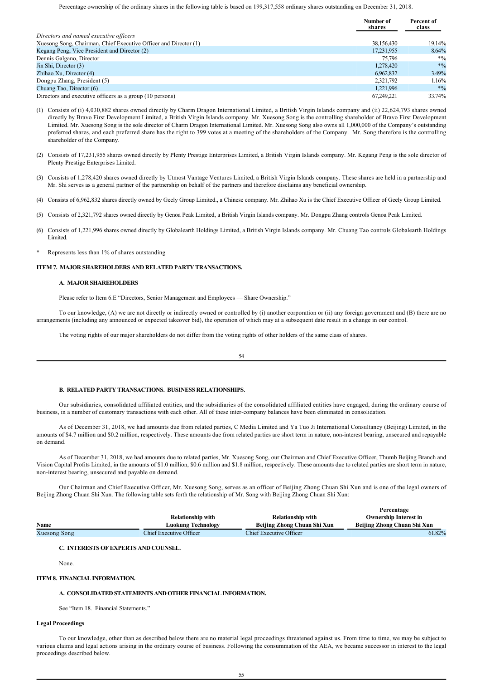Percentage ownership of the ordinary shares in the following table is based on 199,317,558 ordinary shares outstanding on December 31, 2018.

|                                                                  | Number of<br>shares | Percent of<br>class |
|------------------------------------------------------------------|---------------------|---------------------|
| Directors and named executive officers                           |                     |                     |
| Xuesong Song, Chairman, Chief Executive Officer and Director (1) | 38,156,430          | 19.14%              |
| Kegang Peng, Vice President and Director (2)                     | 17.231.955          | 8.64%               |
| Dennis Galgano, Director                                         | 75.796              | $*9/0$              |
| Jin Shi, Director (3)                                            | 1,278,420           | $*9/6$              |
| Zhihao Xu, Director (4)                                          | 6.962.832           | 3.49%               |
| Dongpu Zhang, President (5)                                      | 2,321,792           | $1.16\%$            |
| Chuang Tao, Director (6)                                         | 1.221.996           | $*9/0$              |
| Directors and executive officers as a group (10 persons)         | 67.249.221          | 33.74%              |

- (1) Consists of (i) 4,030,882 shares owned directly by Charm Dragon International Limited, a British Virgin Islands company and (ii) 22,624,793 shares owned directly by Bravo First Development Limited, a British Virgin Islands company. Mr. Xuesong Song is the controlling shareholder of Bravo First Development Limited. Mr. Xuesong Song is the sole director of Charm Dragon International Limited. Mr. Xuesong Song also owns all 1,000,000 of the Company's outstanding preferred shares, and each preferred share has the right to 399 votes at a meeting of the shareholders of the Company. Mr. Song therefore is the controlling shareholder of the Company.
- (2) Consists of 17,231,955 shares owned directly by Plenty Prestige Enterprises Limited, a British Virgin Islands company. Mr. Kegang Peng is the sole director of Plenty Prestige Enterprises Limited.
- (3) Consists of 1,278,420 shares owned directly by Utmost Vantage Ventures Limited, a British Virgin Islands company. These shares are held in a partnership and Mr. Shi serves as a general partner of the partnership on behalf of the partners and therefore disclaims any beneficial ownership.
- (4) Consists of 6,962,832 shares directly owned by Geely Group Limited., a Chinese company. Mr. Zhihao Xu is the Chief Executive Officer of Geely Group Limited.
- (5) Consists of 2,321,792 shares owned directly by Genoa Peak Limited, a British Virgin Islands company. Mr. Dongpu Zhang controls Genoa Peak Limited.
- (6) Consists of 1,221,996 shares owned directly by Globalearth Holdings Limited, a British Virgin Islands company. Mr. Chuang Tao controls Globalearth Holdings Limited.
- Represents less than 1% of shares outstanding

## **ITEM 7. MAJOR SHAREHOLDERS AND RELATED PARTY TRANSACTIONS.**

### **A. MAJOR SHAREHOLDERS**

Please refer to Item 6.E "Directors, Senior Management and Employees — Share Ownership."

To our knowledge, (A) we are not directly or indirectly owned or controlled by (i) another corporation or (ii) any foreign government and (B) there are no arrangements (including any announced or expected takeover bid), the operation of which may at a subsequent date result in a change in our control.

The voting rights of our major shareholders do not differ from the voting rights of other holders of the same class of shares.

54

#### **B. RELATED PARTY TRANSACTIONS. BUSINESS RELATIONSHIPS.**

Our subsidiaries, consolidated affiliated entities, and the subsidiaries of the consolidated affiliated entities have engaged, during the ordinary course of business, in a number of customary transactions with each other. All of these intercompany balances have been eliminated in consolidation.

As of December 31, 2018, we had amounts due from related parties, C Media Limited and Ya Tuo Ji International Consultancy (Beijing) Limited, in the amounts of \$4.7 million and \$0.2 million, respectively. These amounts due from related parties are short term in nature, non-interest bearing, unsecured and repayable on demand.

As of December 31, 2018, we had amounts due to related parties, Mr. Xuesong Song, our Chairman and Chief Executive Officer, Thumb Beijing Branch and Vision Capital Profits Limited, in the amounts of \$1.0 million, \$0.6 million and \$1.8 million, respectively. These amounts due to related parties are short term in nature, non-interest bearing, unsecured and payable on demand.

Our Chairman and Chief Executive Officer, Mr. Xuesong Song, serves as an officer of Beijing Zhong Chuan Shi Xun and is one of the legal owners of Beijing Zhong Chuan Shi Xun. The following table sets forth the relationship of Mr. Song with Beijing Zhong Chuan Shi Xun:

**Percentage**

|              | <b>Relationship with</b> | <b>Relationship with</b>    | ----------<br><b>Ownership Interest in</b> |
|--------------|--------------------------|-----------------------------|--------------------------------------------|
| Name         | Luokung Technology       | Beijing Zhong Chuan Shi Xun | Beijing Zhong Chuan Shi Xun                |
| Xuesong Song | Chief Executive Officer  | Chief Executive Officer     | 61.82%                                     |

## **C. INTERESTS OF EXPERTS AND COUNSEL.**

None.

### **ITEM 8. FINANCIAL INFORMATION.**

#### **A. CONSOLIDATED STATEMENTS AND OTHER FINANCIAL INFORMATION.**

See "Item 18. Financial Statements."

# **Legal Proceedings**

To our knowledge, other than as described below there are no material legal proceedings threatened against us. From time to time, we may be subject to various claims and legal actions arising in the ordinary course of business. Following the consummation of the AEA, we became successor in interest to the legal proceedings described below.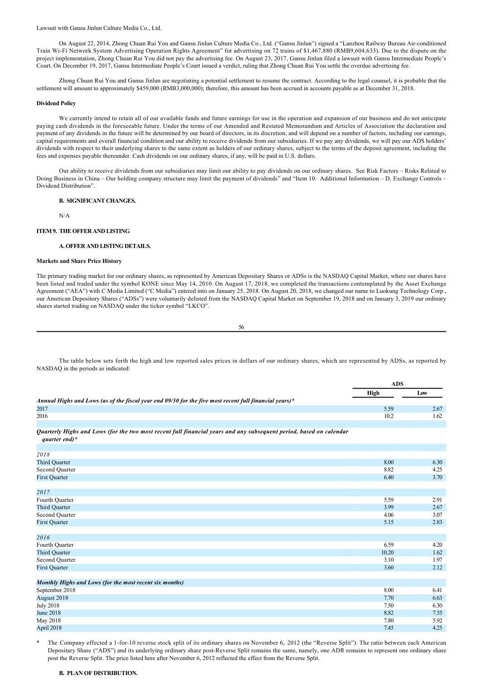Lawsuit with Gansu Jinlun Culture Media Co., Ltd.

On August 22, 2014, Zhong Chuan Rui You and Gansu Jinlun Culture Media Co., Ltd. ("Gansu Jinlun") signed a "Lanzhou Railway Bureau Airconditioned Train WiFi Network System Advertising Operation Rights Agreement" for advertising on 72 trains of \$1,467,880 (RMB9,604,633). Due to the dispute on the project implementation, Zhong Chuan Rui You did not pay the advertising fee. On August 23, 2017, Gansu Jinlun filed a lawsuit with Gansu Intermediate People's Court. On December 19, 2017, Gansu Intermediate People's Court issued a verdict, ruling that Zhong Chuan Rui You settle the overdue advertising fee.

Zhong Chuan Rui You and Gansu Jinlun are negotiating a potential settlement to resume the contract. According to the legal counsel, it is probable that the settlement will amount to approximately \$459,000 (RMB3,000,000); therefore, this amount has been accrued in accounts payable as at December 31, 2018.

#### **Dividend Policy**

We currently intend to retain all of our available funds and future earnings for use in the operation and expansion of our business and do not anticipate paying cash dividends in the foreseeable future. Under the terms of our Amended and Restated Memorandum and Articles of Association the declaration and payment of any dividends in the future will be determined by our board of directors, in its discretion, and will depend on a number of factors, including our earnings, capital requirements and overall financial condition and our ability to receive dividends from our subsidiaries. If we pay any dividends, we will pay our ADS holders' dividends with respect to their underlying shares to the same extent as holders of our ordinary shares, subject to the terms of the deposit agreement, including the fees and expenses payable thereunder. Cash dividends on our ordinary shares, if any, will be paid in U.S. dollars.

Our ability to receive dividends from our subsidiaries may limit our ability to pay dividends on our ordinary shares. See Risk Factors – Risks Related to Doing Business in China – Our holding company structure may limit the payment of dividends" and "Item 10. Additional Information – D. Exchange Controls – Dividend Distribution".

## **B. SIGNIFICANT CHANGES.**

N/A

### **ITEM 9. THE OFFER AND LISTING**

# **A. OFFER AND LISTING DETAILS.**

# **Markets and Share Price History**

The primary trading market for our ordinary shares, as represented by American Depositary Shares or ADSs is the NASDAQ Capital Market, where our shares have been listed and traded under the symbol KONE since May 14, 2010. On August 17, 2018, we completed the transactions contemplated by the Asset Exchange Agreement ("AEA") with C Media Limited ("C Media") entered into on January 25, 2018. On August 20, 2018, we changed our name to Luokung Technology Corp., our American Depository Shares ("ADSs") were voluntarily delisted from the NASDAQ Capital Market on September 19, 2018 and on January 3, 2019 our ordinary shares started trading on NASDAQ under the ticker symbol "LKCO".

56

The table below sets forth the high and low reported sales prices in dollars of our ordinary shares, which are represented by ADSs, as reported by NASDAQ in the periods as indicated:

**ADS**

|                                                                                                                     | ADS   |      |
|---------------------------------------------------------------------------------------------------------------------|-------|------|
|                                                                                                                     | High  | Low  |
| Annual Highs and Lows (as of the fiscal year end 09/30 for the five most recent full financial years)*              |       |      |
| 2017                                                                                                                | 5.59  | 2.67 |
| 2016                                                                                                                | 10.2  | 1.62 |
|                                                                                                                     |       |      |
| Quarterly Highs and Lows (for the two most recent full financial years and any subsequent period, based on calendar |       |      |
| quarter end)*                                                                                                       |       |      |
|                                                                                                                     |       |      |
| 2018                                                                                                                |       |      |
| <b>Third Quarter</b>                                                                                                | 8.00  | 6.30 |
| Second Quarter                                                                                                      | 8.82  | 4.25 |
| <b>First Quarter</b>                                                                                                | 6.40  | 3.70 |
|                                                                                                                     |       |      |
| 2017                                                                                                                |       |      |
| Fourth Quarter                                                                                                      | 5.59  | 2.91 |
| <b>Third Quarter</b>                                                                                                | 3.99  | 2.67 |
| Second Quarter                                                                                                      | 4.06  | 3.07 |
| <b>First Quarter</b>                                                                                                | 5.15  | 2.83 |
|                                                                                                                     |       |      |
| 2016                                                                                                                |       |      |
| Fourth Quarter                                                                                                      | 6.59  | 4.20 |
| <b>Third Quarter</b>                                                                                                | 10.20 | 1.62 |
| Second Quarter                                                                                                      | 3.10  | 1.97 |
| <b>First Quarter</b>                                                                                                | 3.60  | 2.12 |
|                                                                                                                     |       |      |
| Monthly Highs and Lows (for the most recent six months)                                                             |       |      |
| September 2018                                                                                                      | 8.00  | 6.41 |
| August 2018                                                                                                         | 7.70  | 6.63 |
| <b>July 2018</b>                                                                                                    | 7.50  | 6.30 |
| <b>June 2018</b>                                                                                                    | 8.82  | 7.55 |
| May 2018                                                                                                            | 7.80  | 5.92 |
| April 2018                                                                                                          | 7.45  | 4.25 |

The Company effected a 1-for-10 reverse stock split of its ordinary shares on November 6, 2012 (the "Reverse Split"). The ratio between each American Depositary Share ("ADS") and its underlying ordinary share post-Reverse Split remains the same, namely, one ADR remains to represent one ordinary share post the Reverse Split. The price listed here after November 6, 2012 reflected the effect from the Reverse Split.

### **B. PLAN OF DISTRIBUTION.**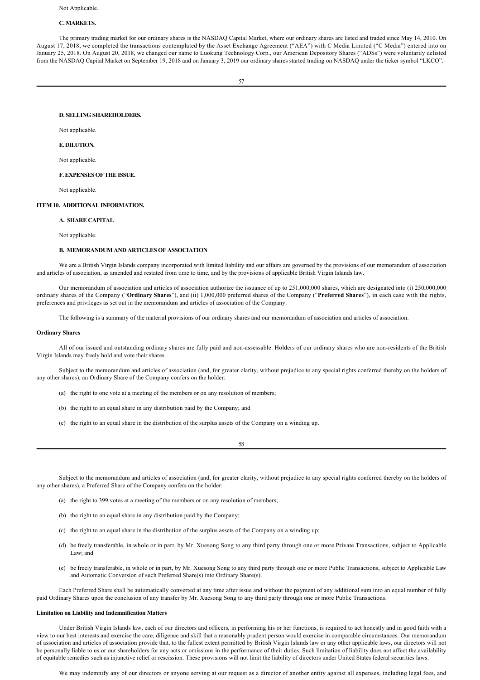#### Not Applicable.

# **C. MARKETS.**

The primary trading market for our ordinary shares is the NASDAQ Capital Market, where our ordinary shares are listed and traded since May 14, 2010. On August 17, 2018, we completed the transactions contemplated by the Asset Exchange Agreement ("AEA") with C Media Limited ("C Media") entered into on January 25, 2018. On August 20, 2018, we changed our name to Luokung Technology Corp., our American Depository Shares ("ADSs") were voluntarily delisted from the NASDAQ Capital Market on September 19, 2018 and on January 3, 2019 our ordinary shares started trading on NASDAQ under the ticker symbol "LKCO".

#### **D. SELLING SHAREHOLDERS.**

Not applicable

# **E. DILUTION.**

Not applicable.

### **F. EXPENSES OF THE ISSUE.**

Not applicable.

#### **ITEM 10. ADDITIONAL INFORMATION.**

### **A. SHARE CAPITAL**

Not applicable.

# **B. MEMORANDUM AND ARTICLES OF ASSOCIATION**

We are a British Virgin Islands company incorporated with limited liability and our affairs are governed by the provisions of our memorandum of association and articles of association, as amended and restated from time to time, and by the provisions of applicable British Virgin Islands law.

Our memorandum of association and articles of association authorize the issuance of up to 251,000,000 shares, which are designated into (i) 250,000,000 ordinary shares of the Company ("**Ordinary Shares**"), and (ii) 1,000,000 preferred shares of the Company ("**Preferred Shares**"), in each case with the rights, preferences and privileges as set out in the memorandum and articles of association of the Company.

The following is a summary of the material provisions of our ordinary shares and our memorandum of association and articles of association.

### **Ordinary Shares**

All of our issued and outstanding ordinary shares are fully paid and non-assessable. Holders of our ordinary shares who are non-residents of the British Virgin Islands may freely hold and vote their shares.

Subject to the memorandum and articles of association (and, for greater clarity, without prejudice to any special rights conferred thereby on the holders of any other shares), an Ordinary Share of the Company confers on the holder:

- (a) the right to one vote at a meeting of the members or on any resolution of members;
- (b) the right to an equal share in any distribution paid by the Company; and
- (c) the right to an equal share in the distribution of the surplus assets of the Company on a winding up.

58

Subject to the memorandum and articles of association (and, for greater clarity, without prejudice to any special rights conferred thereby on the holders of any other shares), a Preferred Share of the Company confers on the holder:

- (a) the right to 399 votes at a meeting of the members or on any resolution of members;
- (b) the right to an equal share in any distribution paid by the Company;
- (c) the right to an equal share in the distribution of the surplus assets of the Company on a winding up;
- (d) be freely transferable, in whole or in part, by Mr. Xuesong Song to any third party through one or more Private Transactions, subject to Applicable Law; and
- (e) be freely transferable, in whole or in part, by Mr. Xuesong Song to any third party through one or more Public Transactions, subject to Applicable Law and Automatic Conversion of such Preferred Share(s) into Ordinary Share(s).

Each Preferred Share shall be automatically converted at any time after issue and without the payment of any additional sum into an equal number of fully paid Ordinary Shares upon the conclusion of any transfer by Mr. Xuesong Song to any third party through one or more Public Transactions.

## **Limitation on Liability and Indemnification Matters**

Under British Virgin Islands law, each of our directors and officers, in performing his or her functions, is required to act honestly and in good faith with a view to our best interests and exercise the care, diligence and skill that a reasonably prudent person would exercise in comparable circumstances. Our memorandum of association and articles of association provide that, to the fullest extent permitted by British Virgin Islands law or any other applicable laws, our directors will not be personally liable to us or our shareholders for any acts or omissions in the performance of their duties. Such limitation of liability does not affect the availability of equitable remedies such as injunctive relief or rescission. These provisions will not limit the liability of directors under United States federal securities laws.

We may indemnify any of our directors or anyone serving at our request as a director of another entity against all expenses, including legal fees, and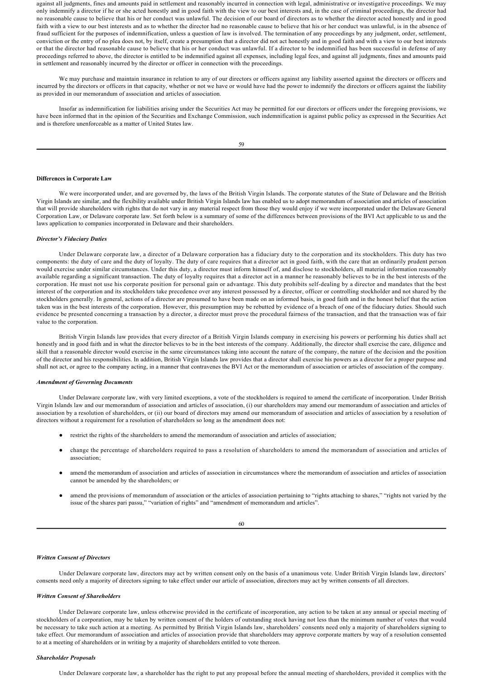against all judgments, fines and amounts paid in settlement and reasonably incurred in connection with legal, administrative or investigative proceedings. We may only indemnify a director if he or she acted honestly and in good faith with the view to our best interests and, in the case of criminal proceedings, the director had no reasonable cause to believe that his or her conduct was unlawful. The decision of our board of directors as to whether the director acted honestly and in good faith with a view to our best interests and as to whether the director had no reasonable cause to believe that his or her conduct was unlawful, is in the absence of fraud sufficient for the purposes of indemnification, unless a question of law is involved. The termination of any proceedings by any judgment, order, settlement, conviction or the entry of no plea does not, by itself, create a presumption that a director did not act honestly and in good faith and with a view to our best interests or that the director had reasonable cause to believe that his or her conduct was unlawful. If a director to be indemnified has been successful in defense of any proceedings referred to above, the director is entitled to be indemnified against all expenses, including legal fees, and against all judgments, fines and amounts paid in settlement and reasonably incurred by the director or officer in connection with the proceedings.

We may purchase and maintain insurance in relation to any of our directors or officers against any liability asserted against the directors or officers and incurred by the directors or officers in that capacity, whether or not we have or would have had the power to indemnify the directors or officers against the liability as provided in our memorandum of association and articles of association.

Insofar as indemnification for liabilities arising under the Securities Act may be permitted for our directors or officers under the foregoing provisions, we have been informed that in the opinion of the Securities and Exchange Commission, such indemnification is against public policy as expressed in the Securities Act and is therefore unenforceable as a matter of United States law.

#### **Differences in Corporate Law**

We were incorporated under, and are governed by, the laws of the British Virgin Islands. The corporate statutes of the State of Delaware and the British Virgin Islands are similar, and the flexibility available under British Virgin Islands law has enabled us to adopt memorandum of association and articles of association that will provide shareholders with rights that do not vary in any material respect from those they would enjoy if we were incorporated under the Delaware General Corporation Law, or Delaware corporate law. Set forth below is a summary of some of the differences between provisions of the BVI Act applicable to us and the laws application to companies incorporated in Delaware and their shareholders.

#### *Director's Fiduciary Duties*

Under Delaware corporate law, a director of a Delaware corporation has a fiduciary duty to the corporation and its stockholders. This duty has two components: the duty of care and the duty of loyalty. The duty of care requires that a director act in good faith, with the care that an ordinarily prudent person would exercise under similar circumstances. Under this duty, a director must inform himself of, and disclose to stockholders, all material information reasonably available regarding a significant transaction. The duty of loyalty requires that a director act in a manner he reasonably believes to be in the best interests of the corporation. He must not use his corporate position for personal gain or advantage. This duty prohibits self-dealing by a director and mandates that the best interest of the corporation and its stockholders take precedence over any interest possessed by a director, officer or controlling stockholder and not shared by the stockholders generally. In general, actions of a director are presumed to have been made on an informed basis, in good faith and in the honest belief that the action taken was in the best interests of the corporation. However, this presumption may be rebutted by evidence of a breach of one of the fiduciary duties. Should such evidence be presented concerning a transaction by a director, a director must prove the procedural fairness of the transaction, and that the transaction was of fair value to the corporation.

British Virgin Islands law provides that every director of a British Virgin Islands company in exercising his powers or performing his duties shall act honestly and in good faith and in what the director believes to be in the best interests of the company. Additionally, the director shall exercise the care, diligence and skill that a reasonable director would exercise in the same circumstances taking into account the nature of the company, the nature of the decision and the position of the director and his responsibilities. In addition, British Virgin Islands law provides that a director shall exercise his powers as a director for a proper purpose and shall not act, or agree to the company acting, in a manner that contravenes the BVI Act or the memorandum of association or articles of association of the company.

### *Amendment of Governing Documents*

Under Delaware corporate law, with very limited exceptions, a vote of the stockholders is required to amend the certificate of incorporation. Under British Virgin Islands law and our memorandum of association and articles of association, (i) our shareholders may amend our memorandum of association and articles of association by a resolution of shareholders, or (ii) our board of directors may amend our memorandum of association and articles of association by a resolution of directors without a requirement for a resolution of shareholders so long as the amendment does not:

- restrict the rights of the shareholders to amend the memorandum of association and articles of association;
- change the percentage of shareholders required to pass a resolution of shareholders to amend the memorandum of association and articles of association;
- amend the memorandum of association and articles of association in circumstances where the memorandum of association and articles of association cannot be amended by the shareholders; or
- amend the provisions of memorandum of association or the articles of association pertaining to "rights attaching to shares," "rights not varied by the issue of the shares pari passu," "variation of rights" and "amendment of memorandum and articles".

### 60

#### *Written Consent of Directors*

Under Delaware corporate law, directors may act by written consent only on the basis of a unanimous vote. Under British Virgin Islands law, directors' consents need only a majority of directors signing to take effect under our article of association, directors may act by written consents of all directors.

# *Written Consent of Shareholders*

Under Delaware corporate law, unless otherwise provided in the certificate of incorporation, any action to be taken at any annual or special meeting of stockholders of a corporation, may be taken by written consent of the holders of outstanding stock having not less than the minimum number of votes that would be necessary to take such action at a meeting. As permitted by British Virgin Islands law, shareholders' consents need only a majority of shareholders signing to take effect. Our memorandum of association and articles of association provide that shareholders may approve corporate matters by way of a resolution consented to at a meeting of shareholders or in writing by a majority of shareholders entitled to vote thereon.

## *Shareholder Proposals*

Under Delaware corporate law, a shareholder has the right to put any proposal before the annual meeting of shareholders, provided it complies with the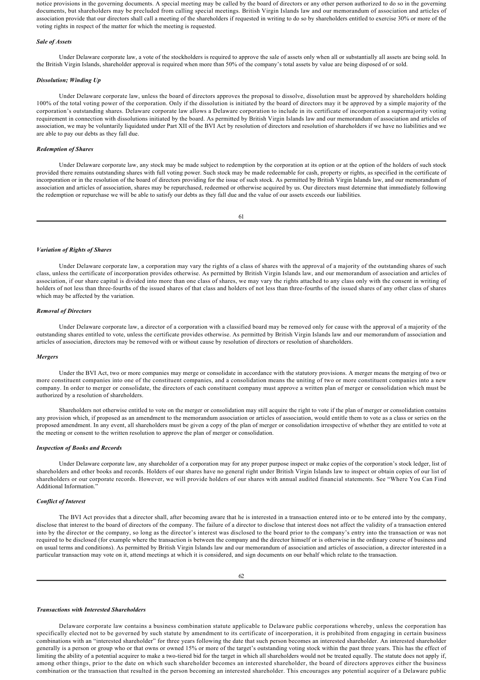notice provisions in the governing documents. A special meeting may be called by the board of directors or any other person authorized to do so in the governing documents, but shareholders may be precluded from calling special meetings. British Virgin Islands law and our memorandum of association and articles of association provide that our directors shall call a meeting of the shareholders if requested in writing to do so by shareholders entitled to exercise 30% or more of the voting rights in respect of the matter for which the meeting is requested.

## *Sale of Assets*

Under Delaware corporate law, a vote of the stockholders is required to approve the sale of assets only when all or substantially all assets are being sold. In the British Virgin Islands, shareholder approval is required when more than 50% of the company's total assets by value are being disposed of or sold.

#### *Dissolution; Winding Up*

Under Delaware corporate law, unless the board of directors approves the proposal to dissolve, dissolution must be approved by shareholders holding 100% of the total voting power of the corporation. Only if the dissolution is initiated by the board of directors may it be approved by a simple majority of the corporation's outstanding shares. Delaware corporate law allows a Delaware corporation to include in its certificate of incorporation a supermajority voting requirement in connection with dissolutions initiated by the board. As permitted by British Virgin Islands law and our memorandum of association and articles of association, we may be voluntarily liquidated under Part XII of the BVI Act by resolution of directors and resolution of shareholders if we have no liabilities and we are able to pay our debts as they fall due.

### *Redemption of Shares*

Under Delaware corporate law, any stock may be made subject to redemption by the corporation at its option or at the option of the holders of such stock provided there remains outstanding shares with full voting power. Such stock may be made redeemable for cash, property or rights, as specified in the certificate of incorporation or in the resolution of the board of directors providing for the issue of such stock. As permitted by British Virgin Islands law, and our memorandum of association and articles of association, shares may be repurchased, redeemed or otherwise acquired by us. Our directors must determine that immediately following the redemption or repurchase we will be able to satisfy our debts as they fall due and the value of our assets exceeds our liabilities.

61

#### *Variation of Rights of Shares*

Under Delaware corporate law, a corporation may vary the rights of a class of shares with the approval of a majority of the outstanding shares of such class, unless the certificate of incorporation provides otherwise. As permitted by British Virgin Islands law, and our memorandum of association and articles of association, if our share capital is divided into more than one class of shares, we may vary the rights attached to any class only with the consent in writing of holders of not less than three-fourths of the issued shares of that class and holders of not less than three-fourths of the issued shares of any other class of shares which may be affected by the variation.

### *Removal of Directors*

Under Delaware corporate law, a director of a corporation with a classified board may be removed only for cause with the approval of a majority of the outstanding shares entitled to vote, unless the certificate provides otherwise. As permitted by British Virgin Islands law and our memorandum of association and articles of association, directors may be removed with or without cause by resolution of directors or resolution of shareholders.

### *Mergers*

Under the BVI Act, two or more companies may merge or consolidate in accordance with the statutory provisions. A merger means the merging of two or more constituent companies into one of the constituent companies, and a consolidation means the uniting of two or more constituent companies into a new company. In order to merger or consolidate, the directors of each constituent company must approve a written plan of merger or consolidation which must be authorized by a resolution of shareholders.

Shareholders not otherwise entitled to vote on the merger or consolidation may still acquire the right to vote if the plan of merger or consolidation contains any provision which, if proposed as an amendment to the memorandum association or articles of association, would entitle them to vote as a class or series on the proposed amendment. In any event, all shareholders must be given a copy of the plan of merger or consolidation irrespective of whether they are entitled to vote at the meeting or consent to the written resolution to approve the plan of merger or consolidation.

#### *Inspection of Books and Records*

Under Delaware corporate law, any shareholder of a corporation may for any proper purpose inspect or make copies of the corporation's stock ledger, list of shareholders and other books and records. Holders of our shares have no general right under British Virgin Islands law to inspect or obtain copies of our list of shareholders or our corporate records. However, we will provide holders of our shares with annual audited financial statements. See "Where You Can Find Additional Information."

#### *Conflict of Interest*

The BVI Act provides that a director shall, after becoming aware that he is interested in a transaction entered into or to be entered into by the company, disclose that interest to the board of directors of the company. The failure of a director to disclose that interest does not affect the validity of a transaction entered into by the director or the company, so long as the director's interest was disclosed to the board prior to the company's entry into the transaction or was not required to be disclosed (for example where the transaction is between the company and the director himself or is otherwise in the ordinary course of business and on usual terms and conditions). As permitted by British Virgin Islands law and our memorandum of association and articles of association, a director interested in a particular transaction may vote on it, attend meetings at which it is considered, and sign documents on our behalf which relate to the transaction.

#### *Transactions with Interested Shareholders*

Delaware corporate law contains a business combination statute applicable to Delaware public corporations whereby, unless the corporation has specifically elected not to be governed by such statute by amendment to its certificate of incorporation, it is prohibited from engaging in certain business combinations with an "interested shareholder" for three years following the date that such person becomes an interested shareholder. An interested shareholder generally is a person or group who or that owns or owned 15% or more of the target's outstanding voting stock within the past three years. This has the effect of limiting the ability of a potential acquirer to make a two-tiered bid for the target in which all shareholders would not be treated equally. The statute does not apply if, among other things, prior to the date on which such shareholder becomes an interested shareholder, the board of directors approves either the business combination or the transaction that resulted in the person becoming an interested shareholder. This encourages any potential acquirer of a Delaware public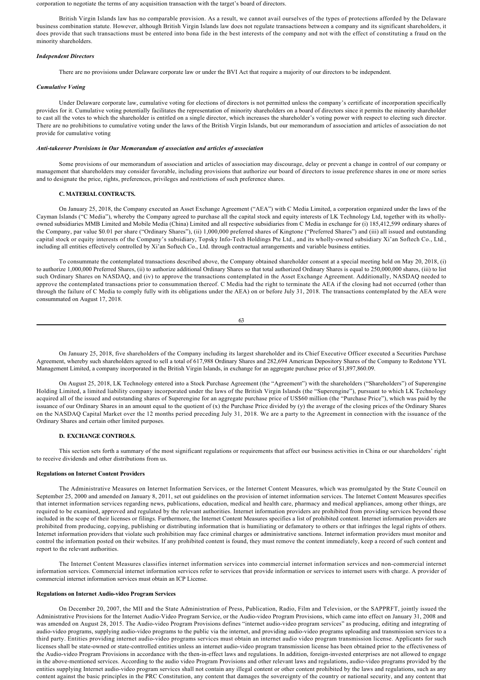corporation to negotiate the terms of any acquisition transaction with the target's board of directors.

British Virgin Islands law has no comparable provision. As a result, we cannot avail ourselves of the types of protections afforded by the Delaware business combination statute. However, although British Virgin Islands law does not regulate transactions between a company and its significant shareholders, it does provide that such transactions must be entered into bona fide in the best interests of the company and not with the effect of constituting a fraud on the minority shareholders.

# *Independent Directors*

There are no provisions under Delaware corporate law or under the BVI Act that require a majority of our directors to be independent.

### *Cumulative Voting*

Under Delaware corporate law, cumulative voting for elections of directors is not permitted unless the company's certificate of incorporation specifically provides for it. Cumulative voting potentially facilitates the representation of minority shareholders on a board of directors since it permits the minority shareholder to cast all the votes to which the shareholder is entitled on a single director, which increases the shareholder's voting power with respect to electing such director. There are no prohibitions to cumulative voting under the laws of the British Virgin Islands, but our memorandum of association and articles of association do not provide for cumulative voting

### *Antitakeover Provisions in Our Memorandum of association and articles of association*

Some provisions of our memorandum of association and articles of association may discourage, delay or prevent a change in control of our company or management that shareholders may consider favorable, including provisions that authorize our board of directors to issue preference shares in one or more series and to designate the price, rights, preferences, privileges and restrictions of such preference shares.

### **C. MATERIAL CONTRACTS.**

On January 25, 2018, the Company executed an Asset Exchange Agreement ("AEA") with C Media Limited, a corporation organized under the laws of the Cayman Islands ("C Media"), whereby the Company agreed to purchase all the capital stock and equity interests of LK Technology Ltd, together with its whollyowned subsidiaries MMB Limited and Mobile Media (China) Limited and all respective subsidiaries from C Media in exchange for (i) 185,412,599 ordinary shares of the Company, par value \$0.01 per share ("Ordinary Shares"), (ii) 1,000,000 preferred shares of Kingtone ("Preferred Shares") and (iii) all issued and outstanding capital stock or equity interests of the Company's subsidiary, Topsky Info-Tech Holdings Pte Ltd., and its wholly-owned subsidiary Xi'an Softech Co., Ltd., including all entities effectively controlled by Xi'an Softech Co., Ltd. through contractual arrangements and variable business entities.

To consummate the contemplated transactions described above, the Company obtained shareholder consent at a special meeting held on May 20, 2018, (i) to authorize 1,000,000 Preferred Shares, (ii) to authorize additional Ordinary Shares so that total authorized Ordinary Shares is equal to 250,000,000 shares, (iii) to list such Ordinary Shares on NASDAQ, and (iv) to approve the transactions contemplated in the Asset Exchange Agreement. Additionally, NASDAQ needed to approve the contemplated transactions prior to consummation thereof. C Media had the right to terminate the AEA if the closing had not occurred (other than through the failure of C Media to comply fully with its obligations under the AEA) on or before July 31, 2018. The transactions contemplated by the AEA were consummated on August 17, 2018.

```
63
```
On January 25, 2018, five shareholders of the Company including its largest shareholder and its Chief Executive Officer executed a Securities Purchase Agreement, whereby such shareholders agreed to sell a total of 617,988 Ordinary Shares and 282,694 American Depository Shares of the Company to Redstone YYL Management Limited, a company incorporated in the British Virgin Islands, in exchange for an aggregate purchase price of \$1,897,860.09.

On August 25, 2018, LK Technology entered into a Stock Purchase Agreement (the "Agreement") with the shareholders ("Shareholders") of Superengine Holding Limited, a limited liability company incorporated under the laws of the British Virgin Islands (the "Superengine"), pursuant to which LK Technology acquired all of the issued and outstanding shares of Superengine for an aggregate purchase price of US\$60 million (the "Purchase Price"), which was paid by the issuance of our Ordinary Shares in an amount equal to the quotient of (x) the Purchase Price divided by (y) the average of the closing prices of the Ordinary Shares on the NASDAQ Capital Market over the 12 months period preceding July 31, 2018. We are a party to the Agreement in connection with the issuance of the Ordinary Shares and certain other limited purposes.

### **D. EXCHANGE CONTROLS.**

This section sets forth a summary of the most significant regulations or requirements that affect our business activities in China or our shareholders' right to receive dividends and other distributions from us.

### **Regulations on Internet Content Providers**

The Administrative Measures on Internet Information Services, or the Internet Content Measures, which was promulgated by the State Council on September 25, 2000 and amended on January 8, 2011, set out guidelines on the provision of internet information services. The Internet Content Measures specifies that internet information services regarding news, publications, education, medical and health care, pharmacy and medical appliances, among other things, are required to be examined, approved and regulated by the relevant authorities. Internet information providers are prohibited from providing services beyond those included in the scope of their licenses or filings. Furthermore, the Internet Content Measures specifies a list of prohibited content. Internet information providers are prohibited from producing, copying, publishing or distributing information that is humiliating or defamatory to others or that infringes the legal rights of others. Internet information providers that violate such prohibition may face criminal charges or administrative sanctions. Internet information providers must monitor and control the information posted on their websites. If any prohibited content is found, they must remove the content immediately, keep a record of such content and report to the relevant authorities.

The Internet Content Measures classifies internet information services into commercial internet information services and noncommercial internet information services. Commercial internet information services refer to services that provide information or services to internet users with charge. A provider of commercial internet information services must obtain an ICP License.

### **Regulations on Internet Audio-video Program Services**

On December 20, 2007, the MII and the State Administration of Press, Publication, Radio, Film and Television, or the SAPPRFT, jointly issued the Administrative Provisions for the Internet Audio-Video Program Service, or the Audio-video Program Provisions, which came into effect on January 31, 2008 and was amended on August 28, 2015. The Audio-video Program Provisions defines "internet audio-video program services" as producing, editing and integrating of audio-video programs, supplying audio-video programs to the public via the internet, and providing audio-video programs uploading and transmission services to a third party. Entities providing internet audio-video programs services must obtain an internet audio video program transmission license. Applicants for such licenses shall be state-owned or state-controlled entities unless an internet audio-video program transmission license has been obtained prior to the effectiveness of the Audio-video Program Provisions in accordance with the then-in-effect laws and regulations. In addition, foreign-invested enterprises are not allowed to engage in the above-mentioned services. According to the audio video Program Provisions and other relevant laws and regulations, audio-video programs provided by the entities supplying Internet audio-video program services shall not contain any illegal content or other content prohibited by the laws and regulations, such as any content against the basic principles in the PRC Constitution, any content that damages the sovereignty of the country or national security, and any content that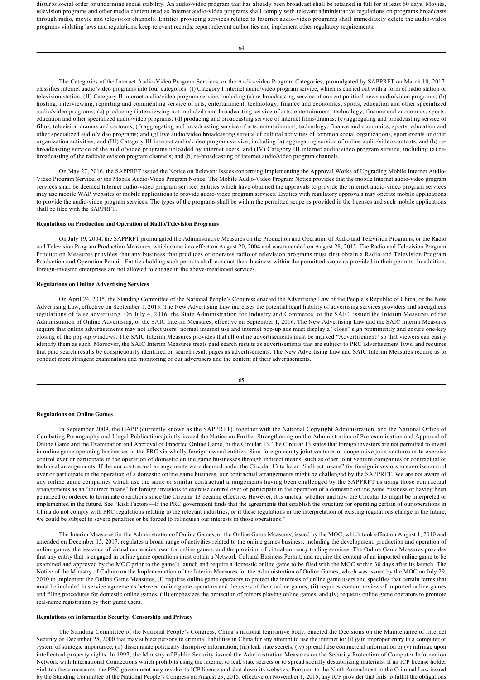disturbs social order or undermine social stability. An audio-video program that has already been broadcast shall be retained in full for at least 60 days. Movies, television programs and other media content used as Internet audio-video programs shall comply with relevant administrative regulations on programs broadcasts through radio, movie and television channels. Entities providing services related to Internet audio-video programs shall immediately delete the audio-video programs violating laws and regulations, keep relevant records, report relevant authorities and implement other regulatory requirements.

The Categories of the Internet Audio-Video Program Services, or the Audio-video Program Categories, promulgated by SAPPRFT on March 10, 2017, classifies internet audio/video programs into four categories: (I) Category I internet audio/video program service, which is carried out with a form of radio station or television station; (II) Category II internet audio/video program service, including (a) rebroadcasting service of current political news audio/video programs; (b) hosting, interviewing, reporting and commenting service of arts, entertainment, technology, finance and economics, sports, education and other specialized audio/video programs; (c) producing (interviewing not included) and broadcasting service of arts, entertainment, technology, finance and economics, sports, education and other specialized audio/video programs; (d) producing and broadcasting service of internet films/dramas; (e) aggregating and broadcasting service of films, television dramas and cartoons; (f) aggregating and broadcasting service of arts, entertainment, technology, finance and economics, sports, education and other specialized audio/video programs; and (g) live audio/video broadcasting service of cultural activities of common social organizations, sport events or other organization activities; and (III) Category III internet audio/video program service, including (a) aggregating service of online audio/video contents, and (b) rebroadcasting service of the audio/video programs uploaded by internet users; and (IV) Category III internet audio/video program service, including (a) rebroadcasting of the radio/television program channels; and (b) re-broadcasting of internet audio/video program channels.

On May 27, 2016, the SAPPRFT issued the Notice on Relevant Issues concerning Implementing the Approval Works of Upgrading Mobile Internet Audio-Video Program Service, or the Mobile Audio-Video Program Notice. The Mobile Audio-Video Program Notice provides that the mobile Internet audio-video program services shall be deemed Internet audio-video program service. Entities which have obtained the approvals to provide the Internet audio-video program services may use mobile WAP websites or mobile applications to provide audio-video program services. Entities with regulatory approvals may operate mobile applications to provide the audio-video program services. The types of the programs shall be within the permitted scope as provided in the licenses and such mobile applications shall be filed with the SAPPRFT.

## **Regulations on Production and Operation of Radio/Television Programs**

On July 19, 2004, the SAPPRFT promulgated the Administrative Measures on the Production and Operation of Radio and Television Programs, or the Radio and Television Program Production Measures, which came into effect on August 20, 2004 and was amended on August 28, 2015. The Radio and Television Program Production Measures provides that any business that produces or operates radio or television programs must first obtain a Radio and Television Program Production and Operation Permit. Entities holding such permits shall conduct their business within the permitted scope as provided in their permits. In addition, foreign-invested enterprises are not allowed to engage in the above-mentioned services.

#### **Regulations on Online Advertising Services**

On April 24, 2015, the Standing Committee of the National People's Congress enacted the Advertising Law of the People's Republic of China, or the New Advertising Law, effective on September 1, 2015. The New Advertising Law increases the potential legal liability of advertising services providers and strengthens regulations of false advertising. On July 4, 2016, the State Administration for Industry and Commerce, or the SAIC, issued the Interim Measures of the Administration of Online Advertising, or the SAIC Interim Measures, effective on September 1, 2016. The New Advertising Law and the SAIC Interim Measures require that online advertisements may not affect users' normal internet use and internet pop-up ads must display a "close" sign prominently and ensure one-key closing of the pop-up windows. The SAIC Interim Measures provides that all online advertisements must be marked "Advertisement" so that viewers can easily identify them as such. Moreover, the SAIC Interim Measures treats paid search results as advertisements that are subject to PRC advertisement laws, and requires that paid search results be conspicuously identified on search result pages as advertisements. The New Advertising Law and SAIC Interim Measures require us to conduct more stringent examination and monitoring of our advertisers and the content of their advertisements.

65

#### **Regulations on Online Games**

In September 2009, the GAPP (currently known as the SAPPRFT), together with the National Copyright Administration, and the National Office of Combating Pornography and Illegal Publications jointly issued the Notice on Further Strengthening on the Administration of Preexamination and Approval of Online Game and the Examination and Approval of Imported Online Game, or the Circular 13. The Circular 13 states that foreign investors are not permitted to invest in online game operating businesses in the PRC via wholly foreign-owned entities, Sino-foreign equity joint ventures or cooperative joint ventures or to exercise control over or participate in the operation of domestic online game businesses through indirect means, such as other joint venture companies or contractual or technical arrangements. If the our contractual arrangements were deemed under the Circular 13 to be an "indirect means" for foreign investors to exercise control over or participate in the operation of a domestic online game business, our contractual arrangements might be challenged by the SAPPRFT. We are not aware of any online game companies which use the same or similar contractual arrangements having been challenged by the SAPPRFT as using those contractual arrangements as an "indirect means" for foreign investors to exercise control over or participate in the operation of a domestic online game business or having been penalized or ordered to terminate operations since the Circular 13 became effective. However, it is unclear whether and how the Circular 13 might be interpreted or implemented in the future. See "Risk Factors—If the PRC government finds that the agreements that establish the structure for operating certain of our operations in China do not comply with PRC regulations relating to the relevant industries, or if these regulations or the interpretation of existing regulations change in the future, we could be subject to severe penalties or be forced to relinquish our interests in those operations."

The Interim Measures for the Administration of Online Games, or the Online Game Measures, issued by the MOC, which took effect on August 1, 2010 and amended on December 15, 2017, regulates a broad range of activities related to the online games business, including the development, production and operation of online games, the issuance of virtual currencies used for online games, and the provision of virtual currency trading services. The Online Game Measures provides that any entity that is engaged in online game operations must obtain a Network Cultural Business Permit, and require the content of an imported online game to be examined and approved by the MOC prior to the game's launch and require a domestic online game to be filed with the MOC within 30 days after its launch. The Notice of the Ministry of Culture on the Implementation of the Interim Measures for the Administration of Online Games, which was issued by the MOC on July 29, 2010 to implement the Online Game Measures, (i) requires online game operators to protect the interests of online game users and specifies that certain terms that must be included in service agreements between online game operators and the users of their online games, (ii) requires content review of imported online games and filing procedures for domestic online games, (iii) emphasizes the protection of minors playing online games, and (iv) requests online game operators to promote real-name registration by their game users.

## **Regulations on Information Security, Censorship and Privacy**

The Standing Committee of the National People's Congress, China's national legislative body, enacted the Decisions on the Maintenance of Internet Security on December 28, 2000 that may subject persons to criminal liabilities in China for any attempt to use the internet to: (i) gain improper entry to a computer or system of strategic importance; (ii) disseminate politically disruptive information; (iii) leak state secrets; (iv) spread false commercial information or (v) infringe upon intellectual property rights. In 1997, the Ministry of Public Security issued the Administration Measures on the Security Protection of Computer Information Network with International Connections which prohibits using the internet to leak state secrets or to spread socially destabilizing materials. If an ICP license holder violates these measures, the PRC government may revoke its ICP license and shut down its websites. Pursuant to the Ninth Amendment to the Criminal Law issued by the Standing Committee of the National People's Congress on August 29, 2015, effective on November 1, 2015, any ICP provider that fails to fulfill the obligations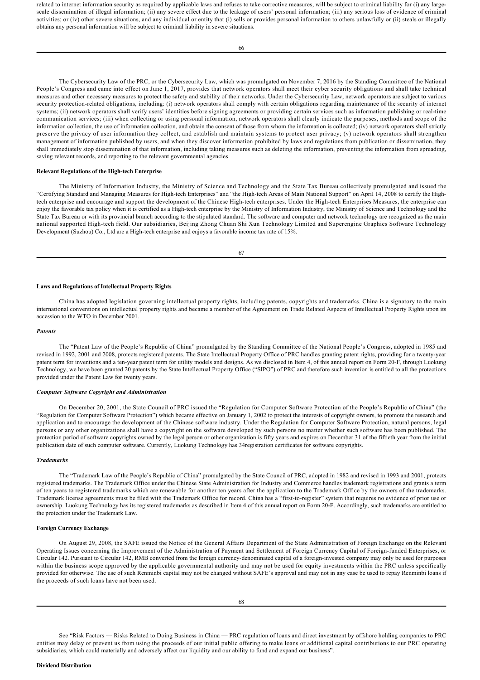related to internet information security as required by applicable laws and refuses to take corrective measures, will be subject to criminal liability for (i) any largescale dissemination of illegal information; (ii) any severe effect due to the leakage of users' personal information; (iii) any serious loss of evidence of criminal activities; or (iv) other severe situations, and any individual or entity that (i) sells or provides personal information to others unlawfully or (ii) steals or illegally obtains any personal information will be subject to criminal liability in severe situations.

by the Standing Committee of the National People's Congress on August 29, 2015, effective on November 1, 2015, any ICP provider that fails to fulfill the obligations

66

The Cybersecurity Law of the PRC, or the Cybersecurity Law, which was promulgated on November 7, 2016 by the Standing Committee of the National People's Congress and came into effect on June 1, 2017, provides that network operators shall meet their cyber security obligations and shall take technical measures and other necessary measures to protect the safety and stability of their networks. Under the Cybersecurity Law, network operators are subject to various security protection-related obligations, including: (i) network operators shall comply with certain obligations regarding maintenance of the security of internet systems; (ii) network operators shall verify users' identities before signing agreements or providing certain services such as information publishing or real-time communication services; (iii) when collecting or using personal information, network operators shall clearly indicate the purposes, methods and scope of the information collection, the use of information collection, and obtain the consent of those from whom the information is collected; (iv) network operators shall strictly preserve the privacy of user information they collect, and establish and maintain systems to protect user privacy; (v) network operators shall strengthen management of information published by users, and when they discover information prohibited by laws and regulations from publication or dissemination, they shall immediately stop dissemination of that information, including taking measures such as deleting the information, preventing the information from spreading, saving relevant records, and reporting to the relevant governmental agencies.

## **Relevant Regulations of the High-tech Enterprise**

The Ministry of Information Industry, the Ministry of Science and Technology and the State Tax Bureau collectively promulgated and issued the "Certifying Standard and Managing Measures for High-tech Enterprises" and "the High-tech Areas of Main National Support" on April 14, 2008 to certify the Hightech enterprise and encourage and support the development of the Chinese High-tech enterprises. Under the High-tech Enterprises Measures, the enterprise can enjoy the favorable tax policy when it is certified as a High-tech enterprise by the Ministry of Information Industry, the Ministry of Science and Technology and the State Tax Bureau or with its provincial branch according to the stipulated standard. The software and computer and network technology are recognized as the main national supported Hightech field. Our subsidiaries, Beijing Zhong Chuan Shi Xun Technology Limited and Superengine Graphics Software Technology Development (Suzhou) Co., Ltd are a High-tech enterprise and enjoys a favorable income tax rate of 15%.

#### **Laws and Regulations of Intellectual Property Rights**

China has adopted legislation governing intellectual property rights, including patents, copyrights and trademarks. China is a signatory to the main international conventions on intellectual property rights and became a member of the Agreement on Trade Related Aspects of Intellectual Property Rights upon its accession to the WTO in December 2001.

#### *Patents*

The "Patent Law of the People's Republic of China" promulgated by the Standing Committee of the National People's Congress, adopted in 1985 and revised in 1992, 2001 and 2008, protects registered patents. The State Intellectual Property Office of PRC handles granting patent rights, providing for a twentyyear patent term for inventions and a ten-year patent term for utility models and designs. As we disclosed in Item 4, of this annual report on Form 20-F, through Luokung Technology, we have been granted 20 patents by the State Intellectual Property Office ("SIPO") of PRC and therefore such invention is entitled to all the protections provided under the Patent Law for twenty years.

## *Computer Software Copyright and Administration*

On December 20, 2001, the State Council of PRC issued the "Regulation for Computer Software Protection of the People's Republic of China" (the "Regulation for Computer Software Protection") which became effective on January 1, 2002 to protect the interests of copyright owners, to promote the research and application and to encourage the development of the Chinese software industry. Under the Regulation for Computer Software Protection, natural persons, legal persons or any other organizations shall have a copyright on the software developed by such persons no matter whether such software has been published. The protection period of software copyrights owned by the legal person or other organization is fifty years and expires on December 31 of the fiftieth year from the initial publication date of such computer software. Currently, Luokung Technology has 34registration certificates for software copyrights.

#### *Trademarks*

The "Trademark Law of the People's Republic of China" promulgated by the State Council of PRC, adopted in 1982 and revised in 1993 and 2001, protects registered trademarks. The Trademark Office under the Chinese State Administration for Industry and Commerce handles trademark registrations and grants a term of ten years to registered trademarks which are renewable for another ten years after the application to the Trademark Office by the owners of the trademarks. Trademark license agreements must be filed with the Trademark Office for record. China has a "first-to-register" system that requires no evidence of prior use or ownership. Luokung Technology has its registered trademarks as described in Item 4 of this annual report on Form 20F. Accordingly, such trademarks are entitled to the protection under the Trademark Law.

## **Foreign Currency Exchange**

On August 29, 2008, the SAFE issued the Notice of the General Affairs Department of the State Administration of Foreign Exchange on the Relevant Operating Issues concerning the Improvement of the Administration of Payment and Settlement of Foreign Currency Capital of Foreign-funded Enterprises, or Circular 142. Pursuant to Circular 142, RMB converted from the foreign currency-denominated capital of a foreign-invested company may only be used for purposes within the business scope approved by the applicable governmental authority and may not be used for equity investments within the PRC unless specifically provided for otherwise. The use of such Renminbi capital may not be changed without SAFE's approval and may not in any case be used to repay Renminbi loans if the proceeds of such loans have not been used.

See "Risk Factors — Risks Related to Doing Business in China — PRC regulation of loans and direct investment by offshore holding companies to PRC entities may delay or prevent us from using the proceeds of our initial public offering to make loans or additional capital contributions to our PRC operating subsidiaries, which could materially and adversely affect our liquidity and our ability to fund and expand our business".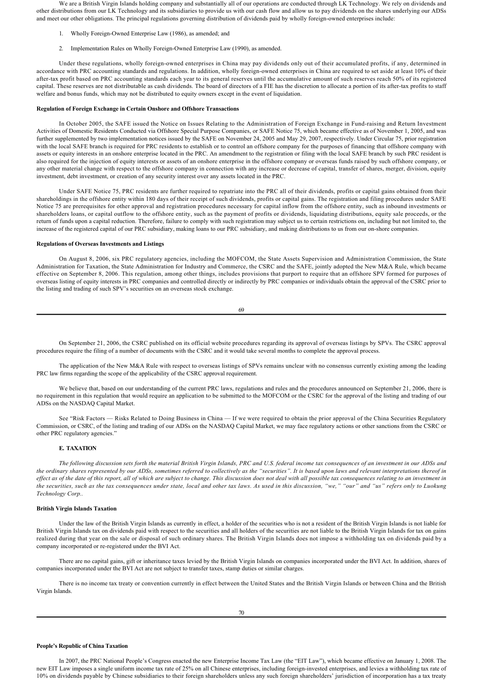We are a British Virgin Islands holding company and substantially all of our operations are conducted through LK Technology. We rely on dividends and other distributions from our LK Technology and its subsidiaries to provide us with our cash flow and allow us to pay dividends on the shares underlying our ADSs and meet our other obligations. The principal regulations governing distribution of dividends paid by wholly foreign-owned enterprises include:

- 1. Wholly Foreign-Owned Enterprise Law (1986), as amended; and
- 2. Implementation Rules on Wholly Foreign-Owned Enterprise Law (1990), as amended.

Under these regulations, wholly foreign-owned enterprises in China may pay dividends only out of their accumulated profits, if any, determined in accordance with PRC accounting standards and regulations. In addition, wholly foreign-owned enterprises in China are required to set aside at least 10% of their after-tax profit based on PRC accounting standards each year to its general reserves until the accumulative amount of such reserves reach 50% of its registered capital. These reserves are not distributable as cash dividends. The board of directors of a FIE has the discretion to allocate a portion of its after-tax profits to staff welfare and bonus funds, which may not be distributed to equity owners except in the event of liquidation.

#### **Regulation of Foreign Exchange in Certain Onshore and Offshore Transactions**

In October 2005, the SAFE issued the Notice on Issues Relating to the Administration of Foreign Exchange in Fundraising and Return Investment Activities of Domestic Residents Conducted via Offshore Special Purpose Companies, or SAFE Notice 75, which became effective as of November 1, 2005, and was further supplemented by two implementation notices issued by the SAFE on November 24, 2005 and May 29, 2007, respectively. Under Circular 75, prior registration with the local SAFE branch is required for PRC residents to establish or to control an offshore company for the purposes of financing that offshore company with assets or equity interests in an onshore enterprise located in the PRC. An amendment to the registration or filing with the local SAFE branch by such PRC resident is also required for the injection of equity interests or assets of an onshore enterprise in the offshore company or overseas funds raised by such offshore company, or any other material change with respect to the offshore company in connection with any increase or decrease of capital, transfer of shares, merger, division, equity investment, debt investment, or creation of any security interest over any assets located in the PRC.

Under SAFE Notice 75, PRC residents are further required to repatriate into the PRC all of their dividends, profits or capital gains obtained from their shareholdings in the offshore entity within 180 days of their receipt of such dividends, profits or capital gains. The registration and filing procedures under SAFE Notice 75 are prerequisites for other approval and registration procedures necessary for capital inflow from the offshore entity, such as inbound investments or shareholders loans, or capital outflow to the offshore entity, such as the payment of profits or dividends, liquidating distributions, equity sale proceeds, or the return of funds upon a capital reduction. Therefore, failure to comply with such registration may subject us to certain restrictions on, including but not limited to, the increase of the registered capital of our PRC subsidiary, making loans to our PRC subsidiary, and making distributions to us from our onshore companies.

#### **Regulations of Overseas Investments and Listings**

On August 8, 2006, six PRC regulatory agencies, including the MOFCOM, the State Assets Supervision and Administration Commission, the State Administration for Taxation, the State Administration for Industry and Commerce, the CSRC and the SAFE, jointly adopted the New M&A Rule, which became effective on September 8, 2006. This regulation, among other things, includes provisions that purport to require that an offshore SPV formed for purposes of overseas listing of equity interests in PRC companies and controlled directly or indirectly by PRC companies or individuals obtain the approval of the CSRC prior to the listing and trading of such SPV's securities on an overseas stock exchange.

69

On September 21, 2006, the CSRC published on its official website procedures regarding its approval of overseas listings by SPVs. The CSRC approval procedures require the filing of a number of documents with the CSRC and it would take several months to complete the approval process.

The application of the New M&A Rule with respect to overseas listings of SPVs remains unclear with no consensus currently existing among the leading PRC law firms regarding the scope of the applicability of the CSRC approval requirement.

We believe that, based on our understanding of the current PRC laws, regulations and rules and the procedures announced on September 21, 2006, there is no requirement in this regulation that would require an application to be submitted to the MOFCOM or the CSRC for the approval of the listing and trading of our ADSs on the NASDAQ Capital Market.

See "Risk Factors — Risks Related to Doing Business in China — If we were required to obtain the prior approval of the China Securities Regulatory Commission, or CSRC, of the listing and trading of our ADSs on the NASDAQ Capital Market, we may face regulatory actions or other sanctions from the CSRC or other PRC regulatory agencies."

## **E. TAXATION**

*The following discussion sets forth the material British Virgin Islands, PRC and U.S. federal income tax consequences of an investment in our ADSs and the ordinary shares represented by our ADSs, sometimes referred to collectively as the "securities". It is based upon laws and relevant interpretations thereof in effect as of the date of this report, all of which are subject to change. This discussion does not deal with all possible tax consequences relating to an investment in the securities, such as the tax consequences under state, local and other tax laws. As used in this discussion, "we," "our" and "us" refers only to Luokung Technology Corp..* 

## **British Virgin Islands Taxation**

Under the law of the British Virgin Islands as currently in effect, a holder of the securities who is not a resident of the British Virgin Islands is not liable for British Virgin Islands tax on dividends paid with respect to the securities and all holders of the securities are not liable to the British Virgin Islands for tax on gains realized during that year on the sale or disposal of such ordinary shares. The British Virgin Islands does not impose a withholding tax on dividends paid by a company incorporated or re-registered under the BVI Act.

There are no capital gains, gift or inheritance taxes levied by the British Virgin Islands on companies incorporated under the BVI Act. In addition, shares of companies incorporated under the BVI Act are not subject to transfer taxes, stamp duties or similar charges.

There is no income tax treaty or convention currently in effect between the United States and the British Virgin Islands or between China and the British Virgin Islands.

#### **People's Republic of China Taxation**

In 2007, the PRC National People's Congress enacted the new Enterprise Income Tax Law (the "EIT Law"), which became effective on January 1, 2008. The new EIT Law imposes a single uniform income tax rate of 25% on all Chinese enterprises, including foreign-invested enterprises, and levies a withholding tax rate of 10% on dividends payable by Chinese subsidiaries to their foreign shareholders unless any such foreign shareholders' jurisdiction of incorporation has a tax treaty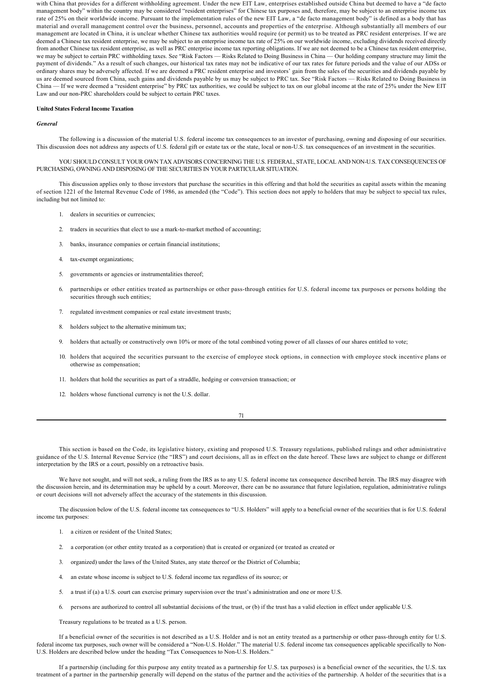with China that provides for a different withholding agreement. Under the new EIT Law, enterprises established outside China but deemed to have a "de facto management body" within the country may be considered "resident enterprises" for Chinese tax purposes and, therefore, may be subject to an enterprise income tax rate of 25% on their worldwide income. Pursuant to the implementation rules of the new EIT Law, a "de facto management body" is defined as a body that has material and overall management control over the business, personnel, accounts and properties of the enterprise. Although substantially all members of our management are located in China, it is unclear whether Chinese tax authorities would require (or permit) us to be treated as PRC resident enterprises. If we are deemed a Chinese tax resident enterprise, we may be subject to an enterprise income tax rate of 25% on our worldwide income, excluding dividends received directly from another Chinese tax resident enterprise, as well as PRC enterprise income tax reporting obligations. If we are not deemed to be a Chinese tax resident enterprise, we may be subject to certain PRC withholding taxes. See "Risk Factors - Risks Related to Doing Business in China - Our holding company structure may limit the payment of dividends." As a result of such changes, our historical tax rates may not be indicative of our tax rates for future periods and the value of our ADSs or ordinary shares may be adversely affected. If we are deemed a PRC resident enterprise and investors' gain from the sales of the securities and dividends payable by us are deemed sourced from China, such gains and dividends payable by us may be subject to PRC tax. See "Risk Factors — Risks Related to Doing Business in China — If we were deemed a "resident enterprise" by PRC tax authorities, we could be subject to tax on our global income at the rate of 25% under the New EIT Law and our non-PRC shareholders could be subject to certain PRC taxes.

#### **United States Federal Income Taxation**

#### *General*

The following is a discussion of the material U.S. federal income tax consequences to an investor of purchasing, owning and disposing of our securities. This discussion does not address any aspects of U.S. federal gift or estate tax or the state, local or non-U.S. tax consequences of an investment in the securities.

YOU SHOULD CONSULT YOUR OWN TAX ADVISORS CONCERNING THE U.S. FEDERAL, STATE, LOCAL AND NON-U.S. TAX CONSEQUENCES OF PURCHASING, OWNING AND DISPOSING OF THE SECURITIES IN YOUR PARTICULAR SITUATION.

This discussion applies only to those investors that purchase the securities in this offering and that hold the securities as capital assets within the meaning of section 1221 of the Internal Revenue Code of 1986, as amended (the "Code"). This section does not apply to holders that may be subject to special tax rules, including but not limited to:

- 1. dealers in securities or currencies;
- 2. traders in securities that elect to use a mark-to-market method of accounting;
- 3. banks, insurance companies or certain financial institutions;
- 4. tax-exempt organizations;
- 5. governments or agencies or instrumentalities thereof;
- 6. partnerships or other entities treated as partnerships or other passthrough entities for U.S. federal income tax purposes or persons holding the securities through such entities;
- 7. regulated investment companies or real estate investment trusts;
- 8. holders subject to the alternative minimum tax;
- 9. holders that actually or constructively own 10% or more of the total combined voting power of all classes of our shares entitled to vote;
- 10. holders that acquired the securities pursuant to the exercise of employee stock options, in connection with employee stock incentive plans or otherwise as compensation;
- 11. holders that hold the securities as part of a straddle, hedging or conversion transaction; or
- 12. holders whose functional currency is not the U.S. dollar.

71

This section is based on the Code, its legislative history, existing and proposed U.S. Treasury regulations, published rulings and other administrative guidance of the U.S. Internal Revenue Service (the "IRS") and court decisions, all as in effect on the date hereof. These laws are subject to change or different interpretation by the IRS or a court, possibly on a retroactive basis.

We have not sought, and will not seek, a ruling from the IRS as to any U.S. federal income tax consequence described herein. The IRS may disagree with the discussion herein, and its determination may be upheld by a court. Moreover, there can be no assurance that future legislation, regulation, administrative rulings or court decisions will not adversely affect the accuracy of the statements in this discussion.

The discussion below of the U.S. federal income tax consequences to "U.S. Holders" will apply to a beneficial owner of the securities that is for U.S. federal income tax purposes:

- 1. a citizen or resident of the United States;
- 2. a corporation (or other entity treated as a corporation) that is created or organized (or treated as created or
- 3. organized) under the laws of the United States, any state thereof or the District of Columbia;
- 4. an estate whose income is subject to U.S. federal income tax regardless of its source; or
- 5. a trust if (a) a U.S. court can exercise primary supervision over the trust's administration and one or more U.S.
- 6. persons are authorized to control all substantial decisions of the trust, or (b) if the trust has a valid election in effect under applicable U.S.

Treasury regulations to be treated as a U.S. person.

If a beneficial owner of the securities is not described as a U.S. Holder and is not an entity treated as a partnership or other pass-through entity for U.S. federal income tax purposes, such owner will be considered a "Non-U.S. Holder." The material U.S. federal income tax consequences applicable specifically to Non-U.S. Holders are described below under the heading "Tax Consequences to Non-U.S. Holders."

If a partnership (including for this purpose any entity treated as a partnership for U.S. tax purposes) is a beneficial owner of the securities, the U.S. tax treatment of a partner in the partnership generally will depend on the status of the partner and the activities of the partnership. A holder of the securities that is a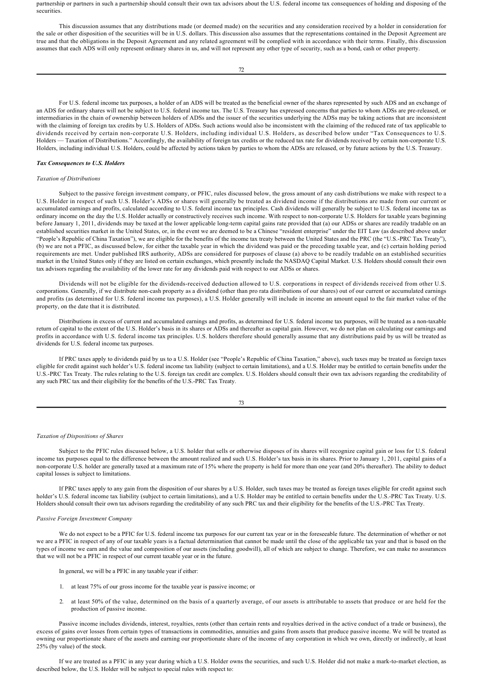partnership or partners in such a partnership should consult their own tax advisors about the U.S. federal income tax consequences of holding and disposing of the securities.

This discussion assumes that any distributions made (or deemed made) on the securities and any consideration received by a holder in consideration for the sale or other disposition of the securities will be in U.S. dollars. This discussion also assumes that the representations contained in the Deposit Agreement are true and that the obligations in the Deposit Agreement and any related agreement will be complied with in accordance with their terms. Finally, this discussion assumes that each ADS will only represent ordinary shares in us, and will not represent any other type of security, such as a bond, cash or other property.

72

For U.S. federal income tax purposes, a holder of an ADS will be treated as the beneficial owner of the shares represented by such ADS and an exchange of an ADS for ordinary shares will not be subject to U.S. federal income tax. The U.S. Treasury has expressed concerns that parties to whom ADSs are prereleased, or intermediaries in the chain of ownership between holders of ADSs and the issuer of the securities underlying the ADSs may be taking actions that are inconsistent with the claiming of foreign tax credits by U.S. Holders of ADSs. Such actions would also be inconsistent with the claiming of the reduced rate of tax applicable to dividends received by certain non-corporate U.S. Holders, including individual U.S. Holders, as described below under "Tax Consequences to U.S. Holders — Taxation of Distributions." Accordingly, the availability of foreign tax credits or the reduced tax rate for dividends received by certain non-corporate U.S. Holders, including individual U.S. Holders, could be affected by actions taken by parties to whom the ADSs are released, or by future actions by the U.S. Treasury.

### *Tax Consequences to U.S. Holders*

#### *Taxation of Distributions*

Subject to the passive foreign investment company, or PFIC, rules discussed below, the gross amount of any cash distributions we make with respect to a U.S. Holder in respect of such U.S. Holder's ADSs or shares will generally be treated as dividend income if the distributions are made from our current or accumulated earnings and profits, calculated according to U.S. federal income tax principles. Cash dividends will generally be subject to U.S. federal income tax as ordinary income on the day the U.S. Holder actually or constructively receives such income. With respect to noncorporate U.S. Holders for taxable years beginning before January 1, 2011, dividends may be taxed at the lower applicable long-term capital gains rate provided that (a) our ADSs or shares are readily tradable on an established securities market in the United States, or, in the event we are deemed to be a Chinese "resident enterprise" under the EIT Law (as described above under "People's Republic of China Taxation"), we are eligible for the benefits of the income tax treaty between the United States and the PRC (the "U.S.-PRC Tax Treaty"), (b) we are not a PFIC, as discussed below, for either the taxable year in which the dividend was paid or the preceding taxable year, and (c) certain holding period requirements are met. Under published IRS authority, ADSs are considered for purposes of clause (a) above to be readily tradable on an established securities market in the United States only if they are listed on certain exchanges, which presently include the NASDAQ Capital Market. U.S. Holders should consult their own tax advisors regarding the availability of the lower rate for any dividends paid with respect to our ADSs or shares.

Dividends will not be eligible for the dividends-received deduction allowed to U.S. corporations in respect of dividends received from other U.S. corporations. Generally, if we distribute noncash property as a dividend (other than pro rata distributions of our shares) out of our current or accumulated earnings and profits (as determined for U.S. federal income tax purposes), a U.S. Holder generally will include in income an amount equal to the fair market value of the property, on the date that it is distributed.

Distributions in excess of current and accumulated earnings and profits, as determined for U.S. federal income tax purposes, will be treated as a non-taxable return of capital to the extent of the U.S. Holder's basis in its shares or ADSs and thereafter as capital gain. However, we do not plan on calculating our earnings and profits in accordance with U.S. federal income tax principles. U.S. holders therefore should generally assume that any distributions paid by us will be treated as dividends for U.S. federal income tax purposes.

If PRC taxes apply to dividends paid by us to a U.S. Holder (see "People's Republic of China Taxation," above), such taxes may be treated as foreign taxes eligible for credit against such holder's U.S. federal income tax liability (subject to certain limitations), and a U.S. Holder may be entitled to certain benefits under the U.S.PRC Tax Treaty. The rules relating to the U.S. foreign tax credit are complex. U.S. Holders should consult their own tax advisors regarding the creditability of any such PRC tax and their eligibility for the benefits of the U.S.-PRC Tax Treaty.

73

### *Taxation of Dispositions of Shares*

Subject to the PFIC rules discussed below, a U.S. holder that sells or otherwise disposes of its shares will recognize capital gain or loss for U.S. federal income tax purposes equal to the difference between the amount realized and such U.S. Holder's tax basis in its shares. Prior to January 1, 2011, capital gains of a non-corporate U.S. holder are generally taxed at a maximum rate of 15% where the property is held for more than one year (and 20% thereafter). The ability to deduct capital losses is subject to limitations.

If PRC taxes apply to any gain from the disposition of our shares by a U.S. Holder, such taxes may be treated as foreign taxes eligible for credit against such holder's U.S. federal income tax liability (subject to certain limitations), and a U.S. Holder may be entitled to certain benefits under the U.S.-PRC Tax Treaty. U.S. Holders should consult their own tax advisors regarding the creditability of any such PRC tax and their eligibility for the benefits of the U.S.PRC Tax Treaty.

## *Passive Foreign Investment Company*

We do not expect to be a PFIC for U.S. federal income tax purposes for our current tax year or in the foreseeable future. The determination of whether or not we are a PFIC in respect of any of our taxable years is a factual determination that cannot be made until the close of the applicable tax year and that is based on the types of income we earn and the value and composition of our assets (including goodwill), all of which are subject to change. Therefore, we can make no assurances that we will not be a PFIC in respect of our current taxable year or in the future.

In general, we will be a PFIC in any taxable year if either:

- 1. at least 75% of our gross income for the taxable year is passive income; or
- 2. at least 50% of the value, determined on the basis of a quarterly average, of our assets is attributable to assets that produce or are held for the production of passive income.

Passive income includes dividends, interest, royalties, rents (other than certain rents and royalties derived in the active conduct of a trade or business), the excess of gains over losses from certain types of transactions in commodities, annuities and gains from assets that produce passive income. We will be treated as owning our proportionate share of the assets and earning our proportionate share of the income of any corporation in which we own, directly or indirectly, at least 25% (by value) of the stock.

If we are treated as a PFIC in any year during which a U.S. Holder owns the securities, and such U.S. Holder did not make a mark-to-market election, as described below, the U.S. Holder will be subject to special rules with respect to: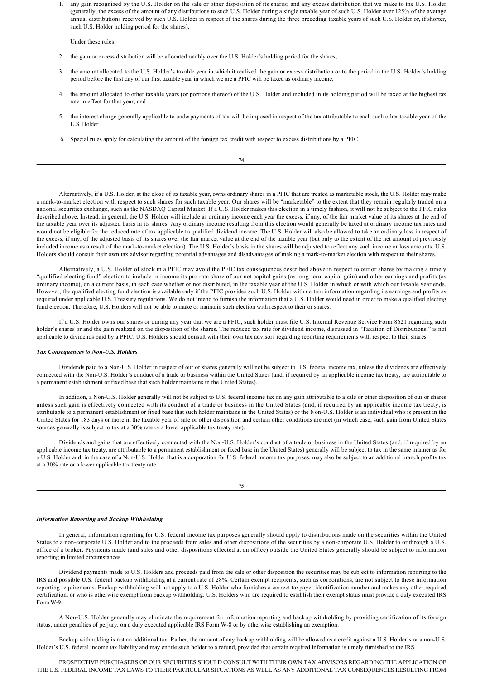1. any gain recognized by the U.S. Holder on the sale or other disposition of its shares; and any excess distribution that we make to the U.S. Holder (generally, the excess of the amount of any distributions to such U.S. Holder during a single taxable year of such U.S. Holder over 125% of the average annual distributions received by such U.S. Holder in respect of the shares during the three preceding taxable years of such U.S. Holder or, if shorter, such U.S. Holder holding period for the shares).

Under these rules:

- 2. the gain or excess distribution will be allocated ratably over the U.S. Holder's holding period for the shares;
- 3. the amount allocated to the U.S. Holder's taxable year in which it realized the gain or excess distribution or to the period in the U.S. Holder's holding period before the first day of our first taxable year in which we are a PFIC will be taxed as ordinary income;
- 4. the amount allocated to other taxable years (or portions thereof) of the U.S. Holder and included in its holding period will be taxed at the highest tax rate in effect for that year; and
- 5. the interest charge generally applicable to underpayments of tax will be imposed in respect of the tax attributable to each such other taxable year of the U.S. Holder.
- 6. Special rules apply for calculating the amount of the foreign tax credit with respect to excess distributions by a PFIC.

74

Alternatively, if a U.S. Holder, at the close of its taxable year, owns ordinary shares in a PFIC that are treated as marketable stock, the U.S. Holder may make a mark-to-market election with respect to such shares for such taxable year. Our shares will be "marketable" to the extent that they remain regularly traded on a national securities exchange, such as the NASDAQ Capital Market. If a U.S. Holder makes this election in a timely fashion, it will not be subject to the PFIC rules described above. Instead, in general, the U.S. Holder will include as ordinary income each year the excess, if any, of the fair market value of its shares at the end of the taxable year over its adjusted basis in its shares. Any ordinary income resulting from this election would generally be taxed at ordinary income tax rates and would not be eligible for the reduced rate of tax applicable to qualified dividend income. The U.S. Holder will also be allowed to take an ordinary loss in respect of the excess, if any, of the adjusted basis of its shares over the fair market value at the end of the taxable year (but only to the extent of the net amount of previously included income as a result of the mark-to-market election). The U.S. Holder's basis in the shares will be adjusted to reflect any such income or loss amounts. U.S. Holders should consult their own tax advisor regarding potential advantages and disadvantages of making a mark-to-market election with respect to their shares.

Alternatively, a U.S. Holder of stock in a PFIC may avoid the PFIC tax consequences described above in respect to our or shares by making a timely "qualified electing fund" election to include in income its pro rata share of our net capital gains (as long-term capital gain) and other earnings and profits (as ordinary income), on a current basis, in each case whether or not distributed, in the taxable year of the U.S. Holder in which or with which our taxable year ends. However, the qualified electing fund election is available only if the PFIC provides such U.S. Holder with certain information regarding its earnings and profits as required under applicable U.S. Treasury regulations. We do not intend to furnish the information that a U.S. Holder would need in order to make a qualified electing fund election. Therefore, U.S. Holders will not be able to make or maintain such election with respect to their or shares.

If a U.S. Holder owns our shares or during any year that we are a PFIC, such holder must file U.S. Internal Revenue Service Form 8621 regarding such holder's shares or and the gain realized on the disposition of the shares. The reduced tax rate for dividend income, discussed in "Taxation of Distributions," is not applicable to dividends paid by a PFIC. U.S. Holders should consult with their own tax advisors regarding reporting requirements with respect to their shares.

### **Tax Consequences to Non-U.S. Holders**

Dividends paid to a Non-U.S. Holder in respect of our or shares generally will not be subject to U.S. federal income tax, unless the dividends are effectively connected with the Non-U.S. Holder's conduct of a trade or business within the United States (and, if required by an applicable income tax treaty, are attributable to a permanent establishment or fixed base that such holder maintains in the United States).

In addition, a Non-U.S. Holder generally will not be subject to U.S. federal income tax on any gain attributable to a sale or other disposition of our or shares unless such gain is effectively connected with its conduct of a trade or business in the United States (and, if required by an applicable income tax treaty, is attributable to a permanent establishment or fixed base that such holder maintains in the United States) or the Non-U.S. Holder is an individual who is present in the United States for 183 days or more in the taxable year of sale or other disposition and certain other conditions are met (in which case, such gain from United States sources generally is subject to tax at a 30% rate or a lower applicable tax treaty rate).

Dividends and gains that are effectively connected with the Non-U.S. Holder's conduct of a trade or business in the United States (and, if required by an applicable income tax treaty, are attributable to a permanent establishment or fixed base in the United States) generally will be subject to tax in the same manner as for a U.S. Holder and, in the case of a Non-U.S. Holder that is a corporation for U.S. federal income tax purposes, may also be subject to an additional branch profits tax at a 30% rate or a lower applicable tax treaty rate.

#### 75

## *Information Reporting and Backup Withholding*

In general, information reporting for U.S. federal income tax purposes generally should apply to distributions made on the securities within the United States to a noncorporate U.S. Holder and to the proceeds from sales and other dispositions of the securities by a noncorporate U.S. Holder to or through a U.S. office of a broker. Payments made (and sales and other dispositions effected at an office) outside the United States generally should be subject to information reporting in limited circumstances.

Dividend payments made to U.S. Holders and proceeds paid from the sale or other disposition the securities may be subject to information reporting to the IRS and possible U.S. federal backup withholding at a current rate of 28%. Certain exempt recipients, such as corporations, are not subject to these information reporting requirements. Backup withholding will not apply to a U.S. Holder who furnishes a correct taxpayer identification number and makes any other required certification, or who is otherwise exempt from backup withholding. U.S. Holders who are required to establish their exempt status must provide a duly executed IRS Form W-9.

A Non-U.S. Holder generally may eliminate the requirement for information reporting and backup withholding by providing certification of its foreign status, under penalties of perjury, on a duly executed applicable IRS Form W-8 or by otherwise establishing an exemption.

Backup withholding is not an additional tax. Rather, the amount of any backup withholding will be allowed as a credit against a U.S. Holder's or a non-U.S. Holder's U.S. federal income tax liability and may entitle such holder to a refund, provided that certain required information is timely furnished to the IRS.

PROSPECTIVE PURCHASERS OF OUR SECURITIES SHOULD CONSULT WITH THEIR OWN TAX ADVISORS REGARDING THE APPLICATION OF THE U.S. FEDERAL INCOME TAX LAWS TO THEIR PARTICULAR SITUATIONS AS WELL AS ANY ADDITIONAL TAX CONSEQUENCES RESULTING FROM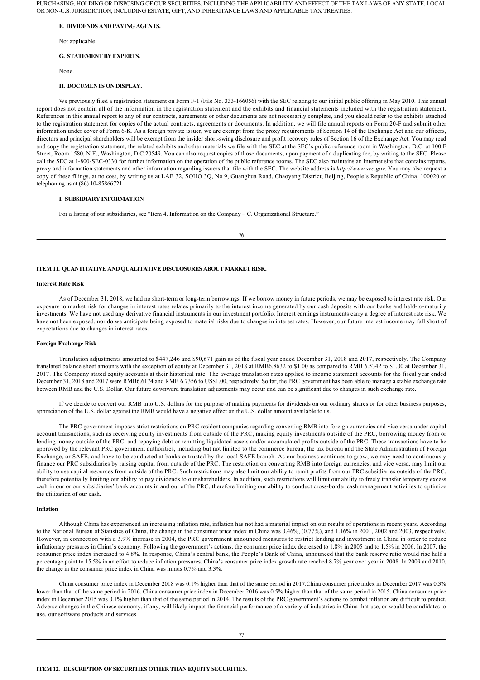PURCHASING, HOLDING OR DISPOSING OF OUR SECURITIES, INCLUDING THE APPLICABILITY AND EFFECT OF THE TAX LAWS OF ANY STATE, LOCAL OR NON-U.S. JURISDICTION, INCLUDING ESTATE, GIFT, AND INHERITANCE LAWS AND APPLICABLE TAX TREATIES.

#### **F. DIVIDENDS AND PAYING AGENTS.**

Not applicable.

### **G. STATEMENT BY EXPERTS.**

None.

#### **H. DOCUMENTS ON DISPLAY.**

We previously filed a registration statement on Form F-1 (File No. 333-166056) with the SEC relating to our initial public offering in May 2010. This annual report does not contain all of the information in the registration statement and the exhibits and financial statements included with the registration statement. References in this annual report to any of our contracts, agreements or other documents are not necessarily complete, and you should refer to the exhibits attached to the registration statement for copies of the actual contracts, agreements or documents. In addition, we will file annual reports on Form 20-F and submit other information under cover of Form 6K. As a foreign private issuer, we are exempt from the proxy requirements of Section 14 of the Exchange Act and our officers, directors and principal shareholders will be exempt from the insider short-swing disclosure and profit recovery rules of Section 16 of the Exchange Act. You may read and copy the registration statement, the related exhibits and other materials we file with the SEC at the SEC's public reference room in Washington, D.C. at 100 F Street, Room 1580, N.E., Washington, D.C.20549. You can also request copies of those documents, upon payment of a duplicating fee, by writing to the SEC. Please call the SEC at 1-800-SEC-0330 for further information on the operation of the public reference rooms. The SEC also maintains an Internet site that contains reports, proxy and information statements and other information regarding issuers that file with the SEC. The website address is *http://www.sec.gov*. You may also request a copy of these filings, at no cost, by writing us at LAB 32, SOHO 3Q, No 9, Guanghua Road, Chaoyang District, Beijing, People's Republic of China, 100020 or telephoning us at  $(86)$  10-85866721.

#### **I. SUBSIDIARY INFORMATION**

For a listing of our subsidiaries, see "Item 4. Information on the Company – C. Organizational Structure."

76

#### **ITEM 11. QUANTITATIVE AND QUALITATIVE DISCLOSURES ABOUT MARKET RISK.**

#### **Interest Rate Risk**

As of December 31, 2018, we had no short-term or long-term borrowings. If we borrow money in future periods, we may be exposed to interest rate risk. Our exposure to market risk for changes in interest rates relates primarily to the interest income generated by our cash deposits with our banks and held-to-maturity investments. We have not used any derivative financial instruments in our investment portfolio. Interest earnings instruments carry a degree of interest rate risk. We have not been exposed, nor do we anticipate being exposed to material risks due to changes in interest rates. However, our future interest income may fall short of expectations due to changes in interest rates.

#### **Foreign Exchange Risk**

Translation adjustments amounted to \$447,246 and \$90,671 gain as of the fiscal year ended December 31, 2018 and 2017, respectively. The Company translated balance sheet amounts with the exception of equity at December 31, 2018 at RMB6.8632 to \$1.00 as compared to RMB 6.5342 to \$1.00 at December 31, 2017. The Company stated equity accounts at their historical rate. The average translation rates applied to income statement accounts for the fiscal year ended December 31, 2018 and 2017 were RMB6.6174 and RMB 6.7356 to US\$1.00, respectively. So far, the PRC government has been able to manage a stable exchange rate between RMB and the U.S. Dollar. Our future downward translation adjustments may occur and can be significant due to changes in such exchange rate.

If we decide to convert our RMB into U.S. dollars for the purpose of making payments for dividends on our ordinary shares or for other business purposes, appreciation of the U.S. dollar against the RMB would have a negative effect on the U.S. dollar amount available to us.

The PRC government imposes strict restrictions on PRC resident companies regarding converting RMB into foreign currencies and vice versa under capital account transactions, such as receiving equity investments from outside of the PRC, making equity investments outside of the PRC, borrowing money from or lending money outside of the PRC, and repaying debt or remitting liquidated assets and/or accumulated profits outside of the PRC. These transactions have to be approved by the relevant PRC government authorities, including but not limited to the commerce bureau, the tax bureau and the State Administration of Foreign Exchange, or SAFE, and have to be conducted at banks entrusted by the local SAFE branch. As our business continues to grow, we may need to continuously finance our PRC subsidiaries by raising capital from outside of the PRC. The restriction on converting RMB into foreign currencies, and vice versa, may limit our ability to use capital resources from outside of the PRC. Such restrictions may also limit our ability to remit profits from our PRC subsidiaries outside of the PRC, therefore potentially limiting our ability to pay dividends to our shareholders. In addition, such restrictions will limit our ability to freely transfer temporary excess cash in our or our subsidiaries' bank accounts in and out of the PRC, therefore limiting our ability to conduct cross-border cash management activities to optimize the utilization of our cash.

#### **Inflation**

Although China has experienced an increasing inflation rate, inflation has not had a material impact on our results of operations in recent years. According to the National Bureau of Statistics of China, the change in the consumer price index in China was 0.46%, (0.77%), and 1.16% in 2001, 2002 and 2003, respectively. However, in connection with a 3.9% increase in 2004, the PRC government announced measures to restrict lending and investment in China in order to reduce inflationary pressures in China's economy. Following the government's actions, the consumer price index decreased to 1.8% in 2005 and to 1.5% in 2006. In 2007, the consumer price index increased to 4.8%. In response, China's central bank, the People's Bank of China, announced that the bank reserve ratio would rise half a percentage point to 15.5% in an effort to reduce inflation pressures. China's consumer price index growth rate reached 8.7% year over year in 2008. In 2009 and 2010, the change in the consumer price index in China was minus 0.7% and 3.3%.

China consumer price index in December 2018 was 0.1% higher than that of the same period in 2017.China consumer price index in December 2017 was 0.3% lower than that of the same period in 2016. China consumer price index in December 2016 was 0.5% higher than that of the same period in 2015. China consumer price index in December 2015 was 0.1% higher than that of the same period in 2014. The results of the PRC government's actions to combat inflation are difficult to predict. Adverse changes in the Chinese economy, if any, will likely impact the financial performance of a variety of industries in China that use, or would be candidates to use, our software products and services.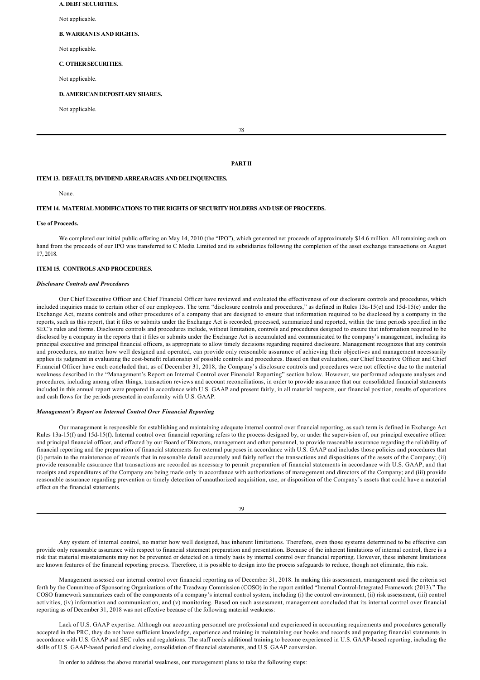#### **A. DEBT SECURITIES.**

Not applicable.

## **B. WARRANTS AND RIGHTS.**

Not applicable

#### **C. OTHER SECURITIES.**

Not applicable.

## **D. AMERICAN DEPOSITARY SHARES.**

Not applicable.

78

## **PART II**

#### **ITEM 13. DEFAULTS, DIVIDEND ARREARAGES AND DELINQUENCIES.**

None.

## **ITEM 14. MATERIAL MODIFICATIONS TO THE RIGHTS OF SECURITY HOLDERS AND USE OF PROCEEDS.**

#### **Use of Proceeds.**

We completed our initial public offering on May 14, 2010 (the "IPO"), which generated net proceeds of approximately \$14.6 million. All remaining cash on hand from the proceeds of our IPO was transferred to C Media Limited and its subsidiaries following the completion of the asset exchange transactions on August 17, 2018.

## **ITEM 15. CONTROLS AND PROCEDURES.**

## *Disclosure Controls and Procedures*

Our Chief Executive Officer and Chief Financial Officer have reviewed and evaluated the effectiveness of our disclosure controls and procedures, which included inquiries made to certain other of our employees. The term "disclosure controls and procedures," as defined in Rules 13a-15(e) and  $15d-15(e)$  under the Exchange Act, means controls and other procedures of a company that are designed to ensure that information required to be disclosed by a company in the reports, such as this report, that it files or submits under the Exchange Act is recorded, processed, summarized and reported, within the time periods specified in the SEC's rules and forms. Disclosure controls and procedures include, without limitation, controls and procedures designed to ensure that information required to be disclosed by a company in the reports that it files or submits under the Exchange Act is accumulated and communicated to the company's management, including its principal executive and principal financial officers, as appropriate to allow timely decisions regarding required disclosure. Management recognizes that any controls and procedures, no matter how well designed and operated, can provide only reasonable assurance of achieving their objectives and management necessarily applies its judgment in evaluating the cost-benefit relationship of possible controls and procedures. Based on that evaluation, our Chief Executive Officer and Chief Financial Officer have each concluded that, as of December 31, 2018, the Company's disclosure controls and procedures were not effective due to the material weakness described in the "Management's Report on Internal Control over Financial Reporting" section below. However, we performed adequate analyses and procedures, including among other things, transaction reviews and account reconciliations, in order to provide assurance that our consolidated financial statements included in this annual report were prepared in accordance with U.S. GAAP and present fairly, in all material respects, our financial position, results of operations and cash flows for the periods presented in conformity with U.S. GAAP.

#### *Management's Report on Internal Control Over Financial Reporting*

Our management is responsible for establishing and maintaining adequate internal control over financial reporting, as such term is defined in Exchange Act Rules 13a-15(f) and 15d-15(f). Internal control over financial reporting refers to the process designed by, or under the supervision of, our principal executive officer and principal financial officer, and effected by our Board of Directors, management and other personnel, to provide reasonable assurance regarding the reliability of financial reporting and the preparation of financial statements for external purposes in accordance with U.S. GAAP and includes those policies and procedures that (i) pertain to the maintenance of records that in reasonable detail accurately and fairly reflect the transactions and dispositions of the assets of the Company; (ii) provide reasonable assurance that transactions are recorded as necessary to permit preparation of financial statements in accordance with U.S. GAAP, and that receipts and expenditures of the Company are being made only in accordance with authorizations of management and directors of the Company; and (iii) provide reasonable assurance regarding prevention or timely detection of unauthorized acquisition, use, or disposition of the Company's assets that could have a material effect on the financial statements.

79

Any system of internal control, no matter how well designed, has inherent limitations. Therefore, even those systems determined to be effective can provide only reasonable assurance with respect to financial statement preparation and presentation. Because of the inherent limitations of internal control, there is a risk that material misstatements may not be prevented or detected on a timely basis by internal control over financial reporting. However, these inherent limitations are known features of the financial reporting process. Therefore, it is possible to design into the process safeguards to reduce, though not eliminate, this risk.

Management assessed our internal control over financial reporting as of December 31, 2018. In making this assessment, management used the criteria set forth by the Committee of Sponsoring Organizations of the Treadway Commission (COSO) in the report entitled "Internal Control-Integrated Framework (2013)." The COSO framework summarizes each of the components of a company's internal control system, including (i) the control environment, (ii) risk assessment, (iii) control activities, (iv) information and communication, and (v) monitoring. Based on such assessment, management concluded that its internal control over financial reporting as of December 31, 2018 was not effective because of the following material weakness:

Lack of U.S. GAAP expertise. Although our accounting personnel are professional and experienced in accounting requirements and procedures generally accepted in the PRC, they do not have sufficient knowledge, experience and training in maintaining our books and records and preparing financial statements in accordance with U.S. GAAP and SEC rules and regulations. The staff needs additional training to become experienced in U.S. GAAPbased reporting, including the skills of U.S. GAAP-based period end closing, consolidation of financial statements, and U.S. GAAP conversion.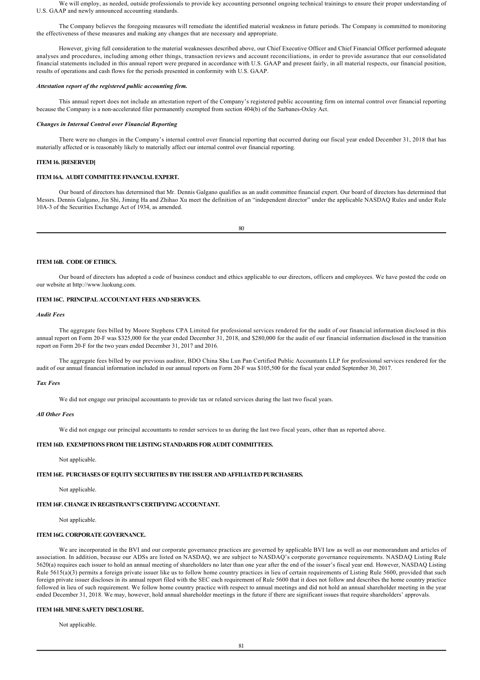We will employ, as needed, outside professionals to provide key accounting personnel ongoing technical trainings to ensure their proper understanding of U.S. GAAP and newly announced accounting standards.

The Company believes the foregoing measures will remediate the identified material weakness in future periods. The Company is committed to monitoring the effectiveness of these measures and making any changes that are necessary and appropriate.

However, giving full consideration to the material weaknesses described above, our Chief Executive Officer and Chief Financial Officer performed adequate analyses and procedures, including among other things, transaction reviews and account reconciliations, in order to provide assurance that our consolidated financial statements included in this annual report were prepared in accordance with U.S. GAAP and present fairly, in all material respects, our financial position, results of operations and cash flows for the periods presented in conformity with U.S. GAAP.

### *Attestation report of the registered public accounting firm.*

This annual report does not include an attestation report of the Company's registered public accounting firm on internal control over financial reporting because the Company is a non-accelerated filer permanently exempted from section 404(b) of the Sarbanes-Oxley Act.

#### *Changes in Internal Control over Financial Reporting*

There were no changes in the Company's internal control over financial reporting that occurred during our fiscal year ended December 31, 2018 that has materially affected or is reasonably likely to materially affect our internal control over financial reporting.

## **ITEM 16. [RESERVED]**

### **ITEM 16A. AUDIT COMMITTEE FINANCIAL EXPERT.**

Our board of directors has determined that Mr. Dennis Galgano qualifies as an audit committee financial expert. Our board of directors has determined that Messrs. Dennis Galgano, Jin Shi, Jiming Ha and Zhihao Xu meet the definition of an "independent director" under the applicable NASDAQ Rules and under Rule 10A-3 of the Securities Exchange Act of 1934, as amended.

80

## **ITEM 16B. CODE OF ETHICS.**

Our board of directors has adopted a code of business conduct and ethics applicable to our directors, officers and employees. We have posted the code on our website at http://www.luokung.com.

## **ITEM 16C. PRINCIPAL ACCOUNTANT FEES AND SERVICES.**

## *Audit Fees*

The aggregate fees billed by Moore Stephens CPA Limited for professional services rendered for the audit of our financial information disclosed in this annual report on Form 20-F was \$325,000 for the year ended December 31, 2018, and \$280,000 for the audit of our financial information disclosed in the transition report on Form 20-F for the two years ended December 31, 2017 and 2016.

The aggregate fees billed by our previous auditor, BDO China Shu Lun Pan Certified Public Accountants LLP for professional services rendered for the audit of our annual financial information included in our annual reports on Form 20F was \$105,500 for the fiscal year ended September 30, 2017.

## *Tax Fees*

We did not engage our principal accountants to provide tax or related services during the last two fiscal years.

## *All Other Fees*

We did not engage our principal accountants to render services to us during the last two fiscal years, other than as reported above.

## **ITEM 16D. EXEMPTIONS FROM THE LISTING STANDARDS FOR AUDIT COMMITTEES.**

Not applicable.

## **ITEM 16E. PURCHASES OF EQUITY SECURITIES BY THE ISSUER AND AFFILIATED PURCHASERS.**

Not applicable.

## **ITEM 16F. CHANGE IN REGISTRANT'S CERTIFYING ACCOUNTANT.**

Not applicable.

## **ITEM 16G. CORPORATE GOVERNANCE.**

We are incorporated in the BVI and our corporate governance practices are governed by applicable BVI law as well as our memorandum and articles of association. In addition, because our ADSs are listed on NASDAQ, we are subject to NASDAQ's corporate governance requirements. NASDAQ Listing Rule 5620(a) requires each issuer to hold an annual meeting of shareholders no later than one year after the end of the issuer's fiscal year end. However, NASDAQ Listing Rule 5615(a)(3) permits a foreign private issuer like us to follow home country practices in lieu of certain requirements of Listing Rule 5600, provided that such foreign private issuer discloses in its annual report filed with the SEC each requirement of Rule 5600 that it does not follow and describes the home country practice followed in lieu of such requirement. We follow home country practice with respect to annual meetings and did not hold an annual shareholder meeting in the year ended December 31, 2018. We may, however, hold annual shareholder meetings in the future if there are significant issues that require shareholders' approvals.

### **ITEM 16H. MINE SAFETY DISCLOSURE.**

Not applicable.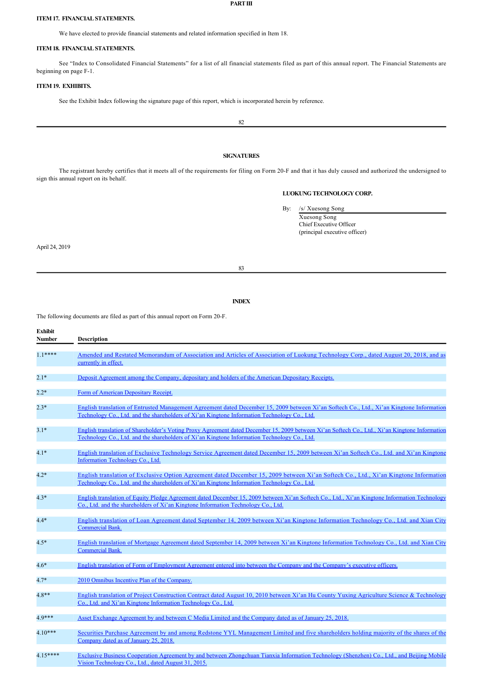#### **PART III**

### **ITEM 17. FINANCIAL STATEMENTS.**

We have elected to provide financial statements and related information specified in Item 18.

## **ITEM 18. FINANCIAL STATEMENTS.**

See "Index to Consolidated Financial Statements" for a list of all financial statements filed as part of this annual report. The Financial Statements are beginning on page F-1.

## **ITEM 19. EXHIBITS.**

See the Exhibit Index following the signature page of this report, which is incorporated herein by reference.

82

## **SIGNATURES**

The registrant hereby certifies that it meets all of the requirements for filing on Form 20F and that it has duly caused and authorized the undersigned to sign this annual report on its behalf.

## **LUOKUNG TECHNOLOGY CORP.**

By: /s/ Xuesong Song

Xuesong Song Chief Executive Officer (principal executive officer)

April 24, 2019

83

## **INDEX**

The following documents are filed as part of this annual report on Form 20-F.

| <b>Exhibit</b><br><b>Number</b> | <b>Description</b>                                                                                                                                                                                                                              |
|---------------------------------|-------------------------------------------------------------------------------------------------------------------------------------------------------------------------------------------------------------------------------------------------|
| $1.1***$                        | Amended and Restated Memorandum of Association and Articles of Association of Luokung Technology Corp., dated August 20, 2018, and as<br>currently in effect.                                                                                   |
| $2.1*$                          | Deposit Agreement among the Company, depositary and holders of the American Depositary Receipts.                                                                                                                                                |
| $2.2*$                          | Form of American Depositary Receipt.                                                                                                                                                                                                            |
| $2.3*$                          | English translation of Entrusted Management Agreement dated December 15, 2009 between Xi'an Softech Co., Ltd., Xi'an Kingtone Information<br>Technology Co., Ltd. and the shareholders of Xi'an Kingtone Information Technology Co., Ltd.       |
| $3.1*$                          | English translation of Shareholder's Voting Proxy Agreement dated December 15, 2009 between Xi'an Softech Co., Ltd., Xi'an Kingtone Information<br>Technology Co., Ltd. and the shareholders of Xi'an Kingtone Information Technology Co., Ltd. |
| $4.1*$                          | English translation of Exclusive Technology Service Agreement dated December 15, 2009 between Xi'an Softech Co., Ltd. and Xi'an Kingtone<br>Information Technology Co., Ltd.                                                                    |
| $4.2*$                          | English translation of Exclusive Option Agreement dated December 15, 2009 between Xi'an Softech Co., Ltd., Xi'an Kingtone Information<br>Technology Co., Ltd. and the shareholders of Xi'an Kingtone Information Technology Co., Ltd.           |
| $4.3*$                          | English translation of Equity Pledge Agreement dated December 15, 2009 between Xi'an Softech Co., Ltd., Xi'an Kingtone Information Technology<br>Co., Ltd. and the shareholders of Xi'an Kingtone Information Technology Co., Ltd.              |
| $4.4*$                          | English translation of Loan Agreement dated September 14, 2009 between Xi'an Kingtone Information Technology Co., Ltd. and Xian City<br><b>Commercial Bank.</b>                                                                                 |
| $4.5*$                          | English translation of Mortgage Agreement dated September 14, 2009 between Xi'an Kingtone Information Technology Co., Ltd. and Xian City<br><b>Commercial Bank.</b>                                                                             |
| $4.6*$                          | English translation of Form of Employment Agreement entered into between the Company and the Company's executive officers.                                                                                                                      |
| $4.7*$                          | 2010 Omnibus Incentive Plan of the Company.                                                                                                                                                                                                     |
| $4.8**$                         | English translation of Project Construction Contract dated August 10, 2010 between Xi'an Hu County Yuxing Agriculture Science & Technology<br>Co., Ltd. and Xi'an Kingtone Information Technology Co., Ltd.                                     |
| $4.9***$                        | Asset Exchange Agreement by and between C Media Limited and the Company dated as of January 25, 2018.                                                                                                                                           |
| $4.10***$                       | Securities Purchase Agreement by and among Redstone YYL Management Limited and five shareholders holding majority of the shares of the<br>Company dated as of January 25, 2018.                                                                 |
| $4.15***$                       | Exclusive Business Cooperation Agreement by and between Zhongchuan Tianxia Information Technology (Shenzhen) Co., Ltd., and Beijing Mobile<br>Vision Technology Co., Ltd., dated August 31, 2015.                                               |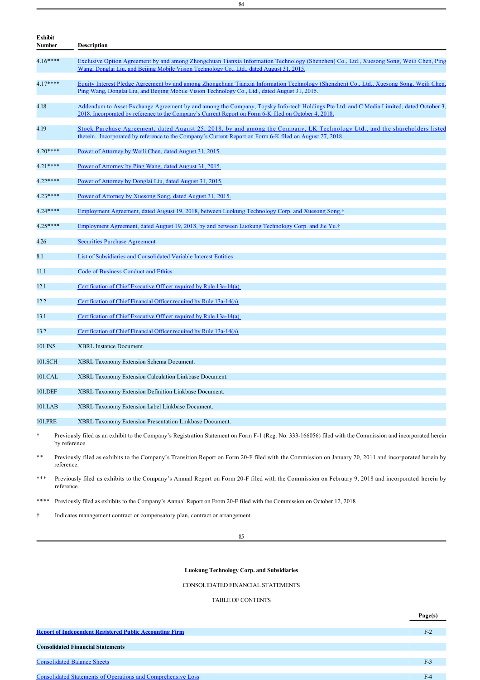| <b>Exhibit</b><br><b>Number</b> | <b>Description</b>                                                                                                                                                                                                                               |
|---------------------------------|--------------------------------------------------------------------------------------------------------------------------------------------------------------------------------------------------------------------------------------------------|
| $4.16***$                       | Exclusive Option Agreement by and among Zhongchuan Tianxia Information Technology (Shenzhen) Co., Ltd., Xuesong Song, Weili Chen, Ping<br>Wang, Donglai Liu, and Beijing Mobile Vision Technology Co., Ltd., dated August 31, 2015.              |
| $4.17***$                       | Equity Interest Pledge Agreement by and among Zhongchuan Tianxia Information Technology (Shenzhen) Co., Ltd., Xuesong Song, Weili Chen,<br>Ping Wang, Donglai Liu, and Beijing Mobile Vision Technology Co., Ltd., dated August 31, 2015.        |
| 4.18                            | Addendum to Asset Exchange Agreement by and among the Company, Topsky Info-tech Holdings Pte Ltd. and C Media Limited, dated October 3,<br>2018. Incorporated by reference to the Company's Current Report on Form 6-K filed on October 4, 2018. |
| 4.19                            | Stock Purchase Agreement, dated August 25, 2018, by and among the Company, LK Technology Ltd., and the shareholders listed<br>therein. Incorporated by reference to the Company's Current Report on Form 6-K filed on August 27, 2018.           |
| $4.20***$                       | Power of Attorney by Weili Chen, dated August 31, 2015.                                                                                                                                                                                          |
| $4.21***$                       | Power of Attorney by Ping Wang, dated August 31, 2015.                                                                                                                                                                                           |
| 4.22****                        | Power of Attorney by Donglai Liu, dated August 31, 2015.                                                                                                                                                                                         |
| $4.23***$                       | Power of Attorney by Xuesong Song, dated August 31, 2015.                                                                                                                                                                                        |
| 4.24 ****                       | Employment Agreement, dated August 19, 2018, between Luokung Technology Corp. and Xuesong Song. <sup>†</sup>                                                                                                                                     |
| $4.25***$                       | Employment Agreement, dated August 19, 2018, by and between Luokung Technology Corp. and Jie Yu.†                                                                                                                                                |
| 4.26                            | <b>Securities Purchase Agreement</b>                                                                                                                                                                                                             |
| 8.1                             | List of Subsidiaries and Consolidated Variable Interest Entities                                                                                                                                                                                 |
| 11.1                            | Code of Business Conduct and Ethics                                                                                                                                                                                                              |
| 12.1                            | Certification of Chief Executive Officer required by Rule 13a-14(a).                                                                                                                                                                             |
| 12.2                            | Certification of Chief Financial Officer required by Rule 13a-14(a).                                                                                                                                                                             |
| 13.1                            | Certification of Chief Executive Officer required by Rule 13a-14(a).                                                                                                                                                                             |
| 13.2                            | Certification of Chief Financial Officer required by Rule 13a-14(a).                                                                                                                                                                             |
| 101.INS                         | <b>XBRL</b> Instance Document.                                                                                                                                                                                                                   |
| 101.SCH                         | <b>XBRL Taxonomy Extension Schema Document.</b>                                                                                                                                                                                                  |
| 101.CAL                         | XBRL Taxonomy Extension Calculation Linkbase Document.                                                                                                                                                                                           |
| 101.DEF                         | XBRL Taxonomy Extension Definition Linkbase Document.                                                                                                                                                                                            |
| 101.LAB                         | XBRL Taxonomy Extension Label Linkbase Document.                                                                                                                                                                                                 |
| 101.PRE                         | XBRL Taxonomy Extension Presentation Linkbase Document.                                                                                                                                                                                          |

Previously filed as an exhibit to the Company's Registration Statement on Form F-1 (Reg. No. 333-166056) filed with the Commission and incorporated herein by reference.

\*\* Previously filed as exhibits to the Company's Transition Report on Form 20-F filed with the Commission on January 20, 2011 and incorporated herein by reference.

\*\*\* Previously filed as exhibits to the Company's Annual Report on Form 20-F filed with the Commission on February 9, 2018 and incorporated herein by reference.

\*\*\*\* Previously filed as exhibits to the Company's Annual Report on From 20-F filed with the Commission on October 12, 2018

† Indicates management contract or compensatory plan, contract or arrangement.

85

## **Luokung Technology Corp. and Subsidiaries**

CONSOLIDATED FINANCIAL STATEMENTS

TABLE OF CONTENTS

|                                                                     | Page(s) |
|---------------------------------------------------------------------|---------|
|                                                                     |         |
| <b>Report of Independent Registered Public Accounting Firm</b>      | $F-2$   |
|                                                                     |         |
| <b>Consolidated Financial Statements</b>                            |         |
|                                                                     |         |
| <b>Consolidated Balance Sheets</b>                                  | F-3     |
|                                                                     |         |
| <b>Consolidated Statements of Operations and Comprehensive Loss</b> |         |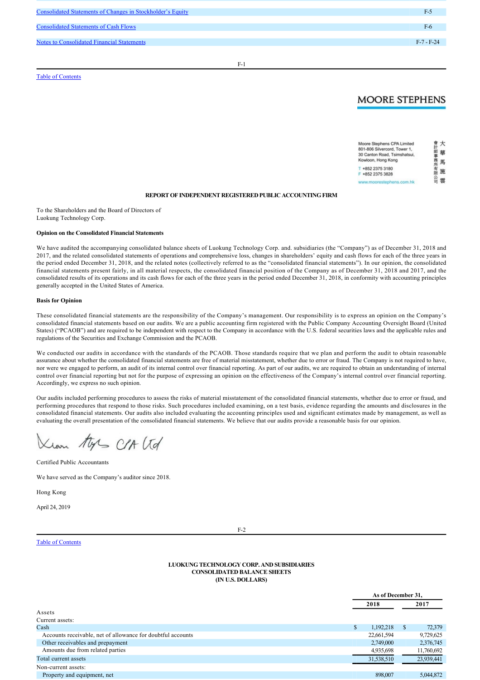Consolidated Statements of Changes in Stockholder's Equity F5 **Consolidated Statements of Cash Flows** F6 and The Consolidated Statements of Cash Flows F6 and The Consolidated Statements of Cash Flows F6 and The Consolidated Statements of Cash Flows F6 and The Consolidated Statements Notes to Consolidated Financial Statements **F-7** - F-24

Consolidated Statements of Operations and Comprehensive Loss F4

Table of Contents

## $F-1$

## **MOORE STEPHENS**

| Moore Stephens CPA Limited   |  |
|------------------------------|--|
| 801-806 Silvercord, Tower 1, |  |
| 30 Canton Road, Tsimshatsui, |  |
| Kowloon, Hong Kong           |  |
| T +852 2375 3180             |  |
| F +852 2375 3828             |  |
| www.moorestephens.com.hk     |  |

## **REPORT OF INDEPENDENT REGISTERED PUBLIC ACCOUNTING FIRM**

To the Shareholders and the Board of Directors of Luokung Technology Corp.

## **Opinion on the Consolidated Financial Statements**

We have audited the accompanying consolidated balance sheets of Luokung Technology Corp. and. subsidiaries (the "Company") as of December 31, 2018 and 2017, and the related consolidated statements of operations and comprehensive loss, changes in shareholders' equity and cash flows for each of the three years in the period ended December 31, 2018, and the related notes (collectively referred to as the "consolidated financial statements"). In our opinion, the consolidated financial statements present fairly, in all material respects, the consolidated financial position of the Company as of December 31, 2018 and 2017, and the consolidated results of its operations and its cash flows for each of the three years in the period ended December 31, 2018, in conformity with accounting principles generally accepted in the United States of America.

#### **Basis for Opinion**

These consolidated financial statements are the responsibility of the Company's management. Our responsibility is to express an opinion on the Company's consolidated financial statements based on our audits. We are a public accounting firm registered with the Public Company Accounting Oversight Board (United States) ("PCAOB") and are required to be independent with respect to the Company in accordance with the U.S. federal securities laws and the applicable rules and regulations of the Securities and Exchange Commission and the PCAOB.

We conducted our audits in accordance with the standards of the PCAOB. Those standards require that we plan and perform the audit to obtain reasonable assurance about whether the consolidated financial statements are free of material misstatement, whether due to error or fraud. The Company is not required to have, nor were we engaged to perform, an audit of its internal control over financial reporting. As part of our audits, we are required to obtain an understanding of internal control over financial reporting but not for the purpose of expressing an opinion on the effectiveness of the Company's internal control over financial reporting. Accordingly, we express no such opinion.

Our audits included performing procedures to assess the risks of material misstatement of the consolidated financial statements, whether due to error or fraud, and performing procedures that respond to those risks. Such procedures included examining, on a test basis, evidence regarding the amounts and disclosures in the consolidated financial statements. Our audits also included evaluating the accounting principles used and significant estimates made by management, as well as evaluating the overall presentation of the consolidated financial statements. We believe that our audits provide a reasonable basis for our opinion.

tys CLA (td

Certified Public Accountants

We have served as the Company's auditor since 2018.

Hong Kong

April 24, 2019

### $F-2$

## Table of Contents

### **LUOKUNG TECHNOLOGY CORP. AND SUBSIDIARIES CONSOLIDATED BALANCE SHEETS (IN U.S. DOLLARS)**

|                                                             | As of December 31, |            |               |            |
|-------------------------------------------------------------|--------------------|------------|---------------|------------|
|                                                             |                    | 2018       |               | 2017       |
| Assets                                                      |                    |            |               |            |
| Current assets:                                             |                    |            |               |            |
| Cash                                                        | \$                 | 1,192,218  | <sup>\$</sup> | 72,379     |
| Accounts receivable, net of allowance for doubtful accounts |                    | 22,661,594 |               | 9,729,625  |
| Other receivables and prepayment                            |                    | 2,749,000  |               | 2,376,745  |
| Amounts due from related parties                            |                    | 4,935,698  |               | 11,760,692 |
| Total current assets                                        |                    | 31,538,510 |               | 23,939,441 |
| Non-current assets:                                         |                    |            |               |            |
| Property and equipment, net                                 |                    | 898,007    |               | 5.044.872  |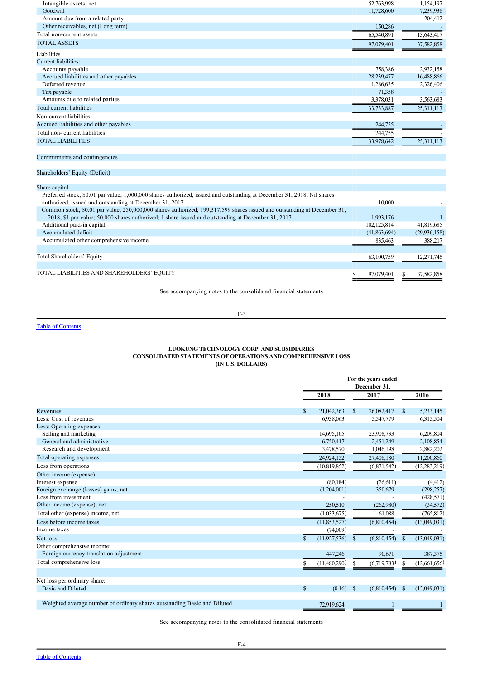| Intangible assets, net                 | 52,763,998 | 1,154,197  |
|----------------------------------------|------------|------------|
| Goodwill                               | 11,728,600 | 7,239,936  |
| Amount due from a related party        |            | 204,412    |
| Other receivables, net (Long term)     | 150,286    |            |
| Total non-current assets               | 65,540,891 | 13,643,417 |
| <b>TOTAL ASSETS</b>                    | 97,079,401 | 37,582,858 |
| Liabilities                            |            |            |
| Current liabilities:                   |            |            |
| Accounts payable                       | 758,386    | 2,932,158  |
| Accrued liabilities and other payables | 28,239,477 | 16,488,866 |
| Deferred revenue                       | 1,286,635  | 2,326,406  |
| Tax payable                            | 71,358     |            |
| Amounts due to related parties         | 3,378,031  | 3,563,683  |
| Total current liabilities              | 33,733,887 | 25,311,113 |
| Non-current liabilities:               |            |            |
| Accrued liabilities and other payables | 244,755    |            |
| Total non-current liabilities          | 244,755    |            |
| <b>TOTAL LIABILITIES</b>               | 33,978,642 | 25,311,113 |
|                                        |            |            |
| Commitments and contingencies          |            |            |

## Shareholders' Equity (Deficit)

## Share capital

| Preferred stock, \$0.01 par value; 1,000,000 shares authorized, issued and outstanding at December 31, 2018; Nil shares  |               |                |
|--------------------------------------------------------------------------------------------------------------------------|---------------|----------------|
| authorized, issued and outstanding at December 31, 2017                                                                  | 10.000        |                |
| Common stock, \$0.01 par value; 250,000,000 shares authorized; 199,317,599 shares issued and outstanding at December 31, |               |                |
| 2018; \$1 par value; 50,000 shares authorized; 1 share issued and outstanding at December 31, 2017                       | 1,993,176     |                |
| Additional paid-in capital                                                                                               | 102, 125, 814 | 41,819,685     |
| Accumulated deficit                                                                                                      | (41,863,694)  | (29, 936, 158) |
| Accumulated other comprehensive income                                                                                   | 835,463       | 388,217        |
|                                                                                                                          |               |                |
| Total Shareholders' Equity                                                                                               | 63,100,759    | 12,271,745     |
|                                                                                                                          |               |                |
| TOTAL LIABILITIES AND SHAREHOLDERS' EQUITY                                                                               | 97,079,401    | 37,582,858     |
|                                                                                                                          |               |                |
|                                                                                                                          |               |                |

See accompanying notes to the consolidated financial statements

 $F-3$ 

## Table of Contents

## **LUOKUNG TECHNOLOGY CORP. AND SUBSIDIARIES CONSOLIDATED STATEMENTS OF OPERATIONS AND COMPREHENSIVE LOSS (IN U.S. DOLLARS)**

|                                                                          | For the years ended<br>December 31, |                |              |             |              |                |
|--------------------------------------------------------------------------|-------------------------------------|----------------|--------------|-------------|--------------|----------------|
|                                                                          | 2018                                |                |              | 2017        |              | 2016           |
| Revenues                                                                 | \$                                  | 21,042,363     | $\mathbb{S}$ | 26,082,417  | \$           | 5,233,145      |
| Less: Cost of revenues                                                   |                                     | 6,938,063      |              | 5,547,779   |              | 6,315,504      |
| Less: Operating expenses:                                                |                                     |                |              |             |              |                |
| Selling and marketing                                                    |                                     | 14,695,165     |              | 23,908,733  |              | 6,209,804      |
| General and administrative                                               |                                     | 6,750,417      |              | 2,451,249   |              | 2,108,854      |
| Research and development                                                 |                                     | 3,478,570      |              | 1,046,198   |              | 2,882,202      |
| Total operating expenses                                                 |                                     | 24,924,152     |              | 27,406,180  |              | 11,200,860     |
| Loss from operations                                                     |                                     | (10,819,852)   |              | (6,871,542) |              | (12, 283, 219) |
| Other income (expense):                                                  |                                     |                |              |             |              |                |
| Interest expense                                                         |                                     | (80, 184)      |              | (26,611)    |              | (4, 412)       |
| Foreign exchange (losses) gains, net                                     |                                     | (1,204,001)    |              | 350,679     |              | (298, 257)     |
| Loss from investment                                                     |                                     |                |              |             |              | (428, 571)     |
| Other income (expense), net                                              |                                     | 250,510        |              | (262,980)   |              | (34, 572)      |
| Total other (expense) income, net                                        |                                     | (1,033,675)    |              | 61,088      |              | (765, 812)     |
| Loss before income taxes                                                 |                                     | (11,853,527)   |              | (6,810,454) |              | (13,049,031)   |
| Income taxes                                                             |                                     | (74,009)       |              |             |              |                |
| Net loss                                                                 | \$.                                 | (11, 927, 536) | S.           | (6,810,454) | \$           | (13,049,031)   |
| Other comprehensive income:                                              |                                     |                |              |             |              |                |
| Foreign currency translation adjustment                                  |                                     | 447,246        |              | 90.671      |              | 387,375        |
| Total comprehensive loss                                                 |                                     | (11,480,290)   | S            | (6,719,783) | \$           | (12,661,656)   |
|                                                                          |                                     |                |              |             |              |                |
| Net loss per ordinary share:                                             |                                     |                |              |             |              |                |
| <b>Basic and Diluted</b>                                                 | \$                                  | (0.16)         | $\mathbb{S}$ | (6,810,454) | <sup>S</sup> | (13,049,031)   |
| Weighted average number of ordinary shares outstanding Basic and Diluted |                                     | 72,919,624     |              |             |              |                |

See accompanying notes to the consolidated financial statements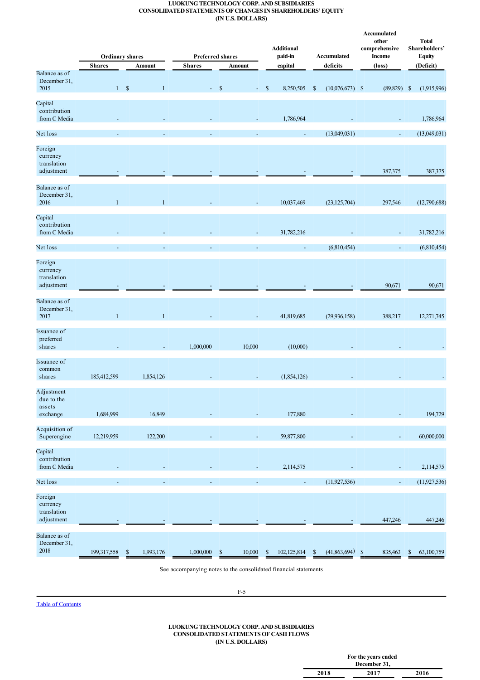## **LUOKUNG TECHNOLOGY CORP. AND SUBSIDIARIES CONSOLIDATED STATEMENTS OF CHANGES IN SHAREHOLDERS' EQUITY (IN U.S. DOLLARS)**

|                                                  |                          | <b>Ordinary shares</b>   |               | <b>Preferred shares</b>             | <b>Additional</b><br>paid-in | Accumulated                       | Accumulated<br>other<br>comprehensive<br><b>Income</b> | <b>Total</b><br>Shareholders'<br><b>Equity</b> |
|--------------------------------------------------|--------------------------|--------------------------|---------------|-------------------------------------|------------------------------|-----------------------------------|--------------------------------------------------------|------------------------------------------------|
|                                                  | <b>Shares</b>            | <b>Amount</b>            | <b>Shares</b> | Amount                              | capital                      | deficits                          | (loss)                                                 | (Deficit)                                      |
| Balance as of<br>December 31,<br>2015            |                          | 1 S<br>$\mathbf{1}$      |               | $- S$                               | $-$ \$<br>8,250,505          | $\mathbb{S}$<br>$(10,076,673)$ \$ | $(89,829)$ \$                                          | (1,915,996)                                    |
| Capital<br>contribution<br>from C Media          |                          |                          |               |                                     | 1,786,964                    |                                   |                                                        | 1,786,964                                      |
| Net loss                                         |                          |                          |               |                                     |                              | (13,049,031)                      | $\blacksquare$                                         | (13,049,031)                                   |
| Foreign<br>currency<br>translation<br>adjustment |                          |                          |               |                                     |                              |                                   | 387,375                                                | 387,375                                        |
| Balance as of<br>December 31,<br>2016            | $\mathbf{1}$             | $\mathbf{1}$             |               |                                     | 10,037,469                   | (23, 125, 704)                    | 297,546                                                | (12,790,688)                                   |
| Capital<br>contribution<br>from C Media          |                          |                          |               |                                     | 31,782,216                   |                                   |                                                        | 31,782,216                                     |
| Net loss                                         |                          |                          |               |                                     |                              | (6,810,454)                       |                                                        | (6,810,454)                                    |
| Foreign<br>currency<br>translation<br>adjustment |                          |                          |               |                                     |                              |                                   | 90,671                                                 | 90,671                                         |
| Balance as of<br>December 31,<br>2017            | $\mathbf{1}$             | $\mathbf{1}$             |               |                                     | 41,819,685                   | (29, 936, 158)                    | 388,217                                                | 12,271,745                                     |
| Issuance of<br>preferred<br>shares               |                          |                          | 1,000,000     | 10,000                              | (10,000)                     |                                   |                                                        |                                                |
| Issuance of<br>common<br>shares                  | 185,412,599              | 1,854,126                |               |                                     | (1,854,126)                  |                                   |                                                        |                                                |
| Adjustment<br>due to the<br>assets<br>exchange   | 1,684,999                | 16,849                   |               |                                     | 177,880                      |                                   |                                                        | 194,729                                        |
| Acquisition of<br>Superengine                    | 12,219,959               | 122,200                  |               |                                     | 59,877,800                   |                                   |                                                        | 60,000,000                                     |
| Capital<br>contribution<br>from C Media          |                          |                          |               |                                     | 2,114,575                    |                                   |                                                        | 2,114,575                                      |
| Net loss                                         | $\overline{\phantom{a}}$ | $\overline{\phantom{a}}$ |               | $\overline{\phantom{a}}$            | $\overline{\phantom{a}}$     | (11, 927, 536)                    | $\blacksquare$                                         | (11, 927, 536)                                 |
| Foreign<br>currency<br>translation<br>adjustment |                          |                          |               |                                     |                              |                                   | 447,246                                                | 447,246                                        |
| Balance as of<br>December 31,<br>2018            | 199,317,558              | 1,993,176<br>\$          | 1,000,000     | 10,000<br>$\boldsymbol{\mathsf{S}}$ | 102,125,814<br>\$            | $(41,863,694)$ \$<br>\$           | 835,463                                                | 63,100,759<br>\$                               |

See accompanying notes to the consolidated financial statements

 $F-5$ 

Table of Contents

## **LUOKUNG TECHNOLOGY CORP. AND SUBSIDIARIES CONSOLIDATED STATEMENTS OF CASH FLOWS (IN U.S. DOLLARS)**

|      | For the years ended |      |
|------|---------------------|------|
|      | December 31,        |      |
| 2018 | 2017                | 2016 |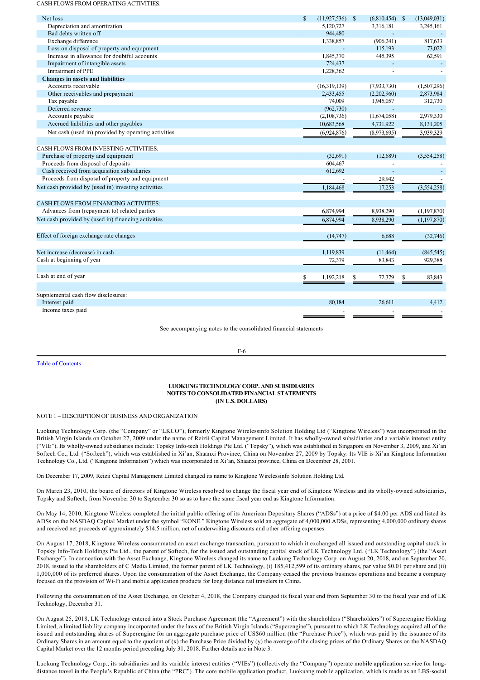#### CASH FLOWS FROM OPERATING ACTIVITIES:

| Net loss                                            | $\mathbf{s}$ | $(11, 927, 536)$ \$ | $(6,810,454)$ \$ |   | (13,049,031)  |
|-----------------------------------------------------|--------------|---------------------|------------------|---|---------------|
| Depreciation and amortization                       |              | 5,120,727           | 3,316,181        |   | 3,245,161     |
| Bad debts written off                               |              | 944,480             |                  |   |               |
| Exchange difference                                 |              | 1,338,857           | (906, 241)       |   | 817,633       |
| Loss on disposal of property and equipment          |              |                     | 115,193          |   | 73,022        |
| Increase in allowance for doubtful accounts         |              | 1,845,370           | 445,395          |   | 62,591        |
| Impairment of intangible assets                     |              | 724,437             |                  |   |               |
| Impairment of PPE                                   |              | 1,228,362           |                  |   |               |
| <b>Changes in assets and liabilities</b>            |              |                     |                  |   |               |
| Accounts receivable                                 |              | (16,319,139)        | (7,933,730)      |   | (1,507,296)   |
| Other receivables and prepayment                    |              | 2,433,455           | (2,202,960)      |   | 2,873,984     |
| Tax payable                                         |              | 74,009              | 1,945,057        |   | 312,730       |
| Deferred revenue                                    |              | (962, 730)          |                  |   |               |
| Accounts payable                                    |              | (2,108,736)         | (1,674,058)      |   | 2,979,330     |
| Accrued liabilities and other payables              |              | 10,683,568          | 4,731,922        |   | 8,131,205     |
| Net cash (used in) provided by operating activities |              | (6,924,876)         | (8,973,695)      |   | 3,939,329     |
| CASH FLOWS FROM INVESTING ACTIVITIES:               |              |                     |                  |   |               |
| Purchase of property and equipment                  |              | (32,691)            | (12,689)         |   |               |
| Proceeds from disposal of deposits                  |              | 604,467             |                  |   | (3,554,258)   |
| Cash received from acquisition subsidiaries         |              | 612,692             | $\blacksquare$   |   |               |
| Proceeds from disposal of property and equipment    |              |                     |                  |   |               |
|                                                     |              |                     | 29,942           |   |               |
| Net cash provided by (used in) investing activities |              | 1,184,468           | 17,253           |   | (3,554,258)   |
| <b>CASH FLOWS FROM FINANCING ACTIVITIES:</b>        |              |                     |                  |   |               |
| Advances from (repayment to) related parties        |              | 6,874,994           | 8,938,290        |   | (1,197,870)   |
| Net cash provided by (used in) financing activities |              | 6,874,994           | 8.938.290        |   | (1, 197, 870) |
| Effect of foreign exchange rate changes             |              | (14,747)            | 6.688            |   | (32,746)      |
|                                                     |              |                     |                  |   |               |
| Net increase (decrease) in cash                     |              | 1,119,839           | (11,464)         |   | (845, 545)    |
| Cash at beginning of year                           |              | 72,379              | 83,843           |   | 929,388       |
| Cash at end of year                                 |              | 1,192,218           | \$<br>72,379     | S | 83,843        |
| Supplemental cash flow disclosures:                 |              |                     |                  |   |               |
| Interest paid                                       |              | 80,184              | 26.611           |   | 4,412         |
| Income taxes paid                                   |              |                     |                  |   |               |

See accompanying notes to the consolidated financial statements

#### Table of Contents

# $F-6$

## **LUOKUNG TECHNOLOGY CORP. AND SUBSIDIARIES NOTES TO CONSOLIDATED FINANCIAL STATEMENTS (IN U.S. DOLLARS)**

### NOTE 1 – DESCRIPTION OF BUSINESS AND ORGANIZATION

Luokung Technology Corp. (the "Company" or "LKCO"), formerly Kingtone Wirelessinfo Solution Holding Ltd ("Kingtone Wireless") was incorporated in the British Virgin Islands on October 27, 2009 under the name of Reizii Capital Management Limited. It has wholly-owned subsidiaries and a variable interest entity ("VIE"). Its wholly-owned subsidiaries include: Topsky Info-tech Holdings Pte Ltd. ("Topsky"), which was established in Singapore on November 3, 2009, and Xi'an Softech Co., Ltd. ("Softech"), which was established in Xi'an, Shaanxi Province, China on November 27, 2009 by Topsky. Its VIE is Xi'an Kingtone Information Technology Co., Ltd. ("Kingtone Information") which was incorporated in Xi'an, Shaanxi province, China on December 28, 2001.

On December 17, 2009, Reizii Capital Management Limited changed its name to Kingtone Wirelessinfo Solution Holding Ltd.

On March 23, 2010, the board of directors of Kingtone Wireless resolved to change the fiscal year end of Kingtone Wireless and its wholly-owned subsidiaries, Topsky and Softech, from November 30 to September 30 so as to have the same fiscal year end as Kingtone Information.

On May 14, 2010, Kingtone Wireless completed the initial public offering of its American Depositary Shares ("ADSs") at a price of \$4.00 per ADS and listed its ADSs on the NASDAQ Capital Market under the symbol "KONE." Kingtone Wireless sold an aggregate of 4,000,000 ADSs, representing 4,000,000 ordinary shares and received net proceeds of approximately \$14.5 million, net of underwriting discounts and other offering expenses.

On August 17, 2018, Kingtone Wireless consummated an asset exchange transaction, pursuant to which it exchanged all issued and outstanding capital stock in Topsky Info-Tech Holdings Pte Ltd., the parent of Softech, for the issued and outstanding capital stock of LK Technology Ltd. ("LK Technology") (the "Asset Exchange"). In connection with the Asset Exchange, Kingtone Wireless changed its name to Luokung Technology Corp. on August 20, 2018, and on September 20, 2018, issued to the shareholders of C Media Limited, the former parent of LK Technology, (i) 185,412,599 of its ordinary shares, par value \$0.01 per share and (ii) 1,000,000 of its preferred shares. Upon the consummation of the Asset Exchange, the Company ceased the previous business operations and became a company focused on the provision of WiFi and mobile application products for long distance rail travelers in China.

Following the consummation of the Asset Exchange, on October 4, 2018, the Company changed its fiscal year end from September 30 to the fiscal year end of LK Technology, December 31.

On August 25, 2018, LK Technology entered into a Stock Purchase Agreement (the "Agreement") with the shareholders ("Shareholders") of Superengine Holding Limited, a limited liability company incorporated under the laws of the British Virgin Islands ("Superengine"), pursuant to which LK Technology acquired all of the issued and outstanding shares of Superengine for an aggregate purchase price of US\$60 million (the "Purchase Price"), which was paid by the issuance of its Ordinary Shares in an amount equal to the quotient of (x) the Purchase Price divided by (y) the average of the closing prices of the Ordinary Shares on the NASDAQ Capital Market over the 12 months period preceding July 31, 2018. Further details are in Note 3.

Luokung Technology Corp., its subsidiaries and its variable interest entities ("VIEs") (collectively the "Company") operate mobile application service for longdistance travel in the People's Republic of China (the "PRC"). The core mobile application product, Luokuang mobile application, which is made as an LBS-social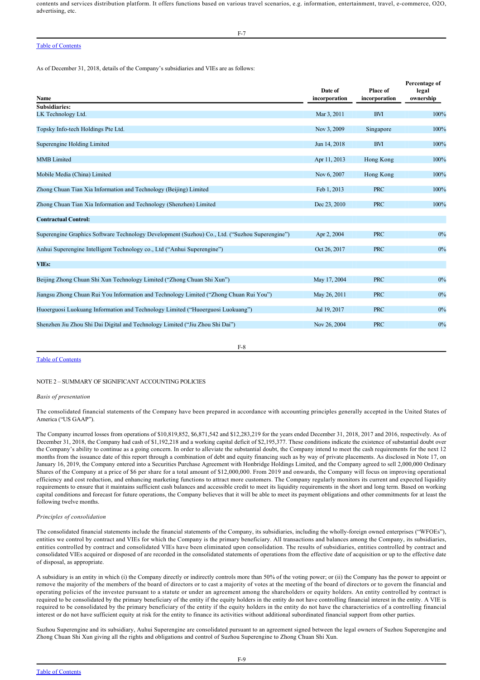contents and services distribution platform. It offers functions based on various travel scenarios, e.g. information, entertainment, travel, ecommerce, O2O, advertising, etc.

## Table of Contents

As of December 31, 2018, details of the Company's subsidiaries and VIEs are as follows:

| Name                                                                                           | Date of<br>incorporation | Place of<br>incorporation | Percentage of<br>legal<br>ownership |
|------------------------------------------------------------------------------------------------|--------------------------|---------------------------|-------------------------------------|
| <b>Subsidiaries:</b>                                                                           |                          |                           |                                     |
| LK Technology Ltd.                                                                             | Mar 3, 2011              | <b>BVI</b>                | 100%                                |
| Topsky Info-tech Holdings Pte Ltd.                                                             | Nov 3, 2009              | Singapore                 | 100%                                |
| Superengine Holding Limited                                                                    | Jun 14, 2018             | <b>BVI</b>                | 100%                                |
| <b>MMB</b> Limited                                                                             | Apr 11, 2013             | Hong Kong                 | 100%                                |
| Mobile Media (China) Limited                                                                   | Nov 6, 2007              | Hong Kong                 | 100%                                |
| Zhong Chuan Tian Xia Information and Technology (Beijing) Limited                              | Feb 1, 2013              | <b>PRC</b>                | 100%                                |
| Zhong Chuan Tian Xia Information and Technology (Shenzhen) Limited                             | Dec 23, 2010             | <b>PRC</b>                | 100%                                |
| <b>Contractual Control:</b>                                                                    |                          |                           |                                     |
| Superengine Graphics Software Technology Development (Suzhou) Co., Ltd. ("Suzhou Superengine") | Apr 2, 2004              | <b>PRC</b>                | $0\%$                               |
| Anhui Superengine Intelligent Technology co., Ltd ("Anhui Superengine")                        | Oct 26, 2017             | <b>PRC</b>                | $0\%$                               |
| <b>VIEs:</b>                                                                                   |                          |                           |                                     |
| Beijing Zhong Chuan Shi Xun Technology Limited ("Zhong Chuan Shi Xun")                         | May 17, 2004             | <b>PRC</b>                | $0\%$                               |
| Jiangsu Zhong Chuan Rui You Information and Technology Limited ("Zhong Chuan Rui You")         | May 26, 2011             | <b>PRC</b>                | 0%                                  |
| Huoerguosi Luokuang Information and Technology Limited ("Huoerguosi Luokuang")                 | Jul 19, 2017             | <b>PRC</b>                | $0\%$                               |
| Shenzhen Jiu Zhou Shi Dai Digital and Technology Limited ("Jiu Zhou Shi Dai")                  | Nov 26, 2004             | <b>PRC</b>                | $0\%$                               |
|                                                                                                |                          |                           |                                     |

 $F-8$ 

#### Table of Contents

### NOTE 2 – SUMMARY OF SIGNIFICANT ACCOUNTING POLICIES

#### *Basis of presentation*

The consolidated financial statements of the Company have been prepared in accordance with accounting principles generally accepted in the United States of America ("US GAAP").

The Company incurred losses from operations of \$10,819,852, \$6,871,542 and \$12,283,219 for the years ended December 31, 2018, 2017 and 2016, respectively. As of December 31, 2018, the Company had cash of \$1,192,218 and a working capital deficit of \$2,195,377. These conditions indicate the existence of substantial doubt over the Company's ability to continue as a going concern. In order to alleviate the substantial doubt, the Company intend to meet the cash requirements for the next 12 months from the issuance date of this report through a combination of debt and equity financing such as by way of private placements. As disclosed in Note 17, on January 16, 2019, the Company entered into a Securities Purchase Agreement with Honbridge Holdings Limited, and the Company agreed to sell 2,000,000 Ordinary Shares of the Company at a price of \$6 per share for a total amount of \$12,000,000. From 2019 and onwards, the Company will focus on improving operational efficiency and cost reduction, and enhancing marketing functions to attract more customers. The Company regularly monitors its current and expected liquidity requirements to ensure that it maintains sufficient cash balances and accessible credit to meet its liquidity requirements in the short and long term. Based on working capital conditions and forecast for future operations, the Company believes that it will be able to meet its payment obligations and other commitments for at least the following twelve months.

#### *Principles of consolidation*

The consolidated financial statements include the financial statements of the Company, its subsidiaries, including the wholly-foreign owned enterprises ("WFOEs"), entities we control by contract and VIEs for which the Company is the primary beneficiary. All transactions and balances among the Company, its subsidiaries, entities controlled by contract and consolidated VIEs have been eliminated upon consolidation. The results of subsidiaries, entities controlled by contract and consolidated VIEs acquired or disposed of are recorded in the consolidated statements of operations from the effective date of acquisition or up to the effective date of disposal, as appropriate.

A subsidiary is an entity in which (i) the Company directly or indirectly controls more than 50% of the voting power; or (ii) the Company has the power to appoint or remove the majority of the members of the board of directors or to cast a majority of votes at the meeting of the board of directors or to govern the financial and operating policies of the investee pursuant to a statute or under an agreement among the shareholders or equity holders. An entity controlled by contract is required to be consolidated by the primary beneficiary of the entity if the equity holders in the entity do not have controlling financial interest in the entity. A VIE is required to be consolidated by the primary beneficiary of the entity if the equity holders in the entity do not have the characteristics of a controlling financial interest or do not have sufficient equity at risk for the entity to finance its activities without additional subordinated financial support from other parties.

Suzhou Superengine and its subsidiary, Auhui Superengine are consolidated pursuant to an agreement signed between the legal owners of Suzhou Superengine and Zhong Chuan Shi Xun giving all the rights and obligations and control of Suzhou Superengine to Zhong Chuan Shi Xun.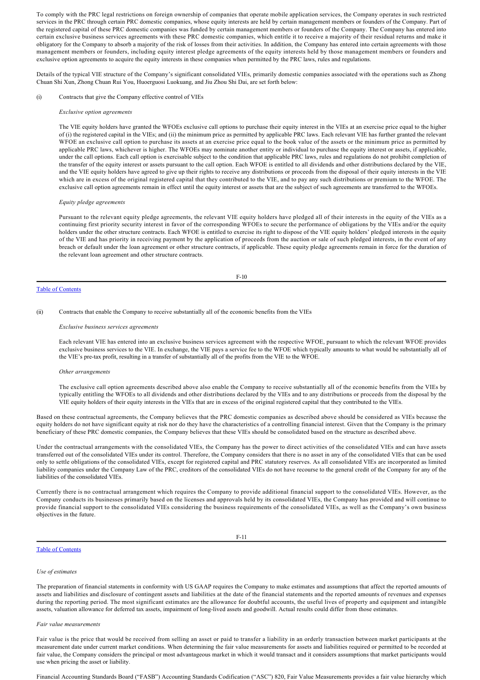To comply with the PRC legal restrictions on foreign ownership of companies that operate mobile application services, the Company operates in such restricted services in the PRC through certain PRC domestic companies, whose equity interests are held by certain management members or founders of the Company. Part of the registered capital of these PRC domestic companies was funded by certain management members or founders of the Company. The Company has entered into certain exclusive business services agreements with these PRC domestic companies, which entitle it to receive a majority of their residual returns and make it obligatory for the Company to absorb a majority of the risk of losses from their activities. In addition, the Company has entered into certain agreements with those management members or founders, including equity interest pledge agreements of the equity interests held by those management members or founders and exclusive option agreements to acquire the equity interests in these companies when permitted by the PRC laws, rules and regulations.

Details of the typical VIE structure of the Company's significant consolidated VIEs, primarily domestic companies associated with the operations such as Zhong Chuan Shi Xun, Zhong Chuan Rui You, Huoerguosi Luokuang, and Jiu Zhou Shi Dai, are set forth below:

(i) Contracts that give the Company effective control of VIEs

#### *Exclusive option agreements*

The VIE equity holders have granted the WFOEs exclusive call options to purchase their equity interest in the VIEs at an exercise price equal to the higher of (i) the registered capital in the VIEs; and (ii) the minimum price as permitted by applicable PRC laws. Each relevant VIE has further granted the relevant WFOE an exclusive call option to purchase its assets at an exercise price equal to the book value of the assets or the minimum price as permitted by applicable PRC laws, whichever is higher. The WFOEs may nominate another entity or individual to purchase the equity interest or assets, if applicable, under the call options. Each call option is exercisable subject to the condition that applicable PRC laws, rules and regulations do not prohibit completion of the transfer of the equity interest or assets pursuant to the call option. Each WFOE is entitled to all dividends and other distributions declared by the VIE, and the VIE equity holders have agreed to give up their rights to receive any distributions or proceeds from the disposal of their equity interests in the VIE which are in excess of the original registered capital that they contributed to the VIE, and to pay any such distributions or premium to the WFOE. The exclusive call option agreements remain in effect until the equity interest or assets that are the subject of such agreements are transferred to the WFOEs.

#### *Equity pledge agreements*

Pursuant to the relevant equity pledge agreements, the relevant VIE equity holders have pledged all of their interests in the equity of the VIEs as a continuing first priority security interest in favor of the corresponding WFOEs to secure the performance of obligations by the VIEs and/or the equity holders under the other structure contracts. Each WFOE is entitled to exercise its right to dispose of the VIE equity holders' pledged interests in the equity of the VIE and has priority in receiving payment by the application of proceeds from the auction or sale of such pledged interests, in the event of any breach or default under the loan agreement or other structure contracts, if applicable. These equity pledge agreements remain in force for the duration of the relevant loan agreement and other structure contracts.

#### $F-10$

## Table of Contents

(ii) Contracts that enable the Company to receive substantially all of the economic benefits from the VIEs

#### *Exclusive business services agreements*

Each relevant VIE has entered into an exclusive business services agreement with the respective WFOE, pursuant to which the relevant WFOE provides exclusive business services to the VIE. In exchange, the VIE pays a service fee to the WFOE which typically amounts to what would be substantially all of the VIE's pretax profit, resulting in a transfer of substantially all of the profits from the VIE to the WFOE.

#### *Other arrangements*

The exclusive call option agreements described above also enable the Company to receive substantially all of the economic benefits from the VIEs by typically entitling the WFOEs to all dividends and other distributions declared by the VIEs and to any distributions or proceeds from the disposal by the VIE equity holders of their equity interests in the VIEs that are in excess of the original registered capital that they contributed to the VIEs.

Based on these contractual agreements, the Company believes that the PRC domestic companies as described above should be considered as VIEs because the equity holders do not have significant equity at risk nor do they have the characteristics of a controlling financial interest. Given that the Company is the primary beneficiary of these PRC domestic companies, the Company believes that these VIEs should be consolidated based on the structure as described above.

Under the contractual arrangements with the consolidated VIEs, the Company has the power to direct activities of the consolidated VIEs and can have assets transferred out of the consolidated VIEs under its control. Therefore, the Company considers that there is no asset in any of the consolidated VIEs that can be used only to settle obligations of the consolidated VIEs, except for registered capital and PRC statutory reserves. As all consolidated VIEs are incorporated as limited liability companies under the Company Law of the PRC, creditors of the consolidated VIEs do not have recourse to the general credit of the Company for any of the liabilities of the consolidated VIEs.

Currently there is no contractual arrangement which requires the Company to provide additional financial support to the consolidated VIEs. However, as the Company conducts its businesses primarily based on the licenses and approvals held by its consolidated VIEs, the Company has provided and will continue to provide financial support to the consolidated VIEs considering the business requirements of the consolidated VIEs, as well as the Company's own business objectives in the future.

F11

#### Table of Contents

#### *Use of estimates*

The preparation of financial statements in conformity with US GAAP requires the Company to make estimates and assumptions that affect the reported amounts of assets and liabilities and disclosure of contingent assets and liabilities at the date of the financial statements and the reported amounts of revenues and expenses during the reporting period. The most significant estimates are the allowance for doubtful accounts, the useful lives of property and equipment and intangible assets, valuation allowance for deferred tax assets, impairment of long-lived assets and goodwill. Actual results could differ from those estimates.

#### *Fair value measurements*

Fair value is the price that would be received from selling an asset or paid to transfer a liability in an orderly transaction between market participants at the measurement date under current market conditions. When determining the fair value measurements for assets and liabilities required or permitted to be recorded at fair value, the Company considers the principal or most advantageous market in which it would transact and it considers assumptions that market participants would use when pricing the asset or liability.

Financial Accounting Standards Board ("FASB") Accounting Standards Codification ("ASC") 820, Fair Value Measurements provides a fair value hierarchy which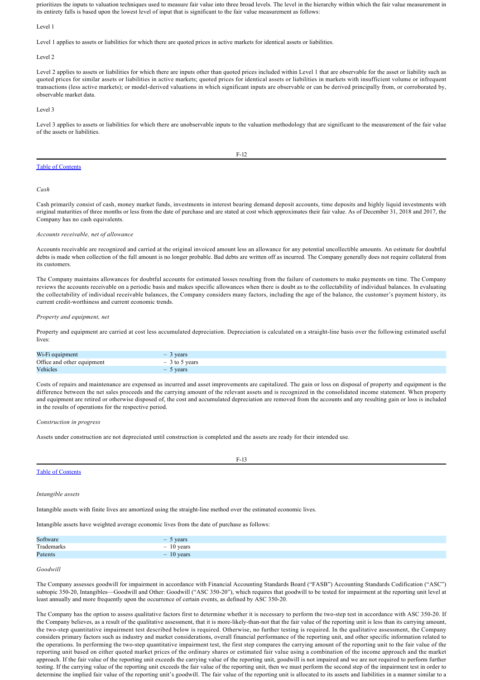Financial Accounting Standards Board ("FASB") Accounting Standards Codification ("ASC") 820, Fair Value Measurements provides a fair value hierarchy which prioritizes the inputs to valuation techniques used to measure fair value into three broad levels. The level in the hierarchy within which the fair value measurement in its entirety falls is based upon the lowest level of input that is significant to the fair value measurement as follows:

Level 1

Level 1 applies to assets or liabilities for which there are quoted prices in active markets for identical assets or liabilities.

Level 2

Level 2 applies to assets or liabilities for which there are inputs other than quoted prices included within Level 1 that are observable for the asset or liability such as quoted prices for similar assets or liabilities in active markets; quoted prices for identical assets or liabilities in markets with insufficient volume or infrequent transactions (less active markets); or model-derived valuations in which significant inputs are observable or can be derived principally from, or corroborated by, observable market data.

Level 3

Level 3 applies to assets or liabilities for which there are unobservable inputs to the valuation methodology that are significant to the measurement of the fair value of the assets or liabilities.

|--|

#### Table of Contents

*Cash*

Cash primarily consist of cash, money market funds, investments in interest bearing demand deposit accounts, time deposits and highly liquid investments with original maturities of three months or less from the date of purchase and are stated at cost which approximates their fair value. As of December 31, 2018 and 2017, the Company has no cash equivalents.

#### *Accounts receivable, net of allowance*

Accounts receivable are recognized and carried at the original invoiced amount less an allowance for any potential uncollectible amounts. An estimate for doubtful debts is made when collection of the full amount is no longer probable. Bad debts are written off as incurred. The Company generally does not require collateral from its customers.

The Company maintains allowances for doubtful accounts for estimated losses resulting from the failure of customers to make payments on time. The Company reviews the accounts receivable on a periodic basis and makes specific allowances when there is doubt as to the collectability of individual balances. In evaluating the collectability of individual receivable balances, the Company considers many factors, including the age of the balance, the customer's payment history, its current credit-worthiness and current economic trends.

#### *Property and equipment, net*

Property and equipment are carried at cost less accumulated depreciation. Depreciation is calculated on a straight-line basis over the following estimated useful lives:

| Wi-Fi equipment            | 3 years<br>$\sim$ |
|----------------------------|-------------------|
| Office and other equipment | $-3$ to 5 years   |
| Vehicles                   | $-5$ years        |

Costs of repairs and maintenance are expensed as incurred and asset improvements are capitalized. The gain or loss on disposal of property and equipment is the difference between the net sales proceeds and the carrying amount of the relevant assets and is recognized in the consolidated income statement. When property and equipment are retired or otherwise disposed of, the cost and accumulated depreciation are removed from the accounts and any resulting gain or loss is included in the results of operations for the respective period.

 $F-13$ 

#### *Construction in progress*

Assets under construction are not depreciated until construction is completed and the assets are ready for their intended use.

## Table of Contents

#### *Intangible assets*

Intangible assets with finite lives are amortized using the straight-line method over the estimated economic lives.

Intangible assets have weighted average economic lives from the date of purchase as follows:

| Software        | vears<br>-                        |
|-----------------|-----------------------------------|
| Trademarks<br>. | years<br>-                        |
| Patents         | vears<br>$\overline{\phantom{a}}$ |

## *Goodwill*

The Company assesses goodwill for impairment in accordance with Financial Accounting Standards Board ("FASB") Accounting Standards Codification ("ASC") subtopic 350-20, Intangibles—Goodwill and Other: Goodwill ("ASC 350-20"), which requires that goodwill to be tested for impairment at the reporting unit level at least annually and more frequently upon the occurrence of certain events, as defined by ASC 350-20.

The Company has the option to assess qualitative factors first to determine whether it is necessary to perform the two-step test in accordance with ASC 350-20. If the Company believes, as a result of the qualitative assessment, that it is more-likely-than-not that the fair value of the reporting unit is less than its carrying amount, the two-step quantitative impairment test described below is required. Otherwise, no further testing is required. In the qualitative assessment, the Company considers primary factors such as industry and market considerations, overall financial performance of the reporting unit, and other specific information related to the operations. In performing the two-step quantitative impairment test, the first step compares the carrying amount of the reporting unit to the fair value of the reporting unit based on either quoted market prices of the ordinary shares or estimated fair value using a combination of the income approach and the market approach. If the fair value of the reporting unit exceeds the carrying value of the reporting unit, goodwill is not impaired and we are not required to perform further testing. If the carrying value of the reporting unit exceeds the fair value of the reporting unit, then we must perform the second step of the impairment test in order to determine the implied fair value of the reporting unit's goodwill. The fair value of the reporting unit is allocated to its assets and liabilities in a manner similar to a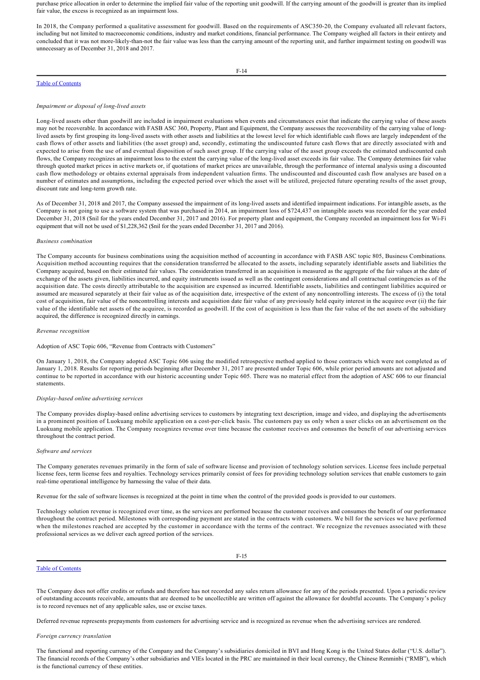purchase price allocation in order to determine the implied fair value of the reporting unit goodwill. If the carrying amount of the goodwill is greater than its implied fair value, the excess is recognized as an impairment loss.

In 2018, the Company performed a qualitative assessment for goodwill. Based on the requirements of ASC350-20, the Company evaluated all relevant factors, including but not limited to macroeconomic conditions, industry and market conditions, financial performance. The Company weighed all factors in their entirety and concluded that it was not more-likely-than-not the fair value was less than the carrying amount of the reporting unit, and further impairment testing on goodwill was unnecessary as of December 31, 2018 and 2017.

## Table of Contents

F-14

#### *Impairment or disposal of long-lived assets*

Long-lived assets other than goodwill are included in impairment evaluations when events and circumstances exist that indicate the carrying value of these assets may not be recoverable. In accordance with FASB ASC 360, Property, Plant and Equipment, the Company assesses the recoverability of the carrying value of longlived assets by first grouping its long-lived assets with other assets and liabilities at the lowest level for which identifiable cash flows are largely independent of the cash flows of other assets and liabilities (the asset group) and, secondly, estimating the undiscounted future cash flows that are directly associated with and expected to arise from the use of and eventual disposition of such asset group. If the carrying value of the asset group exceeds the estimated undiscounted cash flows, the Company recognizes an impairment loss to the extent the carrying value of the long-lived asset exceeds its fair value. The Company determines fair value through quoted market prices in active markets or, if quotations of market prices are unavailable, through the performance of internal analysis using a discounted cash flow methodology or obtains external appraisals from independent valuation firms. The undiscounted and discounted cash flow analyses are based on a number of estimates and assumptions, including the expected period over which the asset will be utilized, projected future operating results of the asset group, discount rate and long-term growth rate.

As of December 31, 2018 and 2017, the Company assessed the impairment of its long-lived assets and identified impairment indications. For intangible assets, as the Company is not going to use a software system that was purchased in 2014, an impairment loss of \$724,437 on intangible assets was recorded for the year ended December 31, 2018 (\$nil for the years ended December 31, 2017 and 2016). For property plant and equipment, the Company recorded an impairment loss for Wi-Fi equipment that will not be used of \$1,228,362 (\$nil for the years ended December 31, 2017 and 2016).

#### *Business combination*

The Company accounts for business combinations using the acquisition method of accounting in accordance with FASB ASC topic 805, Business Combinations*.* Acquisition method accounting requires that the consideration transferred be allocated to the assets, including separately identifiable assets and liabilities the Company acquired, based on their estimated fair values. The consideration transferred in an acquisition is measured as the aggregate of the fair values at the date of exchange of the assets given, liabilities incurred, and equity instruments issued as well as the contingent considerations and all contractual contingencies as of the acquisition date. The costs directly attributable to the acquisition are expensed as incurred. Identifiable assets, liabilities and contingent liabilities acquired or assumed are measured separately at their fair value as of the acquisition date, irrespective of the extent of any noncontrolling interests. The excess of (i) the total cost of acquisition, fair value of the noncontrolling interests and acquisition date fair value of any previously held equity interest in the acquiree over (ii) the fair value of the identifiable net assets of the acquiree, is recorded as goodwill. If the cost of acquisition is less than the fair value of the net assets of the subsidiary acquired, the difference is recognized directly in earnings.

#### *Revenue recognition*

Adoption of ASC Topic 606, "Revenue from Contracts with Customers"

On January 1, 2018, the Company adopted ASC Topic 606 using the modified retrospective method applied to those contracts which were not completed as of January 1, 2018. Results for reporting periods beginning after December 31, 2017 are presented under Topic 606, while prior period amounts are not adjusted and continue to be reported in accordance with our historic accounting under Topic 605. There was no material effect from the adoption of ASC 606 to our financial statements.

#### *Displaybased online advertising services*

The Company provides display-based online advertising services to customers by integrating text description, image and video, and displaying the advertisements in a prominent position of Luokuang mobile application on a cost-per-click basis. The customers pay us only when a user clicks on an advertisement on the Luokuang mobile application. The Company recognizes revenue over time because the customer receives and consumes the benefit of our advertising services throughout the contract period.

#### *Software and services*

The Company generates revenues primarily in the form of sale of software license and provision of technology solution services. License fees include perpetual license fees, term license fees and royalties. Technology services primarily consist of fees for providing technology solution services that enable customers to gain real-time operational intelligence by harnessing the value of their data.

Revenue for the sale of software licenses is recognized at the point in time when the control of the provided goods is provided to our customers.

Technology solution revenue is recognized over time, as the services are performed because the customer receives and consumes the benefit of our performance throughout the contract period. Milestones with corresponding payment are stated in the contracts with customers. We bill for the services we have performed when the milestones reached are accepted by the customer in accordance with the terms of the contract. We recognize the revenues associated with these professional services as we deliver each agreed portion of the services.

### Table of Contents

The Company does not offer credits or refunds and therefore has not recorded any sales return allowance for any of the periods presented. Upon a periodic review of outstanding accounts receivable, amounts that are deemed to be uncollectible are written off against the allowance for doubtful accounts. The Company's policy is to record revenues net of any applicable sales, use or excise taxes.

Deferred revenue represents prepayments from customers for advertising service and is recognized as revenue when the advertising services are rendered.

### *Foreign currency translation*

The functional and reporting currency of the Company and the Company's subsidiaries domiciled in BVI and Hong Kong is the United States dollar ("U.S. dollar"). The financial records of the Company's other subsidiaries and VIEs located in the PRC are maintained in their local currency, the Chinese Renminbi ("RMB"), which is the functional currency of these entities.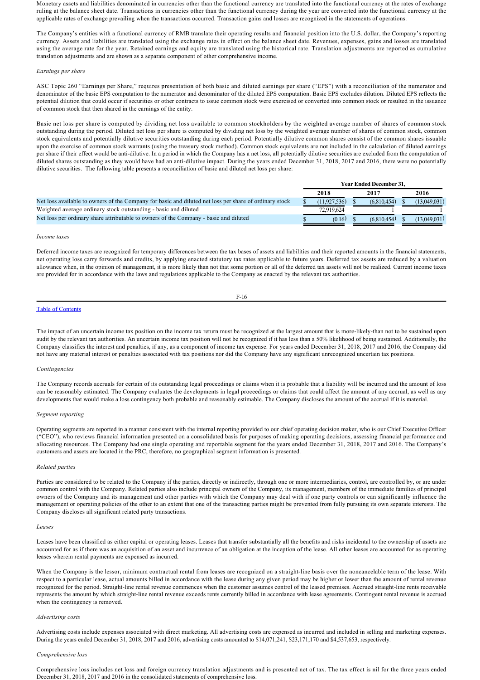Monetary assets and liabilities denominated in currencies other than the functional currency are translated into the functional currency at the rates of exchange ruling at the balance sheet date. Transactions in currencies other than the functional currency during the year are converted into the functional currency at the applicable rates of exchange prevailing when the transactions occurred. Transaction gains and losses are recognized in the statements of operations.

The Company's entities with a functional currency of RMB translate their operating results and financial position into the U.S. dollar, the Company's reporting currency. Assets and liabilities are translated using the exchange rates in effect on the balance sheet date. Revenues, expenses, gains and losses are translated using the average rate for the year. Retained earnings and equity are translated using the historical rate. Translation adjustments are reported as cumulative translation adjustments and are shown as a separate component of other comprehensive income.

#### *Earnings per share*

ASC Topic 260 "Earnings per Share," requires presentation of both basic and diluted earnings per share ("EPS") with a reconciliation of the numerator and denominator of the basic EPS computation to the numerator and denominator of the diluted EPS computation. Basic EPS excludes dilution. Diluted EPS reflects the potential dilution that could occur if securities or other contracts to issue common stock were exercised or converted into common stock or resulted in the issuance of common stock that then shared in the earnings of the entity.

Basic net loss per share is computed by dividing net loss available to common stockholders by the weighted average number of shares of common stock outstanding during the period. Diluted net loss per share is computed by dividing net loss by the weighted average number of shares of common stock, common stock equivalents and potentially dilutive securities outstanding during each period. Potentially dilutive common shares consist of the common shares issuable upon the exercise of common stock warrants (using the treasury stock method). Common stock equivalents are not included in the calculation of diluted earnings per share if their effect would be anti-dilutive. In a period in which the Company has a net loss, all potentially dilutive securities are excluded from the computation of diluted shares outstanding as they would have had an anti-dilutive impact. During the years ended December 31, 2018, 2017 and 2016, there were no potentially dilutive securities. The following table presents a reconciliation of basic and diluted net loss per share:

|                                                                                                        | <b>Year Ended December 31.</b> |  |             |  |              |
|--------------------------------------------------------------------------------------------------------|--------------------------------|--|-------------|--|--------------|
|                                                                                                        | 2018                           |  | 2017        |  | 2016         |
| Net loss available to owners of the Company for basic and diluted net loss per share of ordinary stock | (11.927.536)                   |  | (6,810,454) |  | (13,049,031) |
| Weighted average ordinary stock outstanding - basic and diluted                                        | 72.919.624                     |  |             |  |              |
| Net loss per ordinary share attributable to owners of the Company - basic and diluted                  | (0.16)                         |  | (6.810.454) |  | (13.049.031) |

#### *Income taxes*

Deferred income taxes are recognized for temporary differences between the tax bases of assets and liabilities and their reported amounts in the financial statements, net operating loss carry forwards and credits, by applying enacted statutory tax rates applicable to future years. Deferred tax assets are reduced by a valuation allowance when, in the opinion of management, it is more likely than not that some portion or all of the deferred tax assets will not be realized. Current income taxes are provided for in accordance with the laws and regulations applicable to the Company as enacted by the relevant tax authorities.

#### $F-16$

#### Table of Contents

The impact of an uncertain income tax position on the income tax return must be recognized at the largest amount that is more-likely-than not to be sustained upon audit by the relevant tax authorities. An uncertain income tax position will not be recognized if it has less than a 50% likelihood of being sustained. Additionally, the Company classifies the interest and penalties, if any, as a component of income tax expense. For years ended December 31, 2018, 2017 and 2016, the Company did not have any material interest or penalties associated with tax positions nor did the Company have any significant unrecognized uncertain tax positions.

#### *Contingencies*

The Company records accruals for certain of its outstanding legal proceedings or claims when it is probable that a liability will be incurred and the amount of loss can be reasonably estimated. The Company evaluates the developments in legal proceedings or claims that could affect the amount of any accrual, as well as any developments that would make a loss contingency both probable and reasonably estimable. The Company discloses the amount of the accrual if it is material.

#### *Segment reporting*

Operating segments are reported in a manner consistent with the internal reporting provided to our chief operating decision maker, who is our Chief Executive Officer ("CEO"), who reviews financial information presented on a consolidated basis for purposes of making operating decisions, assessing financial performance and allocating resources. The Company had one single operating and reportable segment for the years ended December 31, 2018, 2017 and 2016. The Company's customers and assets are located in the PRC, therefore, no geographical segment information is presented.

#### *Related parties*

Parties are considered to be related to the Company if the parties, directly or indirectly, through one or more intermediaries, control, are controlled by, or are under common control with the Company. Related parties also include principal owners of the Company, its management, members of the immediate families of principal owners of the Company and its management and other parties with which the Company may deal with if one party controls or can significantly influence the management or operating policies of the other to an extent that one of the transacting parties might be prevented from fully pursuing its own separate interests. The Company discloses all significant related party transactions.

#### *Leases*

Leases have been classified as either capital or operating leases. Leases that transfer substantially all the benefits and risks incidental to the ownership of assets are accounted for as if there was an acquisition of an asset and incurrence of an obligation at the inception of the lease. All other leases are accounted for as operating leases wherein rental payments are expensed as incurred.

When the Company is the lessor, minimum contractual rental from leases are recognized on a straight-line basis over the noncancelable term of the lease. With respect to a particular lease, actual amounts billed in accordance with the lease during any given period may be higher or lower than the amount of rental revenue recognized for the period. Straight-line rental revenue commences when the customer assumes control of the leased premises. Accrued straight-line rents receivable represents the amount by which straight-line rental revenue exceeds rents currently billed in accordance with lease agreements. Contingent rental revenue is accrued when the contingency is removed.

#### *Advertising costs*

Advertising costs include expenses associated with direct marketing. All advertising costs are expensed as incurred and included in selling and marketing expenses. During the years ended December 31, 2018, 2017 and 2016, advertising costs amounted to \$14,071,241, \$23,171,170 and \$4,537,653, respectively.

#### *Comprehensive loss*

Comprehensive loss includes net loss and foreign currency translation adjustments and is presented net of tax. The tax effect is nil for the three years ended December 31, 2018, 2017 and 2016 in the consolidated statements of comprehensive loss.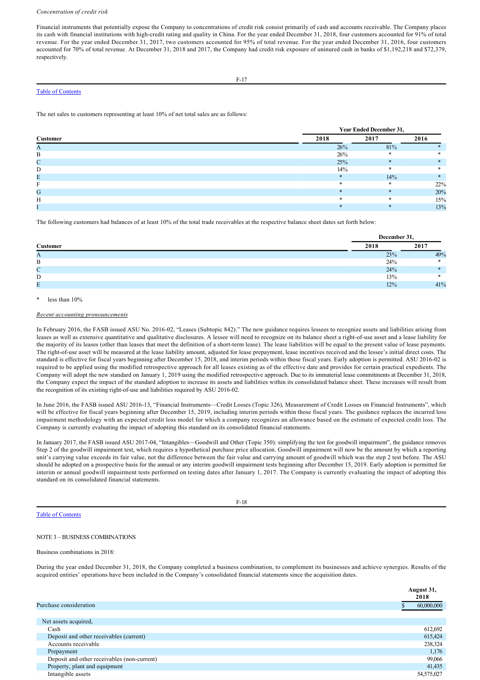#### *Concentration of credit risk*

Financial instruments that potentially expose the Company to concentrations of credit risk consist primarily of cash and accounts receivable. The Company places its cash with financial institutions with high-credit rating and quality in China. For the year ended December 31, 2018, four customers accounted for 91% of total revenue. For the year ended December 31, 2017, two customers accounted for 95% of total revenue. For the year ended December 31, 2016, four customers accounted for 70% of total revenue. At December 31, 2018 and 2017, the Company had credit risk exposure of uninured cash in banks of \$1,192,218 and \$72,379, respectively.

## Table of Contents

The net sales to customers representing at least 10% of net total sales are as follows:

December 31, 2018, 2017 and 2016 in the consolidated statements of comprehensive loss.

|                 |         | <b>Year Ended December 31,</b> |      |
|-----------------|---------|--------------------------------|------|
| <b>Customer</b> | 2018    | 2017                           | 2016 |
|                 | 26%     | 81%                            |      |
| В               | 26%     |                                |      |
| $\sqrt{ }$      | 25%     |                                |      |
|                 | 14%     |                                |      |
|                 | $\star$ | 14%                            |      |
|                 | $\ast$  | ж                              | 22%  |
| G               | $\ast$  |                                | 20%  |
|                 | $*$     |                                | 15%  |
|                 |         |                                | 13%  |

The following customers had balances of at least 10% of the total trade receivables at the respective balance sheet dates set forth below:

|                 |      | December 31, |  |  |  |  |  |
|-----------------|------|--------------|--|--|--|--|--|
| Customer        | 2018 | 2017         |  |  |  |  |  |
| A               | 23%  | 49%          |  |  |  |  |  |
| B               | 24%  |              |  |  |  |  |  |
| $\sqrt{ }$<br>◡ | 24%  |              |  |  |  |  |  |
| D               | 13%  |              |  |  |  |  |  |
| Ε               | 12%  | 41%          |  |  |  |  |  |

less than  $10%$ 

## *Recent accounting pronouncements*

In February 2016, the FASB issued ASU No. 2016-02, "Leases (Subtopic 842)." The new guidance requires lessees to recognize assets and liabilities arising from leases as well as extensive quantitative and qualitative disclosures. A lessee will need to recognize on its balance sheet a right-of-use asset and a lease liability for the majority of its leases (other than leases that meet the definition of a short-term lease). The lease liabilities will be equal to the present value of lease payments. The right-of-use asset will be measured at the lease liability amount, adjusted for lease prepayment, lease incentives received and the lessee's initial direct costs. The standard is effective for fiscal years beginning after December 15, 2018, and interim periods within those fiscal years. Early adoption is permitted. ASU 2016-02 is required to be applied using the modified retrospective approach for all leases existing as of the effective date and provides for certain practical expedients. The Company will adopt the new standard on January 1, 2019 using the modified retrospective approach. Due to its immaterial lease commitments at December 31, 2018, the Company expect the impact of the standard adoption to increase its assets and liabilities within its consolidated balance sheet. These increases will result from the recognition of its existing right-of-use and liabilities required by ASU 2016-02.

In June 2016, the FASB issued ASU 201613, "Financial Instruments—Credit Losses (Topic 326), Measurement of Credit Losses on Financial Instruments", which will be effective for fiscal years beginning after December 15, 2019, including interim periods within those fiscal years. The guidance replaces the incurred loss impairment methodology with an expected credit loss model for which a company recognizes an allowance based on the estimate of expected credit loss. The Company is currently evaluating the impact of adopting this standard on its consolidated financial statements.

In January 2017, the FASB issued ASU 201704, "Intangibles—Goodwill and Other (Topic 350): simplifying the test for goodwill impairment", the guidance removes Step 2 of the goodwill impairment test, which requires a hypothetical purchase price allocation. Goodwill impairment will now be the amount by which a reporting unit's carrying value exceeds its fair value, not the difference between the fair value and carrying amount of goodwill which was the step 2 test before. The ASU should be adopted on a prospective basis for the annual or any interim goodwill impairment tests beginning after December 15, 2019. Early adoption is permitted for interim or annual goodwill impairment tests performed on testing dates after January 1, 2017. The Company is currently evaluating the impact of adopting this standard on its consolidated financial statements.

### Table of Contents

## F-18

## NOTE 3 – BUSINESS COMBINATIONS

Business combinations in 2018:

During the year ended December 31, 2018, the Company completed a business combination, to complement its businesses and achieve synergies. Results of the acquired entities' operations have been included in the Company's consolidated financial statements since the acquisition dates.

|                                             | August 31,<br>2018 |
|---------------------------------------------|--------------------|
| Purchase consideration                      | 60,000,000         |
|                                             |                    |
| Net assets acquired,                        |                    |
| Cash                                        | 612,692            |
| Deposit and other receivables (current)     | 615,424            |
| Accounts receivable                         | 238,324            |
| Prepayment                                  | 1,176              |
| Deposit and other receivables (non-current) | 99,066             |
| Property, plant and equipment               | 41,435             |
| Intangible assets                           | 54,575,027         |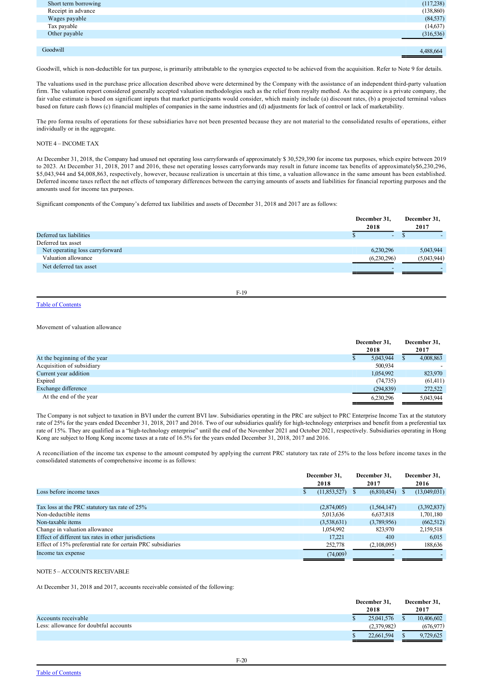| Short term borrowing | (117,238)  |
|----------------------|------------|
| Receipt in advance   | (138, 860) |
| Wages payable        | (84, 537)  |
| Tax payable          | (14, 637)  |
| Other payable        | (316, 536) |
|                      |            |
| Goodwill             | 4,488,664  |

Goodwill, which is non-deductible for tax purpose, is primarily attributable to the synergies expected to be achieved from the acquisition. Refer to Note 9 for details.

The valuations used in the purchase price allocation described above were determined by the Company with the assistance of an independent third-party valuation firm. The valuation report considered generally accepted valuation methodologies such as the relief from royalty method. As the acquiree is a private company, the fair value estimate is based on significant inputs that market participants would consider, which mainly include (a) discount rates, (b) a projected terminal values based on future cash flows (c) financial multiples of companies in the same industries and (d) adjustments for lack of control or lack of marketability.

The pro forma results of operations for these subsidiaries have not been presented because they are not material to the consolidated results of operations, either individually or in the aggregate.

## NOTE 4 – INCOME TAX

At December 31, 2018, the Company had unused net operating loss carryforwards of approximately \$ 30,529,390 for income tax purposes, which expire between 2019 to 2023. At December 31, 2018, 2017 and 2016, these net operating losses carryforwards may result in future income tax benefits of approximately\$6,230,296, \$5,043,944 and \$4,008,863, respectively, however, because realization is uncertain at this time, a valuation allowance in the same amount has been established. Deferred income taxes reflect the net effects of temporary differences between the carrying amounts of assets and liabilities for financial reporting purposes and the amounts used for income tax purposes.

Significant components of the Company's deferred tax liabilities and assets of December 31, 2018 and 2017 are as follows:

|                                 | December 31,<br>2018     | December 31,<br>2017 |
|---------------------------------|--------------------------|----------------------|
| Deferred tax liabilities        | $\overline{\phantom{0}}$ |                      |
| Deferred tax asset              |                          |                      |
| Net operating loss carryforward | 6,230,296                | 5,043,944            |
| Valuation allowance             | (6,230,296)              | (5,043,944)          |
| Net deferred tax asset          |                          |                      |
|                                 |                          |                      |

F-19

## Table of Contents

### Movement of valuation allowance

|                              |  | December 31,<br>2018 | December 31,<br>2017 |           |  |
|------------------------------|--|----------------------|----------------------|-----------|--|
| At the beginning of the year |  | 5,043,944            |                      | 4,008,863 |  |
| Acquisition of subsidiary    |  | 500,934              |                      |           |  |
| Current year addition        |  | 1,054,992            |                      | 823,970   |  |
| Expired                      |  | (74, 735)            |                      | (61, 411) |  |
| Exchange difference          |  | (294, 839)           |                      | 272,522   |  |
| At the end of the year       |  | 6.230.296            |                      | 5,043,944 |  |

The Company is not subject to taxation in BVI under the current BVI law. Subsidiaries operating in the PRC are subject to PRC Enterprise Income Tax at the statutory rate of 25% for the years ended December 31, 2018, 2017 and 2016. Two of our subsidiaries qualify for high-technology enterprises and benefit from a preferential tax rate of 15%. They are qualified as a "high-technology enterprise" until the end of the November 2021 and October 2021, respectively. Subsidiaries operating in Hong Kong are subject to Hong Kong income taxes at a rate of 16.5% for the years ended December 31, 2018, 2017 and 2016.

A reconciliation of the income tax expense to the amount computed by applying the current PRC statutory tax rate of 25% to the loss before income taxes in the consolidated statements of comprehensive income is as follows:

|                                                              | December 31,<br>2018 | December 31.<br>2017 | December 31,<br>2016 |  |
|--------------------------------------------------------------|----------------------|----------------------|----------------------|--|
| Loss before income taxes                                     | (11,853,527)         | (6,810,454)          | (13,049,031)         |  |
|                                                              |                      |                      |                      |  |
| Tax loss at the PRC statutory tax rate of 25%                | (2,874,005)          | (1, 564, 147)        | (3,392,837)          |  |
| Non-deductible items                                         | 5,013,636            | 6,637,818            | 1,701,180            |  |
| Non-taxable items                                            | (3,538,631)          | (3,789,956)          | (662, 512)           |  |
| Change in valuation allowance                                | 1,054,992            | 823,970              | 2,159,518            |  |
| Effect of different tax rates in other jurisdictions         | 17.221               | 410                  | 6.015                |  |
| Effect of 15% preferential rate for certain PRC subsidiaries | 252,778              | (2,108,095)          | 188,636              |  |
| Income tax expense                                           | (74,009)             |                      |                      |  |

## NOTE 5 – ACCOUNTS RECEIVABLE

At December 31, 2018 and 2017, accounts receivable consisted of the following:

|                                       | December 31, |  | December 31, |
|---------------------------------------|--------------|--|--------------|
|                                       | 2018         |  | 2017         |
| Accounts receivable                   | 25,041,576   |  | 10,406,602   |
| Less: allowance for doubtful accounts | (2,379,982)  |  | (676, 977)   |
|                                       | 22,661,594   |  | 9.729.625    |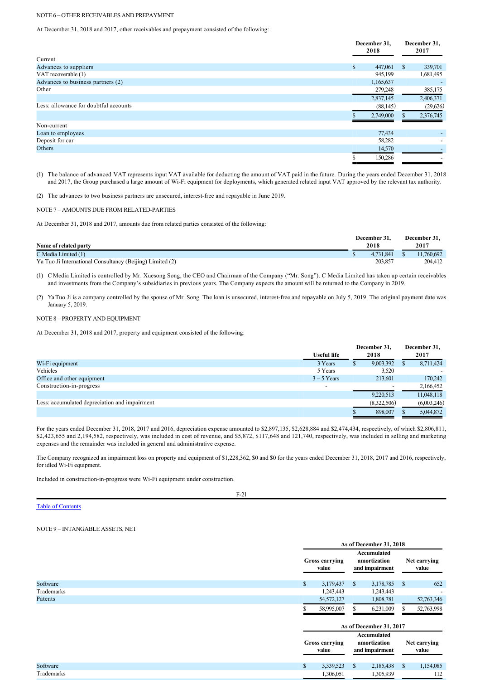## NOTE 6 – OTHER RECEIVABLES AND PREPAYMENT

At December 31, 2018 and 2017, other receivables and prepayment consisted of the following:

|                                       | December 31,<br>2018 |               | December 31,<br>2017 |  |
|---------------------------------------|----------------------|---------------|----------------------|--|
| Current                               |                      |               |                      |  |
| Advances to suppliers                 | \$<br>447,061        | <sup>\$</sup> | 339,701              |  |
| VAT recoverable (1)                   | 945,199              |               | 1,681,495            |  |
| Advances to business partners (2)     | 1,165,637            |               |                      |  |
| Other                                 | 279,248              |               | 385,175              |  |
|                                       | 2,837,145            |               | 2,406,371            |  |
| Less: allowance for doubtful accounts | (88, 145)            |               | (29,626)             |  |
|                                       | 2,749,000            |               | 2,376,745            |  |
| Non-current                           |                      |               |                      |  |
| Loan to employees                     | 77,434               |               |                      |  |
| Deposit for car                       | 58,282               |               |                      |  |
| Others                                | 14,570               |               |                      |  |
|                                       | 150,286              |               |                      |  |

(1) The balance of advanced VAT represents input VAT available for deducting the amount of VAT paid in the future. During the years ended December 31, 2018 and 2017, the Group purchased a large amount of Wi-Fi equipment for deployments, which generated related input VAT approved by the relevant tax authority.

(2) The advances to two business partners are unsecured, interest-free and repayable in June 2019.

#### NOTE 7 - AMOUNTS DUE FROM RELATED-PARTIES

At December 31, 2018 and 2017, amounts due from related parties consisted of the following:

|                                                           | December 31. | December 31. |
|-----------------------------------------------------------|--------------|--------------|
| Name of related party                                     | 2018         | 2017         |
| C Media Limited (1)                                       | 4.731.841    | 11,760,692   |
| Ya Tuo Ji International Consultancy (Beijing) Limited (2) | 203.857      | 204,412      |

(1) C Media Limited is controlled by Mr. Xuesong Song, the CEO and Chairman of the Company ("Mr. Song"). C Media Limited has taken up certain receivables and investments from the Company's subsidiaries in previous years. The Company expects the amount will be returned to the Company in 2019.

(2) Ya Tuo Ji is a company controlled by the spouse of Mr. Song. The loan is unsecured, interest-free and repayable on July 5, 2019. The original payment date was January 5, 2019.

## NOTE 8 – PROPERTY AND EQUIPMENT

At December 31, 2018 and 2017, property and equipment consisted of the following:

|                                               | <b>Useful life</b> |   | December 31,<br>2018 |  | December 31, |
|-----------------------------------------------|--------------------|---|----------------------|--|--------------|
|                                               |                    |   |                      |  | 2017         |
| Wi-Fi equipment                               | 3 Years            | D | 9,003,392            |  | 8,711,424    |
| Vehicles                                      | 5 Years            |   | 3,520                |  |              |
| Office and other equipment                    | $3 - 5$ Years      |   | 213,601              |  | 170.242      |
| Construction-in-progress                      |                    |   |                      |  | 2,166,452    |
|                                               |                    |   | 9,220,513            |  | 11,048,118   |
| Less: accumulated depreciation and impairment |                    |   | (8,322,506)          |  | (6,003,246)  |
|                                               |                    |   | 898,007              |  | 5,044,872    |

For the years ended December 31, 2018, 2017 and 2016, depreciation expense amounted to \$2,897,135, \$2,628,884 and \$2,474,434, respectively, of which \$2,806,811, \$2,423,655 and 2,194,582, respectively, was included in cost of revenue, and \$5,872, \$117,648 and 121,740, respectively, was included in selling and marketing expenses and the remainder was included in general and administrative expense.

The Company recognized an impairment loss on property and equipment of \$1,228,362, \$0 and \$0 for the years ended December 31, 2018, 2017 and 2016, respectively, for idled Wi-Fi equipment.

Included in construction-in-progress were Wi-Fi equipment under construction.

## $F-21$

Table of Contents

## NOTE 9 – INTANGABLE ASSETS, NET

|                                |              | As of December 31, 2018        |                                               |                                               |                       |                       |
|--------------------------------|--------------|--------------------------------|-----------------------------------------------|-----------------------------------------------|-----------------------|-----------------------|
| <b>Gross carrying</b><br>value |              |                                | Accumulated<br>amortization<br>and impairment |                                               | Net carrying<br>value |                       |
| Software                       | $\mathbb{S}$ | 3,179,437                      | $\mathbb{S}$                                  | 3,178,785                                     | $\mathcal{S}$         | 652                   |
| Trademarks                     |              | 1,243,443                      |                                               | 1,243,443                                     |                       |                       |
| Patents                        |              | 54,572,127                     |                                               | 1,808,781                                     |                       | 52,763,346            |
|                                |              | 58,995,007                     |                                               | 6,231,009                                     |                       | 52,763,998            |
|                                |              |                                |                                               | As of December 31, 2017                       |                       |                       |
|                                |              | <b>Gross carrying</b><br>value |                                               | Accumulated<br>amortization<br>and impairment |                       | Net carrying<br>value |
| Software                       | \$           | 3,339,523                      | <sup>\$</sup>                                 | 2,185,438                                     | $\mathbb{S}$          | 1,154,085             |
| Trademarks                     |              | 1,306,051                      |                                               | 1,305,939                                     |                       | 112                   |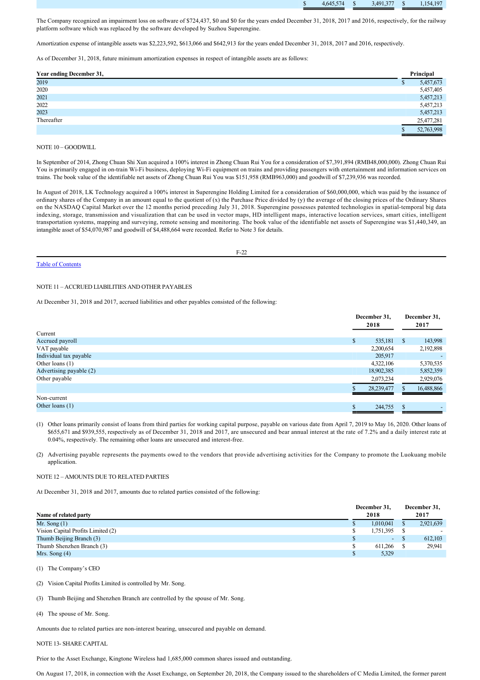|  | $\mathcal{L}^{\text{max}}_{\text{max}}$ and $\mathcal{L}^{\text{max}}_{\text{max}}$ and $\mathcal{L}^{\text{max}}_{\text{max}}$<br>---<br>.<br>- 14<br>4.043 | , 491 377 | 4 107<br>$\sim$ |
|--|--------------------------------------------------------------------------------------------------------------------------------------------------------------|-----------|-----------------|
|  |                                                                                                                                                              |           |                 |

The Company recognized an impairment loss on software of \$724,437, \$0 and \$0 for the years ended December 31, 2018, 2017 and 2016, respectively, for the railway platform software which was replaced by the software developed by Suzhou Superengine.

Amortization expense of intangible assets was \$2,223,592, \$613,066 and \$642,913 for the years ended December 31, 2018, 2017 and 2016, respectively.

As of December 31, 2018, future minimum amortization expenses in respect of intangible assets are as follows:

| Year ending December 31, | Principal  |
|--------------------------|------------|
| 2019                     | 5,457,673  |
| 2020                     | 5,457,405  |
| 2021                     | 5,457,213  |
| 2022                     | 5,457,213  |
| 2023                     | 5,457,213  |
| Thereafter               | 25,477,281 |
|                          | 52,763,998 |

## NOTE 10 – GOODWILL

In September of 2014, Zhong Chuan Shi Xun acquired a 100% interest in Zhong Chuan Rui You for a consideration of \$7,391,894 (RMB48,000,000). Zhong Chuan Rui You is primarily engaged in on-train Wi-Fi business, deploying Wi-Fi equipment on trains and providing passengers with entertainment and information services on trains. The book value of the identifiable net assets of Zhong Chuan Rui You was \$151,958 (RMB963,000) and goodwill of \$7,239,936 was recorded.

In August of 2018, LK Technology acquired a 100% interest in Superengine Holding Limited for a consideration of \$60,000,000, which was paid by the issuance of ordinary shares of the Company in an amount equal to the quotient of (x) the Purchase Price divided by (y) the average of the closing prices of the Ordinary Shares on the NASDAQ Capital Market over the 12 months period preceding July 31, 2018. Superengine possesses patented technologies in spatial-temporal big data indexing, storage, transmission and visualization that can be used in vector maps, HD intelligent maps, interactive location services, smart cities, intelligent transportation systems, mapping and surveying, remote sensing and monitoring. The book value of the identifiable net assets of Superengine was \$1,440,349, an intangible asset of \$54,070,987 and goodwill of \$4,488,664 were recorded. Refer to Note 3 for details.

F-22

## Table of Contents

## NOTE 11 – ACCRUED LIABILITIES AND OTHER PAYABLES

At December 31, 2018 and 2017, accrued liabilities and other payables consisted of the following:

|                         | December 31,<br>2018 | December 31,<br>2017    |  |
|-------------------------|----------------------|-------------------------|--|
| Current                 |                      |                         |  |
| Accrued payroll         | 535,181<br>\$        | 143,998<br><sup>S</sup> |  |
| VAT payable             | 2,200,654            | 2,192,898               |  |
| Individual tax payable  | 205,917              |                         |  |
| Other loans $(1)$       | 4,322,106            | 5,370,535               |  |
| Advertising payable (2) | 18,902,385           | 5,852,359               |  |
| Other payable           | 2,073,234            | 2,929,076               |  |
|                         | 28, 239, 477         | 16,488,866              |  |
| Non-current             |                      |                         |  |
| Other loans $(1)$       | 244,755              | \$                      |  |
|                         |                      |                         |  |

(1) Other loans primarily consist of loans from third parties for working capital purpose, payable on various date from April 7, 2019 to May 16, 2020. Other loans of \$655,671 and \$939,555, respectively as of December 31, 2018 and 2017, are unsecured and bear annual interest at the rate of 7.2% and a daily interest rate at 0.04%, respectively. The remaining other loans are unsecured and interest-free.

(2) Advertising payable represents the payments owed to the vendors that provide advertising activities for the Company to promote the Luokuang mobile application.

## NOTE 12 – AMOUNTS DUE TO RELATED PARTIES

At December 31, 2018 and 2017, amounts due to related parties consisted of the following:

|                                    |  | December 31,             |      | December 31, |
|------------------------------------|--|--------------------------|------|--------------|
| Name of related party              |  | 2018                     | 2017 |              |
| Mr. Song $(1)$                     |  | 1,010,041                |      | 2,921,639    |
| Vision Capital Profits Limited (2) |  | 1,751,395                |      |              |
| Thumb Beijing Branch (3)           |  | $\overline{\phantom{a}}$ |      | 612,103      |
| Thumb Shenzhen Branch (3)          |  | 611.266                  |      | 29,941       |
| Mrs. Song $(4)$                    |  | 5,329                    |      |              |

(1) The Company's CEO

(2) Vision Capital Profits Limited is controlled by Mr. Song.

(3) Thumb Beijing and Shenzhen Branch are controlled by the spouse of Mr. Song.

(4) The spouse of Mr. Song.

Amounts due to related parties are non-interest bearing, unsecured and payable on demand.

NOTE 13- SHARE CAPITAL

Prior to the Asset Exchange, Kingtone Wireless had 1,685,000 common shares issued and outstanding.

On August 17, 2018, in connection with the Asset Exchange, on September 20, 2018, the Company issued to the shareholders of C Media Limited, the former parent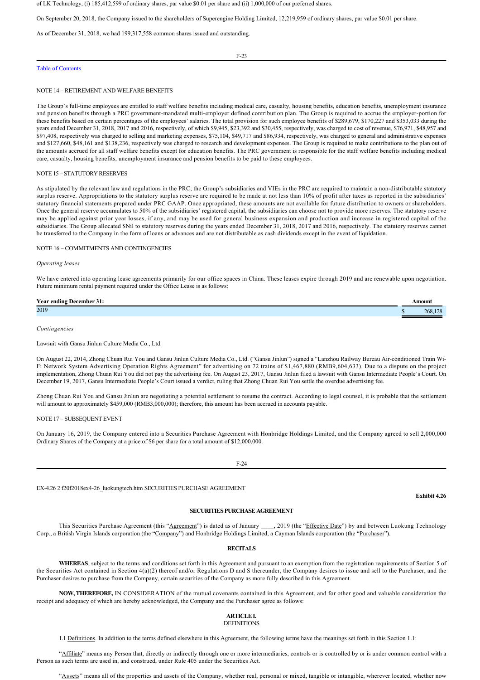of LK Technology, (i) 185,412,599 of ordinary shares, par value \$0.01 per share and (ii) 1,000,000 of our preferred shares.

On September 20, 2018, the Company issued to the shareholders of Superengine Holding Limited, 12,219,959 of ordinary shares, par value \$0.01 per share.

As of December 31, 2018, we had 199,317,558 common shares issued and outstanding.

F-23

## Table of Contents

#### NOTE 14 – RETIREMENT AND WELFARE BENEFITS

The Group's full-time employees are entitled to staff welfare benefits including medical care, casualty, housing benefits, education benefits, unemployment insurance and pension benefits through a PRC government-mandated multi-employer defined contribution plan. The Group is required to accrue the employer-portion for these benefits based on certain percentages of the employees' salaries. The total provision for such employee benefits of \$289,679, \$170,227 and \$353,033 during the years ended December 31, 2018, 2017 and 2016, respectively, of which \$9,945, \$23,392 and \$30,455, respectively, was charged to cost of revenue, \$76,971, \$48,957 and \$97,408, respectively was charged to selling and marketing expenses, \$75,104, \$49,717 and \$86,934, respectively, was charged to general and administrative expenses and \$127,660, \$48,161 and \$138,236, respectively was charged to research and development expenses. The Group is required to make contributions to the plan out of the amounts accrued for all staff welfare benefits except for education benefits. The PRC government is responsible for the staff welfare benefits including medical care, casualty, housing benefits, unemployment insurance and pension benefits to be paid to these employees.

#### NOTE 15 – STATUTORY RESERVES

As stipulated by the relevant law and regulations in the PRC, the Group's subsidiaries and VIEs in the PRC are required to maintain a non-distributable statutory surplus reserve. Appropriations to the statutory surplus reserve are required to be made at not less than 10% of profit after taxes as reported in the subsidiaries' statutory financial statements prepared under PRC GAAP. Once appropriated, these amounts are not available for future distribution to owners or shareholders. Once the general reserve accumulates to 50% of the subsidiaries' registered capital, the subsidiaries can choose not to provide more reserves. The statutory reserve may be applied against prior year losses, if any, and may be used for general business expansion and production and increase in registered capital of the subsidiaries. The Group allocated \$Nil to statutory reserves during the years ended December 31, 2018, 2017 and 2016, respectively. The statutory reserves cannot be transferred to the Company in the form of loans or advances and are not distributable as cash dividends except in the event of liquidation.

#### NOTE 16 – COMMITMENTS AND CONTINGENCIES

#### *Operating leases*

We have entered into operating lease agreements primarily for our office spaces in China. These leases expire through 2019 and are renewable upon negotiation. Future minimum rental payment required under the Office Lease is as follows:

| $\mathbf{v}$<br>Year ending December.<br>. | Amount  |
|--------------------------------------------|---------|
| 2019                                       | 268.128 |
|                                            |         |

#### *Contingencies*

Lawsuit with Gansu Jinlun Culture Media Co., Ltd.

On August 22, 2014, Zhong Chuan Rui You and Gansu Jinlun Culture Media Co., Ltd. ("Gansu Jinlun") signed a "Lanzhou Railway Bureau Airconditioned Train Wi-Fi Network System Advertising Operation Rights Agreement" for advertising on 72 trains of \$1,467,880 (RMB9,604,633). Due to a dispute on the project implementation, Zhong Chuan Rui You did not pay the advertising fee. On August 23, 2017, Gansu Jinlun filed a lawsuit with Gansu Intermediate People's Court. On December 19, 2017, Gansu Intermediate People's Court issued a verdict, ruling that Zhong Chuan Rui You settle the overdue advertising fee.

Zhong Chuan Rui You and Gansu Jinlun are negotiating a potential settlement to resume the contract. According to legal counsel, it is probable that the settlement will amount to approximately \$459,000 (RMB3,000,000); therefore, this amount has been accrued in accounts payable.

## NOTE 17 – SUBSEQUENT EVENT

On January 16, 2019, the Company entered into a Securities Purchase Agreement with Honbridge Holdings Limited, and the Company agreed to sell 2,000,000 Ordinary Shares of the Company at a price of \$6 per share for a total amount of \$12,000,000.



EX4.26 2 f20f2018ex426\_luokungtech.htm SECURITIES PURCHASE AGREEMENT

**Exhibit 4.26**

#### **SECURITIES PURCHASE AGREEMENT**

This Securities Purchase Agreement (this "Agreement") is dated as of January \_\_\_\_, 2019 (the "Effective Date") by and between Luokung Technology Corp., a British Virgin Islands corporation (the "Company") and Honbridge Holdings Limited, a Cayman Islands corporation (the "Purchaser").

#### **RECITALS**

**WHEREAS**, subject to the terms and conditions set forth in this Agreement and pursuant to an exemption from the registration requirements of Section 5 of the Securities Act contained in Section 4(a)(2) thereof and/or Regulations D and S thereunder, the Company desires to issue and sell to the Purchaser, and the Purchaser desires to purchase from the Company, certain securities of the Company as more fully described in this Agreement.

**NOW, THEREFORE,** IN CONSIDERATION of the mutual covenants contained in this Agreement, and for other good and valuable consideration the receipt and adequacy of which are hereby acknowledged, the Company and the Purchaser agree as follows:

## **ARTICLE I.**

## DEFINITIONS

1.1 Definitions. In addition to the terms defined elsewhere in this Agreement, the following terms have the meanings set forth in this Section 1.1:

"Affiliate" means any Person that, directly or indirectly through one or more intermediaries, controls or is controlled by or is under common control with a Person as such terms are used in, and construed, under Rule 405 under the Securities Act.

"Assets" means all of the properties and assets of the Company, whether real, personal or mixed, tangible or intangible, wherever located, whether now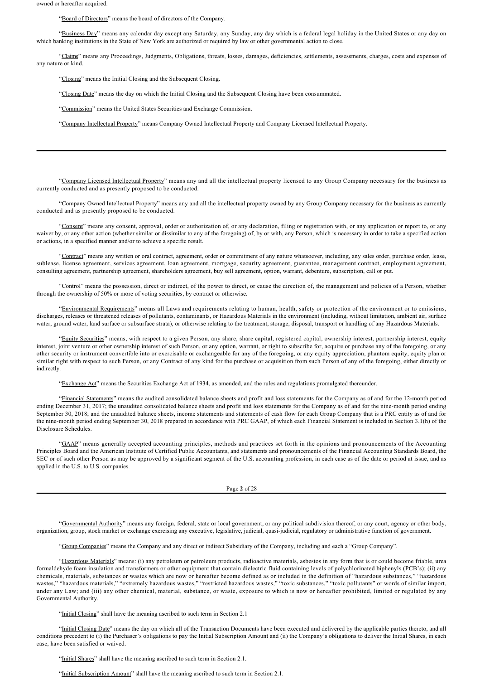owned or hereafter acquired.

"Board of Directors" means the board of directors of the Company.

"Business Day" means any calendar day except any Saturday, any Sunday, any day which is a federal legal holiday in the United States or any day on which banking institutions in the State of New York are authorized or required by law or other governmental action to close.

"Claims" means any Proceedings, Judgments, Obligations, threats, losses, damages, deficiencies, settlements, assessments, charges, costs and expenses of any nature or kind.

"Closing" means the Initial Closing and the Subsequent Closing.

"Closing Date" means the day on which the Initial Closing and the Subsequent Closing have been consummated.

"Commission" means the United States Securities and Exchange Commission.

"Company Intellectual Property" means Company Owned Intellectual Property and Company Licensed Intellectual Property.

"Company Licensed Intellectual Property" means any and all the intellectual property licensed to any Group Company necessary for the business as currently conducted and as presently proposed to be conducted.

"Company Owned Intellectual Property" means any and all the intellectual property owned by any Group Company necessary for the business as currently conducted and as presently proposed to be conducted.

"Consent" means any consent, approval, order or authorization of, or any declaration, filing or registration with, or any application or report to, or any waiver by, or any other action (whether similar or dissimilar to any of the foregoing) of, by or with, any Person, which is necessary in order to take a specified action or actions, in a specified manner and/or to achieve a specific result.

"Contract" means any written or oral contract, agreement, order or commitment of any nature whatsoever, including, any sales order, purchase order, lease, sublease, license agreement, services agreement, loan agreement, mortgage, security agreement, guarantee, management contract, employment agreement, consulting agreement, partnership agreement, shareholders agreement, buy sell agreement, option, warrant, debenture, subscription, call or put.

"Control" means the possession, direct or indirect, of the power to direct, or cause the direction of, the management and policies of a Person, whether through the ownership of 50% or more of voting securities, by contract or otherwise.

"Environmental Requirements" means all Laws and requirements relating to human, health, safety or protection of the environment or to emissions, discharges, releases or threatened releases of pollutants, contaminants, or Hazardous Materials in the environment (including, without limitation, ambient air, surface water, ground water, land surface or subsurface strata), or otherwise relating to the treatment, storage, disposal, transport or handling of any Hazardous Materials.

"Equity Securities" means, with respect to a given Person, any share, share capital, registered capital, ownership interest, partnership interest, equity interest, joint venture or other ownership interest of such Person, or any option, warrant, or right to subscribe for, acquire or purchase any of the foregoing, or any other security or instrument convertible into or exercisable or exchangeable for any of the foregoing, or any equity appreciation, phantom equity, equity plan or similar right with respect to such Person, or any Contract of any kind for the purchase or acquisition from such Person of any of the foregoing, either directly or indirectly.

"Exchange Act" means the Securities Exchange Act of 1934, as amended, and the rules and regulations promulgated thereunder.

"Financial Statements" means the audited consolidated balance sheets and profit and loss statements for the Company as of and for the 12-month period ending December 31, 2017; the unaudited consolidated balance sheets and profit and loss statements for the Company as of and for the nine-month period ending September 30, 2018; and the unaudited balance sheets, income statements and statements of cash flow for each Group Company that is a PRC entity as of and for the nine-month period ending September 30, 2018 prepared in accordance with PRC GAAP, of which each Financial Statement is included in Section 3.1(h) of the Disclosure Schedules.

"GAAP" means generally accepted accounting principles, methods and practices set forth in the opinions and pronouncements of the Accounting Principles Board and the American Institute of Certified Public Accountants, and statements and pronouncements of the Financial Accounting Standards Board, the SEC or of such other Person as may be approved by a significant segment of the U.S. accounting profession, in each case as of the date or period at issue, and as applied in the U.S. to U.S. companies.

Page **2** of 28

"Governmental Authority" means any foreign, federal, state or local government, or any political subdivision thereof, or any court, agency or other body, organization, group, stock market or exchange exercising any executive, legislative, judicial, quasi-judicial, regulatory or administrative function of government.

"Group Companies" means the Company and any direct or indirect Subsidiary of the Company, including and each a "Group Company".

"Hazardous Materials" means: (i) any petroleum or petroleum products, radioactive materials, asbestos in any form that is or could become friable, urea formaldehyde foam insulation and transformers or other equipment that contain dielectric fluid containing levels of polychlorinated biphenyls (PCB's); (ii) any chemicals, materials, substances or wastes which are now or hereafter become defined as or included in the definition of "hazardous substances," "hazardous wastes," "hazardous materials," "extremely hazardous wastes," "restricted hazardous wastes," "toxic substances," "toxic pollutants" or words of similar import, under any Law; and (iii) any other chemical, material, substance, or waste, exposure to which is now or hereafter prohibited, limited or regulated by any Governmental Authority.

"Initial Closing" shall have the meaning ascribed to such term in Section 2.1

"Initial Closing Date" means the day on which all of the Transaction Documents have been executed and delivered by the applicable parties thereto, and all conditions precedent to (i) the Purchaser's obligations to pay the Initial Subscription Amount and (ii) the Company's obligations to deliver the Initial Shares, in each case, have been satisfied or waived.

"Initial Shares" shall have the meaning ascribed to such term in Section 2.1.

"Initial Subscription Amount" shall have the meaning ascribed to such term in Section 2.1.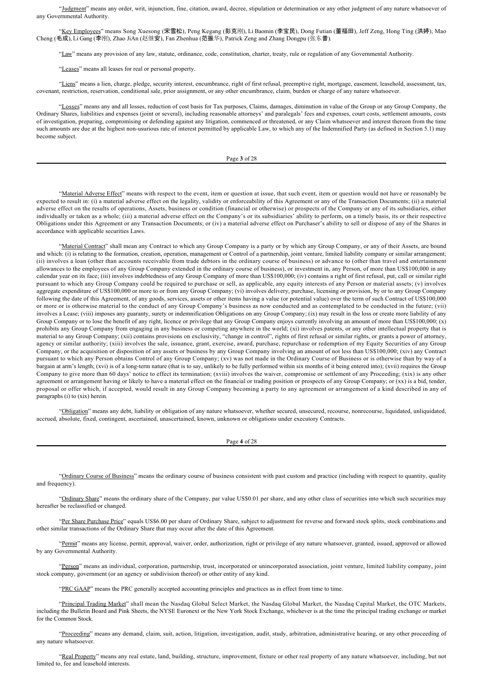"Judgment" means any order, writ, injunction, fine, citation, award, decree, stipulation or determination or any other judgment of any nature whatsoever of any Governmental Authority.

"Key Employees" means Song Xuesong (宋雪松), Peng Kegang (彭克刚), Li Baomin (李宝民), Dong Futian (董福田), Jeff Zeng, Hong Ting (洪婷), Mao Cheng (毛成), Li Gang (李刚), Zhao JiAn (赵继安), Fan Zhenhua (范振华), Patrick Zeng and Zhang Dongpu (张东普).

"Law" means any provision of any law, statute, ordinance, code, constitution, charter, treaty, rule or regulation of any Governmental Authority.

"Leases" means all leases for real or personal property.

"Liens" means a lien, charge, pledge, security interest, encumbrance, right of first refusal, preemptive right, mortgage, easement, leasehold, assessment, tax, covenant, restriction, reservation, conditional sale, prior assignment, or any other encumbrance, claim, burden or charge of any nature whatsoever.

"Losses" means any and all losses, reduction of cost basis for Tax purposes, Claims, damages, diminution in value of the Group or any Group Company, the Ordinary Shares, liabilities and expenses (joint or several), including reasonable attorneys' and paralegals' fees and expenses, court costs, settlement amounts, costs of investigation, preparing, compromising or defending against any litigation, commenced or threatened, or any Claim whatsoever and interest thereon from the time such amounts are due at the highest non-usurious rate of interest permitted by applicable Law, to which any of the Indemnified Party (as defined in Section 5.1) may become subject.

Page **3** of 28

"Material Adverse Effect" means with respect to the event, item or question at issue, that such event, item or question would not have or reasonably be expected to result in: (i) a material adverse effect on the legality, validity or enforceability of this Agreement or any of the Transaction Documents; (ii) a material adverse effect on the results of operations, Assets, business or condition (financial or otherwise) or prospects of the Company or any of its subsidiaries, either individually or taken as a whole; (iii) a material adverse effect on the Company's or its subsidiaries' ability to perform, on a timely basis, its or their respective Obligations under this Agreement or any Transaction Documents; or (iv) a material adverse effect on Purchaser's ability to sell or dispose of any of the Shares in accordance with applicable securities Laws.

"Material Contract" shall mean any Contract to which any Group Company is a party or by which any Group Company, or any of their Assets, are bound and which: (i) is relating to the formation, creation, operation, management or Control of a partnership, joint venture, limited liability company or similar arrangement; (ii) involves a loan (other than accounts receivable from trade debtors in the ordinary course of business) or advance to (other than travel and entertainment allowances to the employees of any Group Company extended in the ordinary course of business), or investment in, any Person, of more than US\$100,000 in any calendar year on its face; (iii) involves indebtedness of any Group Company of more than US\$100,000; (iv) contains a right of first refusal, put, call or similar right pursuant to which any Group Company could be required to purchase or sell, as applicable, any equity interests of any Person or material assets; (v) involves aggregate expenditure of US\$100,000 or more to or from any Group Company; (vi) involves delivery, purchase, licensing or provision, by or to any Group Company following the date of this Agreement, of any goods, services, assets or other items having a value (or potential value) over the term of such Contract of US\$100,000 or more or is otherwise material to the conduct of any Group Company's business as now conducted and as contemplated to be conducted in the future; (vii) involves a Lease; (viii) imposes any guaranty, surety or indemnification Obligations on any Group Company; (ix) may result in the loss or create more liability of any Group Company or to lose the benefit of any right, licence or privilege that any Group Company enjoys currently involving an amount of more than US\$100,000; (x) prohibits any Group Company from engaging in any business or competing anywhere in the world; (xi) involves patents, or any other intellectual property that is material to any Group Company; (xii) contains provisions on exclusivity, "change in control", rights of first refusal or similar rights, or grants a power of attorney, agency or similar authority; (xiii) involves the sale, issuance, grant, exercise, award, purchase, repurchase or redemption of my Equity Securities of any Group Company, or the acquisition or disposition of any assets or business by any Group Company involving an amount of not less than US\$100,000; (xiv) any Contract pursuant to which any Person obtains Control of any Group Company; (xv) was not made in the Ordinary Course of Business or is otherwise than by way of a bargain at arm's length; (xvi) is of a long-term nature (that is to say, unlikely to be fully performed within six months of it being entered into); (xvii) requires the Group Company to give more than 60 days' notice to effect its termination; (xviii) involves the waiver, compromise or settlement of any Proceeding; (xix) is any other agreement or arrangement having or likely to have a material effect on the financial or trading position or prospects of any Group Company; or (xx) is a bid, tender, proposal or offer which, if accepted, would result in any Group Company becoming a party to any agreement or arrangement of a kind described in any of paragraphs (i) to (xix) herein.

"Obligation" means any debt, liability or obligation of any nature whatsoever, whether secured, unsecured, recourse, nonrecourse, liquidated, unliquidated, accrued, absolute, fixed, contingent, ascertained, unascertained, known, unknown or obligations under executory Contracts.

Page **4** of 28

"Ordinary Course of Business" means the ordinary course of business consistent with past custom and practice (including with respect to quantity, quality and frequency).

"Ordinary Share" means the ordinary share of the Company, par value US\$0.01 per share, and any other class of securities into which such securities may hereafter be reclassified or changed.

"Per Share Purchase Price" equals US\$6.00 per share of Ordinary Share, subject to adjustment for reverse and forward stock splits, stock combinations and other similar transactions of the Ordinary Share that may occur after the date of this Agreement.

"Permit" means any license, permit, approval, waiver, order, authorization, right or privilege of any nature whatsoever, granted, issued, approved or allowed by any Governmental Authority.

"Person" means an individual, corporation, partnership, trust, incorporated or unincorporated association, joint venture, limited liability company, joint stock company, government (or an agency or subdivision thereof) or other entity of any kind.

"PRC GAAP" means the PRC generally accepted accounting principles and practices as in effect from time to time.

"Principal Trading Market" shall mean the Nasdaq Global Select Market, the Nasdaq Global Market, the Nasdaq Capital Market, the OTC Markets, including the Bulletin Board and Pink Sheets, the NYSE Euronext or the New York Stock Exchange, whichever is at the time the principal trading exchange or market for the Common Stock.

"Proceeding" means any demand, claim, suit, action, litigation, investigation, audit, study, arbitration, administrative hearing, or any other proceeding of any nature whatsoever.

"Real Property" means any real estate, land, building, structure, improvement, fixture or other real property of any nature whatsoever, including, but not limited to, fee and leasehold interests.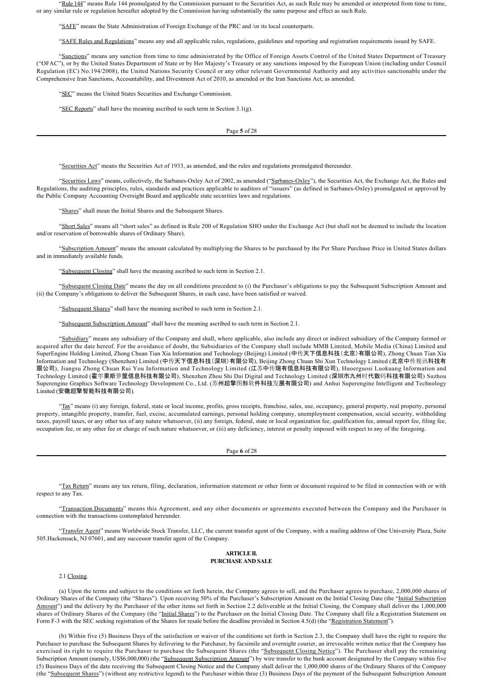"Rule 144" means Rule 144 promulgated by the Commission pursuant to the Securities Act, as such Rule may be amended or interpreted from time to time, or any similar rule or regulation hereafter adopted by the Commission having substantially the same purpose and effect as such Rule.

"SAFE" means the State Administration of Foreign Exchange of the PRC and /or its local counterparts.

"SAFE Rules and Regulations" means any and all applicable rules, regulations, guidelines and reporting and registration requirements issued by SAFE.

"Sanctions" means any sanction from time to time administrated by the Office of Foreign Assets Control of the United States Department of Treasury ("OFAC"), or by the United States Department of State or by Her Majesty's Treasury or any sanctions imposed by the European Union (including under Council Regulation (EC) No.194/2008), the United Nations Security Council or any other relevant Governmental Authority and any activities sanctionable under the Comprehensive Iran Sanctions, Accountability, and Divestment Act of 2010, as amended or the Iran Sanctions Act, as amended.

"SEC" means the United States Securities and Exchange Commission.

"SEC Reports" shall have the meaning ascribed to such term in Section  $3.1(g)$ .

Page **5** of 28

"Securities Act" means the Securities Act of 1933, as amended, and the rules and regulations promulgated thereunder.

"Securities Laws" means, collectively, the Sarbanes-Oxley Act of 2002, as amended ("Sarbanes-Oxley"), the Securities Act, the Exchange Act, the Rules and Regulations, the auditing principles, rules, standards and practices applicable to auditors of "issuers" (as defined in Sarbanes-Oxley) promulgated or approved by the Public Company Accounting Oversight Board and applicable state securities laws and regulations.

"Shares" shall mean the Initial Shares and the Subsequent Shares.

"Short Sales" means all "short sales" as defined in Rule 200 of Regulation SHO under the Exchange Act (but shall not be deemed to include the location and/or reservation of borrowable shares of Ordinary Share).

"Subscription Amount" means the amount calculated by multiplying the Shares to be purchased by the Per Share Purchase Price in United States dollars and in immediately available funds.

"Subsequent Closing" shall have the meaning ascribed to such term in Section 2.1.

"Subsequent Closing Date" means the day on all conditions precedent to (i) the Purchaser's obligations to pay the Subsequent Subscription Amount and (ii) the Company's obligations to deliver the Subsequent Shares, in each case, have been satisfied or waived.

"Subsequent Shares" shall have the meaning ascribed to such term in Section 2.1.

"Subsequent Subscription Amount" shall have the meaning ascribed to such term in Section 2.1.

"Subsidiary" means any subsidiary of the Company and shall, where applicable, also include any direct or indirect subsidiary of the Company formed or acquired after the date hereof. For the avoidance of doubt, the Subsidiaries of the Company shall include MMB Limited, Mobile Media (China) Limited and SuperEngine Holding Limited, Zhong Chuan Tian Xia Information and Technology (Beijing) Limited (中传天下信息科技(北京)有限公司), Zhong Chuan Tian Xia Information and Technology (Shenzhen) Limited (中传天下信息科技(深圳)有限公司), Beijing Zhong Chuan Shi Xun Technology Limited (北京中传视讯科技有 限公司), Jiangsu Zhong Chuan Rui You Information and Technology Limited (江苏中传瑞有信息科技有限公司), Huoerguosi Luokuang Information and Technology Limited (霍尔果斯箩筐信息科技有限公司), Shenzhen Zhou Shi Dai Digital and Technology Limited (深圳市九州时代数码科技有限公司) Suzhou Superengine Graphics Software Technology Development Co., Ltd. (苏州超擎图形软件科技发展有限公司) and Anhui Superengine Intelligent and Technology Limited (安徽超擎智能科技有限公司).

"Tax" means (i) any foreign, federal, state or local income, profits, gross receipts, franchise, sales, use, occupancy, general property, real property, personal property, intangible property, transfer, fuel, excise, accumulated earnings, personal holding company, unemployment compensation, social security, withholding taxes, payroll taxes, or any other tax of any nature whatsoever, (ii) any foreign, federal, state or local organization fee, qualification fee, annual report fee, filing fee, occupation fee, or any other fee or charge of such nature whatsoever, or (iii) any deficiency, interest or penalty imposed with respect to any of the foregoing.

Page **6** of 28

"Tax Return" means any tax return, filing, declaration, information statement or other form or document required to be filed in connection with or with respect to any Tax.

"Transaction Documents" means this Agreement, and any other documents or agreements executed between the Company and the Purchaser in connection with the transactions contemplated hereunder.

"Transfer Agent" means Worldwide Stock Transfer, LLC, the current transfer agent of the Company, with a mailing address of One University Plaza, Suite 505.Hackensack, NJ 07601, and any successor transfer agent of the Company.

#### **ARTICLE II. PURCHASE AND SALE**

## 2.1 Closing.

(a) Upon the terms and subject to the conditions set forth herein, the Company agrees to sell, and the Purchaser agrees to purchase, 2,000,000 shares of Ordinary Shares of the Company (the "Shares"). Upon receiving 50% of the Purchaser's Subscription Amount on the Initial Closing Date (the "Initial Subscription Amount") and the delivery by the Purchaser of the other items set forth in Section 2.2 deliverable at the Initial Closing, the Company shall deliver the 1,000,000 shares of Ordinary Shares of the Company (the "Initial Shares") to the Purchaser on the Initial Closing Date. The Company shall file a Registration Statement on Form F-3 with the SEC seeking registration of the Shares for resale before the deadline provided in Section 4.5(d) (the "Registration Statement").

(b) Within five (5) Business Days of the satisfaction or waiver of the conditions set forth in Section 2.3, the Company shall have the right to require the Purchaser to purchase the Subsequent Shares by delivering to the Purchaser, by facsimile and overnight courier, an irrevocable written notice that the Company has exercised its right to require the Purchaser to purchase the Subsequent Shares (the "Subsequent Closing Notice"). The Purchaser shall pay the remaining Subscription Amount (namely, US\$6,000,000) (the "Subsequent Subscription Amount") by wire transfer to the bank account designated by the Company within five (5) Business Days of the date receiving the Subsequent Closing Notice and the Company shall deliver the 1,000,000 shares of the Ordinary Shares of the Company (the "Subsequent Shares") (without any restrictive legend) to the Purchaser within three (3) Business Days of the payment of the Subsequent Subscription Amount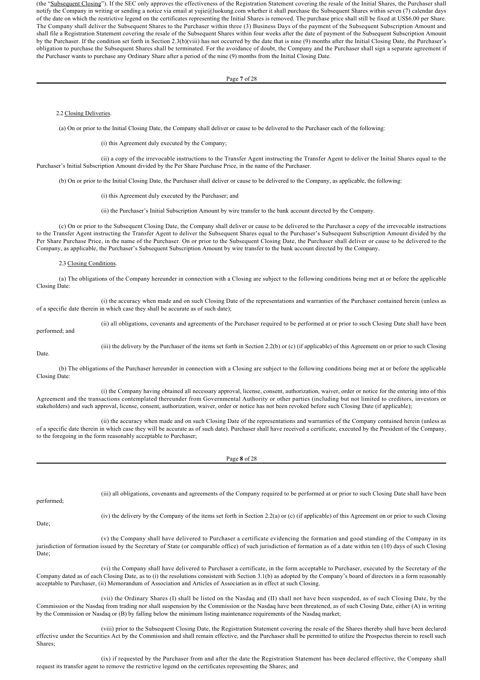(the "Subsequent Closing"). If the SEC only approves the effectiveness of the Registration Statement covering the resale of the Initial Shares, the Purchaser shall notify the Company in writing or sending a notice via email at yujie@luokung.com whether it shall purchase the Subsequent Shares within seven (7) calendar days of the date on which the restrictive legend on the certificates representing the Initial Shares is removed. The purchase price shall still be fixed at US\$6.00 per Share. The Company shall deliver the Subsequent Shares to the Purchaser within three (3) Business Days of the payment of the Subsequent Subscription Amount and shall file a Registration Statement covering the resale of the Subsequent Shares within four weeks after the date of payment of the Subsequent Subscription Amount by the Purchaser. If the condition set forth in Section 2.3(b)(viii) has not occurred by the date that is nine (9) months after the Initial Closing Date, the Purchaser's obligation to purchase the Subsequent Shares shall be terminated. For the avoidance of doubt, the Company and the Purchaser shall sign a separate agreement if the Purchaser wants to purchase any Ordinary Share after a period of the nine (9) months from the Initial Closing Date.

#### Page **7** of 28

## 2.2 Closing Deliveries.

(a) On or prior to the Initial Closing Date, the Company shall deliver or cause to be delivered to the Purchaser each of the following:

(i) this Agreement duly executed by the Company;

(ii) a copy of the irrevocable instructions to the Transfer Agent instructing the Transfer Agent to deliver the Initial Shares equal to the Purchaser's Initial Subscription Amount divided by the Per Share Purchase Price, in the name of the Purchaser.

(b) On or prior to the Initial Closing Date, the Purchaser shall deliver or cause to be delivered to the Company, as applicable, the following:

(i) this Agreement duly executed by the Purchaser; and

(ii) the Purchaser's Initial Subscription Amount by wire transfer to the bank account directed by the Company.

(c) On or prior to the Subsequent Closing Date, the Company shall deliver or cause to be delivered to the Purchaser a copy of the irrevocable instructions to the Transfer Agent instructing the Transfer Agent to deliver the Subsequent Shares equal to the Purchaser's Subsequent Subscription Amount divided by the Per Share Purchase Price, in the name of the Purchaser. On or prior to the Subsequent Closing Date, the Purchaser shall deliver or cause to be delivered to the Company, as applicable, the Purchaser's Subsequent Subscription Amount by wire transfer to the bank account directed by the Company.

### 2.3 Closing Conditions.

(a) The obligations of the Company hereunder in connection with a Closing are subject to the following conditions being met at or before the applicable Closing Date:

(i) the accuracy when made and on such Closing Date of the representations and warranties of the Purchaser contained herein (unless as of a specific date therein in which case they shall be accurate as of such date);

performed; and

(ii) all obligations, covenants and agreements of the Purchaser required to be performed at or prior to such Closing Date shall have been

(iii) the delivery by the Purchaser of the items set forth in Section 2.2(b) or (c) (if applicable) of this Agreement on or prior to such Closing

Date.

(b) The obligations of the Purchaser hereunder in connection with a Closing are subject to the following conditions being met at or before the applicable Closing Date:

(i) the Company having obtained all necessary approval, license, consent, authorization, waiver, order or notice for the entering into of this Agreement and the transactions contemplated thereunder from Governmental Authority or other parties (including but not limited to creditors, investors or stakeholders) and such approval, license, consent, authorization, waiver, order or notice has not been revoked before such Closing Date (if applicable);

(ii) the accuracy when made and on such Closing Date of the representations and warranties of the Company contained herein (unless as of a specific date therein in which case they will be accurate as of such date). Purchaser shall have received a certificate, executed by the President of the Company, to the foregoing in the form reasonably acceptable to Purchaser;

|            | Page 8 of 28                                                                                                                                                                                                                                                                                                   |
|------------|----------------------------------------------------------------------------------------------------------------------------------------------------------------------------------------------------------------------------------------------------------------------------------------------------------------|
|            |                                                                                                                                                                                                                                                                                                                |
|            |                                                                                                                                                                                                                                                                                                                |
| performed; | (iii) all obligations, covenants and agreements of the Company required to be performed at or prior to such Closing Date shall have been                                                                                                                                                                       |
|            |                                                                                                                                                                                                                                                                                                                |
| Date;      | (iv) the delivery by the Company of the items set forth in Section 2.2(a) or (c) (if applicable) of this Agreement on or prior to such Closing                                                                                                                                                                 |
|            |                                                                                                                                                                                                                                                                                                                |
|            | (v) the Company shall have delivered to Purchaser a certificate evidencing the formation and good standing of the Company in its<br>jurisdiction of formation issued by the Secretary of State (or comparable office) of such jurisdiction of formation as of a date within ten (10) days of such Closing      |
| Date;      |                                                                                                                                                                                                                                                                                                                |
|            | (vi) the Company shall have delivered to Purchaser a certificate, in the form acceptable to Purchaser, executed by the Secretary of the<br>Company dated as of each Closing Date, as to (i) the resolutions consistent with Section 3.1(b) as adopted by the Company's board of directors in a form reasonably |
|            | acceptable to Purchaser, (ii) Memorandum of Association and Articles of Association as in effect at such Closing.                                                                                                                                                                                              |
|            | (vii) the Ordinary Shares (I) shall be listed on the Nasdaq and (II) shall not have been suspended, as of such Closing Date, by the<br>Commission or the Nasdaq from trading nor shall suspension by the Commission or the Nasdaq have been threatened, as of such Closing Date, either (A) in writing         |
|            | by the Commission or Nasdag or (B) by falling below the minimum listing maintenance requirements of the Nasdag market;                                                                                                                                                                                         |

(viii) prior to the Subsequent Closing Date, the Registration Statement covering the resale of the Shares thereby shall have been declared effective under the Securities Act by the Commission and shall remain effective, and the Purchaser shall be permitted to utilize the Prospectus therein to resell such Shares;

(ix) if requested by the Purchaser from and after the date the Registration Statement has been declared effective, the Company shall request its transfer agent to remove the restrictive legend on the certificates representing the Shares; and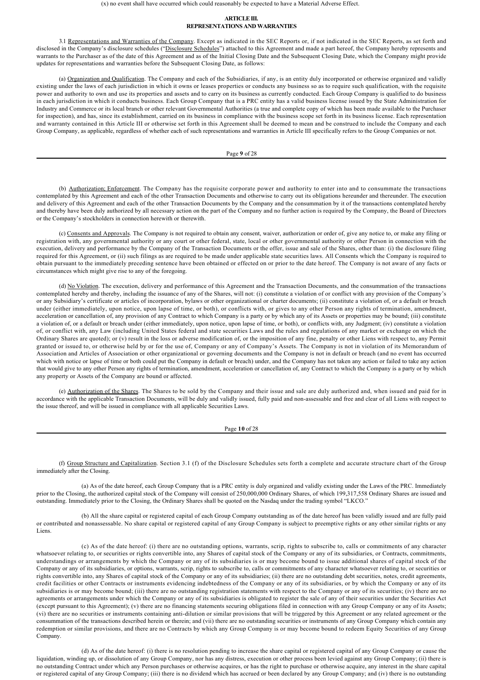(x) no event shall have occurred which could reasonably be expected to have a Material Adverse Effect.

## **ARTICLE III. REPRESENTATIONS AND WARRANTIES**

3.1 Representations and Warranties of the Company. Except as indicated in the SEC Reports or, if not indicated in the SEC Reports, as set forth and disclosed in the Company's disclosure schedules ("Disclosure Schedules") attached to this Agreement and made a part hereof, the Company hereby represents and warrants to the Purchaser as of the date of this Agreement and as of the Initial Closing Date and the Subsequent Closing Date, which the Company might provide updates for representations and warranties before the Subsequent Closing Date, as follows:

(a) Organization and Qualification. The Company and each of the Subsidiaries, if any, is an entity duly incorporated or otherwise organized and validly existing under the laws of each jurisdiction in which it owns or leases properties or conducts any business so as to require such qualification, with the requisite power and authority to own and use its properties and assets and to carry on its business as currently conducted. Each Group Company is qualified to do business in each jurisdiction in which it conducts business. Each Group Company that is a PRC entity has a valid business license issued by the State Administration for Industry and Commerce or its local branch or other relevant Governmental Authorities (a true and complete copy of which has been made available to the Purchaser for inspection), and has, since its establishment, carried on its business in compliance with the business scope set forth in its business license. Each representation and warranty contained in this Article III or otherwise set forth in this Agreement shall be deemed to mean and be construed to include the Company and each Group Company, as applicable, regardless of whether each of such representations and warranties in Article III specifically refers to the Group Companies or not.

Page **9** of 28

(b) **Authorization; Enforcement**. The Company has the requisite corporate power and authority to enter into and to consummate the transactions contemplated by this Agreement and each of the other Transaction Documents and otherwise to carry out its obligations hereunder and thereunder. The execution and delivery of this Agreement and each of the other Transaction Documents by the Company and the consummation by it of the transactions contemplated hereby and thereby have been duly authorized by all necessary action on the part of the Company and no further action is required by the Company, the Board of Directors or the Company's stockholders in connection herewith or therewith.

(c) Consents and Approvals. The Company is not required to obtain any consent, waiver, authorization or order of, give any notice to, or make any filing or registration with, any governmental authority or any court or other federal, state, local or other governmental authority or other Person in connection with the execution, delivery and performance by the Company of the Transaction Documents or the offer, issue and sale of the Shares, other than: (i) the disclosure filing required for this Agreement, or (ii) such filings as are required to be made under applicable state securities laws. All Consents which the Company is required to obtain pursuant to the immediately preceding sentence have been obtained or effected on or prior to the date hereof. The Company is not aware of any facts or circumstances which might give rise to any of the foregoing.

(d) No Violation. The execution, delivery and performance of this Agreement and the Transaction Documents, and the consummation of the transactions contemplated hereby and thereby, including the issuance of any of the Shares, will not: (i) constitute a violation of or conflict with any provision of the Company's or any Subsidiary's certificate or articles of incorporation, bylaws or other organizational or charter documents; (ii) constitute a violation of, or a default or breach under (either immediately, upon notice, upon lapse of time, or both), or conflicts with, or gives to any other Person any rights of termination, amendment, acceleration or cancellation of, any provision of any Contract to which Company is a party or by which any of its Assets or properties may be bound; (iii) constitute a violation of, or a default or breach under (either immediately, upon notice, upon lapse of time, or both), or conflicts with, any Judgment; (iv) constitute a violation of, or conflict with, any Law (including United States federal and state securities Laws and the rules and regulations of any market or exchange on which the Ordinary Shares are quoted); or (v) result in the loss or adverse modification of, or the imposition of any fine, penalty or other Liens with respect to, any Permit granted or issued to, or otherwise held by or for the use of, Company or any of Company's Assets. The Company is not in violation of its Memorandum of Association and Articles of Association or other organizational or governing documents and the Company is not in default or breach (and no event has occurred which with notice or lapse of time or both could put the Company in default or breach) under, and the Company has not taken any action or failed to take any action that would give to any other Person any rights of termination, amendment, acceleration or cancellation of, any Contract to which the Company is a party or by which any property or Assets of the Company are bound or affected.

(e) Authorization of the Shares. The Shares to be sold by the Company and their issue and sale are duly authorized and, when issued and paid for in accordance with the applicable Transaction Documents, will be duly and validly issued, fully paid and non-assessable and free and clear of all Liens with respect to the issue thereof, and will be issued in compliance with all applicable Securities Laws.

Page **10** of 28

(f) Group Structure and Capitalization. Section 3.1 (f) of the Disclosure Schedules sets forth a complete and accurate structure chart of the Group immediately after the Closing.

(a) As of the date hereof, each Group Company that is a PRC entity is duly organized and validly existing under the Laws of the PRC. Immediately prior to the Closing, the authorized capital stock of the Company will consist of 250,000,000 Ordinary Shares, of which 199,317,558 Ordinary Shares are issued and outstanding. Immediately prior to the Closing, the Ordinary Shares shall be quoted on the Nasdaq under the trading symbol "LKCO."

(b) All the share capital or registered capital of each Group Company outstanding as of the date hereof has been validly issued and are fully paid or contributed and nonassessable. No share capital or registered capital of any Group Company is subject to preemptive rights or any other similar rights or any **Liens**.

(c) As of the date hereof: (i) there are no outstanding options, warrants, scrip, rights to subscribe to, calls or commitments of any character whatsoever relating to, or securities or rights convertible into, any Shares of capital stock of the Company or any of its subsidiaries, or Contracts, commitments, understandings or arrangements by which the Company or any of its subsidiaries is or may become bound to issue additional shares of capital stock of the Company or any of its subsidiaries, or options, warrants, scrip, rights to subscribe to, calls or commitments of any character whatsoever relating to, or securities or rights convertible into, any Shares of capital stock of the Company or any of its subsidiaries; (ii) there are no outstanding debt securities, notes, credit agreements, credit facilities or other Contracts or instruments evidencing indebtedness of the Company or any of its subsidiaries, or by which the Company or any of its subsidiaries is or may become bound; (iii) there are no outstanding registration statements with respect to the Company or any of its securities; (iv) there are no agreements or arrangements under which the Company or any of its subsidiaries is obligated to register the sale of any of their securities under the Securities Act (except pursuant to this Agreement); (v) there are no financing statements securing obligations filed in connection with any Group Company or any of its Assets; (vi) there are no securities or instruments containing anti-dilution or similar provisions that will be triggered by this Agreement or any related agreement or the consummation of the transactions described herein or therein; and (vii) there are no outstanding securities or instruments of any Group Company which contain any redemption or similar provisions, and there are no Contracts by which any Group Company is or may become bound to redeem Equity Securities of any Group Company.

(d) As of the date hereof: (i) there is no resolution pending to increase the share capital or registered capital of any Group Company or cause the liquidation, winding up, or dissolution of any Group Company, nor has any distress, execution or other process been levied against any Group Company; (ii) there is no outstanding Contract under which any Person purchases or otherwise acquires, or has the right to purchase or otherwise acquire, any interest in the share capital or registered capital of any Group Company; (iii) there is no dividend which has accrued or been declared by any Group Company; and (iv) there is no outstanding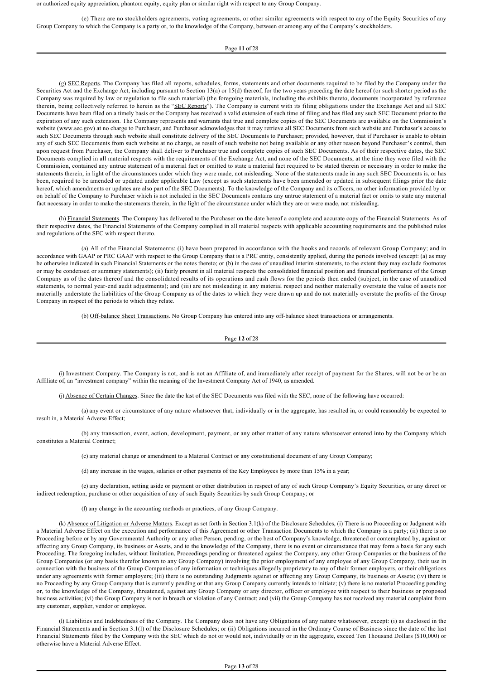or authorized equity appreciation, phantom equity, equity plan or similar right with respect to any Group Company.

(e) There are no stockholders agreements, voting agreements, or other similar agreements with respect to any of the Equity Securities of any Group Company to which the Company is a party or, to the knowledge of the Company, between or among any of the Company's stockholders.

## Page **11** of 28

(g) SEC Reports. The Company has filed all reports, schedules, forms, statements and other documents required to be filed by the Company under the Securities Act and the Exchange Act, including pursuant to Section 13(a) or 15(d) thereof, for the two years preceding the date hereof (or such shorter period as the Company was required by law or regulation to file such material) (the foregoing materials, including the exhibits thereto, documents incorporated by reference therein, being collectively referred to herein as the "SEC Reports"). The Company is current with its filing obligations under the Exchange Act and all SEC Documents have been filed on a timely basis or the Company has received a valid extension of such time of filing and has filed any such SEC Document prior to the expiration of any such extension. The Company represents and warrants that true and complete copies of the SEC Documents are available on the Commission's website (www.sec.gov) at no charge to Purchaser, and Purchaser acknowledges that it may retrieve all SEC Documents from such website and Purchaser's access to such SEC Documents through such website shall constitute delivery of the SEC Documents to Purchaser; provided, however, that if Purchaser is unable to obtain any of such SEC Documents from such website at no charge, as result of such website not being available or any other reason beyond Purchaser's control, then upon request from Purchaser, the Company shall deliver to Purchaser true and complete copies of such SEC Documents. As of their respective dates, the SEC Documents complied in all material respects with the requirements of the Exchange Act, and none of the SEC Documents, at the time they were filed with the Commission, contained any untrue statement of a material fact or omitted to state a material fact required to be stated therein or necessary in order to make the statements therein, in light of the circumstances under which they were made, not misleading. None of the statements made in any such SEC Documents is, or has been, required to be amended or updated under applicable Law (except as such statements have been amended or updated in subsequent filings prior the date hereof, which amendments or updates are also part of the SEC Documents). To the knowledge of the Company and its officers, no other information provided by or on behalf of the Company to Purchaser which is not included in the SEC Documents contains any untrue statement of a material fact or omits to state any material fact necessary in order to make the statements therein, in the light of the circumstance under which they are or were made, not misleading.

(h) Financial Statements. The Company has delivered to the Purchaser on the date hereof a complete and accurate copy of the Financial Statements. As of their respective dates, the Financial Statements of the Company complied in all material respects with applicable accounting requirements and the published rules and regulations of the SEC with respect thereto.

(a) All of the Financial Statements: (i) have been prepared in accordance with the books and records of relevant Group Company; and in accordance with GAAP or PRC GAAP with respect to the Group Company that is a PRC entity, consistently applied, during the periods involved (except: (a) as may be otherwise indicated in such Financial Statements or the notes thereto; or (b) in the case of unaudited interim statements, to the extent they may exclude footnotes or may be condensed or summary statements); (ii) fairly present in all material respects the consolidated financial position and financial performance of the Group Company as of the dates thereof and the consolidated results of its operations and cash flows for the periods then ended (subject, in the case of unaudited statements, to normal year-end audit adjustments); and (iii) are not misleading in any material respect and neither materially overstate the value of assets nor materially understate the liabilities of the Group Company as of the dates to which they were drawn up and do not materially overstate the profits of the Group Company in respect of the periods to which they relate.

(b) Off-balance Sheet Transactions. No Group Company has entered into any off-balance sheet transactions or arrangements.

### Page **12** of 28

(i) Investment Company. The Company is not, and is not an Affiliate of, and immediately after receipt of payment for the Shares, will not be or be an Affiliate of, an "investment company" within the meaning of the Investment Company Act of 1940, as amended.

(j) Absence of Certain Changes. Since the date the last of the SEC Documents was filed with the SEC, none of the following have occurred:

(a) any event or circumstance of any nature whatsoever that, individually or in the aggregate, has resulted in, or could reasonably be expected to result in, a Material Adverse Effect;

(b) any transaction, event, action, development, payment, or any other matter of any nature whatsoever entered into by the Company which constitutes a Material Contract;

(c) any material change or amendment to a Material Contract or any constitutional document of any Group Company;

(d) any increase in the wages, salaries or other payments of the Key Employees by more than 15% in a year;

(e) any declaration, setting aside or payment or other distribution in respect of any of such Group Company's Equity Securities, or any direct or indirect redemption, purchase or other acquisition of any of such Equity Securities by such Group Company; or

(f) any change in the accounting methods or practices, of any Group Company.

(k) Absence of Litigation or Adverse Matters. Except as set forth in Section 3.1(k) of the Disclosure Schedules, (i) There is no Proceeding or Judgment with a Material Adverse Effect on the execution and performance of this Agreement or other Transaction Documents to which the Company is a party; (ii) there is no Proceeding before or by any Governmental Authority or any other Person, pending, or the best of Company's knowledge, threatened or contemplated by, against or affecting any Group Company, its business or Assets, and to the knowledge of the Company, there is no event or circumstance that may form a basis for any such Proceeding. The foregoing includes, without limitation, Proceedings pending or threatened against the Company, any other Group Companies or the business of the Group Companies (or any basis therefor known to any Group Company) involving the prior employment of any employee of any Group Company, their use in connection with the business of the Group Companies of any information or techniques allegedly proprietary to any of their former employers, or their obligations under any agreements with former employers; (iii) there is no outstanding Judgments against or affecting any Group Company, its business or Assets; (iv) there is no Proceeding by any Group Company that is currently pending or that any Group Company currently intends to initiate; (v) there is no material Proceeding pending or, to the knowledge of the Company, threatened, against any Group Company or any director, officer or employee with respect to their business or proposed business activities; (vi) the Group Company is not in breach or violation of any Contract; and (vii) the Group Company has not received any material complaint from any customer, supplier, vendor or employee.

(l) Liabilities and Indebtedness of the Company. The Company does not have any Obligations of any nature whatsoever, except: (i) as disclosed in the Financial Statements and in Section 3.1(l) of the Disclosure Schedules; or (ii) Obligations incurred in the Ordinary Course of Business since the date of the last Financial Statements filed by the Company with the SEC which do not or would not, individually or in the aggregate, exceed Ten Thousand Dollars (\$10,000) or otherwise have a Material Adverse Effect.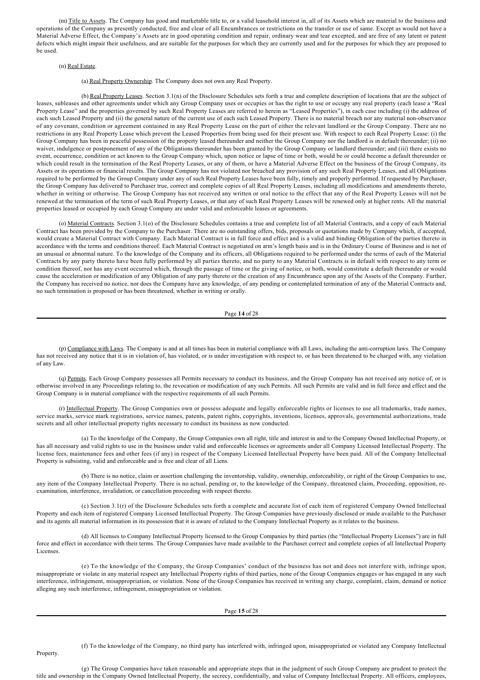(m) Title to Assets. The Company has good and marketable title to, or a valid leasehold interest in, all of its Assets which are material to the business and operations of the Company as presently conducted, free and clear of all Encumbrances or restrictions on the transfer or use of same. Except as would not have a Material Adverse Effect, the Company's Assets are in good operating condition and repair, ordinary wear and tear excepted, and are free of any latent or patent defects which might impair their usefulness, and are suitable for the purposes for which they are currently used and for the purposes for which they are proposed to be used.

## (n) Real Estate.

(a) Real Property Ownership. The Company does not own any Real Property.

(b) Real Property Leases. Section 3.1(n) of the Disclosure Schedules sets forth a true and complete description of locations that are the subject of leases, subleases and other agreements under which any Group Company uses or occupies or has the right to use or occupy any real property (each lease a "Real Property Lease" and the properties governed by such Real Property Leases are referred to herein as "Leased Properties"), in each case including (i) the address of each such Leased Property and (ii) the general nature of the current use of each such Leased Property. There is no material breach nor any material non-observance of any covenant, condition or agreement contained in any Real Property Lease on the part of either the relevant landlord or the Group Company. There are no restrictions in any Real Property Lease which prevent the Leased Properties from being used for their present use. With respect to each Real Property Lease: (i) the Group Company has been in peaceful possession of the property leased thereunder and neither the Group Company nor the landlord is in default thereunder; (ii) no waiver, indulgence or postponement of any of the Obligations thereunder has been granted by the Group Company or landlord thereunder; and (iii) there exists no event, occurrence, condition or act known to the Group Company which, upon notice or lapse of time or both, would be or could become a default thereunder or which could result in the termination of the Real Property Leases, or any of them, or have a Material Adverse Effect on the business of the Group Company, its Assets or its operations or financial results. The Group Company has not violated nor breached any provision of any such Real Property Leases, and all Obligations required to be performed by the Group Company under any of such Real Property Leases have been fully, timely and properly performed. If requested by Purchaser, the Group Company has delivered to Purchaser true, correct and complete copies of all Real Property Leases, including all modifications and amendments thereto, whether in writing or otherwise. The Group Company has not received any written or oral notice to the effect that any of the Real Property Leases will not be renewed at the termination of the term of such Real Property Leases, or that any of such Real Property Leases will be renewed only at higher rents. All the material properties leased or occupied by each Group Company are under valid and enforceable leases or agreements.

(o) Material Contracts. Section 3.1(o) of the Disclosure Schedules contains a true and complete list of all Material Contracts, and a copy of each Material Contract has been provided by the Company to the Purchaser. There are no outstanding offers, bids, proposals or quotations made by Company which, if accepted, would create a Material Contract with Company. Each Material Contract is in full force and effect and is a valid and binding Obligation of the parties thereto in accordance with the terms and conditions thereof. Each Material Contract is negotiated on arm's length basis and is in the Ordinary Course of Business and is not of an unusual or abnormal nature. To the knowledge of the Company and its officers, all Obligations required to be performed under the terms of each of the Material Contracts by any party thereto have been fully performed by all parties thereto, and no party to any Material Contracts is in default with respect to any term or condition thereof, nor has any event occurred which, through the passage of time or the giving of notice, or both, would constitute a default thereunder or would cause the acceleration or modification of any Obligation of any party thereto or the creation of any Encumbrance upon any of the Assets of the Company. Further, the Company has received no notice, nor does the Company have any knowledge, of any pending or contemplated termination of any of the Material Contracts and, no such termination is proposed or has been threatened, whether in writing or orally.

Page **14** of 28

(p) Compliance with Laws. The Company is and at all times has been in material compliance with all Laws, including the anti-corruption laws. The Company has not received any notice that it is in violation of, has violated, or is under investigation with respect to, or has been threatened to be charged with, any violation of any Law.

(q) Permits. Each Group Company possesses all Permits necessary to conduct its business, and the Group Company has not received any notice of, or is otherwise involved in any Proceedings relating to, the revocation or modification of any such Permits. All such Permits are valid and in full force and effect and the Group Company is in material compliance with the respective requirements of all such Permits.

(r) Intellectual Property. The Group Companies own or possess adequate and legally enforceable rights or licenses to use all trademarks, trade names, service marks, service mark registrations, service names, patents, patent rights, copyrights, inventions, licenses, approvals, governmental authorizations, trade secrets and all other intellectual property rights necessary to conduct its business as now conducted.

(a) To the knowledge of the Company, the Group Companies own all right, title and interest in and to the Company Owned Intellectual Property, or has all necessary and valid rights to use in the business under valid and enforceable licenses or agreements under all Company Licensed Intellectual Property. The license fees, maintenance fees and other fees (if any) in respect of the Company Licensed Intellectual Property have been paid. All of the Company Intellectual Property is subsisting, valid and enforceable and is free and clear of all Liens.

(b) There is no notice, claim or assertion challenging the inventorship, validity, ownership, enforceability, or right of the Group Companies to use, any item of the Company Intellectual Property. There is no actual, pending or, to the knowledge of the Company, threatened claim, Proceeding, opposition, reexamination, interference, invalidation, or cancellation proceeding with respect thereto.

(c) Section 3.1(r) of the Disclosure Schedules sets forth a complete and accurate list of each item of registered Company Owned Intellectual Property and each item of registered Company Licensed Intellectual Property. The Group Companies have previously disclosed or made available to the Purchaser and its agents all material information in its possession that it is aware of related to the Company Intellectual Property as it relates to the business.

(d) All licenses to Company Intellectual Property licensed to the Group Companies by third parties (the "Intellectual Property Licenses") are in full force and effect in accordance with their terms. The Group Companies have made available to the Purchaser correct and complete copies of all Intellectual Property Licenses.

(e) To the knowledge of the Company, the Group Companies' conduct of the business has not and does not interfere with, infringe upon, misappropriate or violate in any material respect any Intellectual Property rights of third parties, none of the Group Companies engages or has engaged in any such interference, infringement, misappropriation, or violation. None of the Group Companies has received in writing any charge, complaint, claim, demand or notice alleging any such interference, infringement, misappropriation or violation.

#### Page **15** of 28

(f) To the knowledge of the Company, no third party has interfered with, infringed upon, misappropriated or violated any Company Intellectual

Property.

(g) The Group Companies have taken reasonable and appropriate steps that in the judgment of such Group Company are prudent to protect the title and ownership in the Company Owned Intellectual Property, the secrecy, confidentially, and value of Company Intellectual Property. All officers, employees,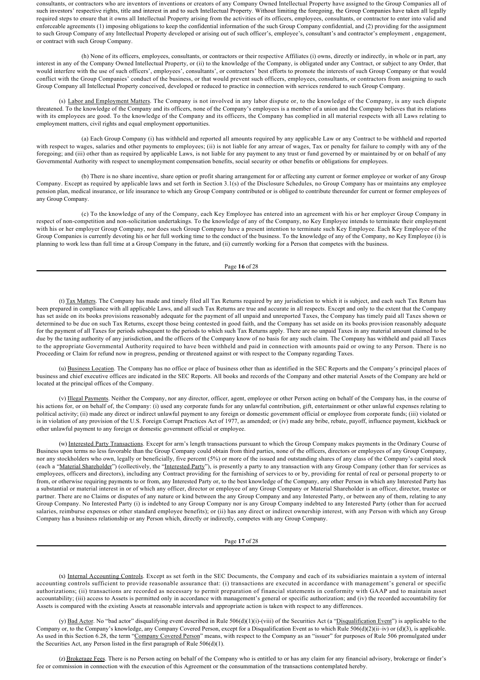consultants, or contractors who are inventors of inventions or creators of any Company Owned Intellectual Property have assigned to the Group Companies all of such investors' respective rights, title and interest in and to such Intellectual Property. Without limiting the foregoing, the Group Companies have taken all legally required steps to ensure that it owns all Intellectual Property arising from the activities of its officers, employees, consultants, or contractor to enter into valid and enforceable agreements (1) imposing obligations to keep the confidential information of the such Group Company confidential, and (2) providing for the assignment to such Group Company of any Intellectual Property developed or arising out of such officer's, employee's, consultant's and contractor's employment , engagement, or contract with such Group Company.

(h) None of its officers, employees, consultants, or contractors or their respective Affiliates (i) owns, directly or indirectly, in whole or in part, any interest in any of the Company Owned Intellectual Property, or (ii) to the knowledge of the Company, is obligated under any Contract, or subject to any Order, that would interfere with the use of such officers', employees', consultants', or contractors' best efforts to promote the interests of such Group Company or that would conflict with the Group Companies' conduct of the business, or that would prevent such officers, employees, consultants, or contractors from assigning to such Group Company all Intellectual Property conceived, developed or reduced to practice in connection with services rendered to such Group Company.

(s) Labor and Employment Matters. The Company is not involved in any labor dispute or, to the knowledge of the Company, is any such dispute threatened. To the knowledge of the Company and its officers, none of the Company's employees is a member of a union and the Company believes that its relations with its employees are good. To the knowledge of the Company and its officers, the Company has complied in all material respects with all Laws relating to employment matters, civil rights and equal employment opportunities.

(a) Each Group Company (i) has withheld and reported all amounts required by any applicable Law or any Contract to be withheld and reported with respect to wages, salaries and other payments to employees; (ii) is not liable for any arrear of wages, Tax or penalty for failure to comply with any of the foregoing; and (iii) other than as required by applicable Laws, is not liable for any payment to any trust or fund governed by or maintained by or on behalf of any Governmental Authority with respect to unemployment compensation benefits, social security or other benefits or obligations for employees.

(b) There is no share incentive, share option or profit sharing arrangement for or affecting any current or former employee or worker of any Group Company. Except as required by applicable laws and set forth in Section 3.1(s) of the Disclosure Schedules, no Group Company has or maintains any employee pension plan, medical insurance, or life insurance to which any Group Company contributed or is obliged to contribute thereunder for current or former employees of any Group Company.

(c) To the knowledge of any of the Company, each Key Employee has entered into an agreement with his or her employer Group Company in respect of non-competition and non-solicitation undertakings. To the knowledge of any of the Company, no Key Employee intends to terminate their employment with his or her employer Group Company, nor does such Group Company have a present intention to terminate such Key Employee. Each Key Employee of the Group Companies is currently devoting his or her full working time to the conduct of the business. To the knowledge of any of the Company, no Key Employee (i) is planning to work less than full time at a Group Company in the future, and (ii) currently working for a Person that competes with the business.

#### Page **16** of 28

(t) Tax Matters. The Company has made and timely filed all Tax Returns required by any jurisdiction to which it is subject, and each such Tax Return has been prepared in compliance with all applicable Laws, and all such Tax Returns are true and accurate in all respects. Except and only to the extent that the Company has set aside on its books provisions reasonably adequate for the payment of all unpaid and unreported Taxes, the Company has timely paid all Taxes shown or determined to be due on such Tax Returns, except those being contested in good faith, and the Company has set aside on its books provision reasonably adequate for the payment of all Taxes for periods subsequent to the periods to which such Tax Returns apply. There are no unpaid Taxes in any material amount claimed to be due by the taxing authority of any jurisdiction, and the officers of the Company know of no basis for any such claim. The Company has withheld and paid all Taxes to the appropriate Governmental Authority required to have been withheld and paid in connection with amounts paid or owing to any Person. There is no Proceeding or Claim for refund now in progress, pending or threatened against or with respect to the Company regarding Taxes.

(u) Business Location. The Company has no office or place of business other than as identified in the SEC Reports and the Company's principal places of business and chief executive offices are indicated in the SEC Reports. All books and records of the Company and other material Assets of the Company are held or located at the principal offices of the Company.

(v) Illegal Payments. Neither the Company, nor any director, officer, agent, employee or other Person acting on behalf of the Company has, in the course of his actions for, or on behalf of, the Company: (i) used any corporate funds for any unlawful contribution, gift, entertainment or other unlawful expenses relating to political activity; (ii) made any direct or indirect unlawful payment to any foreign or domestic government official or employee from corporate funds; (iii) violated or is in violation of any provision of the U.S. Foreign Corrupt Practices Act of 1977, as amended; or (iv) made any bribe, rebate, payoff, influence payment, kickback or other unlawful payment to any foreign or domestic government official or employee.

(w) Interested Party Transactions. Except for arm's length transactions pursuant to which the Group Company makes payments in the Ordinary Course of Business upon terms no less favorable than the Group Company could obtain from third parties, none of the officers, directors or employees of any Group Company, nor any stockholders who own, legally or beneficially, five percent (5%) or more of the issued and outstanding shares of any class of the Company's capital stock (each a "Material Shareholder") (collectively, the "Interested Party"), is presently a party to any transaction with any Group Company (other than for services as employees, officers and directors), including any Contract providing for the furnishing of services to or by, providing for rental of real or personal property to or from, or otherwise requiring payments to or from, any Interested Party or, to the best knowledge of the Company, any other Person in which any Interested Party has a substantial or material interest in or of which any officer, director or employee of any Group Company or Material Shareholder is an officer, director, trustee or partner. There are no Claims or disputes of any nature or kind between the any Group Company and any Interested Party, or between any of them, relating to any Group Company. No Interested Party (i) is indebted to any Group Company nor is any Group Company indebted to any Interested Party (other than for accrued salaries, reimburse expenses or other standard employee benefits); or (ii) has any direct or indirect ownership interest, with any Person with which any Group Company has a business relationship or any Person which, directly or indirectly, competes with any Group Company.

Page **17** of 28

(x) Internal Accounting Controls. Except as set forth in the SEC Documents, the Company and each of its subsidiaries maintain a system of internal accounting controls sufficient to provide reasonable assurance that: (i) transactions are executed in accordance with management's general or specific authorizations; (ii) transactions are recorded as necessary to permit preparation of financial statements in conformity with GAAP and to maintain asset accountability; (iii) access to Assets is permitted only in accordance with management's general or specific authorization; and (iv) the recorded accountability for Assets is compared with the existing Assets at reasonable intervals and appropriate action is taken with respect to any differences.

(y) Bad Actor. No "bad actor" disqualifying event described in Rule 506(d)(1)(i)-(viii) of the Securities Act (a "Disqualification Event") is applicable to the Company or, to the Company's knowledge, any Company Covered Person, except for a Disqualification Event as to which Rule 506(d)(2)(ii–iv) or (d)(3), is applicable. As used in this Section 6.28, the term "Company Covered Person" means, with respect to the Company as an "issuer" for purposes of Rule 506 promulgated under the Securities Act, any Person listed in the first paragraph of Rule 506(d)(1).

(z) Brokerage Fees. There is no Person acting on behalf of the Company who is entitled to or has any claim for any financial advisory, brokerage or finder's fee or commission in connection with the execution of this Agreement or the consummation of the transactions contemplated hereby.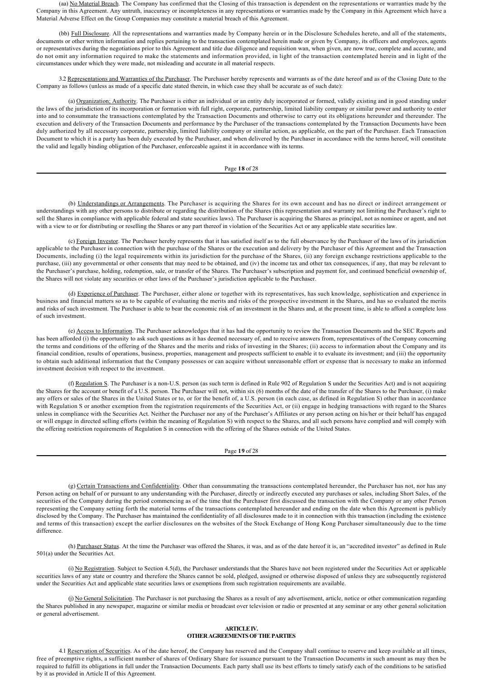(aa) No Material Breach. The Company has confirmed that the Closing of this transaction is dependent on the representations or warranties made by the Company in this Agreement. Any untruth, inaccuracy or incompleteness in any representations or warranties made by the Company in this Agreement which have a Material Adverse Effect on the Group Companies may constitute a material breach of this Agreement.

(bb) Full Disclosure. All the representations and warranties made by Company herein or in the Disclosure Schedules hereto, and all of the statements, documents or other written information and replies pertaining to the transaction contemplated herein made or given by Company, its officers and employees, agents or representatives during the negotiations prior to this Agreement and title due diligence and requisition wan, when given, are now true, complete and accurate, and do not omit any information required to make the statements and information provided, in light of the transaction contemplated herein and in light of the circumstances under which they were made, not misleading and accurate in all material respects.

3.2 Representations and Warranties of the Purchaser. The Purchaser hereby represents and warrants as of the date hereof and as of the Closing Date to the Company as follows (unless as made of a specific date stated therein, in which case they shall be accurate as of such date):

(a) Organization; Authority. The Purchaser is either an individual or an entity duly incorporated or formed, validly existing and in good standing under the laws of the jurisdiction of its incorporation or formation with full right, corporate, partnership, limited liability company or similar power and authority to enter into and to consummate the transactions contemplated by the Transaction Documents and otherwise to carry out its obligations hereunder and thereunder. The execution and delivery of the Transaction Documents and performance by the Purchaser of the transactions contemplated by the Transaction Documents have been duly authorized by all necessary corporate, partnership, limited liability company or similar action, as applicable, on the part of the Purchaser. Each Transaction Document to which it is a party has been duly executed by the Purchaser, and when delivered by the Purchaser in accordance with the terms hereof, will constitute the valid and legally binding obligation of the Purchaser, enforceable against it in accordance with its terms.

#### Page **18** of 28

(b) Understandings or Arrangements. The Purchaser is acquiring the Shares for its own account and has no direct or indirect arrangement or understandings with any other persons to distribute or regarding the distribution of the Shares (this representation and warranty not limiting the Purchaser's right to sell the Shares in compliance with applicable federal and state securities laws). The Purchaser is acquiring the Shares as principal, not as nominee or agent, and not with a view to or for distributing or reselling the Shares or any part thereof in violation of the Securities Act or any applicable state securities law.

(c) Foreign Investor. The Purchaser hereby represents that it has satisfied itself as to the full observance by the Purchaser of the laws of its jurisdiction applicable to the Purchaser in connection with the purchase of the Shares or the execution and delivery by the Purchaser of this Agreement and the Transaction Documents, including (i) the legal requirements within its jurisdiction for the purchase of the Shares, (ii) any foreign exchange restrictions applicable to the purchase, (iii) any governmental or other consents that may need to be obtained, and (iv) the income tax and other tax consequences, if any, that may be relevant to the Purchaser's purchase, holding, redemption, sale, or transfer of the Shares. The Purchaser's subscription and payment for, and continued beneficial ownership of, the Shares will not violate any securities or other laws of the Purchaser's jurisdiction applicable to the Purchaser.

(d) Experience of Purchaser. The Purchaser, either alone or together with its representatives, has such knowledge, sophistication and experience in business and financial matters so as to be capable of evaluating the merits and risks of the prospective investment in the Shares, and has so evaluated the merits and risks of such investment. The Purchaser is able to bear the economic risk of an investment in the Shares and, at the present time, is able to afford a complete loss of such investment.

(e) Access to Information. The Purchaser acknowledges that it has had the opportunity to review the Transaction Documents and the SEC Reports and has been afforded (i) the opportunity to ask such questions as it has deemed necessary of, and to receive answers from, representatives of the Company concerning the terms and conditions of the offering of the Shares and the merits and risks of investing in the Shares; (ii) access to information about the Company and its financial condition, results of operations, business, properties, management and prospects sufficient to enable it to evaluate its investment; and (iii) the opportunity to obtain such additional information that the Company possesses or can acquire without unreasonable effort or expense that is necessary to make an informed investment decision with respect to the investment.

(f) Regulation S. The Purchaser is a non-U.S. person (as such term is defined in Rule 902 of Regulation S under the Securities Act) and is not acquiring the Shares for the account or benefit of a U.S. person. The Purchaser will not, within six (6) months of the date of the transfer of the Shares to the Purchaser, (i) make any offers or sales of the Shares in the United States or to, or for the benefit of, a U.S. person (in each case, as defined in Regulation S) other than in accordance with Regulation S or another exemption from the registration requirements of the Securities Act, or (ii) engage in hedging transactions with regard to the Shares unless in compliance with the Securities Act. Neither the Purchaser nor any of the Purchaser's Affiliates or any person acting on his/her or their behalf has engaged or will engage in directed selling efforts (within the meaning of Regulation S) with respect to the Shares, and all such persons have complied and will comply with the offering restriction requirements of Regulation S in connection with the offering of the Shares outside of the United States.

### Page **19** of 28

(g) Certain Transactions and Confidentiality. Other than consummating the transactions contemplated hereunder, the Purchaser has not, nor has any Person acting on behalf of or pursuant to any understanding with the Purchaser, directly or indirectly executed any purchases or sales, including Short Sales, of the securities of the Company during the period commencing as of the time that the Purchaser first discussed the transaction with the Company or any other Person representing the Company setting forth the material terms of the transactions contemplated hereunder and ending on the date when this Agreement is publicly disclosed by the Company. The Purchaser has maintained the confidentiality of all disclosures made to it in connection with this transaction (including the existence and terms of this transaction) except the earlier disclosures on the websites of the Stock Exchange of Hong Kong Purchaser simultaneously due to the time difference.

(h) Purchaser Status. At the time the Purchaser was offered the Shares, it was, and as of the date hereof it is, an "accredited investor" as defined in Rule 501(a) under the Securities Act.

(i) No Registration. Subject to Section 4.5(d), the Purchaser understands that the Shares have not been registered under the Securities Act or applicable securities laws of any state or country and therefore the Shares cannot be sold, pledged, assigned or otherwise disposed of unless they are subsequently registered under the Securities Act and applicable state securities laws or exemptions from such registration requirements are available.

(j) No General Solicitation. The Purchaser is not purchasing the Shares as a result of any advertisement, article, notice or other communication regarding the Shares published in any newspaper, magazine or similar media or broadcast over television or radio or presented at any seminar or any other general solicitation or general advertisement.

## **ARTICLE IV. OTHER AGREEMENTS OF THE PARTIES**

4.1 Reservation of Securities. As of the date hereof, the Company has reserved and the Company shall continue to reserve and keep available at all times, free of preemptive rights, a sufficient number of shares of Ordinary Share for issuance pursuant to the Transaction Documents in such amount as may then be required to fulfill its obligations in full under the Transaction Documents. Each party shall use its best efforts to timely satisfy each of the conditions to be satisfied by it as provided in Article II of this Agreement.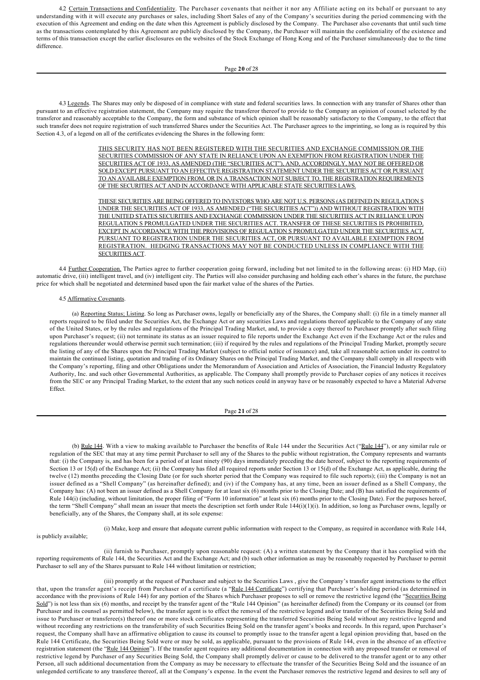4.2 Certain Transactions and Confidentiality. The Purchaser covenants that neither it nor any Affiliate acting on its behalf or pursuant to any understanding with it will execute any purchases or sales, including Short Sales of any of the Company's securities during the period commencing with the execution of this Agreement and ending on the date when this Agreement is publicly disclosed by the Company. The Purchaser also covenants that until such time as the transactions contemplated by this Agreement are publicly disclosed by the Company, the Purchaser will maintain the confidentiality of the existence and terms of this transaction except the earlier disclosures on the websites of the Stock Exchange of Hong Kong and of the Purchaser simultaneously due to the time difference.

## Page **20** of 28

4.3 Legends. The Shares may only be disposed of in compliance with state and federal securities laws. In connection with any transfer of Shares other than pursuant to an effective registration statement, the Company may require the transferor thereof to provide to the Company an opinion of counsel selected by the transferor and reasonably acceptable to the Company, the form and substance of which opinion shall be reasonably satisfactory to the Company, to the effect that such transfer does not require registration of such transferred Shares under the Securities Act. The Purchaser agrees to the imprinting, so long as is required by this Section 4.3, of a legend on all of the certificates evidencing the Shares in the following form:

> THIS SECURITY HAS NOT BEEN REGISTERED WITH THE SECURITIES AND EXCHANGE COMMISSION OR THE SECURITIES COMMISSION OF ANY STATE IN RELIANCE UPON AN EXEMPTION FROM REGISTRATION UNDER THE SECURITIES ACT OF 1933, AS AMENDED (THE "SECURITIES ACT"), AND, ACCORDINGLY, MAY NOT BE OFFERED OR SOLD EXCEPT PURSUANT TO AN EFFECTIVE REGISTRATION STATEMENT UNDER THE SECURITIES ACT OR PURSUANT TO AN AVAILABLE EXEMPTION FROM, OR IN A TRANSACTION NOT SUBJECT TO, THE REGISTRATION REQUIREMENTS OF THE SECURITIES ACT AND IN ACCORDANCE WITH APPLICABLE STATE SECURITIES LAWS.

> THESE SECURITIES ARE BEING OFFERED TO INVESTORS WHO ARE NOT U.S. PERSONS (AS DEFINED IN REGULATION S UNDER THE SECURITIES ACT OF 1933, AS AMENDED ("THE SECURITIES ACT")) AND WITHOUT REGISTRATION WITH THE UNITED STATES SECURITIES AND EXCHANGE COMMISSION UNDER THE SECURITIES ACT IN RELIANCE UPON REGULATION S PROMULGATED UNDER THE SECURITIES ACT. TRANSFER OF THESE SECURITIES IS PROHIBITED, EXCEPT IN ACCORDANCE WITH THE PROVISIONS OF REGULATION S PROMULGATED UNDER THE SECURITIES ACT, PURSUANT TO REGISTRATION UNDER THE SECURITIES ACT, OR PURSUANT TO AVAILABLE EXEMPTION FROM REGISTRATION. HEDGING TRANSACTIONS MAY NOT BE CONDUCTED UNLESS IN COMPLIANCE WITH THE SECURITIES ACT.

4.4 Further Cooperation. The Parties agree to further cooperation going forward, including but not limited to in the following areas: (i) HD Map, (ii) automatic drive, (iii) intelligent travel, and (iv) intelligent city. The Parties will also consider purchasing and holding each other's shares in the future, the purchase price for which shall be negotiated and determined based upon the fair market value of the shares of the Parties.

#### 4.5 Affirmative Covenants.

(a) Reporting Status; Listing. So long as Purchaser owns, legally or beneficially any of the Shares, the Company shall: (i) file in a timely manner all reports required to be filed under the Securities Act, the Exchange Act or any securities Laws and regulations thereof applicable to the Company of any state of the United States, or by the rules and regulations of the Principal Trading Market, and, to provide a copy thereof to Purchaser promptly after such filing upon Purchaser's request; (ii) not terminate its status as an issuer required to file reports under the Exchange Act even if the Exchange Act or the rules and regulations thereunder would otherwise permit such termination; (iii) if required by the rules and regulations of the Principal Trading Market, promptly secure the listing of any of the Shares upon the Principal Trading Market (subject to official notice of issuance) and, take all reasonable action under its control to maintain the continued listing, quotation and trading of its Ordinary Shares on the Principal Trading Market, and the Company shall comply in all respects with the Company's reporting, filing and other Obligations under the Memorandum of Association and Articles of Association, the Financial Industry Regulatory Authority, Inc. and such other Governmental Authorities, as applicable. The Company shall promptly provide to Purchaser copies of any notices it receives from the SEC or any Principal Trading Market, to the extent that any such notices could in anyway have or be reasonably expected to have a Material Adverse Effect.

#### Page **21** of 28

(b) Rule 144. With a view to making available to Purchaser the benefits of Rule 144 under the Securities Act ("Rule 144"), or any similar rule or regulation of the SEC that may at any time permit Purchaser to sell any of the Shares to the public without registration, the Company represents and warrants that: (i) the Company is, and has been for a period of at least ninety (90) days immediately preceding the date hereof, subject to the reporting requirements of Section 13 or 15(d) of the Exchange Act; (ii) the Company has filed all required reports under Section 13 or 15(d) of the Exchange Act, as applicable, during the twelve (12) months preceding the Closing Date (or for such shorter period that the Company was required to file such reports); (iii) the Company is not an issuer defined as a "Shell Company" (as hereinafter defined); and (iv) if the Company has, at any time, been an issuer defined as a Shell Company, the Company has: (A) not been an issuer defined as a Shell Company for at least six (6) months prior to the Closing Date; and (B) has satisfied the requirements of Rule 144(i) (including, without limitation, the proper filing of "Form 10 information" at least six (6) months prior to the Closing Date). For the purposes hereof, the term "Shell Company" shall mean an issuer that meets the description set forth under Rule  $144(i)(1)(i)$ . In addition, so long as Purchaser owns, legally or beneficially, any of the Shares, the Company shall, at its sole expense:

(i) Make, keep and ensure that adequate current public information with respect to the Company, as required in accordance with Rule 144,

is publicly available;

(ii) furnish to Purchaser, promptly upon reasonable request: (A) a written statement by the Company that it has complied with the reporting requirements of Rule 144, the Securities Act and the Exchange Act; and (b) such other information as may be reasonably requested by Purchaser to permit Purchaser to sell any of the Shares pursuant to Rule 144 without limitation or restriction;

(iii) promptly at the request of Purchaser and subject to the Securities Laws , give the Company's transfer agent instructions to the effect that, upon the transfer agent's receipt from Purchaser of a certificate (a "Rule 144 Certificate") certifying that Purchaser's holding period (as determined in accordance with the provisions of Rule 144) for any portion of the Shares which Purchaser proposes to sell or remove the restrictive legend (the "Securities Being Sold") is not less than six (6) months, and receipt by the transfer agent of the "Rule 144 Opinion" (as hereinafter defined) from the Company or its counsel (or from Purchaser and its counsel as permitted below), the transfer agent is to effect the removal of the restrictive legend and/or transfer of the Securities Being Sold and issue to Purchaser or transferee(s) thereof one or more stock certificates representing the transferred Securities Being Sold without any restrictive legend and without recording any restrictions on the transferability of such Securities Being Sold on the transfer agent's books and records. In this regard, upon Purchaser's request, the Company shall have an affirmative obligation to cause its counsel to promptly issue to the transfer agent a legal opinion providing that, based on the Rule 144 Certificate, the Securities Being Sold were or may be sold, as applicable, pursuant to the provisions of Rule 144, even in the absence of an effective registration statement (the "Rule 144 Opinion"). If the transfer agent requires any additional documentation in connection with any proposed transfer or removal of restrictive legend by Purchaser of any Securities Being Sold, the Company shall promptly deliver or cause to be delivered to the transfer agent or to any other Person, all such additional documentation from the Company as may be necessary to effectuate the transfer of the Securities Being Sold and the issuance of an unlegended certificate to any transferee thereof, all at the Company's expense. In the event the Purchaser removes the restrictive legend and desires to sell any of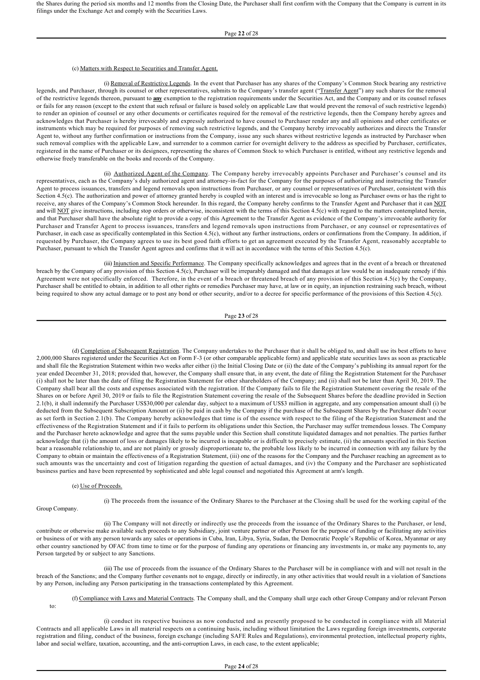the Shares during the period six months and 12 months from the Closing Date, the Purchaser shall first confirm with the Company that the Company is current in its filings under the Exchange Act and comply with the Securities Laws.

## (c) Matters with Respect to Securities and Transfer Agent.

(i) Removal of Restrictive Legends. In the event that Purchaser has any shares of the Company's Common Stock bearing any restrictive legends, and Purchaser, through its counsel or other representatives, submits to the Company's transfer agent ("Transfer Agent") any such shares for the removal of the restrictive legends thereon, pursuant to **any** exemption to the registration requirements under the Securities Act, and the Company and or its counsel refuses or fails for any reason (except to the extent that such refusal or failure is based solely on applicable Law that would prevent the removal of such restrictive legends) to render an opinion of counsel or any other documents or certificates required for the removal of the restrictive legends, then the Company hereby agrees and acknowledges that Purchaser is hereby irrevocably and expressly authorized to have counsel to Purchaser render any and all opinions and other certificates or instruments which may be required for purposes of removing such restrictive legends, and the Company hereby irrevocably authorizes and directs the Transfer Agent to, without any further confirmation or instructions from the Company, issue any such shares without restrictive legends as instructed by Purchaser when such removal complies with the applicable Law, and surrender to a common carrier for overnight delivery to the address as specified by Purchaser, certificates, registered in the name of Purchaser or its designees, representing the shares of Common Stock to which Purchaser is entitled, without any restrictive legends and otherwise freely transferable on the books and records of the Company.

(ii) Authorized Agent of the Company. The Company hereby irrevocably appoints Purchaser and Purchaser's counsel and its representatives, each as the Company's duly authorized agent and attorney-in-fact for the Company for the purposes of authorizing and instructing the Transfer Agent to process issuances, transfers and legend removals upon instructions from Purchaser, or any counsel or representatives of Purchaser, consistent with this Section 4.5(c). The authorization and power of attorney granted hereby is coupled with an interest and is irrevocable so long as Purchaser owns or has the right to receive, any shares of the Company's Common Stock hereunder. In this regard, the Company hereby confirms to the Transfer Agent and Purchaser that it can NOT and will NOT give instructions, including stop orders or otherwise, inconsistent with the terms of this Section 4.5(c) with regard to the matters contemplated herein, and that Purchaser shall have the absolute right to provide a copy of this Agreement to the Transfer Agent as evidence of the Company's irrevocable authority for Purchaser and Transfer Agent to process issuances, transfers and legend removals upon instructions from Purchaser, or any counsel or representatives of Purchaser, in each case as specifically contemplated in this Section 4.5(c), without any further instructions, orders or confirmations from the Company. In addition, if requested by Purchaser, the Company agrees to use its best good faith efforts to get an agreement executed by the Transfer Agent, reasonably acceptable to Purchaser, pursuant to which the Transfer Agent agrees and confirms that it will act in accordance with the terms of this Section 4.5(c).

(iii) Injunction and Specific Performance. The Company specifically acknowledges and agrees that in the event of a breach or threatened breach by the Company of any provision of this Section 4.5(c), Purchaser will be irreparably damaged and that damages at law would be an inadequate remedy if this Agreement were not specifically enforced. Therefore, in the event of a breach or threatened breach of any provision of this Section 4.5(c) by the Company, Purchaser shall be entitled to obtain, in addition to all other rights or remedies Purchaser may have, at law or in equity, an injunction restraining such breach, without being required to show any actual damage or to post any bond or other security, and/or to a decree for specific performance of the provisions of this Section 4.5(c).

Page **23** of 28

(d) Completion of Subsequent Registration. The Company undertakes to the Purchaser that it shall be obliged to, and shall use its best efforts to have 2,000,000 Shares registered under the Securities Act on Form F3 (or other comparable applicable form) and applicable state securities laws as soon as practicable and shall file the Registration Statement within two weeks after either (i) the Initial Closing Date or (ii) the date of the Company's publishing its annual report for the year ended December 31, 2018; provided that, however, the Company shall ensure that, in any event, the date of filing the Registration Statement for the Purchaser (i) shall not be later than the date of filing the Registration Statement for other shareholders of the Company; and (ii) shall not be later than April 30, 2019. The Company shall bear all the costs and expenses associated with the registration. If the Company fails to file the Registration Statement covering the resale of the Shares on or before April 30, 2019 or fails to file the Registration Statement covering the resale of the Subsequent Shares before the deadline provided in Section 2.1(b), it shall indemnify the Purchaser US\$30,000 per calendar day, subject to a maximum of US\$3 million in aggregate, and any compensation amount shall (i) be deducted from the Subsequent Subscription Amount or (ii) be paid in cash by the Company if the purchase of the Subsequent Shares by the Purchaser didn't occur as set forth in Section 2.1(b). The Company hereby acknowledges that time is of the essence with respect to the filing of the Registration Statement and the effectiveness of the Registration Statement and if it fails to perform its obligations under this Section, the Purchaser may suffer tremendous losses. The Company and the Purchaser hereto acknowledge and agree that the sums payable under this Section shall constitute liquidated damages and not penalties. The parties further acknowledge that (i) the amount of loss or damages likely to be incurred is incapable or is difficult to precisely estimate, (ii) the amounts specified in this Section bear a reasonable relationship to, and are not plainly or grossly disproportionate to, the probable loss likely to be incurred in connection with any failure by the Company to obtain or maintain the effectiveness of a Registration Statement, (iii) one of the reasons for the Company and the Purchaser reaching an agreement as to such amounts was the uncertainty and cost of litigation regarding the question of actual damages, and (iv) the Company and the Purchaser are sophisticated business parties and have been represented by sophisticated and able legal counsel and negotiated this Agreement at arm's length.

### (e) Use of Proceeds.

(i) The proceeds from the issuance of the Ordinary Shares to the Purchaser at the Closing shall be used for the working capital of the

Group Company.

(ii) The Company will not directly or indirectly use the proceeds from the issuance of the Ordinary Shares to the Purchaser, or lend, contribute or otherwise make available such proceeds to any Subsidiary, joint venture partner or other Person for the purpose of funding or facilitating any activities or business of or with any person towards any sales or operations in Cuba, Iran, Libya, Syria, Sudan, the Democratic People's Republic of Korea, Myanmar or any other country sanctioned by OFAC from time to time or for the purpose of funding any operations or financing any investments in, or make any payments to, any Person targeted by or subject to any Sanctions.

(iii) The use of proceeds from the issuance of the Ordinary Shares to the Purchaser will be in compliance with and will not result in the breach of the Sanctions; and the Company further covenants not to engage, directly or indirectly, in any other activities that would result in a violation of Sanctions by any Person, including any Person participating in the transactions contemplated by this Agreement.

(f) Compliance with Laws and Material Contracts. The Company shall, and the Company shall urge each other Group Company and/or relevant Person to:

(i) conduct its respective business as now conducted and as presently proposed to be conducted in compliance with all Material Contracts and all applicable Laws in all material respects on a continuing basis, including without limitation the Laws regarding foreign investments, corporate registration and filing, conduct of the business, foreign exchange (including SAFE Rules and Regulations), environmental protection, intellectual property rights, labor and social welfare, taxation, accounting, and the anti-corruption Laws, in each case, to the extent applicable;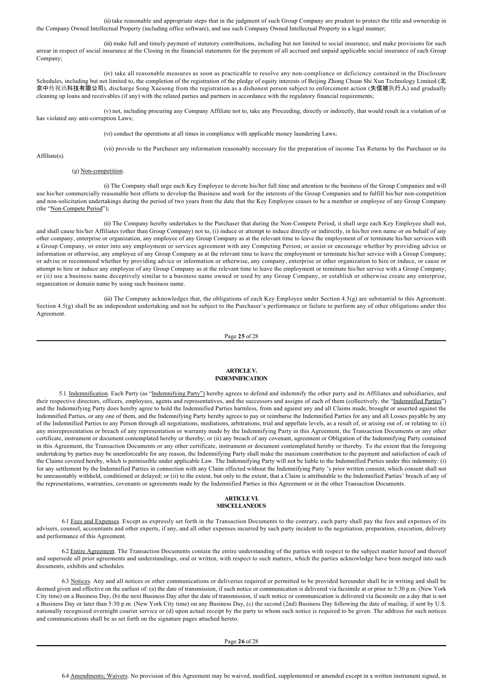(ii) take reasonable and appropriate steps that in the judgment of such Group Company are prudent to protect the title and ownership in the Company Owned Intellectual Property (including office software), and use such Company Owned Intellectual Property in a legal manner;

(iii) make full and timely payment of statutory contributions, including but not limited to social insurance, and make provisions for such arrear in respect of social insurance at the Closing in the financial statements for the payment of all accrued and unpaid applicable social insurance of each Group Company;

(iv) take all reasonable measures as soon as practicable to resolve any noncompliance or deficiency contained in the Disclosure Schedules, including but not limited to, the completion of the registration of the pledge of equity interests of Beijing Zhong Chuan Shi Xun Technology Limited (北 京中传视讯科技有限公司), discharge Song Xuesong from the registration as a dishonest person subject to enforcement action (失信被执行人) and gradually cleaning up loans and receivables (if any) with the related parties and partners in accordance with the regulatory financial requirements;

(v) not, including procuring any Company Affiliate not to, take any Proceeding, directly or indirectly, that would result in a violation of or has violated any anti-corruption Laws;

(vi) conduct the operations at all times in compliance with applicable money laundering Laws;

Affiliate(s).

(vii) provide to the Purchaser any information reasonably necessary for the preparation of income Tax Returns by the Purchaser or its

#### (g) Non-competition.

(i) The Company shall urge each Key Employee to devote his/her full time and attention to the business of the Group Companies and will use his/her commercially reasonable best efforts to develop the Business and work for the interests of the Group Companies and to fulfill his/her non-competition and nonsolicitation undertakings during the period of two years from the date that the Key Employee ceases to be a member or employee of any Group Company (the "Non-Compete Period");

(ii) The Company hereby undertakes to the Purchaser that during the NonCompete Period, it shall urge each Key Employee shall not, and shall cause his/her Affiliates (other than Group Company) not to, (i) induce or attempt to induce directly or indirectly, in his/her own name or on behalf of any other company, enterprise or organization, any employee of any Group Company as at the relevant time to leave the employment of or terminate his/her services with a Group Company, or enter into any employment or services agreement with any Competing Person; or assist or encourage whether by providing advice or information or otherwise, any employee of any Group Company as at the relevant time to leave the employment or terminate his/her service with a Group Company; or advise or recommend whether by providing advice or information or otherwise, any company, enterprise or other organization to hire or induce, or cause or attempt to hire or induce any employee of any Group Company as at the relevant time to leave the employment or terminate his/her service with a Group Company; or (ii) use a business name deceptively similar to a business name owned or used by any Group Company, or establish or otherwise create any enterprise, organization or domain name by using such business name.

(iii) The Company acknowledges that, the obligations of each Key Employee under Section 4.5(g) are substantial to this Agreement. Section 4.5(g) shall be an independent undertaking and not be subject to the Purchaser's performance or failure to perform any of other obligations under this Agreement.

Page **25** of 28

# **ARTICLE V. INDEMNIFICATION**

5.1. Indemnification. Each Party (as "Indemnifying Party") hereby agrees to defend and indemnify the other party and its Affiliates and subsidiaries, and their respective directors, officers, employees, agents and representatives, and the successors and assigns of each of them (collectively, the "Indemnified Parties") and the Indemnifying Party does hereby agree to hold the Indemnified Parties harmless, from and against any and all Claims made, brought or asserted against the Indemnified Parties, or any one of them, and the Indemnifying Party hereby agrees to pay or reimburse the Indemnified Parties for any and all Losses payable by any of the Indemnified Parties to any Person through all negotiations, mediations, arbitrations, trial and appellate levels, as a result of, or arising out of, or relating to: (i) any misrepresentation or breach of any representation or warranty made by the Indemnifying Party in this Agreement, the Transaction Documents or any other certificate, instrument or document contemplated hereby or thereby; or (ii) any breach of any covenant, agreement or Obligation of the Indemnifying Party contained in this Agreement, the Transaction Documents or any other certificate, instrument or document contemplated hereby or thereby. To the extent that the foregoing undertaking by parties may be unenforceable for any reason, the Indemnifying Party shall make the maximum contribution to the payment and satisfaction of each of the Claims covered hereby, which is permissible under applicable Law. The Indemnifying Party will not be liable to the Indemnified Parties under this indemnity: (i) for any settlement by the Indemnified Parties in connection with any Claim effected without the Indemnifying Party 's prior written consent, which consent shall not be unreasonably withheld, conditioned or delayed; or (ii) to the extent, but only to the extent, that a Claim is attributable to the Indemnified Parties' breach of any of the representations, warranties, covenants or agreements made by the Indemnified Parties in this Agreement or in the other Transaction Documents.

#### **ARTICLE VI. MISCELLANEOUS**

6.1 Fees and Expenses. Except as expressly set forth in the Transaction Documents to the contrary, each party shall pay the fees and expenses of its advisers, counsel, accountants and other experts, if any, and all other expenses incurred by such party incident to the negotiation, preparation, execution, delivery and performance of this Agreement.

6.2 Entire Agreement. The Transaction Documents contain the entire understanding of the parties with respect to the subject matter hereof and thereof and supersede all prior agreements and understandings, oral or written, with respect to such matters, which the parties acknowledge have been merged into such documents, exhibits and schedules.

6.3 Notices. Any and all notices or other communications or deliveries required or permitted to be provided hereunder shall be in writing and shall be deemed given and effective on the earliest of: (a) the date of transmission, if such notice or communication is delivered via facsimile at or prior to 5:30 p.m. (New York City time) on a Business Day, (b) the next Business Day after the date of transmission, if such notice or communication is delivered via facsimile on a day that is not a Business Day or later than 5:30 p.m. (New York City time) on any Business Day, (c) the second (2nd) Business Day following the date of mailing, if sent by U.S. nationally recognized overnight courier service or (d) upon actual receipt by the party to whom such notice is required to be given. The address for such notices and communications shall be as set forth on the signature pages attached hereto.

Page **26** of 28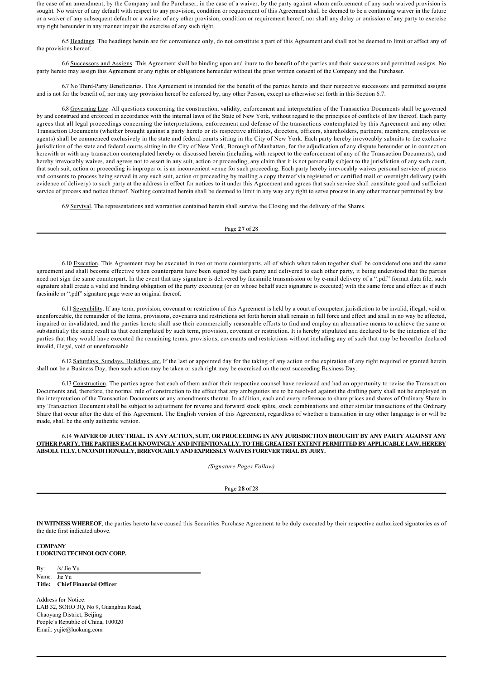the case of an amendment, by the Company and the Purchaser, in the case of a waiver, by the party against whom enforcement of any such waived provision is sought. No waiver of any default with respect to any provision, condition or requirement of this Agreement shall be deemed to be a continuing waiver in the future or a waiver of any subsequent default or a waiver of any other provision, condition or requirement hereof, nor shall any delay or omission of any party to exercise any right hereunder in any manner impair the exercise of any such right.

6.5 Headings. The headings herein are for convenience only, do not constitute a part of this Agreement and shall not be deemed to limit or affect any of the provisions hereof.

6.6 Successors and Assigns. This Agreement shall be binding upon and inure to the benefit of the parties and their successors and permitted assigns. No party hereto may assign this Agreement or any rights or obligations hereunder without the prior written consent of the Company and the Purchaser.

6.7 No Third-Party Beneficiaries. This Agreement is intended for the benefit of the parties hereto and their respective successors and permitted assigns and is not for the benefit of, nor may any provision hereof be enforced by, any other Person, except as otherwise set forth in this Section 6.7.

6.8 Governing Law. All questions concerning the construction, validity, enforcement and interpretation of the Transaction Documents shall be governed by and construed and enforced in accordance with the internal laws of the State of New York, without regard to the principles of conflicts of law thereof. Each party agrees that all legal proceedings concerning the interpretations, enforcement and defense of the transactions contemplated by this Agreement and any other Transaction Documents (whether brought against a party hereto or its respective affiliates, directors, officers, shareholders, partners, members, employees or agents) shall be commenced exclusively in the state and federal courts sitting in the City of New York. Each party hereby irrevocably submits to the exclusive jurisdiction of the state and federal courts sitting in the City of New York, Borough of Manhattan, for the adjudication of any dispute hereunder or in connection herewith or with any transaction contemplated hereby or discussed herein (including with respect to the enforcement of any of the Transaction Documents), and hereby irrevocably waives, and agrees not to assert in any suit, action or proceeding, any claim that it is not personally subject to the jurisdiction of any such court, that such suit, action or proceeding is improper or is an inconvenient venue for such proceeding. Each party hereby irrevocably waives personal service of process and consents to process being served in any such suit, action or proceeding by mailing a copy thereof via registered or certified mail or overnight delivery (with evidence of delivery) to such party at the address in effect for notices to it under this Agreement and agrees that such service shall constitute good and sufficient service of process and notice thereof. Nothing contained herein shall be deemed to limit in any way any right to serve process in any other manner permitted by law.

6.9 Survival. The representations and warranties contained herein shall survive the Closing and the delivery of the Shares.

Page **27** of 28

6.10 Execution. This Agreement may be executed in two or more counterparts, all of which when taken together shall be considered one and the same agreement and shall become effective when counterparts have been signed by each party and delivered to each other party, it being understood that the parties need not sign the same counterpart. In the event that any signature is delivered by facsimile transmission or by e-mail delivery of a ".pdf" format data file, such signature shall create a valid and binding obligation of the party executing (or on whose behalf such signature is executed) with the same force and effect as if such facsimile or ".pdf" signature page were an original thereof.

6.11 Severability. If any term, provision, covenant or restriction of this Agreement is held by a court of competent jurisdiction to be invalid, illegal, void or unenforceable, the remainder of the terms, provisions, covenants and restrictions set forth herein shall remain in full force and effect and shall in no way be affected, impaired or invalidated, and the parties hereto shall use their commercially reasonable efforts to find and employ an alternative means to achieve the same or substantially the same result as that contemplated by such term, provision, covenant or restriction. It is hereby stipulated and declared to be the intention of the parties that they would have executed the remaining terms, provisions, covenants and restrictions without including any of such that may be hereafter declared invalid, illegal, void or unenforceable.

6.12 Saturdays, Sundays, Holidays, etc. If the last or appointed day for the taking of any action or the expiration of any right required or granted herein shall not be a Business Day, then such action may be taken or such right may be exercised on the next succeeding Business Day.

6.13 Construction. The parties agree that each of them and/or their respective counsel have reviewed and had an opportunity to revise the Transaction Documents and, therefore, the normal rule of construction to the effect that any ambiguities are to be resolved against the drafting party shall not be employed in the interpretation of the Transaction Documents or any amendments thereto. In addition, each and every reference to share prices and shares of Ordinary Share in any Transaction Document shall be subject to adjustment for reverse and forward stock splits, stock combinations and other similar transactions of the Ordinary Share that occur after the date of this Agreement. The English version of this Agreement, regardless of whether a translation in any other language is or will be made, shall be the only authentic version.

# 6.14 **WAIVER OF JURY TRIAL. IN ANY ACTION, SUIT, OR PROCEEDING IN ANY JURISDICTION BROUGHT BY ANY PARTY AGAINST ANY OTHER PARTY, THE PARTIES EACH KNOWINGLY AND INTENTIONALLY, TO THE GREATEST EXTENT PERMITTED BY APPLICABLE LAW, HEREBY ABSOLUTELY, UNCONDITIONALLY, IRREVOCABLY AND EXPRESSLY WAIVES FOREVER TRIAL BY JURY.**

*(Signature Pages Follow)*

Page **28** of 28

**IN WITNESS WHEREOF**, the parties hereto have caused this Securities Purchase Agreement to be duly executed by their respective authorized signatories as of the date first indicated above.

**COMPANY LUOKUNG TECHNOLOGY CORP.**

By: /s/ Jie Yu Name: lie Yu **Title: Chief Financial Officer**

Address for Notice: LAB 32, SOHO 3Q, No 9, Guanghua Road, Chaoyang District, Beijing People's Republic of China, 100020 Email: yujie@luokung.com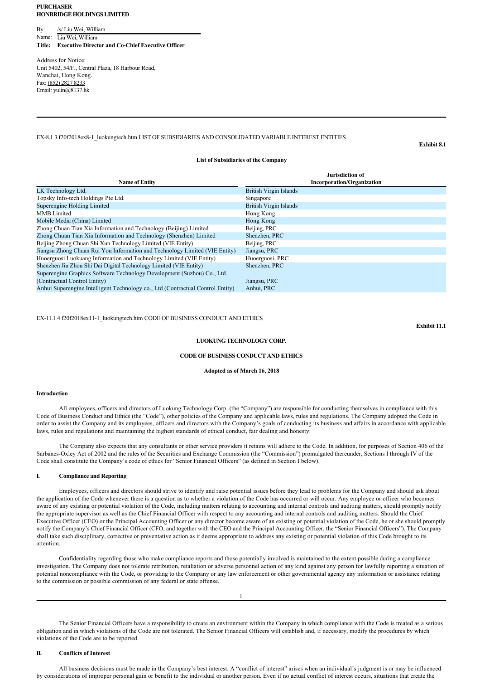#### **PURCHASER HONBRIDGE HOLDINGS LIMITED**

By: /s/ Liu Wei, William Name: Liu Wei, William Title: **Executive Director and Co-Chief Executive Officer** 

Address for Notice: Unit 5402, 54/F., Central Plaza, 18 Harbour Road, Wanchai, Hong Kong. Fax: (852) 2827 8233 Email: yulin@8137.hk

# EX8.1 3 f20f2018ex81\_luokungtech.htm LIST OF SUBSIDIARIES AND CONSOLIDATED VARIABLE INTEREST ENTITIES

**Exhibit 8.1**

#### **List of Subsidiaries of the Company**

| <b>Name of Entity</b>                                                          | Jurisdiction of<br><b>Incorporation/Organization</b> |
|--------------------------------------------------------------------------------|------------------------------------------------------|
| LK Technology Ltd.                                                             | <b>British Virgin Islands</b>                        |
| Topsky Info-tech Holdings Pte Ltd.                                             | Singapore                                            |
| Superengine Holding Limited                                                    | British Virgin Islands                               |
| <b>MMB</b> Limited                                                             | Hong Kong                                            |
| Mobile Media (China) Limited                                                   | Hong Kong                                            |
| Zhong Chuan Tian Xia Information and Technology (Beijing) Limited              | Beijing, PRC                                         |
| Zhong Chuan Tian Xia Information and Technology (Shenzhen) Limited             | Shenzhen, PRC                                        |
| Beijing Zhong Chuan Shi Xun Technology Limited (VIE Entity)                    | Beijing, PRC                                         |
| Jiangsu Zhong Chuan Rui You Information and Technology Limited (VIE Entity)    | Jiangsu, PRC                                         |
| Huoerguosi Luokuang Information and Technology Limited (VIE Entity)            | Huoerguosi, PRC                                      |
| Shenzhen Jiu Zhou Shi Dai Digital Technology Limited (VIE Entity)              | Shenzhen, PRC                                        |
| Superengine Graphics Software Technology Development (Suzhou) Co., Ltd.        |                                                      |
| (Contractual Control Entity)                                                   | Jiangsu, PRC                                         |
| Anhui Superengine Intelligent Technology co., Ltd (Contractual Control Entity) | Anhui, PRC                                           |

EX-11.1 4 f20f2018ex11-1\_luokungtech.htm CODE OF BUSINESS CONDUCT AND ETHICS

**Exhibit 11.1**

# **LUOKUNG TECHNOLOGY CORP.**

#### **CODE OF BUSINESS CONDUCT AND ETHICS**

#### **Adopted as of March 16, 2018**

#### **Introduction**

All employees, officers and directors of Luokung Technology Corp. (the "Company") are responsible for conducting themselves in compliance with this Code of Business Conduct and Ethics (the "Code"), other policies of the Company and applicable laws, rules and regulations. The Company adopted the Code in order to assist the Company and its employees, officers and directors with the Company's goals of conducting its business and affairs in accordance with applicable laws, rules and regulations and maintaining the highest standards of ethical conduct, fair dealing and honesty.

The Company also expects that any consultants or other service providers it retains will adhere to the Code. In addition, for purposes of Section 406 of the Sarbanes-Oxley Act of 2002 and the rules of the Securities and Exchange Commission (the "Commission") promulgated thereunder, Sections I through IV of the Code shall constitute the Company's code of ethics for "Senior Financial Officers" (as defined in Section I below).

#### **I. Compliance and Reporting**

Employees, officers and directors should strive to identify and raise potential issues before they lead to problems for the Company and should ask about the application of the Code whenever there is a question as to whether a violation of the Code has occurred or will occur. Any employee or officer who becomes aware of any existing or potential violation of the Code, including matters relating to accounting and internal controls and auditing matters, should promptly notify the appropriate supervisor as well as the Chief Financial Officer with respect to any accounting and internal controls and auditing matters. Should the Chief Executive Officer (CEO) or the Principal Accounting Officer or any director become aware of an existing or potential violation of the Code, he or she should promptly notify the Company's Chief Financial Officer (CFO, and together with the CEO and the Principal Accounting Officer, the "Senior Financial Officers"). The Company shall take such disciplinary, corrective or preventative action as it deems appropriate to address any existing or potential violation of this Code brought to its attention.

Confidentiality regarding those who make compliance reports and those potentially involved is maintained to the extent possible during a compliance investigation. The Company does not tolerate retribution, retaliation or adverse personnel action of any kind against any person for lawfully reporting a situation of potential noncompliance with the Code, or providing to the Company or any law enforcement or other governmental agency any information or assistance relating to the commission or possible commission of any federal or state offense.

1

The Senior Financial Officers have a responsibility to create an environment within the Company in which compliance with the Code is treated as a serious obligation and in which violations of the Code are not tolerated. The Senior Financial Officers will establish and, if necessary, modify the procedures by which violations of the Code are to be reported.

#### **II. Conflicts of Interest**

All business decisions must be made in the Company's best interest. A "conflict of interest" arises when an individual's judgment is or may be influenced by considerations of improper personal gain or benefit to the individual or another person. Even if no actual conflict of interest occurs, situations that create the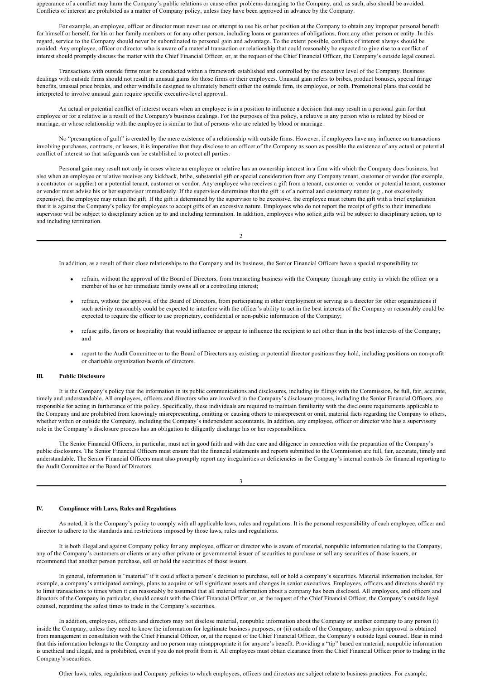appearance of a conflict may harm the Company's public relations or cause other problems damaging to the Company, and, as such, also should be avoided. Conflicts of interest are prohibited as a matter of Company policy, unless they have been approved in advance by the Company.

For example, an employee, officer or director must never use or attempt to use his or her position at the Company to obtain any improper personal benefit for himself or herself, for his or her family members or for any other person, including loans or guarantees of obligations, from any other person or entity. In this regard, service to the Company should never be subordinated to personal gain and advantage. To the extent possible, conflicts of interest always should be avoided. Any employee, officer or director who is aware of a material transaction or relationship that could reasonably be expected to give rise to a conflict of interest should promptly discuss the matter with the Chief Financial Officer, or, at the request of the Chief Financial Officer, the Company's outside legal counsel.

Transactions with outside firms must be conducted within a framework established and controlled by the executive level of the Company. Business dealings with outside firms should not result in unusual gains for those firms or their employees. Unusual gain refers to bribes, product bonuses, special fringe benefits, unusual price breaks, and other windfalls designed to ultimately benefit either the outside firm, its employee, or both. Promotional plans that could be interpreted to involve unusual gain require specific executivelevel approval.

An actual or potential conflict of interest occurs when an employee is in a position to influence a decision that may result in a personal gain for that employee or for a relative as a result of the Company's business dealings. For the purposes of this policy, a relative is any person who is related by blood or marriage, or whose relationship with the employee is similar to that of persons who are related by blood or marriage.

No "presumption of guilt" is created by the mere existence of a relationship with outside firms. However, if employees have any influence on transactions involving purchases, contracts, or leases, it is imperative that they disclose to an officer of the Company as soon as possible the existence of any actual or potential conflict of interest so that safeguards can be established to protect all parties.

Personal gain may result not only in cases where an employee or relative has an ownership interest in a firm with which the Company does business, but also when an employee or relative receives any kickback, bribe, substantial gift or special consideration from any Company tenant, customer or vendor (for example, a contractor or supplier) or a potential tenant, customer or vendor. Any employee who receives a gift from a tenant, customer or vendor or potential tenant, customer or vendor must advise his or her supervisor immediately. If the supervisor determines that the gift is of a normal and customary nature (e.g., not excessively expensive), the employee may retain the gift. If the gift is determined by the supervisor to be excessive, the employee must return the gift with a brief explanation that it is against the Company's policy for employees to accept gifts of an excessive nature. Employees who do not report the receipt of gifts to their immediate supervisor will be subject to disciplinary action up to and including termination. In addition, employees who solicit gifts will be subject to disciplinary action, up to and including termination.

 $\overline{2}$ 

In addition, as a result of their close relationships to the Company and its business, the Senior Financial Officers have a special responsibility to:

- · refrain, without the approval of the Board of Directors, from transacting business with the Company through any entity in which the officer or a member of his or her immediate family owns all or a controlling interest;
- refrain, without the approval of the Board of Directors, from participating in other employment or serving as a director for other organizations if such activity reasonably could be expected to interfere with the officer's ability to act in the best interests of the Company or reasonably could be expected to require the officer to use proprietary, confidential or non-public information of the Company;
- · refuse gifts, favors or hospitality that would influence or appear to influence the recipient to act other than in the best interests of the Company; and
- report to the Audit Committee or to the Board of Directors any existing or potential director positions they hold, including positions on non-profit or charitable organization boards of directors.

#### **III. Public Disclosure**

It is the Company's policy that the information in its public communications and disclosures, including its filings with the Commission, be full, fair, accurate, timely and understandable. All employees, officers and directors who are involved in the Company's disclosure process, including the Senior Financial Officers, are responsible for acting in furtherance of this policy. Specifically, these individuals are required to maintain familiarity with the disclosure requirements applicable to the Company and are prohibited from knowingly misrepresenting, omitting or causing others to misrepresent or omit, material facts regarding the Company to others, whether within or outside the Company, including the Company's independent accountants. In addition, any employee, officer or director who has a supervisory role in the Company's disclosure process has an obligation to diligently discharge his or her responsibilities.

The Senior Financial Officers, in particular, must act in good faith and with due care and diligence in connection with the preparation of the Company's public disclosures. The Senior Financial Officers must ensure that the financial statements and reports submitted to the Commission are full, fair, accurate, timely and understandable. The Senior Financial Officers must also promptly report any irregularities or deficiencies in the Company's internal controls for financial reporting to the Audit Committee or the Board of Directors.

3

#### **IV. Compliance with Laws, Rules and Regulations**

As noted, it is the Company's policy to comply with all applicable laws, rules and regulations. It is the personal responsibility of each employee, officer and director to adhere to the standards and restrictions imposed by those laws, rules and regulations.

It is both illegal and against Company policy for any employee, officer or director who is aware of material, nonpublic information relating to the Company, any of the Company's customers or clients or any other private or governmental issuer of securities to purchase or sell any securities of those issuers, or recommend that another person purchase, sell or hold the securities of those issuers.

In general, information is "material" if it could affect a person's decision to purchase, sell or hold a company's securities. Material information includes, for example, a company's anticipated earnings, plans to acquire or sell significant assets and changes in senior executives. Employees, officers and directors should try to limit transactions to times when it can reasonably be assumed that all material information about a company has been disclosed. All employees, and officers and directors of the Company in particular, should consult with the Chief Financial Officer, or, at the request of the Chief Financial Officer, the Company's outside legal counsel, regarding the safest times to trade in the Company's securities.

In addition, employees, officers and directors may not disclose material, nonpublic information about the Company or another company to any person (i) inside the Company, unless they need to know the information for legitimate business purposes, or (ii) outside of the Company, unless prior approval is obtained from management in consultation with the Chief Financial Officer, or, at the request of the Chief Financial Officer, the Company's outside legal counsel. Bear in mind that this information belongs to the Company and no person may misappropriate it for anyone's benefit. Providing a "tip" based on material, nonpublic information is unethical and illegal, and is prohibited, even if you do not profit from it. All employees must obtain clearance from the Chief Financial Officer prior to trading in the Company's securities.

Other laws, rules, regulations and Company policies to which employees, officers and directors are subject relate to business practices. For example,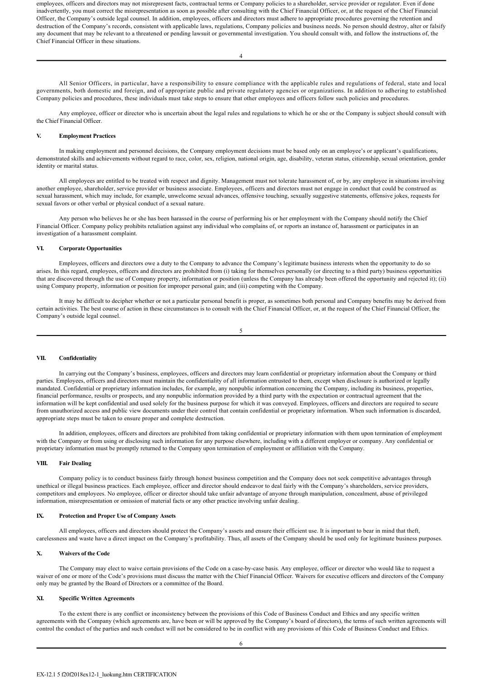employees, officers and directors may not misrepresent facts, contractual terms or Company policies to a shareholder, service provider or regulator. Even if done inadvertently, you must correct the misrepresentation as soon as possible after consulting with the Chief Financial Officer, or, at the request of the Chief Financial Officer, the Company's outside legal counsel. In addition, employees, officers and directors must adhere to appropriate procedures governing the retention and destruction of the Company's records, consistent with applicable laws, regulations, Company policies and business needs. No person should destroy, alter or falsify any document that may be relevant to a threatened or pending lawsuit or governmental investigation. You should consult with, and follow the instructions of, the Chief Financial Officer in these situations.

4

All Senior Officers, in particular, have a responsibility to ensure compliance with the applicable rules and regulations of federal, state and local governments, both domestic and foreign, and of appropriate public and private regulatory agencies or organizations. In addition to adhering to established Company policies and procedures, these individuals must take steps to ensure that other employees and officers follow such policies and procedures.

Any employee, officer or director who is uncertain about the legal rules and regulations to which he or she or the Company is subject should consult with the Chief Financial Officer.

#### **V. Employment Practices**

In making employment and personnel decisions, the Company employment decisions must be based only on an employee's or applicant's qualifications, demonstrated skills and achievements without regard to race, color, sex, religion, national origin, age, disability, veteran status, citizenship, sexual orientation, gender identity or marital status.

All employees are entitled to be treated with respect and dignity. Management must not tolerate harassment of, or by, any employee in situations involving another employee, shareholder, service provider or business associate. Employees, officers and directors must not engage in conduct that could be construed as sexual harassment, which may include, for example, unwelcome sexual advances, offensive touching, sexually suggestive statements, offensive jokes, requests for sexual favors or other verbal or physical conduct of a sexual nature.

Any person who believes he or she has been harassed in the course of performing his or her employment with the Company should notify the Chief Financial Officer. Company policy prohibits retaliation against any individual who complains of, or reports an instance of, harassment or participates in an investigation of a harassment complaint.

#### **VI. Corporate Opportunities**

Employees, officers and directors owe a duty to the Company to advance the Company's legitimate business interests when the opportunity to do so arises. In this regard, employees, officers and directors are prohibited from (i) taking for themselves personally (or directing to a third party) business opportunities that are discovered through the use of Company property, information or position (unless the Company has already been offered the opportunity and rejected it); (ii) using Company property, information or position for improper personal gain; and (iii) competing with the Company.

It may be difficult to decipher whether or not a particular personal benefit is proper, as sometimes both personal and Company benefits may be derived from certain activities. The best course of action in these circumstances is to consult with the Chief Financial Officer, or, at the request of the Chief Financial Officer, the Company's outside legal counsel.

#### 5

### **VII. Confidentiality**

In carrying out the Company's business, employees, officers and directors may learn confidential or proprietary information about the Company or third parties. Employees, officers and directors must maintain the confidentiality of all information entrusted to them, except when disclosure is authorized or legally mandated. Confidential or proprietary information includes, for example, any nonpublic information concerning the Company, including its business, properties, financial performance, results or prospects, and any nonpublic information provided by a third party with the expectation or contractual agreement that the information will be kept confidential and used solely for the business purpose for which it was conveyed. Employees, officers and directors are required to secure from unauthorized access and public view documents under their control that contain confidential or proprietary information. When such information is discarded, appropriate steps must be taken to ensure proper and complete destruction.

In addition, employees, officers and directors are prohibited from taking confidential or proprietary information with them upon termination of employment with the Company or from using or disclosing such information for any purpose elsewhere, including with a different employer or company. Any confidential or proprietary information must be promptly returned to the Company upon termination of employment or affiliation with the Company.

### **VIII. Fair Dealing**

Company policy is to conduct business fairly through honest business competition and the Company does not seek competitive advantages through unethical or illegal business practices. Each employee, officer and director should endeavor to deal fairly with the Company's shareholders, service providers, competitors and employees. No employee, officer or director should take unfair advantage of anyone through manipulation, concealment, abuse of privileged information, misrepresentation or omission of material facts or any other practice involving unfair dealing.

#### **IX. Protection and Proper Use of Company Assets**

All employees, officers and directors should protect the Company's assets and ensure their efficient use. It is important to bear in mind that theft, carelessness and waste have a direct impact on the Company's profitability. Thus, all assets of the Company should be used only for legitimate business purposes.

#### **X. Waivers of the Code**

The Company may elect to waive certain provisions of the Code on a case-by-case basis. Any employee, officer or director who would like to request a waiver of one or more of the Code's provisions must discuss the matter with the Chief Financial Officer. Waivers for executive officers and directors of the Company only may be granted by the Board of Directors or a committee of the Board.

## **XI. Specific Written Agreements**

To the extent there is any conflict or inconsistency between the provisions of this Code of Business Conduct and Ethics and any specific written agreements with the Company (which agreements are, have been or will be approved by the Company's board of directors), the terms of such written agreements will control the conduct of the parties and such conduct will not be considered to be in conflict with any provisions of this Code of Business Conduct and Ethics.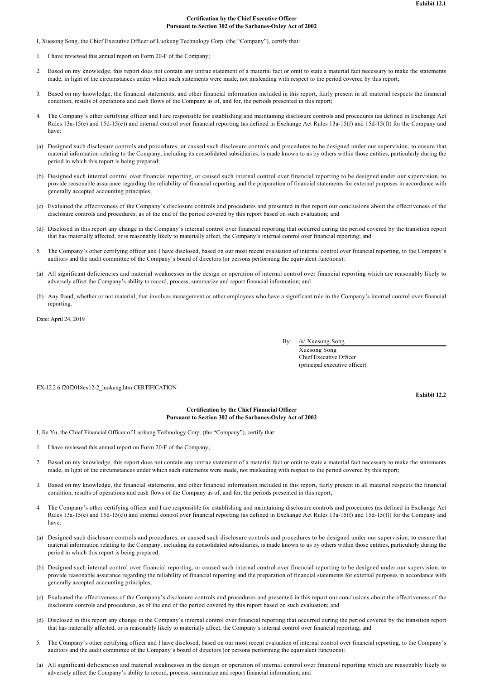#### **Certification by the Chief Executive Officer** Pursuant to Section 302 of the Sarbanes-Oxley Act of 2002

I, Xuesong Song, the Chief Executive Officer of Luokung Technology Corp. (the "Company"), certify that:

- 1. I have reviewed this annual report on Form 20-F of the Company;
- 2. Based on my knowledge, this report does not contain any untrue statement of a material fact or omit to state a material fact necessary to make the statements made, in light of the circumstances under which such statements were made, not misleading with respect to the period covered by this report;
- 3. Based on my knowledge, the financial statements, and other financial information included in this report, fairly present in all material respects the financial condition, results of operations and cash flows of the Company as of, and for, the periods presented in this report;
- 4. The Company's other certifying officer and I are responsible for establishing and maintaining disclosure controls and procedures (as defined in Exchange Act Rules  $13a-15(e)$  and  $15d-15(e)$  and internal control over financial reporting (as defined in Exchange Act Rules  $13a-15(f)$  and  $15d-15(f)$ ) for the Company and have:
- (a) Designed such disclosure controls and procedures, or caused such disclosure controls and procedures to be designed under our supervision, to ensure that material information relating to the Company, including its consolidated subsidiaries, is made known to us by others within those entities, particularly during the period in which this report is being prepared;
- (b) Designed such internal control over financial reporting, or caused such internal control over financial reporting to be designed under our supervision, to provide reasonable assurance regarding the reliability of financial reporting and the preparation of financial statements for external purposes in accordance with generally accepted accounting principles;
- (c) Evaluated the effectiveness of the Company's disclosure controls and procedures and presented in this report our conclusions about the effectiveness of the disclosure controls and procedures, as of the end of the period covered by this report based on such evaluation; and
- (d) Disclosed in this report any change in the Company's internal control over financial reporting that occurred during the period covered by the transition report that has materially affected, or is reasonably likely to materially affect, the Company's internal control over financial reporting; and
- 5. The Company's other certifying officer and I have disclosed, based on our most recent evaluation of internal control over financial reporting, to the Company's auditors and the audit committee of the Company's board of directors (or persons performing the equivalent functions):
- (a) All significant deficiencies and material weaknesses in the design or operation of internal control over financial reporting which are reasonably likely to adversely affect the Company's ability to record, process, summarize and report financial information; and
- (b) Any fraud, whether or not material, that involves management or other employees who have a significant role in the Company's internal control over financial reporting.

Date: April 24, 2019

By: /s/ Xuesong Song

Xuesong Song Chief Executive Officer (principal executive officer)

EX12.2 6 f20f2018ex122\_luokung.htm CERTIFICATION

**Exhibit 12.2**

# **Certification by the Chief Financial Officer** Pursuant to Section 302 of the Sarbanes-Oxley Act of 2002

I, Jie Yu, the Chief Financial Officer of Luokung Technology Corp. (the "Company"), certify that:

- 1. I have reviewed this annual report on Form 20-F of the Company:
- 2. Based on my knowledge, this report does not contain any untrue statement of a material fact or omit to state a material fact necessary to make the statements made, in light of the circumstances under which such statements were made, not misleading with respect to the period covered by this report;
- 3. Based on my knowledge, the financial statements, and other financial information included in this report, fairly present in all material respects the financial condition, results of operations and cash flows of the Company as of, and for, the periods presented in this report;
- 4. The Company's other certifying officer and I are responsible for establishing and maintaining disclosure controls and procedures (as defined in Exchange Act Rules 13a-15(e) and 15d-15(e)) and internal control over financial reporting (as defined in Exchange Act Rules 13a-15(f) and 15d-15(f)) for the Company and have:
- (a) Designed such disclosure controls and procedures, or caused such disclosure controls and procedures to be designed under our supervision, to ensure that material information relating to the Company, including its consolidated subsidiaries, is made known to us by others within those entities, particularly during the period in which this report is being prepared;
- (b) Designed such internal control over financial reporting, or caused such internal control over financial reporting to be designed under our supervision, to provide reasonable assurance regarding the reliability of financial reporting and the preparation of financial statements for external purposes in accordance with generally accepted accounting principles;
- (c) Evaluated the effectiveness of the Company's disclosure controls and procedures and presented in this report our conclusions about the effectiveness of the disclosure controls and procedures, as of the end of the period covered by this report based on such evaluation; and
- (d) Disclosed in this report any change in the Company's internal control over financial reporting that occurred during the period covered by the transition report that has materially affected, or is reasonably likely to materially affect, the Company's internal control over financial reporting; and
- 5. The Company's other certifying officer and I have disclosed, based on our most recent evaluation of internal control over financial reporting, to the Company's auditors and the audit committee of the Company's board of directors (or persons performing the equivalent functions):
- (a) All significant deficiencies and material weaknesses in the design or operation of internal control over financial reporting which are reasonably likely to adversely affect the Company's ability to record, process, summarize and report financial information; and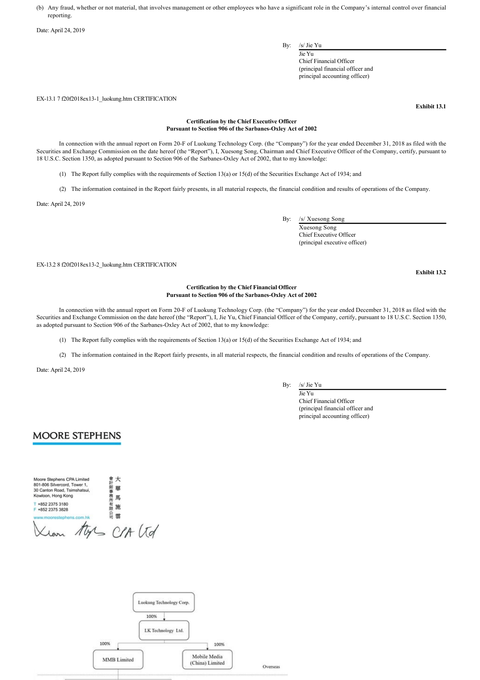(b) Any fraud, whether or not material, that involves management or other employees who have a significant role in the Company's internal control over financial reporting.

Date: April 24, 2019

By: /s/ Jie Yu

Jie Yu Chief Financial Officer (principal financial officer and principal accounting officer)

EX13.1 7 f20f2018ex131\_luokung.htm CERTIFICATION

**Exhibit 13.1**

#### **Certification by the Chief Executive Officer** Pursuant to Section 906 of the Sarbanes-Oxley Act of 2002

In connection with the annual report on Form 20F of Luokung Technology Corp. (the "Company") for the year ended December 31, 2018 as filed with the Securities and Exchange Commission on the date hereof (the "Report"), I, Xuesong Song, Chairman and Chief Executive Officer of the Company, certify, pursuant to 18 U.S.C. Section 1350, as adopted pursuant to Section 906 of the Sarbanes-Oxley Act of 2002, that to my knowledge:

(1) The Report fully complies with the requirements of Section 13(a) or 15(d) of the Securities Exchange Act of 1934; and

(2) The information contained in the Report fairly presents, in all material respects, the financial condition and results of operations of the Company.

Date: April 24, 2019

By: /s/ Xuesong Song

Xuesong Song Chief Executive Officer (principal executive officer)

EX-13.2 8 f20f2018ex13-2 luokung.htm CERTIFICATION

**Exhibit 13.2**

#### **Certification by the Chief Financial Officer** Pursuant to Section 906 of the Sarbanes-Oxley Act of 2002

In connection with the annual report on Form 20F of Luokung Technology Corp. (the "Company") for the year ended December 31, 2018 as filed with the Securities and Exchange Commission on the date hereof (the "Report"), I, Jie Yu, Chief Financial Officer of the Company, certify, pursuant to 18 U.S.C. Section 1350, as adopted pursuant to Section 906 of the Sarbanes-Oxley Act of 2002, that to my knowledge:

(1) The Report fully complies with the requirements of Section 13(a) or 15(d) of the Securities Exchange Act of 1934; and

(2) The information contained in the Report fairly presents, in all material respects, the financial condition and results of operations of the Company.

Date: April 24, 2019

By: /s/ Jie Yu

Jie Yu Chief Financial Officer (principal financial officer and principal accounting officer)

# **MOORE STEPHENS**

| Moore Stephens CPA Limited<br>801-806 Silvercord, Tower 1,<br>30 Canton Road, Tsimshatsui, |   |
|--------------------------------------------------------------------------------------------|---|
| Kowloon, Hong Kong                                                                         | 眠 |
| +852 2375 3180<br>+852 2375 3828                                                           | 卷 |
| ww.moorestephens.com.hk                                                                    |   |
|                                                                                            |   |